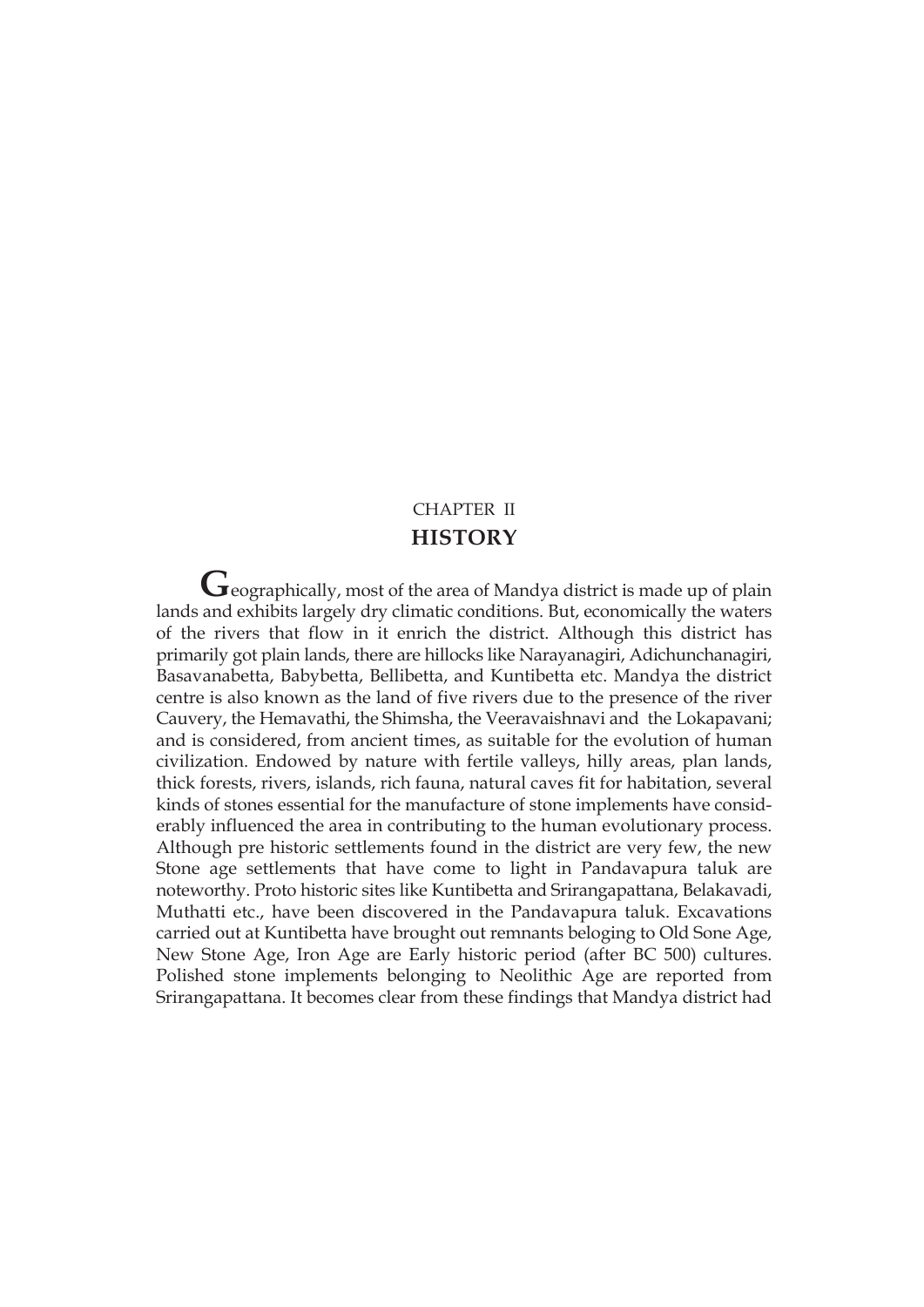# CHAPTER II **HISTORY**

Geographically, most of the area of Mandya district is made up of plain lands and exhibits largely dry climatic conditions. But, economically the waters of the rivers that flow in it enrich the district. Although this district has primarily got plain lands, there are hillocks like Narayanagiri, Adichunchanagiri, Basavanabetta, Babybetta, Bellibetta, and Kuntibetta etc. Mandya the district centre is also known as the land of five rivers due to the presence of the river Cauvery, the Hemavathi, the Shimsha, the Veeravaishnavi and the Lokapavani; and is considered, from ancient times, as suitable for the evolution of human civilization. Endowed by nature with fertile valleys, hilly areas, plan lands, thick forests, rivers, islands, rich fauna, natural caves fit for habitation, several kinds of stones essential for the manufacture of stone implements have considerably influenced the area in contributing to the human evolutionary process. Although pre historic settlements found in the district are very few, the new Stone age settlements that have come to light in Pandavapura taluk are noteworthy. Proto historic sites like Kuntibetta and Srirangapattana, Belakavadi, Muthatti etc., have been discovered in the Pandavapura taluk. Excavations carried out at Kuntibetta have brought out remnants beloging to Old Sone Age, New Stone Age, Iron Age are Early historic period (after BC 500) cultures. Polished stone implements belonging to Neolithic Age are reported from Srirangapattana. It becomes clear from these findings that Mandya district had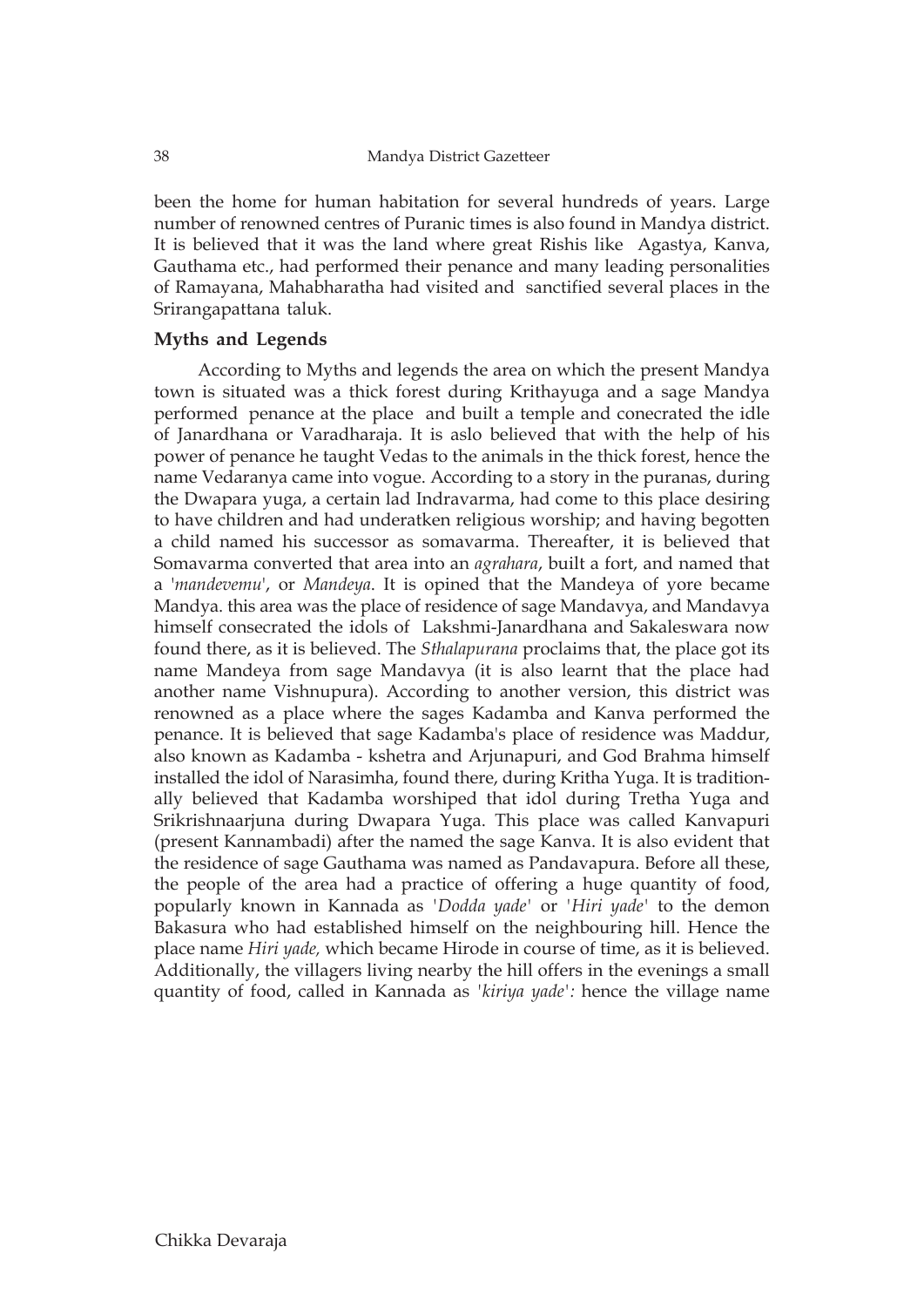been the home for human habitation for several hundreds of years. Large number of renowned centres of Puranic times is also found in Mandya district. It is believed that it was the land where great Rishis like Agastya, Kanva, Gauthama etc., had performed their penance and many leading personalities of Ramayana, Mahabharatha had visited and sanctified several places in the Srirangapattana taluk.

# **Myths and Legends**

According to Myths and legends the area on which the present Mandya town is situated was a thick forest during Krithayuga and a sage Mandya performed penance at the place and built a temple and conecrated the idle of Janardhana or Varadharaja. It is aslo believed that with the help of his power of penance he taught Vedas to the animals in the thick forest, hence the name Vedaranya came into vogue. According to a story in the puranas, during the Dwapara yuga, a certain lad Indravarma, had come to this place desiring to have children and had underatken religious worship; and having begotten a child named his successor as somavarma. Thereafter, it is believed that Somavarma converted that area into an *agrahara*, built a fort, and named that a '*mandevemu*', or *Mandeya*. It is opined that the Mandeya of yore became Mandya. this area was the place of residence of sage Mandavya, and Mandavya himself consecrated the idols of Lakshmi-Janardhana and Sakaleswara now found there, as it is believed. The *Sthalapurana* proclaims that, the place got its name Mandeya from sage Mandavya (it is also learnt that the place had another name Vishnupura). According to another version, this district was renowned as a place where the sages Kadamba and Kanva performed the penance. It is believed that sage Kadamba's place of residence was Maddur, also known as Kadamba - kshetra and Arjunapuri, and God Brahma himself installed the idol of Narasimha, found there, during Kritha Yuga. It is traditionally believed that Kadamba worshiped that idol during Tretha Yuga and Srikrishnaarjuna during Dwapara Yuga. This place was called Kanvapuri (present Kannambadi) after the named the sage Kanva. It is also evident that the residence of sage Gauthama was named as Pandavapura. Before all these, the people of the area had a practice of offering a huge quantity of food, popularly known in Kannada as *'Dodda yade'* or *'Hiri yade'* to the demon Bakasura who had established himself on the neighbouring hill. Hence the place name *Hiri yade,* which became Hirode in course of time, as it is believed. Additionally, the villagers living nearby the hill offers in the evenings a small quantity of food, called in Kannada as *'kiriya yade':* hence the village name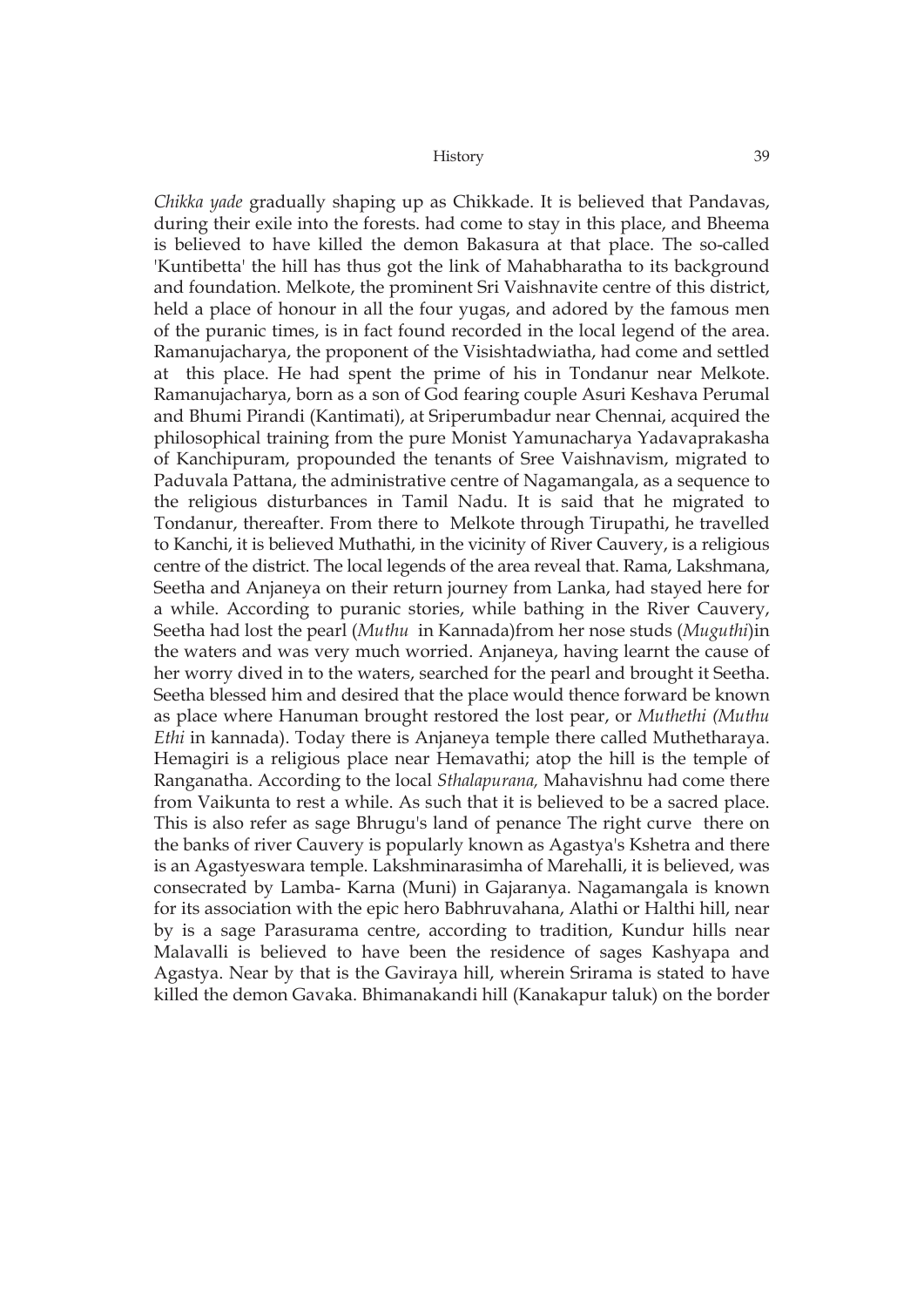*Chikka yade* gradually shaping up as Chikkade. It is believed that Pandavas, during their exile into the forests. had come to stay in this place, and Bheema is believed to have killed the demon Bakasura at that place. The so-called 'Kuntibetta' the hill has thus got the link of Mahabharatha to its background and foundation. Melkote, the prominent Sri Vaishnavite centre of this district, held a place of honour in all the four yugas, and adored by the famous men of the puranic times, is in fact found recorded in the local legend of the area. Ramanujacharya, the proponent of the Visishtadwiatha, had come and settled at this place. He had spent the prime of his in Tondanur near Melkote. Ramanujacharya, born as a son of God fearing couple Asuri Keshava Perumal and Bhumi Pirandi (Kantimati), at Sriperumbadur near Chennai, acquired the philosophical training from the pure Monist Yamunacharya Yadavaprakasha of Kanchipuram, propounded the tenants of Sree Vaishnavism, migrated to Paduvala Pattana, the administrative centre of Nagamangala, as a sequence to the religious disturbances in Tamil Nadu. It is said that he migrated to Tondanur, thereafter. From there to Melkote through Tirupathi, he travelled to Kanchi, it is believed Muthathi, in the vicinity of River Cauvery, is a religious centre of the district. The local legends of the area reveal that. Rama, Lakshmana, Seetha and Anjaneya on their return journey from Lanka, had stayed here for a while. According to puranic stories, while bathing in the River Cauvery, Seetha had lost the pearl (*Muthu* in Kannada)from her nose studs (*Muguthi*)in the waters and was very much worried. Anjaneya, having learnt the cause of her worry dived in to the waters, searched for the pearl and brought it Seetha. Seetha blessed him and desired that the place would thence forward be known as place where Hanuman brought restored the lost pear, or *Muthethi (Muthu Ethi* in kannada). Today there is Anjaneya temple there called Muthetharaya. Hemagiri is a religious place near Hemavathi; atop the hill is the temple of Ranganatha. According to the local *Sthalapurana,* Mahavishnu had come there from Vaikunta to rest a while. As such that it is believed to be a sacred place. This is also refer as sage Bhrugu's land of penance The right curve there on the banks of river Cauvery is popularly known as Agastya's Kshetra and there is an Agastyeswara temple. Lakshminarasimha of Marehalli, it is believed, was consecrated by Lamba- Karna (Muni) in Gajaranya. Nagamangala is known for its association with the epic hero Babhruvahana, Alathi or Halthi hill, near by is a sage Parasurama centre, according to tradition, Kundur hills near Malavalli is believed to have been the residence of sages Kashyapa and Agastya. Near by that is the Gaviraya hill, wherein Srirama is stated to have killed the demon Gavaka. Bhimanakandi hill (Kanakapur taluk) on the border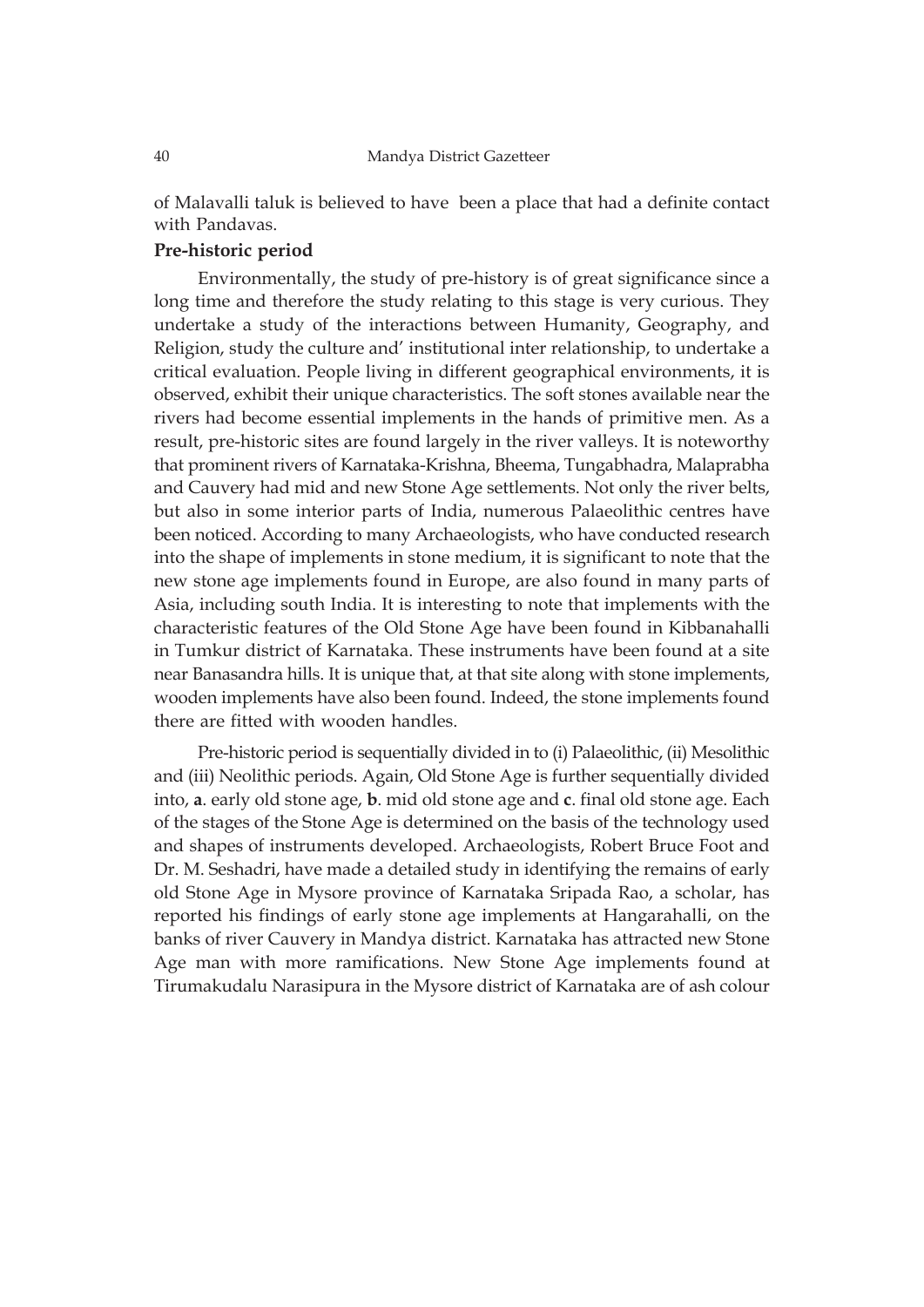of Malavalli taluk is believed to have been a place that had a definite contact with Pandavas.

# **Pre-historic period**

Environmentally, the study of pre-history is of great significance since a long time and therefore the study relating to this stage is very curious. They undertake a study of the interactions between Humanity, Geography, and Religion, study the culture and' institutional inter relationship, to undertake a critical evaluation. People living in different geographical environments, it is observed, exhibit their unique characteristics. The soft stones available near the rivers had become essential implements in the hands of primitive men. As a result, pre-historic sites are found largely in the river valleys. It is noteworthy that prominent rivers of Karnataka-Krishna, Bheema, Tungabhadra, Malaprabha and Cauvery had mid and new Stone Age settlements. Not only the river belts, but also in some interior parts of India, numerous Palaeolithic centres have been noticed. According to many Archaeologists, who have conducted research into the shape of implements in stone medium, it is significant to note that the new stone age implements found in Europe, are also found in many parts of Asia, including south India. It is interesting to note that implements with the characteristic features of the Old Stone Age have been found in Kibbanahalli in Tumkur district of Karnataka. These instruments have been found at a site near Banasandra hills. It is unique that, at that site along with stone implements, wooden implements have also been found. Indeed, the stone implements found there are fitted with wooden handles.

Pre-historic period is sequentially divided in to (i) Palaeolithic, (ii) Mesolithic and (iii) Neolithic periods. Again, Old Stone Age is further sequentially divided into, **a**. early old stone age, **b**. mid old stone age and **c**. final old stone age. Each of the stages of the Stone Age is determined on the basis of the technology used and shapes of instruments developed. Archaeologists, Robert Bruce Foot and Dr. M. Seshadri, have made a detailed study in identifying the remains of early old Stone Age in Mysore province of Karnataka Sripada Rao, a scholar, has reported his findings of early stone age implements at Hangarahalli, on the banks of river Cauvery in Mandya district. Karnataka has attracted new Stone Age man with more ramifications. New Stone Age implements found at Tirumakudalu Narasipura in the Mysore district of Karnataka are of ash colour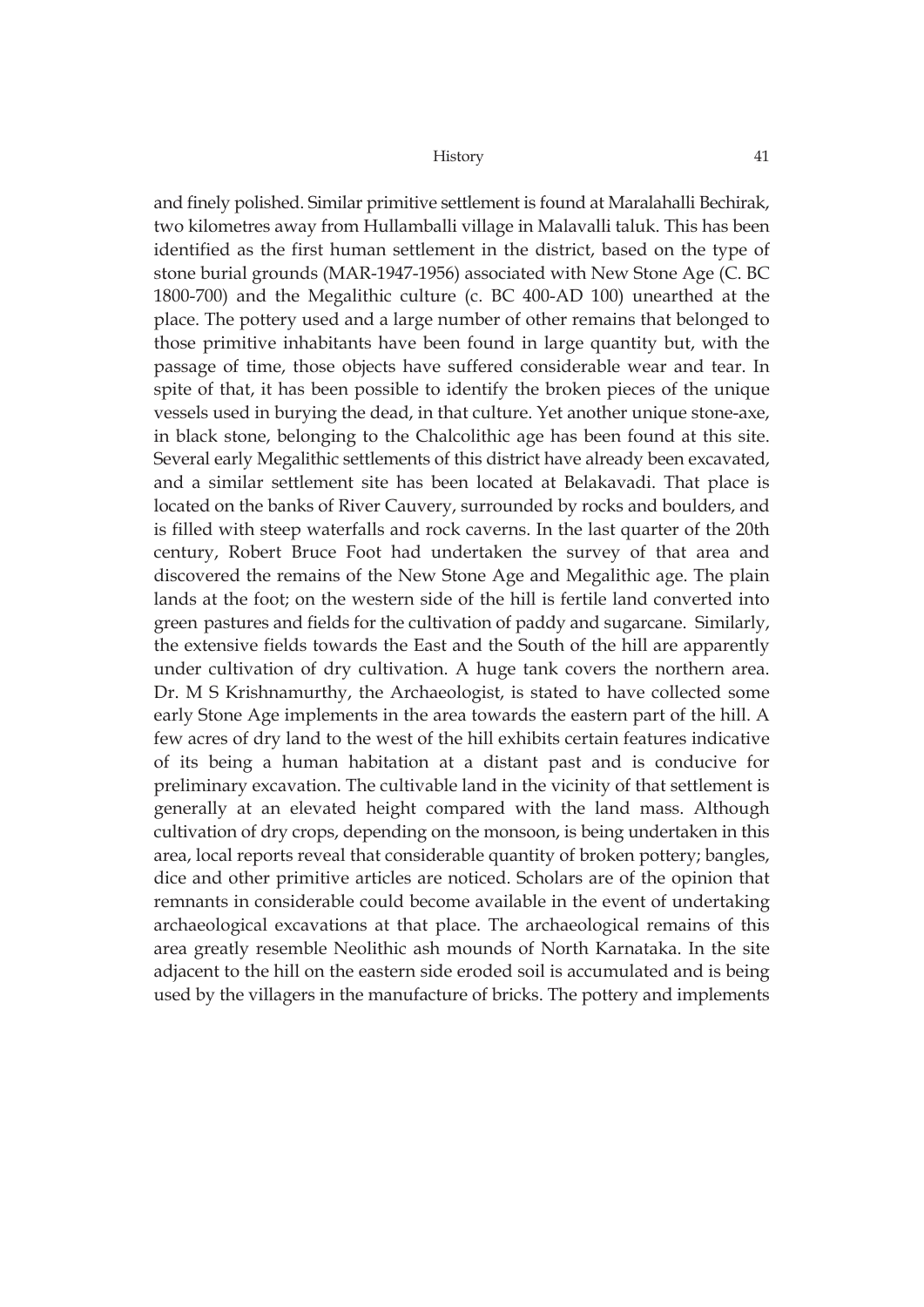and finely polished. Similar primitive settlement is found at Maralahalli Bechirak, two kilometres away from Hullamballi village in Malavalli taluk. This has been identified as the first human settlement in the district, based on the type of stone burial grounds (MAR-1947-1956) associated with New Stone Age (C. BC 1800-700) and the Megalithic culture (c. BC 400-AD 100) unearthed at the place. The pottery used and a large number of other remains that belonged to those primitive inhabitants have been found in large quantity but, with the passage of time, those objects have suffered considerable wear and tear. In spite of that, it has been possible to identify the broken pieces of the unique vessels used in burying the dead, in that culture. Yet another unique stone-axe, in black stone, belonging to the Chalcolithic age has been found at this site. Several early Megalithic settlements of this district have already been excavated, and a similar settlement site has been located at Belakavadi. That place is located on the banks of River Cauvery, surrounded by rocks and boulders, and is filled with steep waterfalls and rock caverns. In the last quarter of the 20th century, Robert Bruce Foot had undertaken the survey of that area and discovered the remains of the New Stone Age and Megalithic age. The plain lands at the foot; on the western side of the hill is fertile land converted into green pastures and fields for the cultivation of paddy and sugarcane. Similarly, the extensive fields towards the East and the South of the hill are apparently under cultivation of dry cultivation. A huge tank covers the northern area. Dr. M S Krishnamurthy, the Archaeologist, is stated to have collected some early Stone Age implements in the area towards the eastern part of the hill. A few acres of dry land to the west of the hill exhibits certain features indicative of its being a human habitation at a distant past and is conducive for preliminary excavation. The cultivable land in the vicinity of that settlement is generally at an elevated height compared with the land mass. Although cultivation of dry crops, depending on the monsoon, is being undertaken in this area, local reports reveal that considerable quantity of broken pottery; bangles, dice and other primitive articles are noticed. Scholars are of the opinion that remnants in considerable could become available in the event of undertaking archaeological excavations at that place. The archaeological remains of this area greatly resemble Neolithic ash mounds of North Karnataka. In the site adjacent to the hill on the eastern side eroded soil is accumulated and is being used by the villagers in the manufacture of bricks. The pottery and implements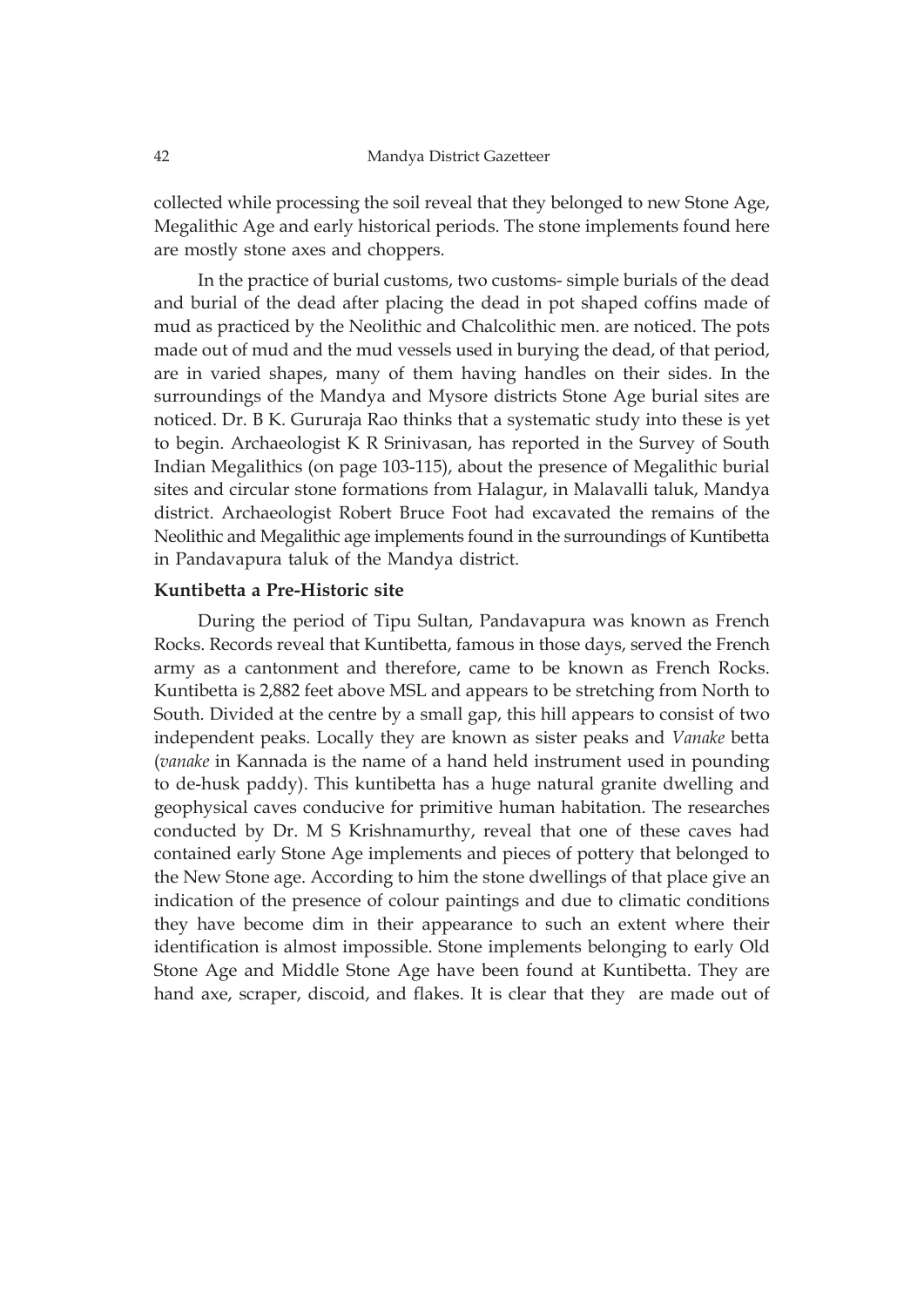collected while processing the soil reveal that they belonged to new Stone Age, Megalithic Age and early historical periods. The stone implements found here are mostly stone axes and choppers.

In the practice of burial customs, two customs- simple burials of the dead and burial of the dead after placing the dead in pot shaped coffins made of mud as practiced by the Neolithic and Chalcolithic men. are noticed. The pots made out of mud and the mud vessels used in burying the dead, of that period, are in varied shapes, many of them having handles on their sides. In the surroundings of the Mandya and Mysore districts Stone Age burial sites are noticed. Dr. B K. Gururaja Rao thinks that a systematic study into these is yet to begin. Archaeologist K R Srinivasan, has reported in the Survey of South Indian Megalithics (on page 103-115), about the presence of Megalithic burial sites and circular stone formations from Halagur, in Malavalli taluk, Mandya district. Archaeologist Robert Bruce Foot had excavated the remains of the Neolithic and Megalithic age implements found in the surroundings of Kuntibetta in Pandavapura taluk of the Mandya district.

# **Kuntibetta a Pre-Historic site**

During the period of Tipu Sultan, Pandavapura was known as French Rocks. Records reveal that Kuntibetta, famous in those days, served the French army as a cantonment and therefore, came to be known as French Rocks. Kuntibetta is 2,882 feet above MSL and appears to be stretching from North to South. Divided at the centre by a small gap, this hill appears to consist of two independent peaks. Locally they are known as sister peaks and *Vanake* betta (*vanake* in Kannada is the name of a hand held instrument used in pounding to de-husk paddy). This kuntibetta has a huge natural granite dwelling and geophysical caves conducive for primitive human habitation. The researches conducted by Dr. M S Krishnamurthy, reveal that one of these caves had contained early Stone Age implements and pieces of pottery that belonged to the New Stone age. According to him the stone dwellings of that place give an indication of the presence of colour paintings and due to climatic conditions they have become dim in their appearance to such an extent where their identification is almost impossible. Stone implements belonging to early Old Stone Age and Middle Stone Age have been found at Kuntibetta. They are hand axe, scraper, discoid, and flakes. It is clear that they are made out of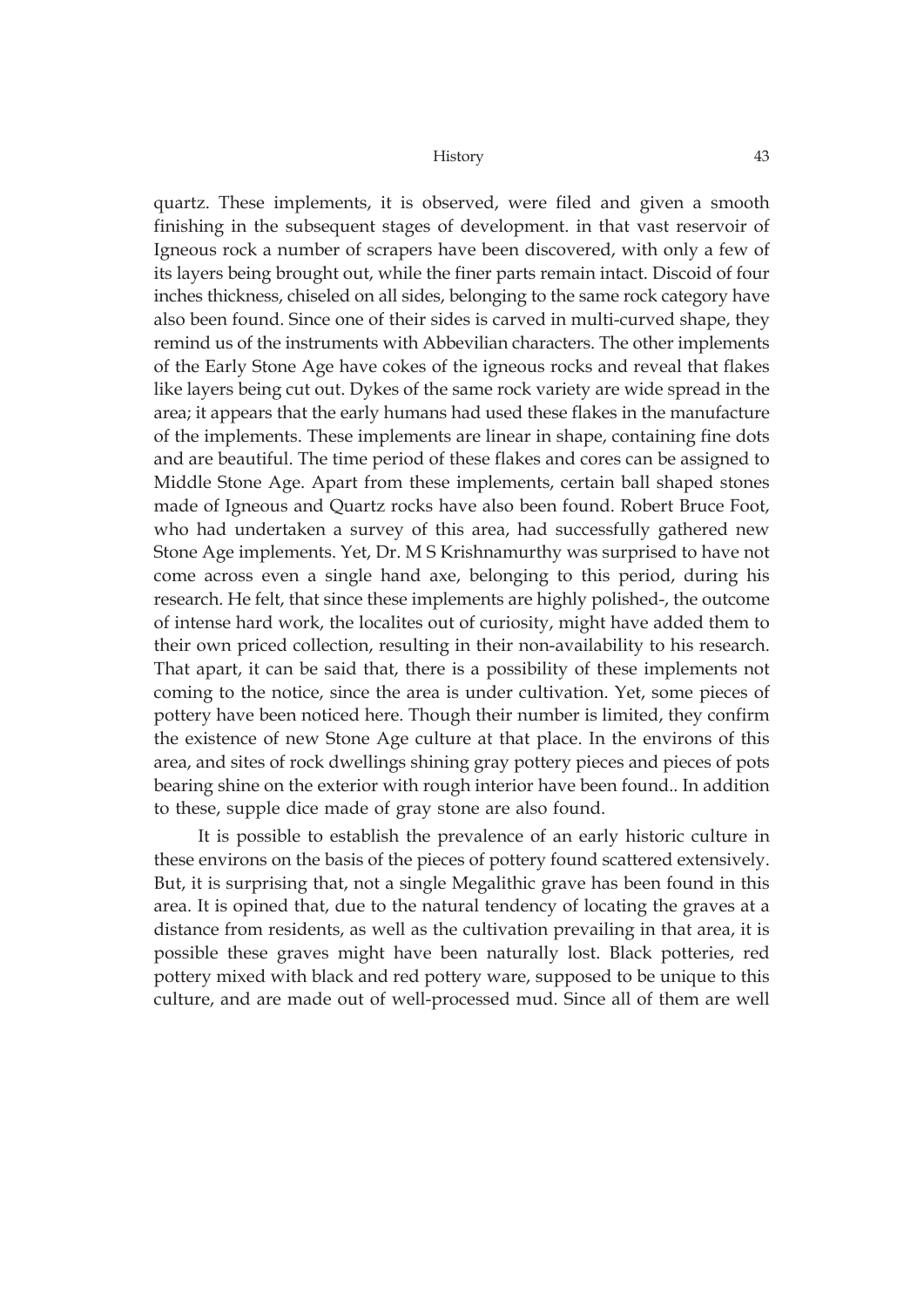quartz. These implements, it is observed, were filed and given a smooth finishing in the subsequent stages of development. in that vast reservoir of Igneous rock a number of scrapers have been discovered, with only a few of its layers being brought out, while the finer parts remain intact. Discoid of four inches thickness, chiseled on all sides, belonging to the same rock category have also been found. Since one of their sides is carved in multi-curved shape, they remind us of the instruments with Abbevilian characters. The other implements of the Early Stone Age have cokes of the igneous rocks and reveal that flakes like layers being cut out. Dykes of the same rock variety are wide spread in the area; it appears that the early humans had used these flakes in the manufacture of the implements. These implements are linear in shape, containing fine dots and are beautiful. The time period of these flakes and cores can be assigned to Middle Stone Age. Apart from these implements, certain ball shaped stones made of Igneous and Quartz rocks have also been found. Robert Bruce Foot, who had undertaken a survey of this area, had successfully gathered new Stone Age implements. Yet, Dr. M S Krishnamurthy was surprised to have not come across even a single hand axe, belonging to this period, during his research. He felt, that since these implements are highly polished-, the outcome of intense hard work, the localites out of curiosity, might have added them to their own priced collection, resulting in their non-availability to his research. That apart, it can be said that, there is a possibility of these implements not coming to the notice, since the area is under cultivation. Yet, some pieces of pottery have been noticed here. Though their number is limited, they confirm the existence of new Stone Age culture at that place. In the environs of this area, and sites of rock dwellings shining gray pottery pieces and pieces of pots bearing shine on the exterior with rough interior have been found.. In addition to these, supple dice made of gray stone are also found.

It is possible to establish the prevalence of an early historic culture in these environs on the basis of the pieces of pottery found scattered extensively. But, it is surprising that, not a single Megalithic grave has been found in this area. It is opined that, due to the natural tendency of locating the graves at a distance from residents, as well as the cultivation prevailing in that area, it is possible these graves might have been naturally lost. Black potteries, red pottery mixed with black and red pottery ware, supposed to be unique to this culture, and are made out of well-processed mud. Since all of them are well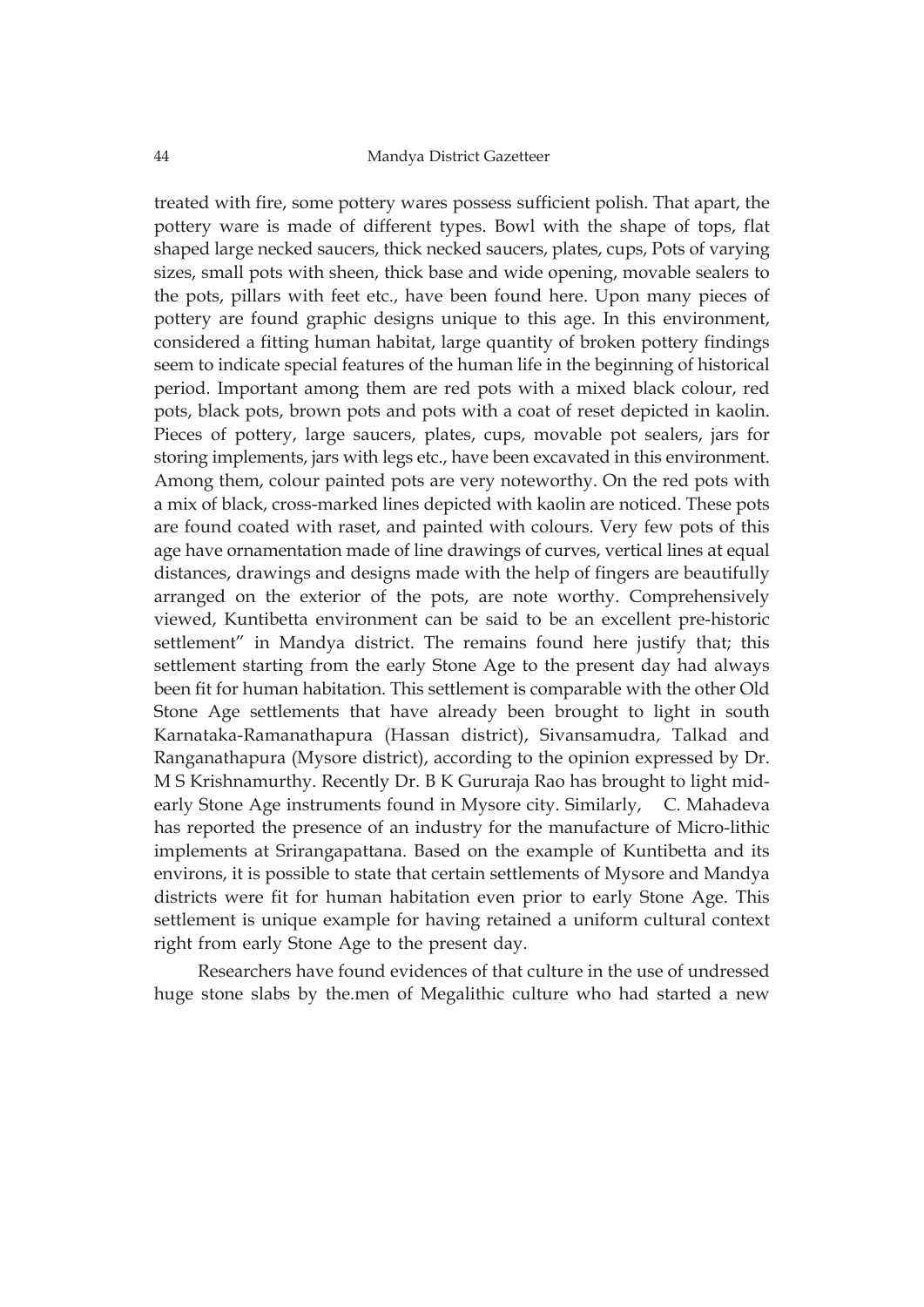treated with fire, some pottery wares possess sufficient polish. That apart, the pottery ware is made of different types. Bowl with the shape of tops, flat shaped large necked saucers, thick necked saucers, plates, cups, Pots of varying sizes, small pots with sheen, thick base and wide opening, movable sealers to the pots, pillars with feet etc., have been found here. Upon many pieces of pottery are found graphic designs unique to this age. In this environment, considered a fitting human habitat, large quantity of broken pottery findings seem to indicate special features of the human life in the beginning of historical period. Important among them are red pots with a mixed black colour, red pots, black pots, brown pots and pots with a coat of reset depicted in kaolin. Pieces of pottery, large saucers, plates, cups, movable pot sealers, jars for storing implements, jars with legs etc., have been excavated in this environment. Among them, colour painted pots are very noteworthy. On the red pots with a mix of black, cross-marked lines depicted with kaolin are noticed. These pots are found coated with raset, and painted with colours. Very few pots of this age have ornamentation made of line drawings of curves, vertical lines at equal distances, drawings and designs made with the help of fingers are beautifully arranged on the exterior of the pots, are note worthy. Comprehensively viewed, Kuntibetta environment can be said to be an excellent pre-historic settlement" in Mandya district. The remains found here justify that; this settlement starting from the early Stone Age to the present day had always been fit for human habitation. This settlement is comparable with the other Old Stone Age settlements that have already been brought to light in south Karnataka-Ramanathapura (Hassan district), Sivansamudra, Talkad and Ranganathapura (Mysore district), according to the opinion expressed by Dr. M S Krishnamurthy. Recently Dr. B K Gururaja Rao has brought to light midearly Stone Age instruments found in Mysore city. Similarly, C. Mahadeva has reported the presence of an industry for the manufacture of Micro-lithic implements at Srirangapattana. Based on the example of Kuntibetta and its environs, it is possible to state that certain settlements of Mysore and Mandya districts were fit for human habitation even prior to early Stone Age. This settlement is unique example for having retained a uniform cultural context right from early Stone Age to the present day.

Researchers have found evidences of that culture in the use of undressed huge stone slabs by the.men of Megalithic culture who had started a new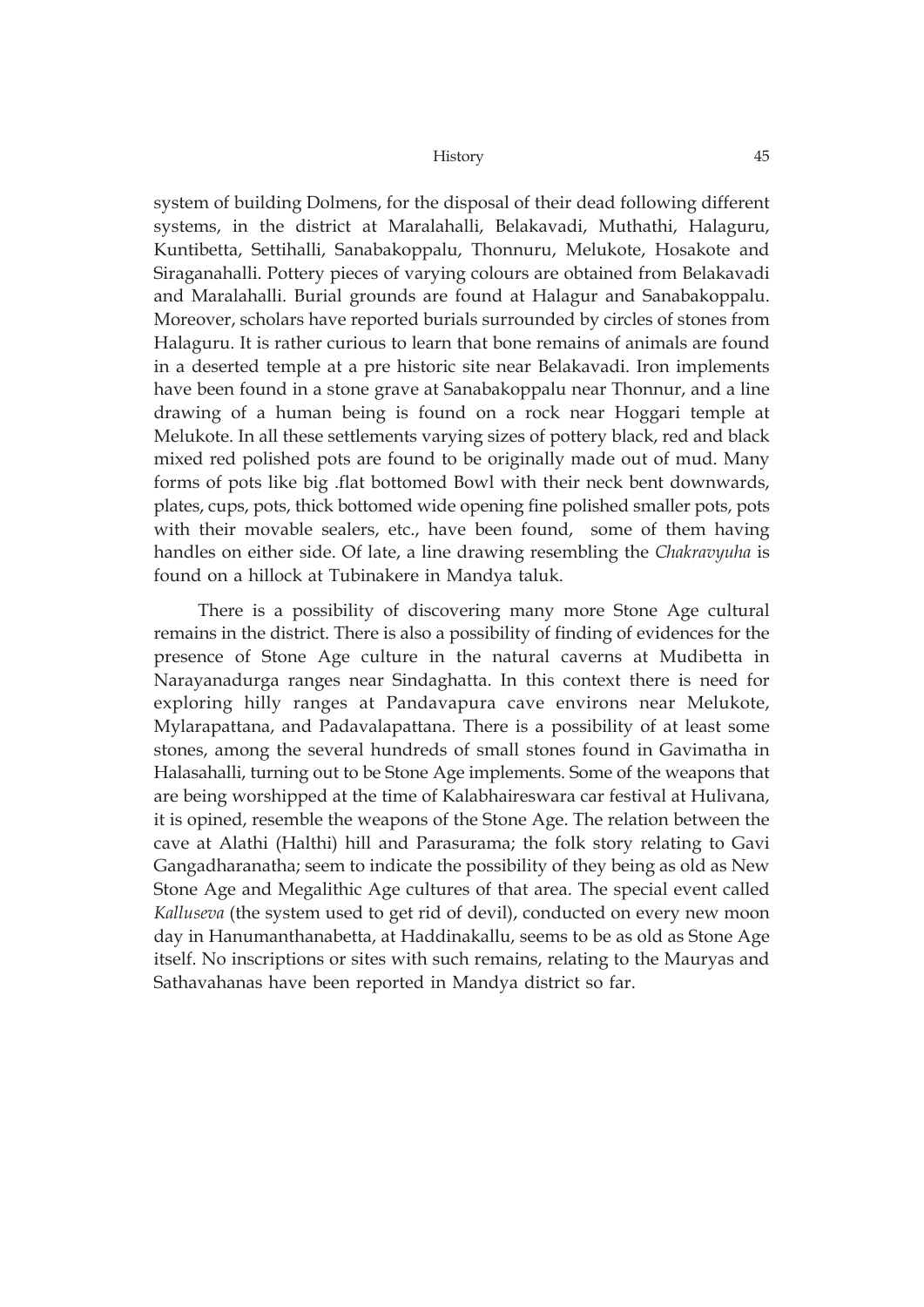system of building Dolmens, for the disposal of their dead following different systems, in the district at Maralahalli, Belakavadi, Muthathi, Halaguru, Kuntibetta, Settihalli, Sanabakoppalu, Thonnuru, Melukote, Hosakote and Siraganahalli. Pottery pieces of varying colours are obtained from Belakavadi and Maralahalli. Burial grounds are found at Halagur and Sanabakoppalu. Moreover, scholars have reported burials surrounded by circles of stones from Halaguru. It is rather curious to learn that bone remains of animals are found in a deserted temple at a pre historic site near Belakavadi. Iron implements have been found in a stone grave at Sanabakoppalu near Thonnur, and a line drawing of a human being is found on a rock near Hoggari temple at Melukote. In all these settlements varying sizes of pottery black, red and black mixed red polished pots are found to be originally made out of mud. Many forms of pots like big .flat bottomed Bowl with their neck bent downwards, plates, cups, pots, thick bottomed wide opening fine polished smaller pots, pots with their movable sealers, etc., have been found, some of them having handles on either side. Of late, a line drawing resembling the *Chakravyuha* is found on a hillock at Tubinakere in Mandya taluk.

There is a possibility of discovering many more Stone Age cultural remains in the district. There is also a possibility of finding of evidences for the presence of Stone Age culture in the natural caverns at Mudibetta in Narayanadurga ranges near Sindaghatta. In this context there is need for exploring hilly ranges at Pandavapura cave environs near Melukote, Mylarapattana, and Padavalapattana. There is a possibility of at least some stones, among the several hundreds of small stones found in Gavimatha in Halasahalli, turning out to be Stone Age implements. Some of the weapons that are being worshipped at the time of Kalabhaireswara car festival at Hulivana, it is opined, resemble the weapons of the Stone Age. The relation between the cave at Alathi (Halthi) hill and Parasurama; the folk story relating to Gavi Gangadharanatha; seem to indicate the possibility of they being as old as New Stone Age and Megalithic Age cultures of that area. The special event called *Kalluseva* (the system used to get rid of devil), conducted on every new moon day in Hanumanthanabetta, at Haddinakallu, seems to be as old as Stone Age itself. No inscriptions or sites with such remains, relating to the Mauryas and Sathavahanas have been reported in Mandya district so far.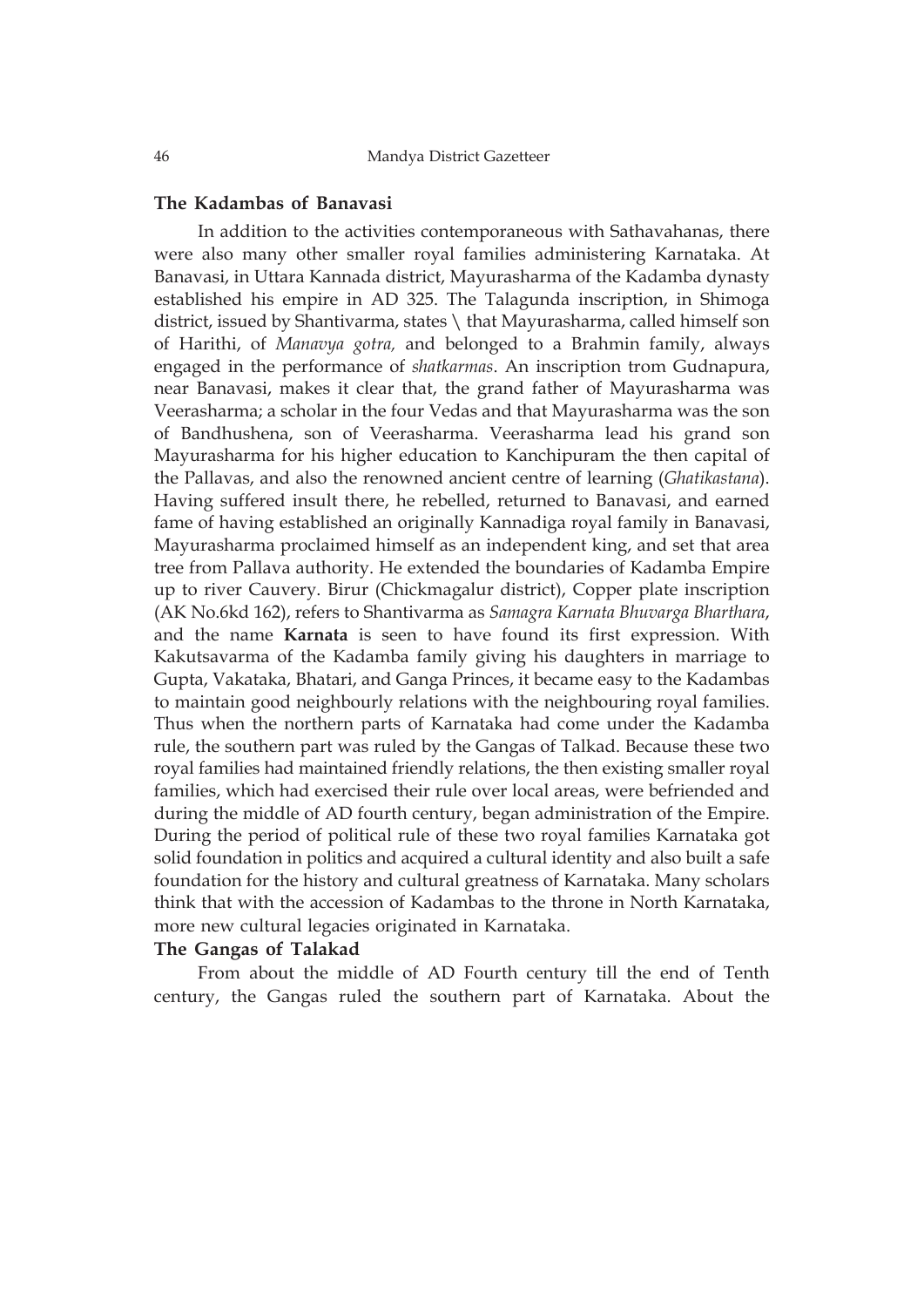## **The Kadambas of Banavasi**

In addition to the activities contemporaneous with Sathavahanas, there were also many other smaller royal families administering Karnataka. At Banavasi, in Uttara Kannada district, Mayurasharma of the Kadamba dynasty established his empire in AD 325. The Talagunda inscription, in Shimoga district, issued by Shantivarma, states \ that Mayurasharma, called himself son of Harithi, of *Manavya gotra,* and belonged to a Brahmin family, always engaged in the performance of *shatkarmas*. An inscription trom Gudnapura, near Banavasi, makes it clear that, the grand father of Mayurasharma was Veerasharma; a scholar in the four Vedas and that Mayurasharma was the son of Bandhushena, son of Veerasharma. Veerasharma lead his grand son Mayurasharma for his higher education to Kanchipuram the then capital of the Pallavas, and also the renowned ancient centre of learning (*Ghatikastana*). Having suffered insult there, he rebelled, returned to Banavasi, and earned fame of having established an originally Kannadiga royal family in Banavasi, Mayurasharma proclaimed himself as an independent king, and set that area tree from Pallava authority. He extended the boundaries of Kadamba Empire up to river Cauvery. Birur (Chickmagalur district), Copper plate inscription (AK No.6kd 162), refers to Shantivarma as *Samagra Karnata Bhuvarga Bharthara*, and the name **Karnata** is seen to have found its first expression. With Kakutsavarma of the Kadamba family giving his daughters in marriage to Gupta, Vakataka, Bhatari, and Ganga Princes, it became easy to the Kadambas to maintain good neighbourly relations with the neighbouring royal families. Thus when the northern parts of Karnataka had come under the Kadamba rule, the southern part was ruled by the Gangas of Talkad. Because these two royal families had maintained friendly relations, the then existing smaller royal families, which had exercised their rule over local areas, were befriended and during the middle of AD fourth century, began administration of the Empire. During the period of political rule of these two royal families Karnataka got solid foundation in politics and acquired a cultural identity and also built a safe foundation for the history and cultural greatness of Karnataka. Many scholars think that with the accession of Kadambas to the throne in North Karnataka, more new cultural legacies originated in Karnataka.

### **The Gangas of Talakad**

From about the middle of AD Fourth century till the end of Tenth century, the Gangas ruled the southern part of Karnataka. About the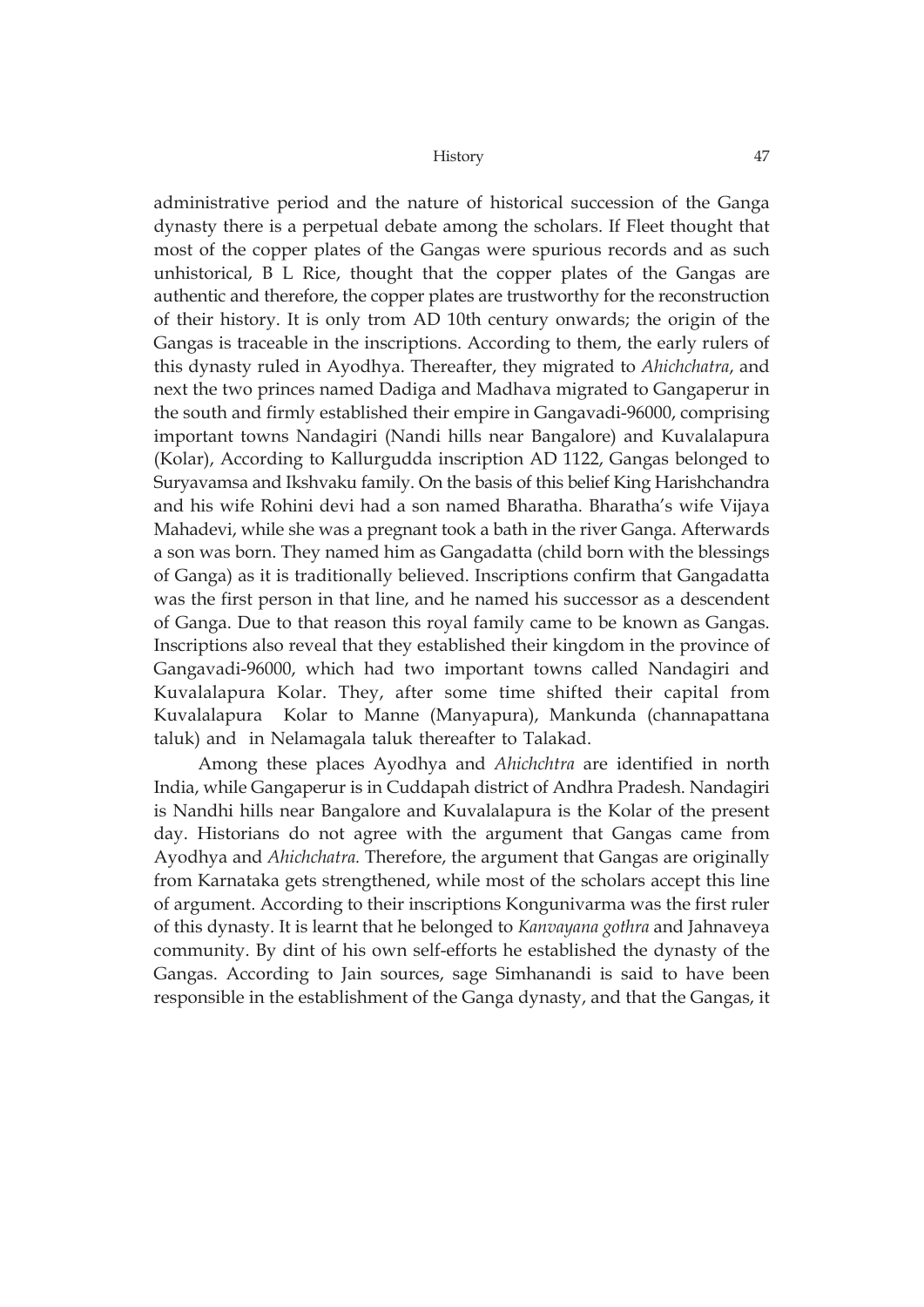administrative period and the nature of historical succession of the Ganga dynasty there is a perpetual debate among the scholars. If Fleet thought that most of the copper plates of the Gangas were spurious records and as such unhistorical, B L Rice, thought that the copper plates of the Gangas are authentic and therefore, the copper plates are trustworthy for the reconstruction of their history. It is only trom AD 10th century onwards; the origin of the Gangas is traceable in the inscriptions. According to them, the early rulers of this dynasty ruled in Ayodhya. Thereafter, they migrated to *Ahichchatra*, and next the two princes named Dadiga and Madhava migrated to Gangaperur in the south and firmly established their empire in Gangavadi-96000, comprising important towns Nandagiri (Nandi hills near Bangalore) and Kuvalalapura (Kolar), According to Kallurgudda inscription AD 1122, Gangas belonged to Suryavamsa and Ikshvaku family. On the basis of this belief King Harishchandra and his wife Rohini devi had a son named Bharatha. Bharatha's wife Vijaya Mahadevi, while she was a pregnant took a bath in the river Ganga. Afterwards a son was born. They named him as Gangadatta (child born with the blessings of Ganga) as it is traditionally believed. Inscriptions confirm that Gangadatta was the first person in that line, and he named his successor as a descendent of Ganga. Due to that reason this royal family came to be known as Gangas. Inscriptions also reveal that they established their kingdom in the province of Gangavadi-96000, which had two important towns called Nandagiri and Kuvalalapura Kolar. They, after some time shifted their capital from Kuvalalapura Kolar to Manne (Manyapura), Mankunda (channapattana taluk) and in Nelamagala taluk thereafter to Talakad.

Among these places Ayodhya and *Ahichchtra* are identified in north India, while Gangaperur is in Cuddapah district of Andhra Pradesh. Nandagiri is Nandhi hills near Bangalore and Kuvalalapura is the Kolar of the present day. Historians do not agree with the argument that Gangas came from Ayodhya and *Ahichchatra.* Therefore, the argument that Gangas are originally from Karnataka gets strengthened, while most of the scholars accept this line of argument. According to their inscriptions Kongunivarma was the first ruler of this dynasty. It is learnt that he belonged to *Kanvayana gothra* and Jahnaveya community. By dint of his own self-efforts he established the dynasty of the Gangas. According to Jain sources, sage Simhanandi is said to have been responsible in the establishment of the Ganga dynasty, and that the Gangas, it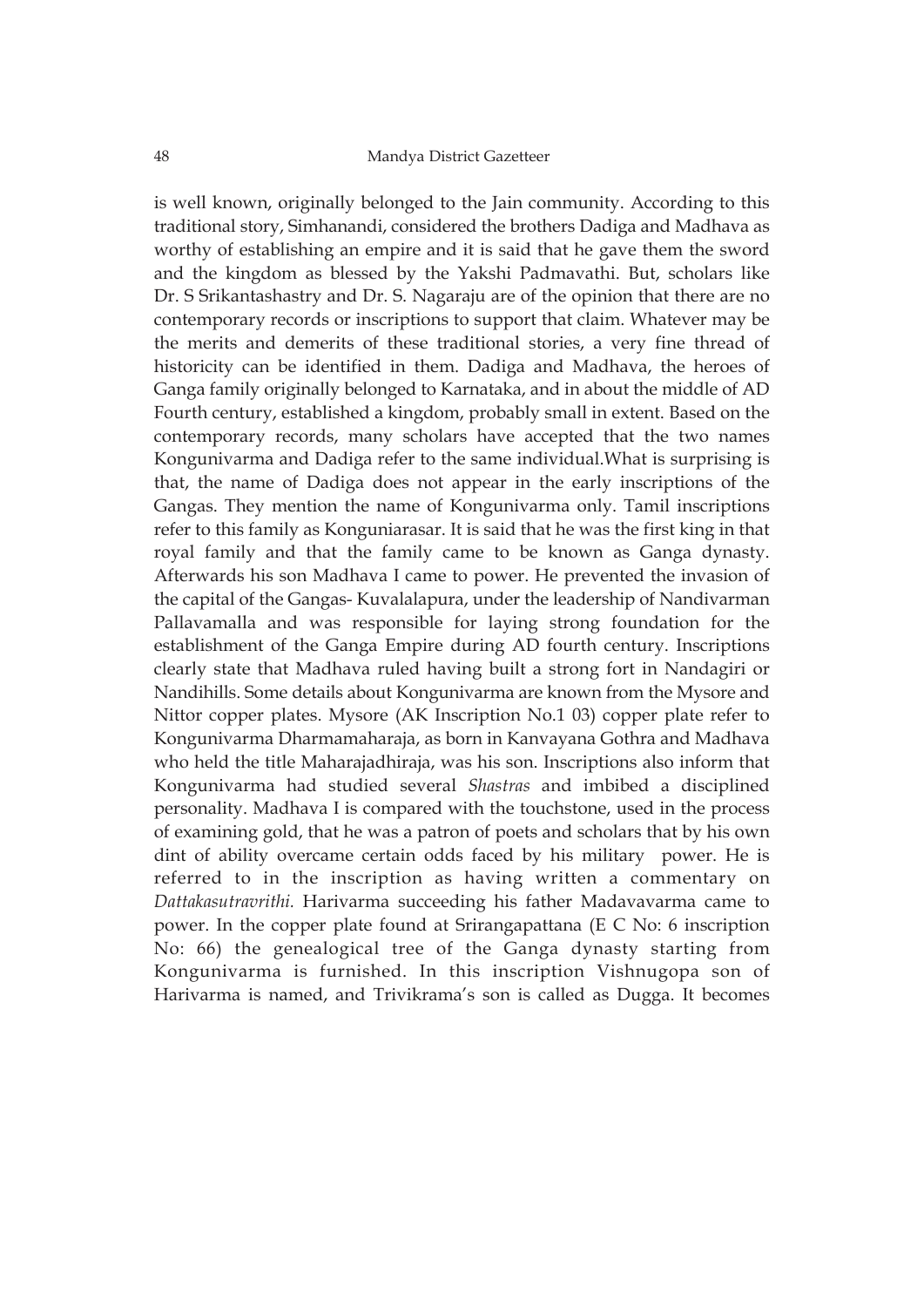is well known, originally belonged to the Jain community. According to this traditional story, Simhanandi, considered the brothers Dadiga and Madhava as worthy of establishing an empire and it is said that he gave them the sword and the kingdom as blessed by the Yakshi Padmavathi. But, scholars like Dr. S Srikantashastry and Dr. S. Nagaraju are of the opinion that there are no contemporary records or inscriptions to support that claim. Whatever may be the merits and demerits of these traditional stories, a very fine thread of historicity can be identified in them. Dadiga and Madhava, the heroes of Ganga family originally belonged to Karnataka, and in about the middle of AD Fourth century, established a kingdom, probably small in extent. Based on the contemporary records, many scholars have accepted that the two names Kongunivarma and Dadiga refer to the same individual.What is surprising is that, the name of Dadiga does not appear in the early inscriptions of the Gangas. They mention the name of Kongunivarma only. Tamil inscriptions refer to this family as Konguniarasar. It is said that he was the first king in that royal family and that the family came to be known as Ganga dynasty. Afterwards his son Madhava I came to power. He prevented the invasion of the capital of the Gangas- Kuvalalapura, under the leadership of Nandivarman Pallavamalla and was responsible for laying strong foundation for the establishment of the Ganga Empire during AD fourth century. Inscriptions clearly state that Madhava ruled having built a strong fort in Nandagiri or Nandihills. Some details about Kongunivarma are known from the Mysore and Nittor copper plates. Mysore (AK Inscription No.1 03) copper plate refer to Kongunivarma Dharmamaharaja, as born in Kanvayana Gothra and Madhava who held the title Maharajadhiraja, was his son. Inscriptions also inform that Kongunivarma had studied several *Shastras* and imbibed a disciplined personality. Madhava I is compared with the touchstone, used in the process of examining gold, that he was a patron of poets and scholars that by his own dint of ability overcame certain odds faced by his military power. He is referred to in the inscription as having written a commentary on *Dattakasutravrithi.* Harivarma succeeding his father Madavavarma came to power. In the copper plate found at Srirangapattana (E C No: 6 inscription No: 66) the genealogical tree of the Ganga dynasty starting from Kongunivarma is furnished. In this inscription Vishnugopa son of Harivarma is named, and Trivikrama's son is called as Dugga. It becomes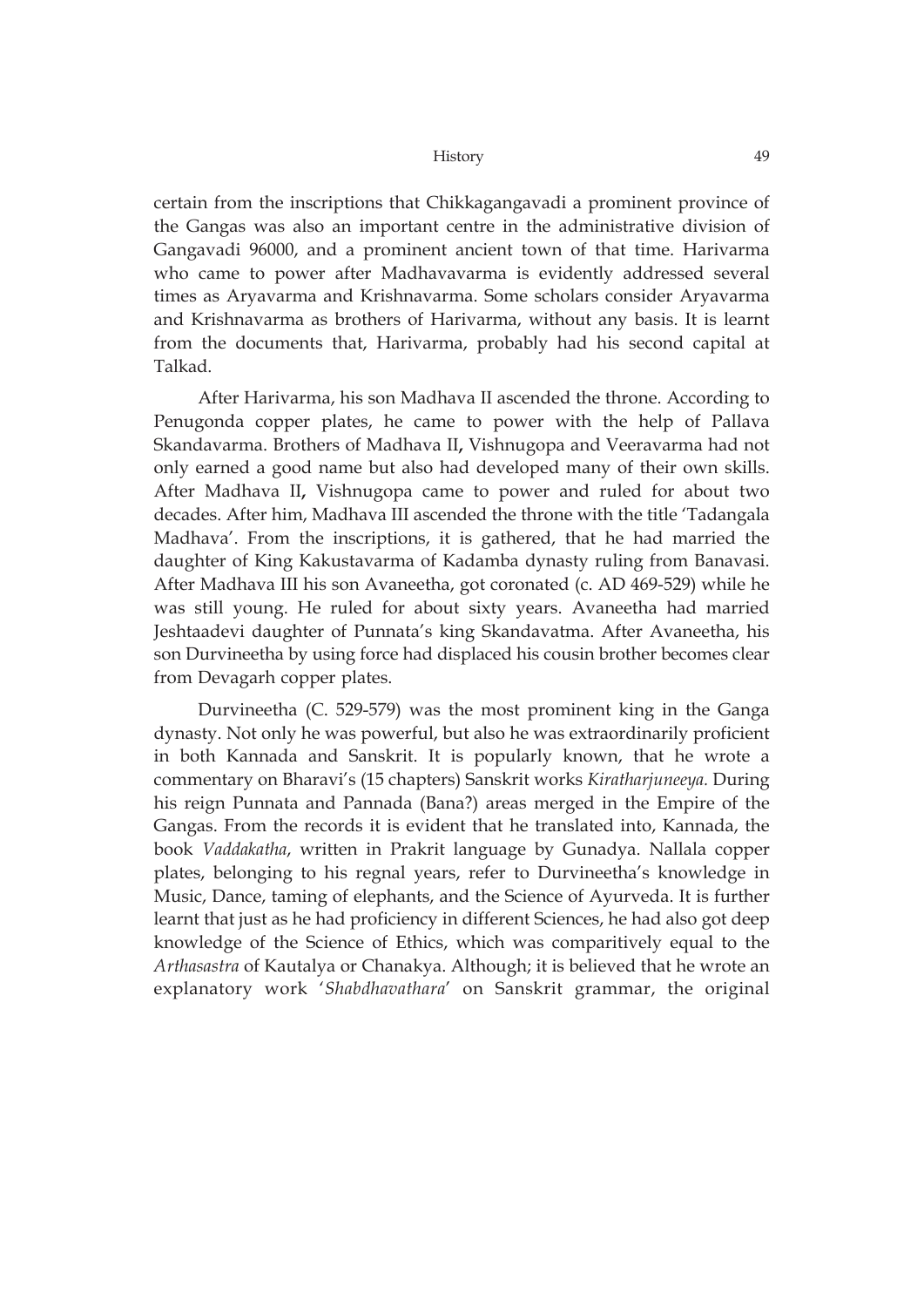certain from the inscriptions that Chikkagangavadi a prominent province of the Gangas was also an important centre in the administrative division of Gangavadi 96000, and a prominent ancient town of that time. Harivarma who came to power after Madhavavarma is evidently addressed several times as Aryavarma and Krishnavarma. Some scholars consider Aryavarma and Krishnavarma as brothers of Harivarma, without any basis. It is learnt from the documents that, Harivarma, probably had his second capital at Talkad.

After Harivarma, his son Madhava II ascended the throne. According to Penugonda copper plates, he came to power with the help of Pallava Skandavarma. Brothers of Madhava II**,** Vishnugopa and Veeravarma had not only earned a good name but also had developed many of their own skills. After Madhava II**,** Vishnugopa came to power and ruled for about two decades. After him, Madhava III ascended the throne with the title 'Tadangala Madhava'. From the inscriptions, it is gathered, that he had married the daughter of King Kakustavarma of Kadamba dynasty ruling from Banavasi. After Madhava III his son Avaneetha, got coronated (c. AD 469-529) while he was still young. He ruled for about sixty years. Avaneetha had married Jeshtaadevi daughter of Punnata's king Skandavatma. After Avaneetha, his son Durvineetha by using force had displaced his cousin brother becomes clear from Devagarh copper plates.

Durvineetha (C. 529-579) was the most prominent king in the Ganga dynasty. Not only he was powerful, but also he was extraordinarily proficient in both Kannada and Sanskrit. It is popularly known, that he wrote a commentary on Bharavi's (15 chapters) Sanskrit works *Kiratharjuneeya.* During his reign Punnata and Pannada (Bana?) areas merged in the Empire of the Gangas. From the records it is evident that he translated into, Kannada, the book *Vaddakatha*, written in Prakrit language by Gunadya. Nallala copper plates, belonging to his regnal years, refer to Durvineetha's knowledge in Music, Dance, taming of elephants, and the Science of Ayurveda. It is further learnt that just as he had proficiency in different Sciences, he had also got deep knowledge of the Science of Ethics, which was comparitively equal to the *Arthasastra* of Kautalya or Chanakya. Although; it is believed that he wrote an explanatory work '*Shabdhavathara*' on Sanskrit grammar, the original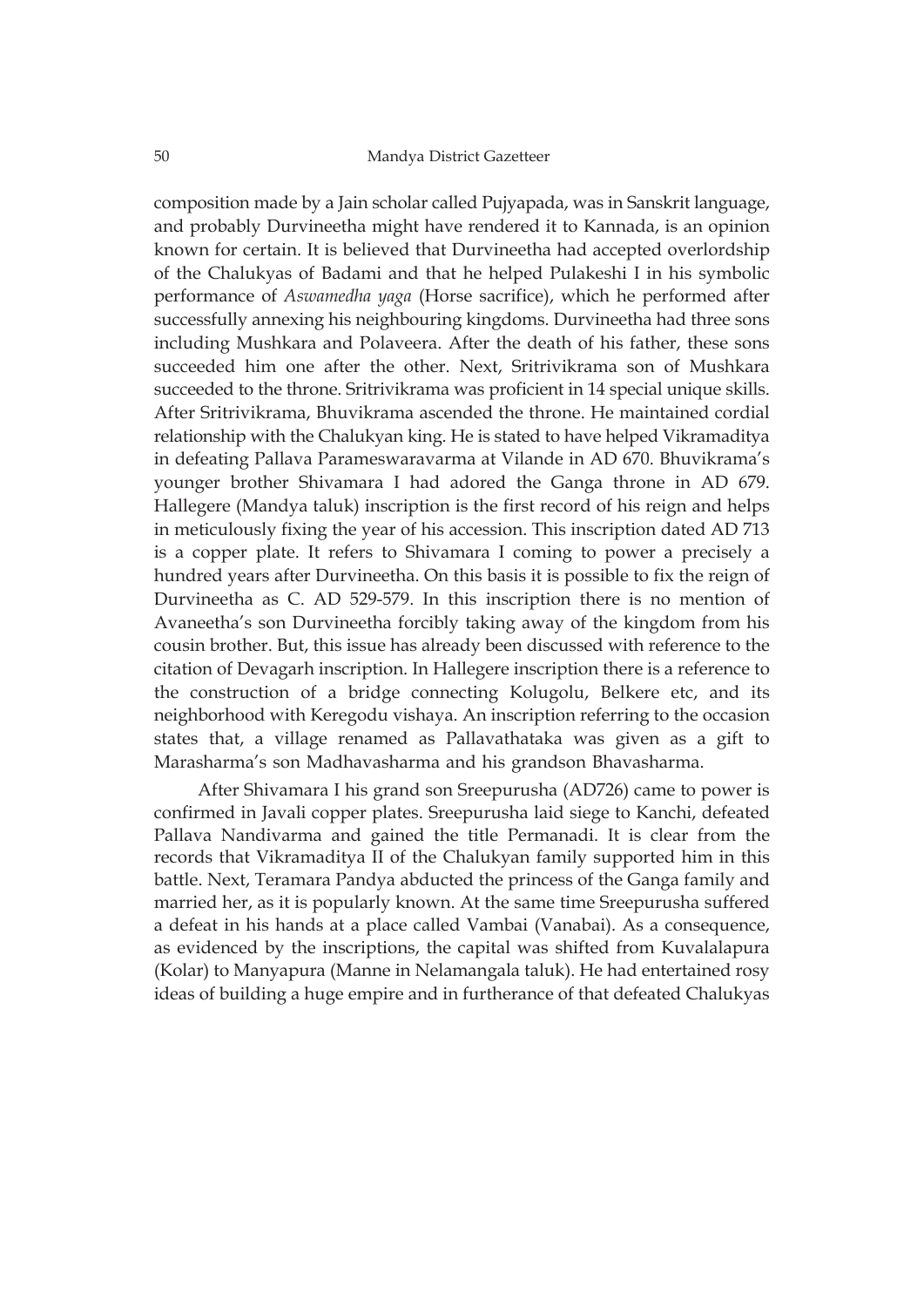composition made by a Jain scholar called Pujyapada, was in Sanskrit language, and probably Durvineetha might have rendered it to Kannada, is an opinion known for certain. It is believed that Durvineetha had accepted overlordship of the Chalukyas of Badami and that he helped Pulakeshi I in his symbolic performance of *Aswamedha yaga* (Horse sacrifice), which he performed after successfully annexing his neighbouring kingdoms. Durvineetha had three sons including Mushkara and Polaveera. After the death of his father, these sons succeeded him one after the other. Next, Sritrivikrama son of Mushkara succeeded to the throne. Sritrivikrama was proficient in 14 special unique skills. After Sritrivikrama, Bhuvikrama ascended the throne. He maintained cordial relationship with the Chalukyan king. He is stated to have helped Vikramaditya in defeating Pallava Parameswaravarma at Vilande in AD 670. Bhuvikrama's younger brother Shivamara I had adored the Ganga throne in AD 679. Hallegere (Mandya taluk) inscription is the first record of his reign and helps in meticulously fixing the year of his accession. This inscription dated AD 713 is a copper plate. It refers to Shivamara I coming to power a precisely a hundred years after Durvineetha. On this basis it is possible to fix the reign of Durvineetha as C. AD 529-579. In this inscription there is no mention of Avaneetha's son Durvineetha forcibly taking away of the kingdom from his cousin brother. But, this issue has already been discussed with reference to the citation of Devagarh inscription. In Hallegere inscription there is a reference to the construction of a bridge connecting Kolugolu, Belkere etc, and its neighborhood with Keregodu vishaya. An inscription referring to the occasion states that, a village renamed as Pallavathataka was given as a gift to Marasharma's son Madhavasharma and his grandson Bhavasharma.

After Shivamara I his grand son Sreepurusha (AD726) came to power is confirmed in Javali copper plates. Sreepurusha laid siege to Kanchi, defeated Pallava Nandivarma and gained the title Permanadi. It is clear from the records that Vikramaditya II of the Chalukyan family supported him in this battle. Next, Teramara Pandya abducted the princess of the Ganga family and married her, as it is popularly known. At the same time Sreepurusha suffered a defeat in his hands at a place called Vambai (Vanabai). As a consequence, as evidenced by the inscriptions, the capital was shifted from Kuvalalapura (Kolar) to Manyapura (Manne in Nelamangala taluk). He had entertained rosy ideas of building a huge empire and in furtherance of that defeated Chalukyas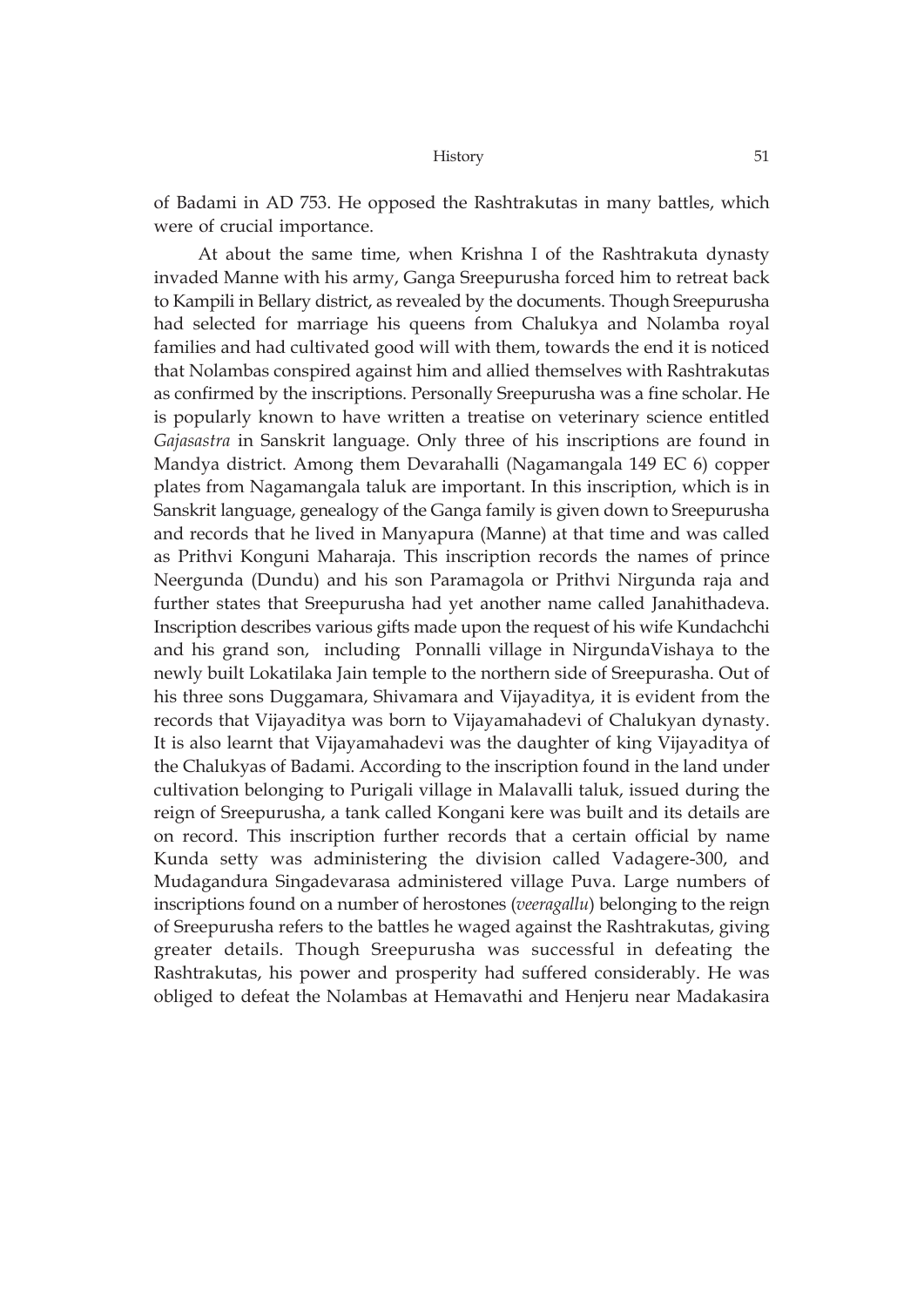of Badami in AD 753. He opposed the Rashtrakutas in many battles, which were of crucial importance.

At about the same time, when Krishna I of the Rashtrakuta dynasty invaded Manne with his army, Ganga Sreepurusha forced him to retreat back to Kampili in Bellary district, as revealed by the documents. Though Sreepurusha had selected for marriage his queens from Chalukya and Nolamba royal families and had cultivated good will with them, towards the end it is noticed that Nolambas conspired against him and allied themselves with Rashtrakutas as confirmed by the inscriptions. Personally Sreepurusha was a fine scholar. He is popularly known to have written a treatise on veterinary science entitled *Gajasastra* in Sanskrit language. Only three of his inscriptions are found in Mandya district. Among them Devarahalli (Nagamangala 149 EC 6) copper plates from Nagamangala taluk are important. In this inscription, which is in Sanskrit language, genealogy of the Ganga family is given down to Sreepurusha and records that he lived in Manyapura (Manne) at that time and was called as Prithvi Konguni Maharaja. This inscription records the names of prince Neergunda (Dundu) and his son Paramagola or Prithvi Nirgunda raja and further states that Sreepurusha had yet another name called Janahithadeva. Inscription describes various gifts made upon the request of his wife Kundachchi and his grand son, including Ponnalli village in NirgundaVishaya to the newly built Lokatilaka Jain temple to the northern side of Sreepurasha. Out of his three sons Duggamara, Shivamara and Vijayaditya, it is evident from the records that Vijayaditya was born to Vijayamahadevi of Chalukyan dynasty. It is also learnt that Vijayamahadevi was the daughter of king Vijayaditya of the Chalukyas of Badami. According to the inscription found in the land under cultivation belonging to Purigali village in Malavalli taluk, issued during the reign of Sreepurusha, a tank called Kongani kere was built and its details are on record. This inscription further records that a certain official by name Kunda setty was administering the division called Vadagere-300, and Mudagandura Singadevarasa administered village Puva. Large numbers of inscriptions found on a number of herostones (*veeragallu*) belonging to the reign of Sreepurusha refers to the battles he waged against the Rashtrakutas, giving greater details. Though Sreepurusha was successful in defeating the Rashtrakutas, his power and prosperity had suffered considerably. He was obliged to defeat the Nolambas at Hemavathi and Henjeru near Madakasira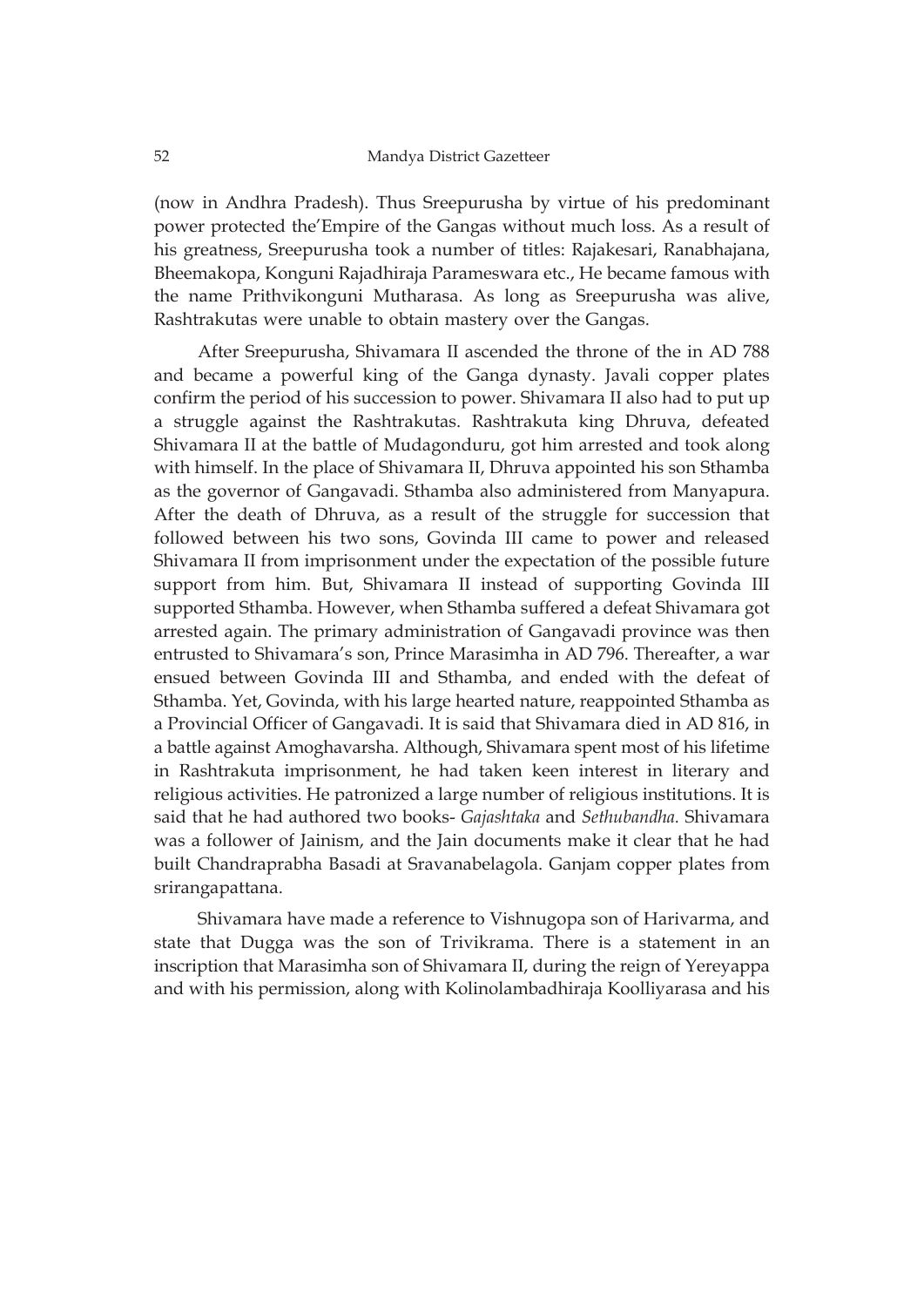(now in Andhra Pradesh). Thus Sreepurusha by virtue of his predominant power protected the'Empire of the Gangas without much loss. As a result of his greatness, Sreepurusha took a number of titles: Rajakesari, Ranabhajana, Bheemakopa, Konguni Rajadhiraja Parameswara etc., He became famous with the name Prithvikonguni Mutharasa. As long as Sreepurusha was alive, Rashtrakutas were unable to obtain mastery over the Gangas.

After Sreepurusha, Shivamara II ascended the throne of the in AD 788 and became a powerful king of the Ganga dynasty. Javali copper plates confirm the period of his succession to power. Shivamara II also had to put up a struggle against the Rashtrakutas. Rashtrakuta king Dhruva, defeated Shivamara II at the battle of Mudagonduru, got him arrested and took along with himself. In the place of Shivamara II, Dhruva appointed his son Sthamba as the governor of Gangavadi. Sthamba also administered from Manyapura. After the death of Dhruva, as a result of the struggle for succession that followed between his two sons, Govinda III came to power and released Shivamara II from imprisonment under the expectation of the possible future support from him. But, Shivamara II instead of supporting Govinda III supported Sthamba. However, when Sthamba suffered a defeat Shivamara got arrested again. The primary administration of Gangavadi province was then entrusted to Shivamara's son, Prince Marasimha in AD 796. Thereafter, a war ensued between Govinda III and Sthamba, and ended with the defeat of Sthamba. Yet, Govinda, with his large hearted nature, reappointed Sthamba as a Provincial Officer of Gangavadi. It is said that Shivamara died in AD 816, in a battle against Amoghavarsha. Although, Shivamara spent most of his lifetime in Rashtrakuta imprisonment, he had taken keen interest in literary and religious activities. He patronized a large number of religious institutions. It is said that he had authored two books- *Gajashtaka* and *Sethubandha.* Shivamara was a follower of Jainism, and the Jain documents make it clear that he had built Chandraprabha Basadi at Sravanabelagola. Ganjam copper plates from srirangapattana.

Shivamara have made a reference to Vishnugopa son of Harivarma, and state that Dugga was the son of Trivikrama. There is a statement in an inscription that Marasimha son of Shivamara II, during the reign of Yereyappa and with his permission, along with Kolinolambadhiraja Koolliyarasa and his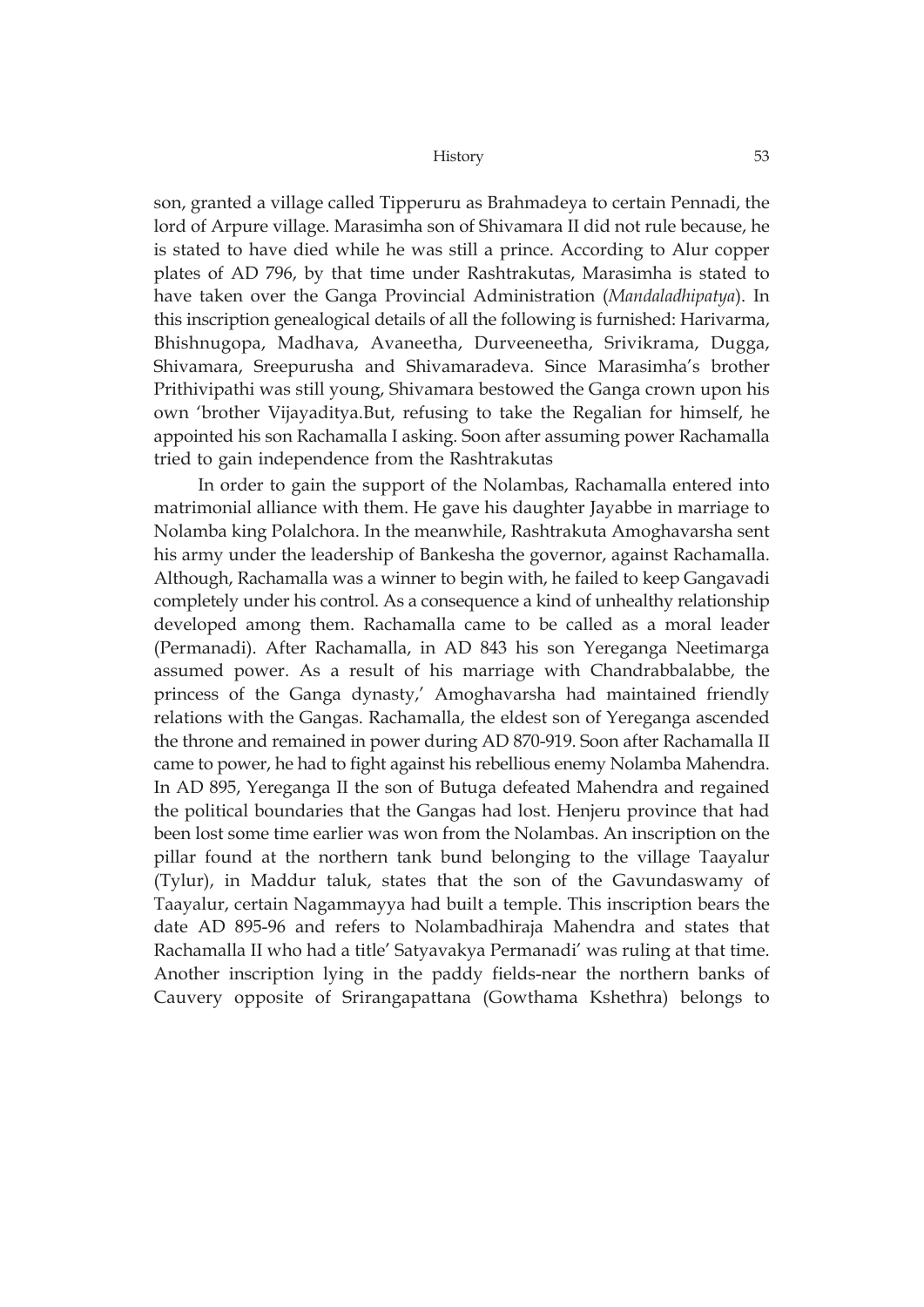son, granted a village called Tipperuru as Brahmadeya to certain Pennadi, the lord of Arpure village. Marasimha son of Shivamara II did not rule because, he is stated to have died while he was still a prince. According to Alur copper plates of AD 796, by that time under Rashtrakutas, Marasimha is stated to have taken over the Ganga Provincial Administration (*Mandaladhipatya*). In this inscription genealogical details of all the following is furnished: Harivarma, Bhishnugopa, Madhava, Avaneetha, Durveeneetha, Srivikrama, Dugga, Shivamara, Sreepurusha and Shivamaradeva. Since Marasimha's brother Prithivipathi was still young, Shivamara bestowed the Ganga crown upon his own 'brother Vijayaditya.But, refusing to take the Regalian for himself, he appointed his son Rachamalla I asking. Soon after assuming power Rachamalla tried to gain independence from the Rashtrakutas

In order to gain the support of the Nolambas, Rachamalla entered into matrimonial alliance with them. He gave his daughter Jayabbe in marriage to Nolamba king Polalchora. In the meanwhile, Rashtrakuta Amoghavarsha sent his army under the leadership of Bankesha the governor, against Rachamalla. Although, Rachamalla was a winner to begin with, he failed to keep Gangavadi completely under his control. As a consequence a kind of unhealthy relationship developed among them. Rachamalla came to be called as a moral leader (Permanadi). After Rachamalla, in AD 843 his son Yereganga Neetimarga assumed power. As a result of his marriage with Chandrabbalabbe, the princess of the Ganga dynasty,' Amoghavarsha had maintained friendly relations with the Gangas. Rachamalla, the eldest son of Yereganga ascended the throne and remained in power during AD 870-919. Soon after Rachamalla II came to power, he had to fight against his rebellious enemy Nolamba Mahendra. In AD 895, Yereganga II the son of Butuga defeated Mahendra and regained the political boundaries that the Gangas had lost. Henjeru province that had been lost some time earlier was won from the Nolambas. An inscription on the pillar found at the northern tank bund belonging to the village Taayalur (Tylur), in Maddur taluk, states that the son of the Gavundaswamy of Taayalur, certain Nagammayya had built a temple. This inscription bears the date AD 895-96 and refers to Nolambadhiraja Mahendra and states that Rachamalla II who had a title' Satyavakya Permanadi' was ruling at that time. Another inscription lying in the paddy fields-near the northern banks of Cauvery opposite of Srirangapattana (Gowthama Kshethra) belongs to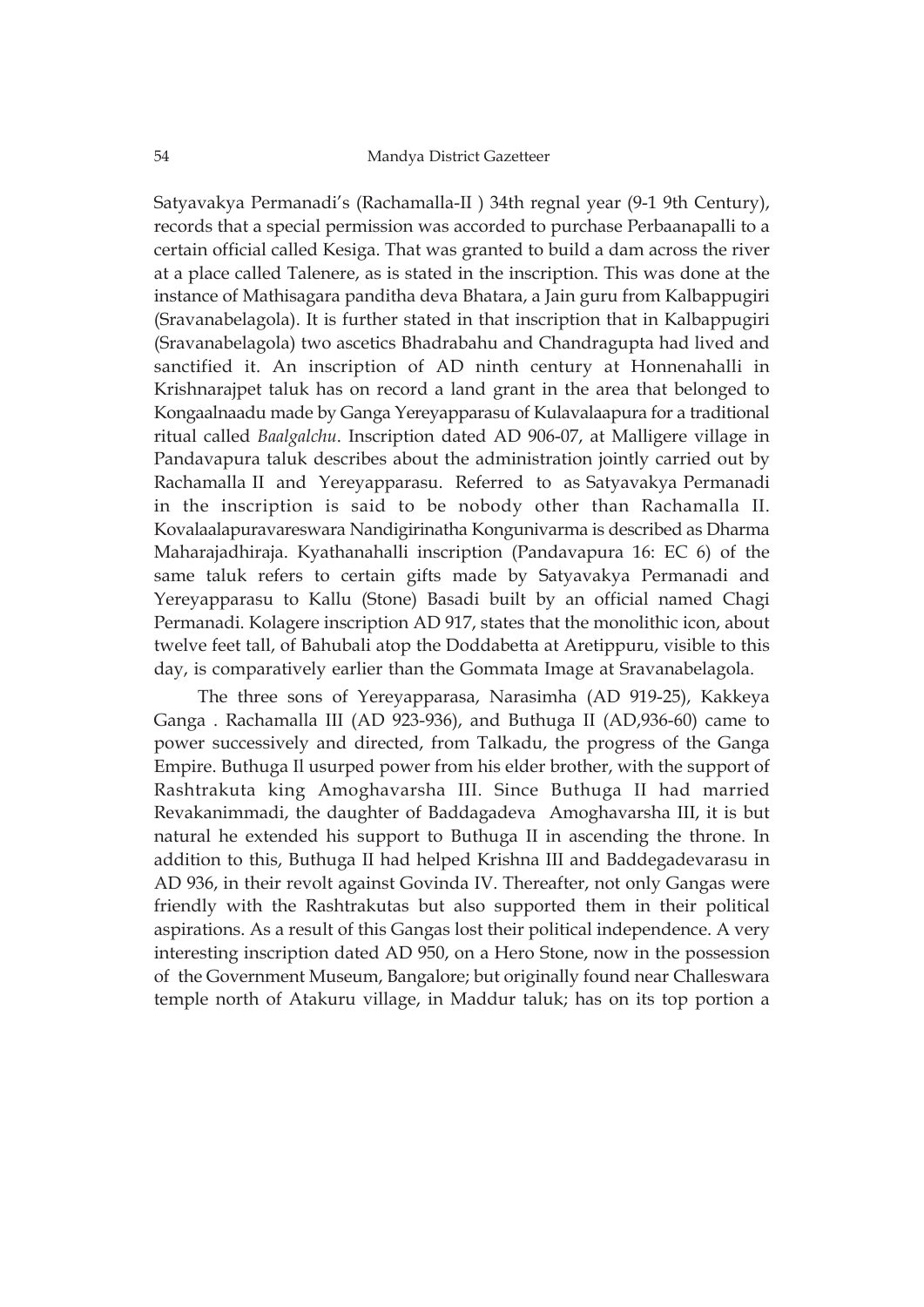Satyavakya Permanadi's (Rachamalla-II ) 34th regnal year (9-1 9th Century), records that a special permission was accorded to purchase Perbaanapalli to a certain official called Kesiga. That was granted to build a dam across the river at a place called Talenere, as is stated in the inscription. This was done at the instance of Mathisagara panditha deva Bhatara, a Jain guru from Kalbappugiri (Sravanabelagola). It is further stated in that inscription that in Kalbappugiri (Sravanabelagola) two ascetics Bhadrabahu and Chandragupta had lived and sanctified it. An inscription of AD ninth century at Honnenahalli in Krishnarajpet taluk has on record a land grant in the area that belonged to Kongaalnaadu made by Ganga Yereyapparasu of Kulavalaapura for a traditional ritual called *Baalgalchu*. Inscription dated AD 906-07, at Malligere village in Pandavapura taluk describes about the administration jointly carried out by Rachamalla II and Yereyapparasu. Referred to as Satyavakya Permanadi in the inscription is said to be nobody other than Rachamalla II. Kovalaalapuravareswara Nandigirinatha Kongunivarma is described as Dharma Maharajadhiraja. Kyathanahalli inscription (Pandavapura 16: EC 6) of the same taluk refers to certain gifts made by Satyavakya Permanadi and Yereyapparasu to Kallu (Stone) Basadi built by an official named Chagi Permanadi. Kolagere inscription AD 917, states that the monolithic icon, about twelve feet tall, of Bahubali atop the Doddabetta at Aretippuru, visible to this day, is comparatively earlier than the Gommata Image at Sravanabelagola.

The three sons of Yereyapparasa, Narasimha (AD 919-25), Kakkeya Ganga . Rachamalla III (AD 923-936), and Buthuga II (AD,936-60) came to power successively and directed, from Talkadu, the progress of the Ganga Empire. Buthuga Il usurped power from his elder brother, with the support of Rashtrakuta king Amoghavarsha III. Since Buthuga II had married Revakanimmadi, the daughter of Baddagadeva Amoghavarsha III, it is but natural he extended his support to Buthuga II in ascending the throne. In addition to this, Buthuga II had helped Krishna III and Baddegadevarasu in AD 936, in their revolt against Govinda IV. Thereafter, not only Gangas were friendly with the Rashtrakutas but also supported them in their political aspirations. As a result of this Gangas lost their political independence. A very interesting inscription dated AD 950, on a Hero Stone, now in the possession of the Government Museum, Bangalore; but originally found near Challeswara temple north of Atakuru village, in Maddur taluk; has on its top portion a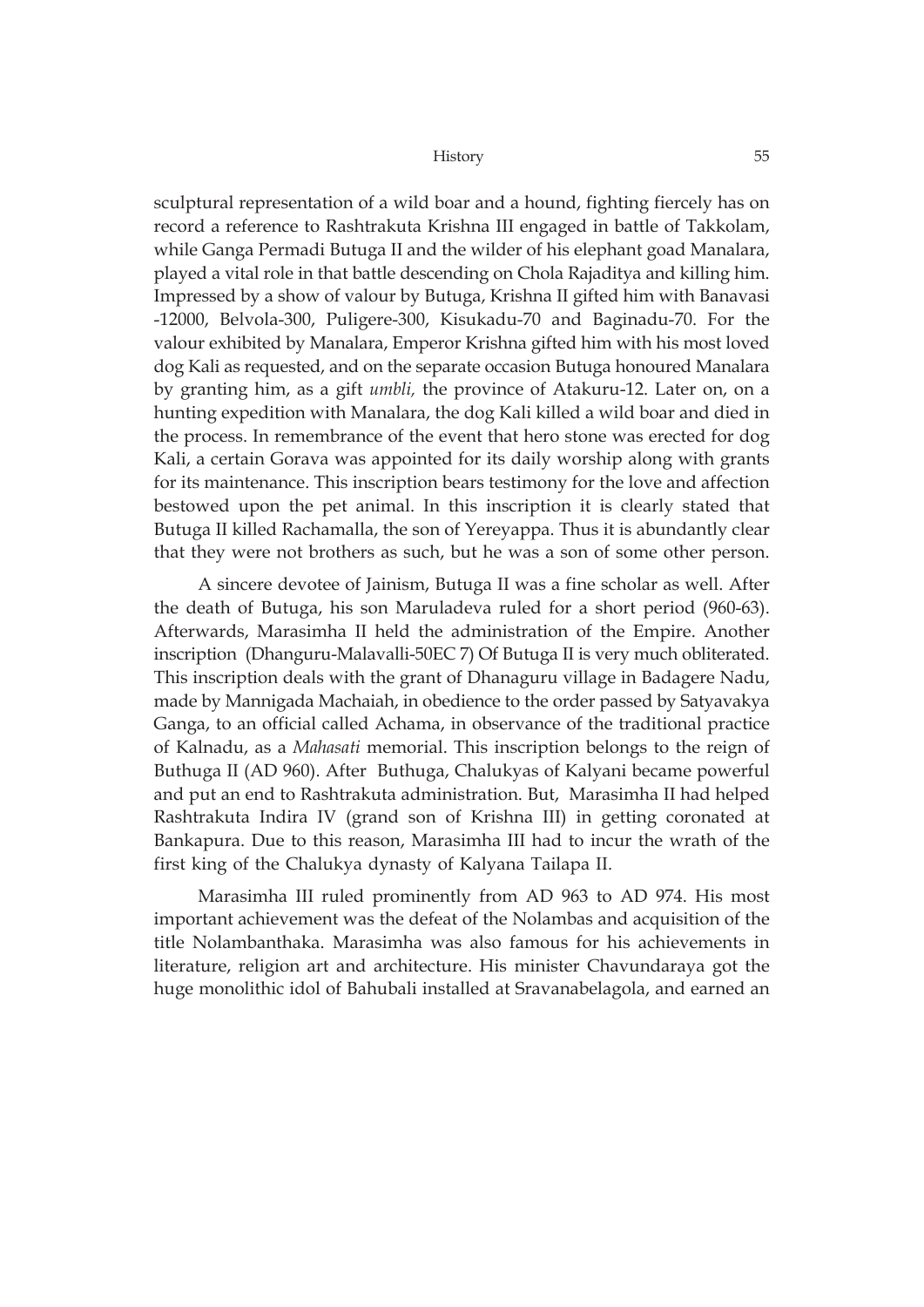sculptural representation of a wild boar and a hound, fighting fiercely has on record a reference to Rashtrakuta Krishna III engaged in battle of Takkolam, while Ganga Permadi Butuga II and the wilder of his elephant goad Manalara, played a vital role in that battle descending on Chola Rajaditya and killing him. Impressed by a show of valour by Butuga, Krishna II gifted him with Banavasi -12000, Belvola-300, Puligere-300, Kisukadu-70 and Baginadu-70. For the valour exhibited by Manalara, Emperor Krishna gifted him with his most loved dog Kali as requested, and on the separate occasion Butuga honoured Manalara by granting him, as a gift *umbli,* the province of Atakuru-12. Later on, on a hunting expedition with Manalara, the dog Kali killed a wild boar and died in the process. In remembrance of the event that hero stone was erected for dog Kali, a certain Gorava was appointed for its daily worship along with grants for its maintenance. This inscription bears testimony for the love and affection bestowed upon the pet animal. In this inscription it is clearly stated that Butuga II killed Rachamalla, the son of Yereyappa. Thus it is abundantly clear that they were not brothers as such, but he was a son of some other person.

A sincere devotee of Jainism, Butuga II was a fine scholar as well. After the death of Butuga, his son Maruladeva ruled for a short period (960-63). Afterwards, Marasimha II held the administration of the Empire. Another inscription (Dhanguru-Malavalli-50EC 7) Of Butuga II is very much obliterated. This inscription deals with the grant of Dhanaguru village in Badagere Nadu, made by Mannigada Machaiah, in obedience to the order passed by Satyavakya Ganga, to an official called Achama, in observance of the traditional practice of Kalnadu, as a *Mahasati* memorial. This inscription belongs to the reign of Buthuga II (AD 960). After Buthuga, Chalukyas of Kalyani became powerful and put an end to Rashtrakuta administration. But, Marasimha II had helped Rashtrakuta Indira IV (grand son of Krishna III) in getting coronated at Bankapura. Due to this reason, Marasimha III had to incur the wrath of the first king of the Chalukya dynasty of Kalyana Tailapa II.

Marasimha III ruled prominently from AD 963 to AD 974. His most important achievement was the defeat of the Nolambas and acquisition of the title Nolambanthaka. Marasimha was also famous for his achievements in literature, religion art and architecture. His minister Chavundaraya got the huge monolithic idol of Bahubali installed at Sravanabelagola, and earned an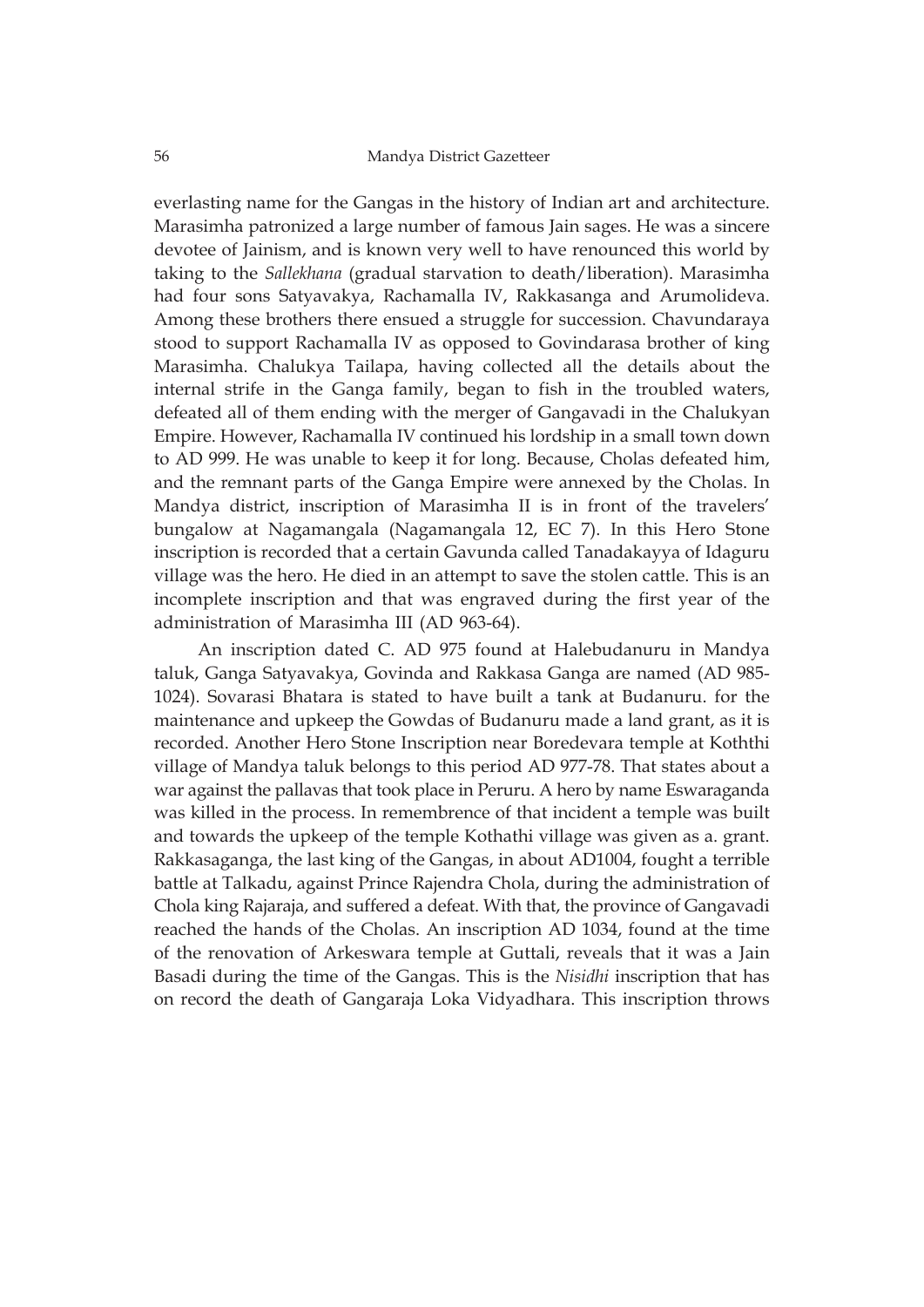everlasting name for the Gangas in the history of Indian art and architecture. Marasimha patronized a large number of famous Jain sages. He was a sincere devotee of Jainism, and is known very well to have renounced this world by taking to the *Sallekhana* (gradual starvation to death/liberation). Marasimha had four sons Satyavakya, Rachamalla IV, Rakkasanga and Arumolideva. Among these brothers there ensued a struggle for succession. Chavundaraya stood to support Rachamalla IV as opposed to Govindarasa brother of king Marasimha. Chalukya Tailapa, having collected all the details about the internal strife in the Ganga family, began to fish in the troubled waters, defeated all of them ending with the merger of Gangavadi in the Chalukyan Empire. However, Rachamalla IV continued his lordship in a small town down to AD 999. He was unable to keep it for long. Because, Cholas defeated him, and the remnant parts of the Ganga Empire were annexed by the Cholas. In Mandya district, inscription of Marasimha II is in front of the travelers' bungalow at Nagamangala (Nagamangala 12, EC 7). In this Hero Stone inscription is recorded that a certain Gavunda called Tanadakayya of Idaguru village was the hero. He died in an attempt to save the stolen cattle. This is an incomplete inscription and that was engraved during the first year of the administration of Marasimha III (AD 963-64).

An inscription dated C. AD 975 found at Halebudanuru in Mandya taluk, Ganga Satyavakya, Govinda and Rakkasa Ganga are named (AD 985- 1024). Sovarasi Bhatara is stated to have built a tank at Budanuru. for the maintenance and upkeep the Gowdas of Budanuru made a land grant, as it is recorded. Another Hero Stone Inscription near Boredevara temple at Koththi village of Mandya taluk belongs to this period AD 977-78. That states about a war against the pallavas that took place in Peruru. A hero by name Eswaraganda was killed in the process. In remembrence of that incident a temple was built and towards the upkeep of the temple Kothathi village was given as a. grant. Rakkasaganga, the last king of the Gangas, in about AD1004, fought a terrible battle at Talkadu, against Prince Rajendra Chola, during the administration of Chola king Rajaraja, and suffered a defeat. With that, the province of Gangavadi reached the hands of the Cholas. An inscription AD 1034, found at the time of the renovation of Arkeswara temple at Guttali, reveals that it was a Jain Basadi during the time of the Gangas. This is the *Nisidhi* inscription that has on record the death of Gangaraja Loka Vidyadhara. This inscription throws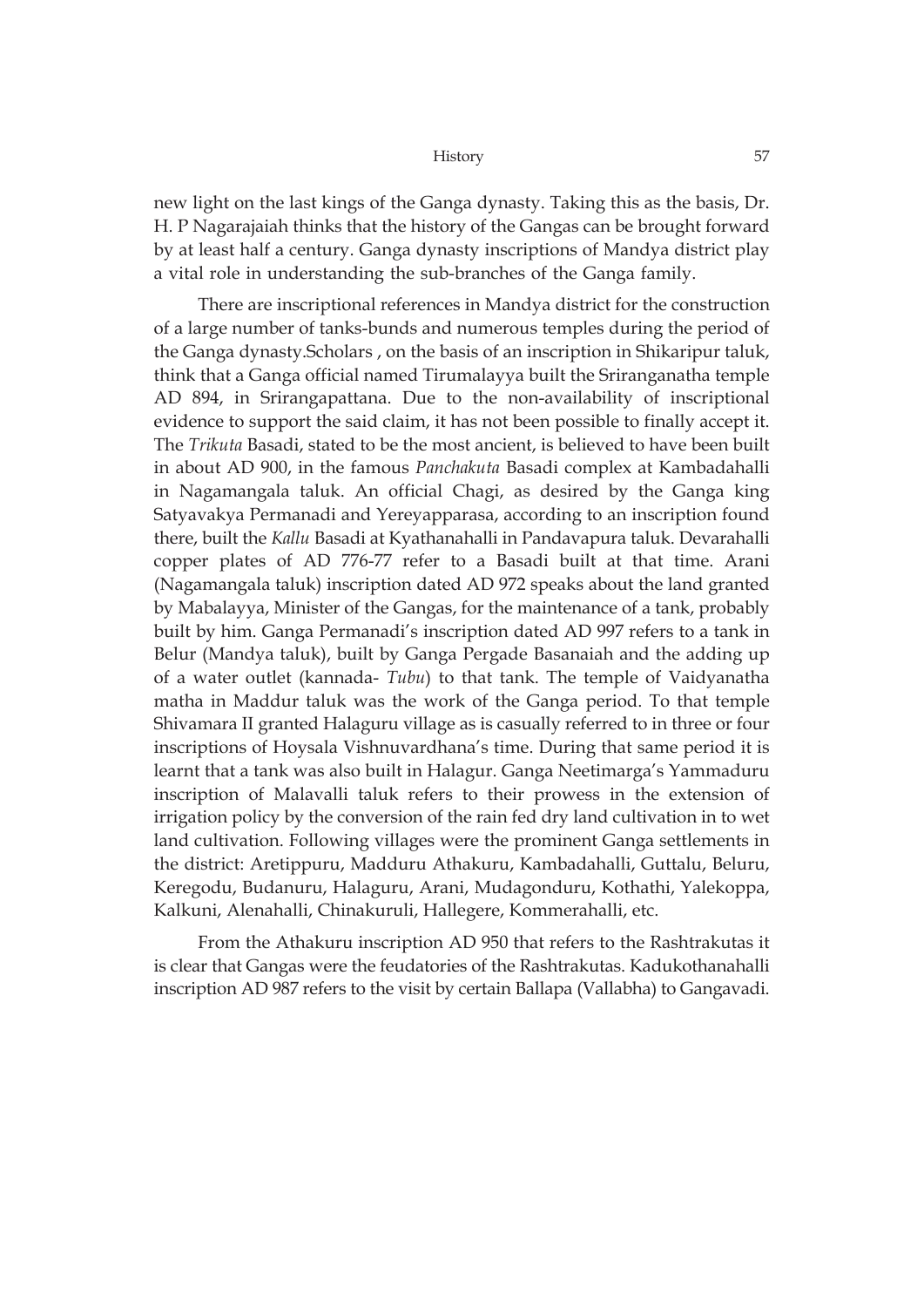new light on the last kings of the Ganga dynasty. Taking this as the basis, Dr. H. P Nagarajaiah thinks that the history of the Gangas can be brought forward by at least half a century. Ganga dynasty inscriptions of Mandya district play a vital role in understanding the sub-branches of the Ganga family.

There are inscriptional references in Mandya district for the construction of a large number of tanks-bunds and numerous temples during the period of the Ganga dynasty.Scholars , on the basis of an inscription in Shikaripur taluk, think that a Ganga official named Tirumalayya built the Sriranganatha temple AD 894, in Srirangapattana. Due to the non-availability of inscriptional evidence to support the said claim, it has not been possible to finally accept it. The *Trikuta* Basadi, stated to be the most ancient, is believed to have been built in about AD 900, in the famous *Panchakuta* Basadi complex at Kambadahalli in Nagamangala taluk. An official Chagi, as desired by the Ganga king Satyavakya Permanadi and Yereyapparasa, according to an inscription found there, built the *Kallu* Basadi at Kyathanahalli in Pandavapura taluk. Devarahalli copper plates of AD 776-77 refer to a Basadi built at that time. Arani (Nagamangala taluk) inscription dated AD 972 speaks about the land granted by Mabalayya, Minister of the Gangas, for the maintenance of a tank, probably built by him. Ganga Permanadi's inscription dated AD 997 refers to a tank in Belur (Mandya taluk), built by Ganga Pergade Basanaiah and the adding up of a water outlet (kannada- *Tubu*) to that tank. The temple of Vaidyanatha matha in Maddur taluk was the work of the Ganga period. To that temple Shivamara II granted Halaguru village as is casually referred to in three or four inscriptions of Hoysala Vishnuvardhana's time. During that same period it is learnt that a tank was also built in Halagur. Ganga Neetimarga's Yammaduru inscription of Malavalli taluk refers to their prowess in the extension of irrigation policy by the conversion of the rain fed dry land cultivation in to wet land cultivation. Following villages were the prominent Ganga settlements in the district: Aretippuru, Madduru Athakuru, Kambadahalli, Guttalu, Beluru, Keregodu, Budanuru, Halaguru, Arani, Mudagonduru, Kothathi, Yalekoppa, Kalkuni, Alenahalli, Chinakuruli, Hallegere, Kommerahalli, etc.

From the Athakuru inscription AD 950 that refers to the Rashtrakutas it is clear that Gangas were the feudatories of the Rashtrakutas. Kadukothanahalli inscription AD 987 refers to the visit by certain Ballapa (Vallabha) to Gangavadi.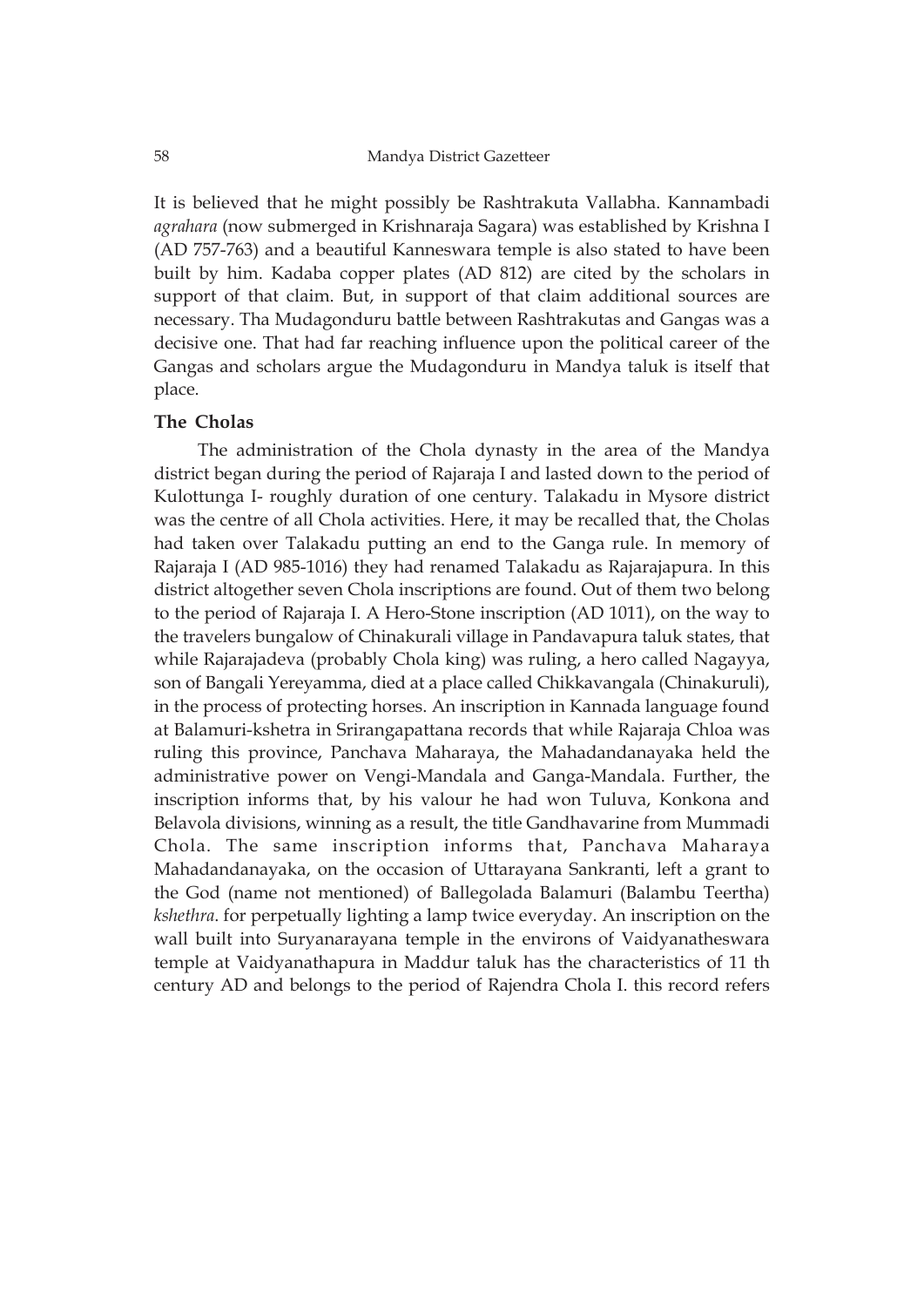It is believed that he might possibly be Rashtrakuta Vallabha. Kannambadi *agrahara* (now submerged in Krishnaraja Sagara) was established by Krishna I (AD 757-763) and a beautiful Kanneswara temple is also stated to have been built by him. Kadaba copper plates (AD 812) are cited by the scholars in support of that claim. But, in support of that claim additional sources are necessary. Tha Mudagonduru battle between Rashtrakutas and Gangas was a decisive one. That had far reaching influence upon the political career of the Gangas and scholars argue the Mudagonduru in Mandya taluk is itself that place.

### **The Cholas**

The administration of the Chola dynasty in the area of the Mandya district began during the period of Rajaraja I and lasted down to the period of Kulottunga I- roughly duration of one century. Talakadu in Mysore district was the centre of all Chola activities. Here, it may be recalled that, the Cholas had taken over Talakadu putting an end to the Ganga rule. In memory of Rajaraja I (AD 985-1016) they had renamed Talakadu as Rajarajapura. In this district altogether seven Chola inscriptions are found. Out of them two belong to the period of Rajaraja I. A Hero-Stone inscription (AD 1011), on the way to the travelers bungalow of Chinakurali village in Pandavapura taluk states, that while Rajarajadeva (probably Chola king) was ruling, a hero called Nagayya, son of Bangali Yereyamma, died at a place called Chikkavangala (Chinakuruli), in the process of protecting horses. An inscription in Kannada language found at Balamuri-kshetra in Srirangapattana records that while Rajaraja Chloa was ruling this province, Panchava Maharaya, the Mahadandanayaka held the administrative power on Vengi-Mandala and Ganga-Mandala. Further, the inscription informs that, by his valour he had won Tuluva, Konkona and Belavola divisions, winning as a result, the title Gandhavarine from Mummadi Chola. The same inscription informs that, Panchava Maharaya Mahadandanayaka, on the occasion of Uttarayana Sankranti, left a grant to the God (name not mentioned) of Ballegolada Balamuri (Balambu Teertha) *kshethra*. for perpetually lighting a lamp twice everyday. An inscription on the wall built into Suryanarayana temple in the environs of Vaidyanatheswara temple at Vaidyanathapura in Maddur taluk has the characteristics of 11 th century AD and belongs to the period of Rajendra Chola I. this record refers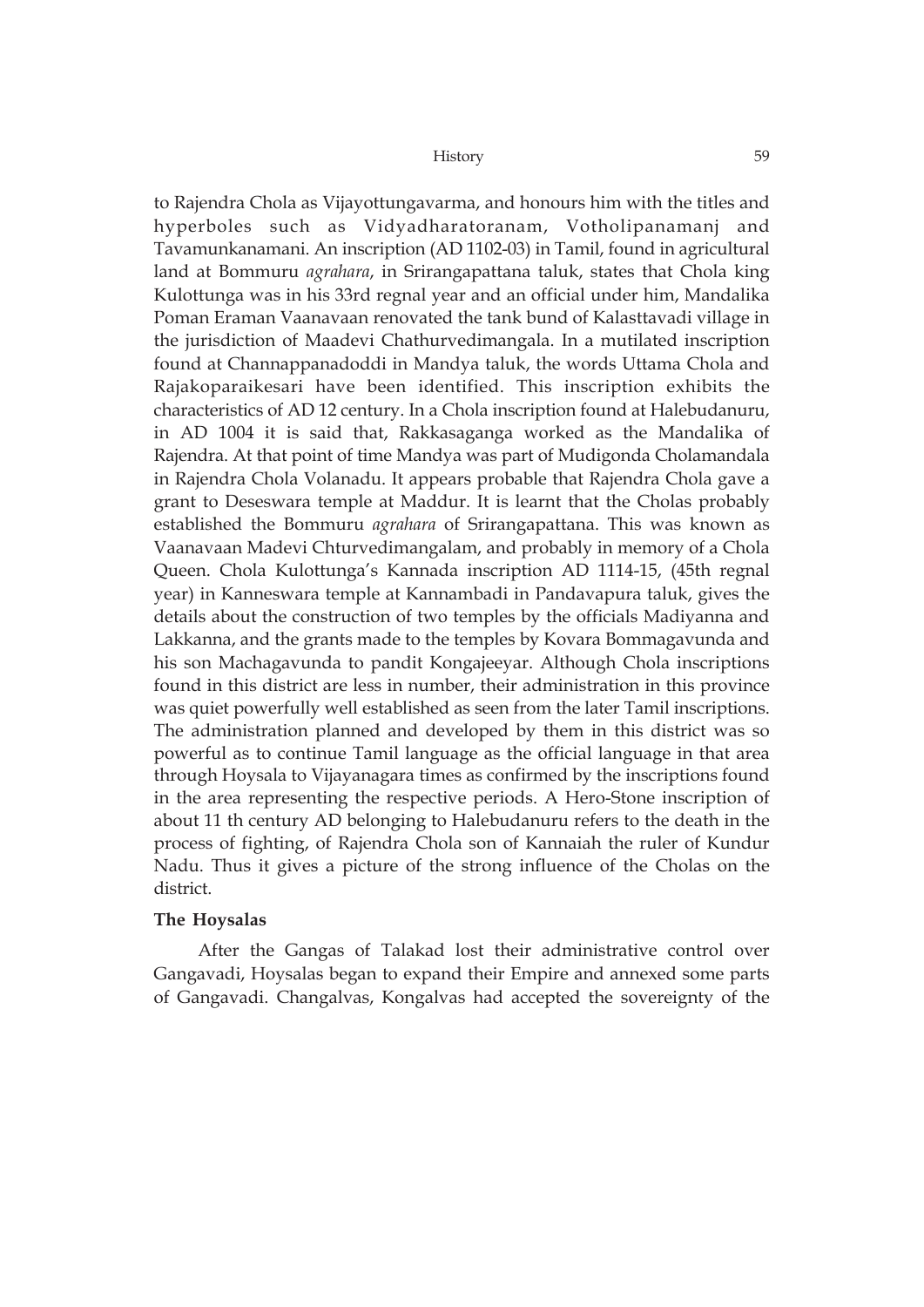to Rajendra Chola as Vijayottungavarma, and honours him with the titles and hyperboles such as Vidyadharatoranam, Votholipanamanj and Tavamunkanamani. An inscription (AD 1102-03) in Tamil, found in agricultural land at Bommuru *agrahara*, in Srirangapattana taluk, states that Chola king Kulottunga was in his 33rd regnal year and an official under him, Mandalika Poman Eraman Vaanavaan renovated the tank bund of Kalasttavadi village in the jurisdiction of Maadevi Chathurvedimangala. In a mutilated inscription found at Channappanadoddi in Mandya taluk, the words Uttama Chola and Rajakoparaikesari have been identified. This inscription exhibits the characteristics of AD 12 century. In a Chola inscription found at Halebudanuru, in AD 1004 it is said that, Rakkasaganga worked as the Mandalika of Rajendra. At that point of time Mandya was part of Mudigonda Cholamandala in Rajendra Chola Volanadu. It appears probable that Rajendra Chola gave a grant to Deseswara temple at Maddur. It is learnt that the Cholas probably established the Bommuru *agrahara* of Srirangapattana. This was known as Vaanavaan Madevi Chturvedimangalam, and probably in memory of a Chola Queen. Chola Kulottunga's Kannada inscription AD 1114-15, (45th regnal year) in Kanneswara temple at Kannambadi in Pandavapura taluk, gives the details about the construction of two temples by the officials Madiyanna and Lakkanna, and the grants made to the temples by Kovara Bommagavunda and his son Machagavunda to pandit Kongajeeyar. Although Chola inscriptions found in this district are less in number, their administration in this province was quiet powerfully well established as seen from the later Tamil inscriptions. The administration planned and developed by them in this district was so powerful as to continue Tamil language as the official language in that area through Hoysala to Vijayanagara times as confirmed by the inscriptions found in the area representing the respective periods. A Hero-Stone inscription of about 11 th century AD belonging to Halebudanuru refers to the death in the process of fighting, of Rajendra Chola son of Kannaiah the ruler of Kundur Nadu. Thus it gives a picture of the strong influence of the Cholas on the district.

### **The Hoysalas**

After the Gangas of Talakad lost their administrative control over Gangavadi, Hoysalas began to expand their Empire and annexed some parts of Gangavadi. Changalvas, Kongalvas had accepted the sovereignty of the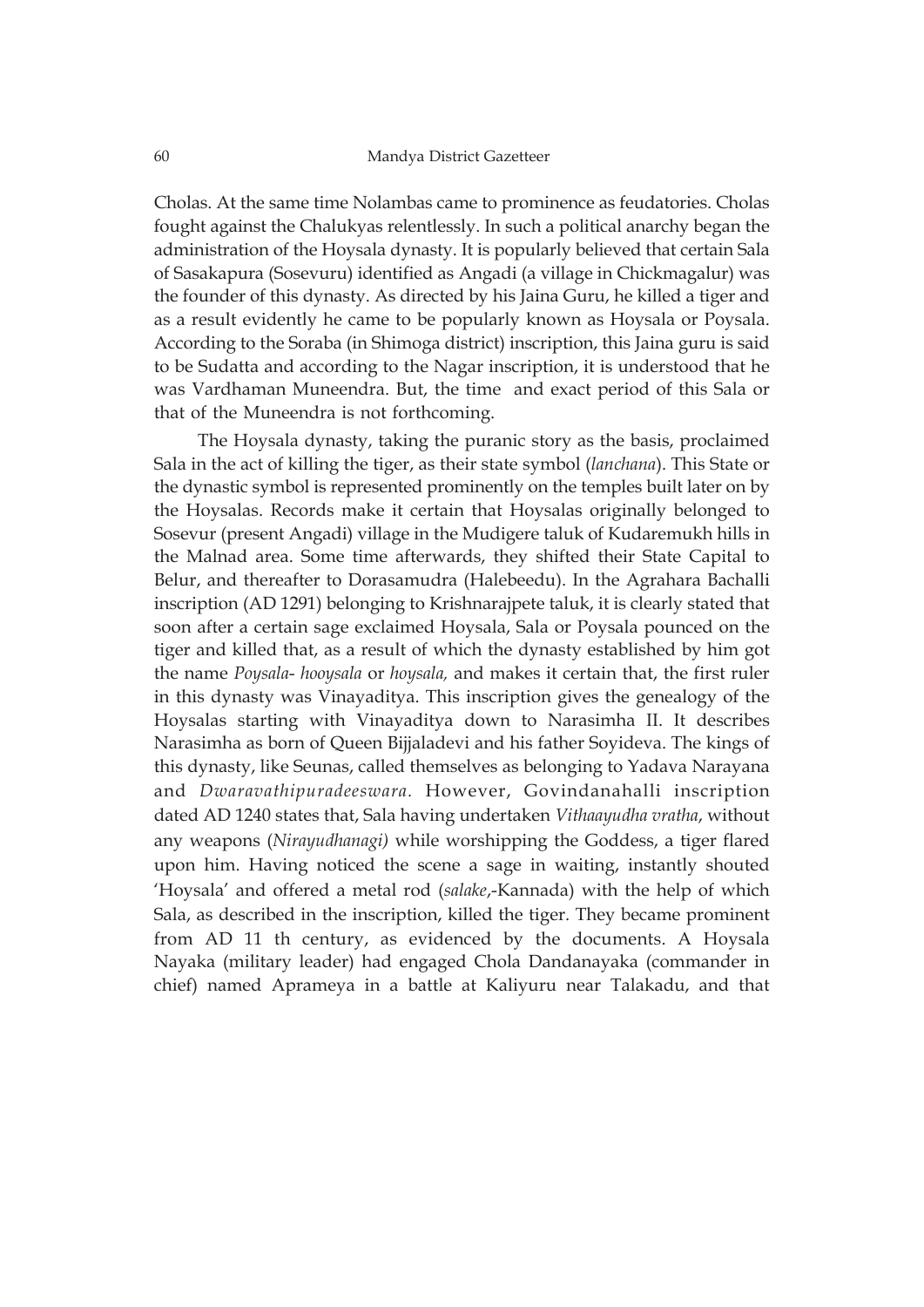Cholas. At the same time Nolambas came to prominence as feudatories. Cholas fought against the Chalukyas relentlessly. In such a political anarchy began the administration of the Hoysala dynasty. It is popularly believed that certain Sala of Sasakapura (Sosevuru) identified as Angadi (a village in Chickmagalur) was the founder of this dynasty. As directed by his Jaina Guru, he killed a tiger and as a result evidently he came to be popularly known as Hoysala or Poysala. According to the Soraba (in Shimoga district) inscription, this Jaina guru is said to be Sudatta and according to the Nagar inscription, it is understood that he was Vardhaman Muneendra. But, the time and exact period of this Sala or that of the Muneendra is not forthcoming.

The Hoysala dynasty, taking the puranic story as the basis, proclaimed Sala in the act of killing the tiger, as their state symbol (*lanchana*). This State or the dynastic symbol is represented prominently on the temples built later on by the Hoysalas. Records make it certain that Hoysalas originally belonged to Sosevur (present Angadi) village in the Mudigere taluk of Kudaremukh hills in the Malnad area. Some time afterwards, they shifted their State Capital to Belur, and thereafter to Dorasamudra (Halebeedu). In the Agrahara Bachalli inscription (AD 1291) belonging to Krishnarajpete taluk, it is clearly stated that soon after a certain sage exclaimed Hoysala, Sala or Poysala pounced on the tiger and killed that, as a result of which the dynasty established by him got the name *Poysala*- *hooysala* or *hoysala,* and makes it certain that, the first ruler in this dynasty was Vinayaditya. This inscription gives the genealogy of the Hoysalas starting with Vinayaditya down to Narasimha II. It describes Narasimha as born of Queen Bijjaladevi and his father Soyideva. The kings of this dynasty, like Seunas, called themselves as belonging to Yadava Narayana and *Dwaravathipuradeeswara.* However, Govindanahalli inscription dated AD 1240 states that, Sala having undertaken *Vithaayudha vratha*, without any weapons (*Nirayudhanagi)* while worshipping the Goddess, a tiger flared upon him. Having noticed the scene a sage in waiting, instantly shouted 'Hoysala' and offered a metal rod (*salake*,-Kannada) with the help of which Sala, as described in the inscription, killed the tiger. They became prominent from AD 11 th century, as evidenced by the documents. A Hoysala Nayaka (military leader) had engaged Chola Dandanayaka (commander in chief) named Aprameya in a battle at Kaliyuru near Talakadu, and that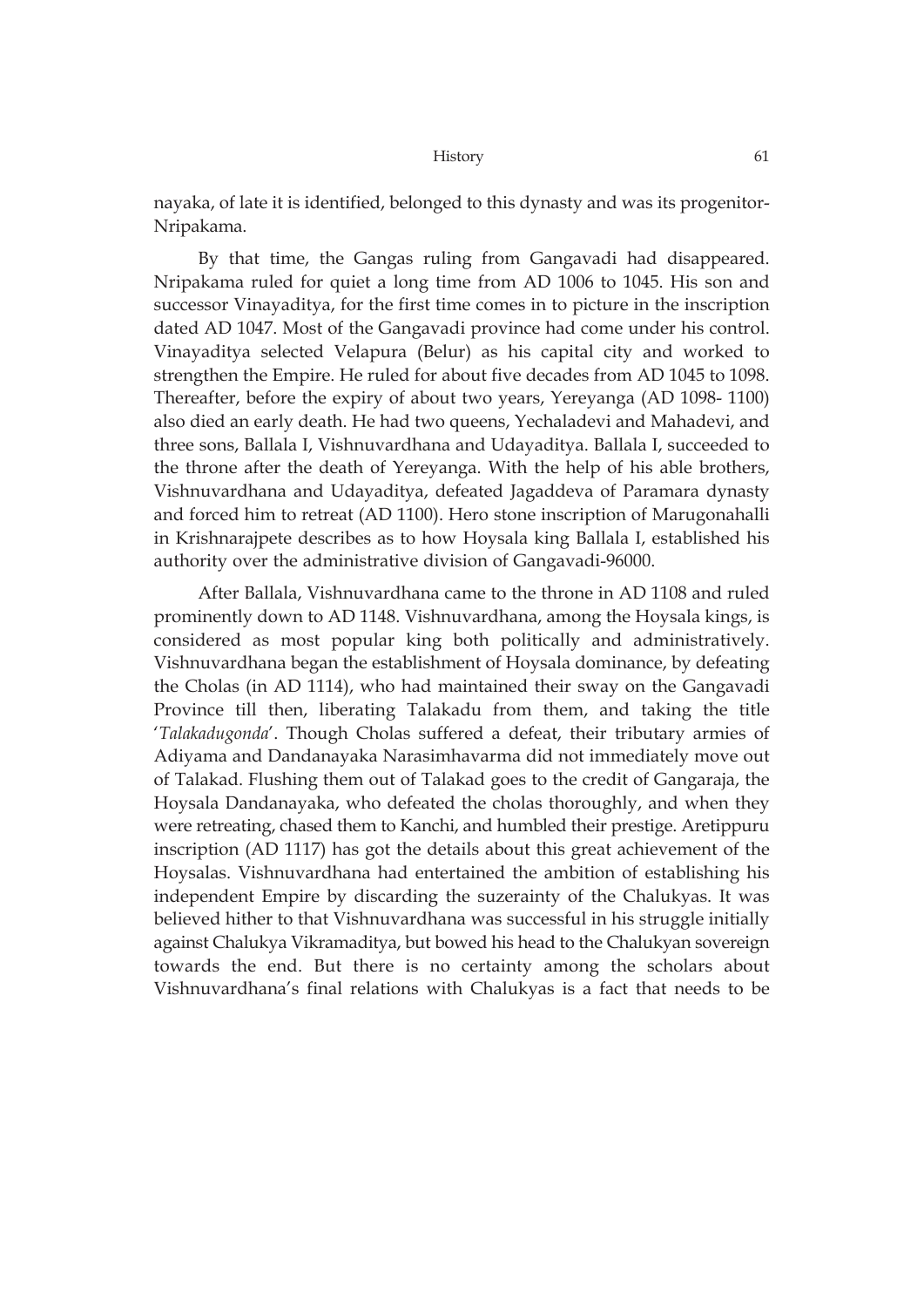nayaka, of late it is identified, belonged to this dynasty and was its progenitor-Nripakama.

By that time, the Gangas ruling from Gangavadi had disappeared. Nripakama ruled for quiet a long time from AD 1006 to 1045. His son and successor Vinayaditya, for the first time comes in to picture in the inscription dated AD 1047. Most of the Gangavadi province had come under his control. Vinayaditya selected Velapura (Belur) as his capital city and worked to strengthen the Empire. He ruled for about five decades from AD 1045 to 1098. Thereafter, before the expiry of about two years, Yereyanga (AD 1098- 1100) also died an early death. He had two queens, Yechaladevi and Mahadevi, and three sons, Ballala I, Vishnuvardhana and Udayaditya. Ballala I, succeeded to the throne after the death of Yereyanga. With the help of his able brothers, Vishnuvardhana and Udayaditya, defeated Jagaddeva of Paramara dynasty and forced him to retreat (AD 1100). Hero stone inscription of Marugonahalli in Krishnarajpete describes as to how Hoysala king Ballala I, established his authority over the administrative division of Gangavadi-96000.

After Ballala, Vishnuvardhana came to the throne in AD 1108 and ruled prominently down to AD 1148. Vishnuvardhana, among the Hoysala kings, is considered as most popular king both politically and administratively. Vishnuvardhana began the establishment of Hoysala dominance, by defeating the Cholas (in AD 1114), who had maintained their sway on the Gangavadi Province till then, liberating Talakadu from them, and taking the title '*Talakadugonda*'. Though Cholas suffered a defeat, their tributary armies of Adiyama and Dandanayaka Narasimhavarma did not immediately move out of Talakad. Flushing them out of Talakad goes to the credit of Gangaraja, the Hoysala Dandanayaka, who defeated the cholas thoroughly, and when they were retreating, chased them to Kanchi, and humbled their prestige. Aretippuru inscription (AD 1117) has got the details about this great achievement of the Hoysalas. Vishnuvardhana had entertained the ambition of establishing his independent Empire by discarding the suzerainty of the Chalukyas. It was believed hither to that Vishnuvardhana was successful in his struggle initially against Chalukya Vikramaditya, but bowed his head to the Chalukyan sovereign towards the end. But there is no certainty among the scholars about Vishnuvardhana's final relations with Chalukyas is a fact that needs to be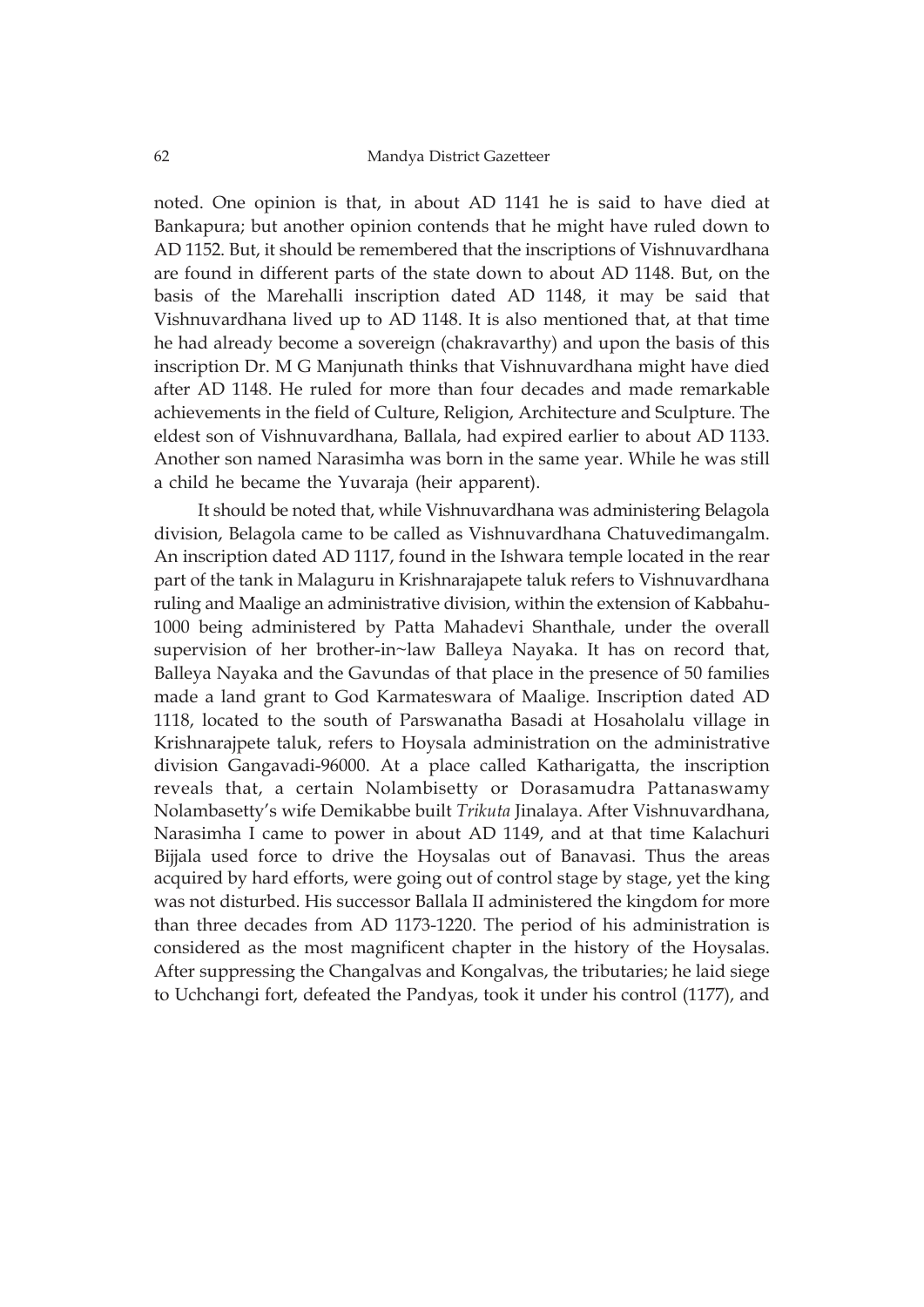noted. One opinion is that, in about AD 1141 he is said to have died at Bankapura; but another opinion contends that he might have ruled down to AD 1152. But, it should be remembered that the inscriptions of Vishnuvardhana are found in different parts of the state down to about AD 1148. But, on the basis of the Marehalli inscription dated AD 1148, it may be said that Vishnuvardhana lived up to AD 1148. It is also mentioned that, at that time he had already become a sovereign (chakravarthy) and upon the basis of this inscription Dr. M G Manjunath thinks that Vishnuvardhana might have died after AD 1148. He ruled for more than four decades and made remarkable achievements in the field of Culture, Religion, Architecture and Sculpture. The eldest son of Vishnuvardhana, Ballala, had expired earlier to about AD 1133. Another son named Narasimha was born in the same year. While he was still a child he became the Yuvaraja (heir apparent).

It should be noted that, while Vishnuvardhana was administering Belagola division, Belagola came to be called as Vishnuvardhana Chatuvedimangalm. An inscription dated AD 1117, found in the Ishwara temple located in the rear part of the tank in Malaguru in Krishnarajapete taluk refers to Vishnuvardhana ruling and Maalige an administrative division, within the extension of Kabbahu-1000 being administered by Patta Mahadevi Shanthale, under the overall supervision of her brother-in~law Balleya Nayaka. It has on record that, Balleya Nayaka and the Gavundas of that place in the presence of 50 families made a land grant to God Karmateswara of Maalige. Inscription dated AD 1118, located to the south of Parswanatha Basadi at Hosaholalu village in Krishnarajpete taluk, refers to Hoysala administration on the administrative division Gangavadi-96000. At a place called Katharigatta, the inscription reveals that, a certain Nolambisetty or Dorasamudra Pattanaswamy Nolambasetty's wife Demikabbe built *Trikuta* Jinalaya. After Vishnuvardhana, Narasimha I came to power in about AD 1149, and at that time Kalachuri Bijjala used force to drive the Hoysalas out of Banavasi. Thus the areas acquired by hard efforts, were going out of control stage by stage, yet the king was not disturbed. His successor Ballala II administered the kingdom for more than three decades from AD 1173-1220. The period of his administration is considered as the most magnificent chapter in the history of the Hoysalas. After suppressing the Changalvas and Kongalvas, the tributaries; he laid siege to Uchchangi fort, defeated the Pandyas, took it under his control (1177), and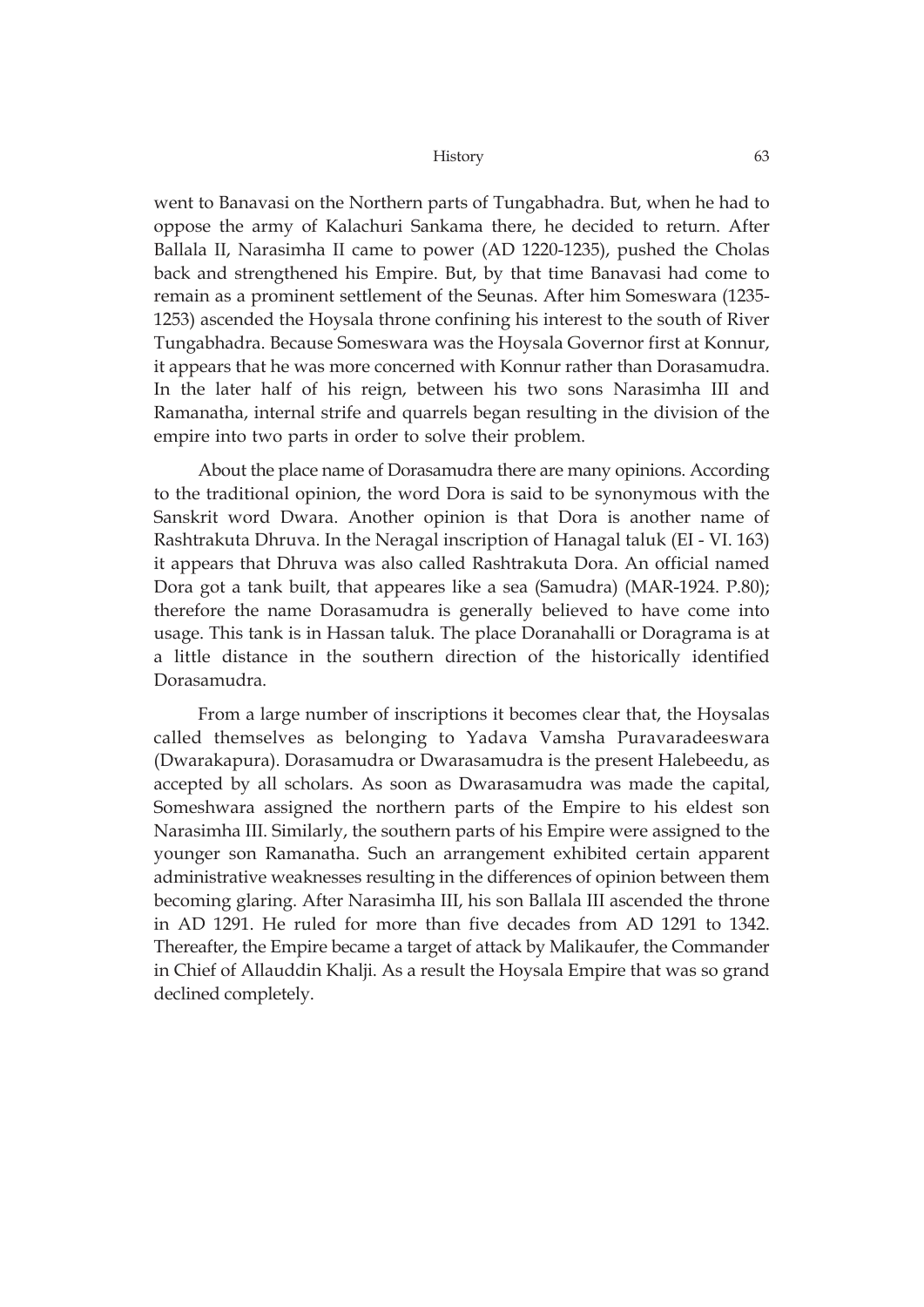went to Banavasi on the Northern parts of Tungabhadra. But, when he had to oppose the army of Kalachuri Sankama there, he decided to return. After Ballala II, Narasimha II came to power (AD 1220-1235), pushed the Cholas back and strengthened his Empire. But, by that time Banavasi had come to remain as a prominent settlement of the Seunas. After him Someswara (1235- 1253) ascended the Hoysala throne confining his interest to the south of River Tungabhadra. Because Someswara was the Hoysala Governor first at Konnur, it appears that he was more concerned with Konnur rather than Dorasamudra. In the later half of his reign, between his two sons Narasimha III and Ramanatha, internal strife and quarrels began resulting in the division of the empire into two parts in order to solve their problem.

About the place name of Dorasamudra there are many opinions. According to the traditional opinion, the word Dora is said to be synonymous with the Sanskrit word Dwara. Another opinion is that Dora is another name of Rashtrakuta Dhruva. In the Neragal inscription of Hanagal taluk (EI - VI. 163) it appears that Dhruva was also called Rashtrakuta Dora. An official named Dora got a tank built, that appeares like a sea (Samudra) (MAR-1924. P.80); therefore the name Dorasamudra is generally believed to have come into usage. This tank is in Hassan taluk. The place Doranahalli or Doragrama is at a little distance in the southern direction of the historically identified Dorasamudra.

From a large number of inscriptions it becomes clear that, the Hoysalas called themselves as belonging to Yadava Vamsha Puravaradeeswara (Dwarakapura). Dorasamudra or Dwarasamudra is the present Halebeedu, as accepted by all scholars. As soon as Dwarasamudra was made the capital, Someshwara assigned the northern parts of the Empire to his eldest son Narasimha III. Similarly, the southern parts of his Empire were assigned to the younger son Ramanatha. Such an arrangement exhibited certain apparent administrative weaknesses resulting in the differences of opinion between them becoming glaring. After Narasimha III, his son Ballala III ascended the throne in AD 1291. He ruled for more than five decades from AD 1291 to 1342. Thereafter, the Empire became a target of attack by Malikaufer, the Commander in Chief of Allauddin Khalji. As a result the Hoysala Empire that was so grand declined completely.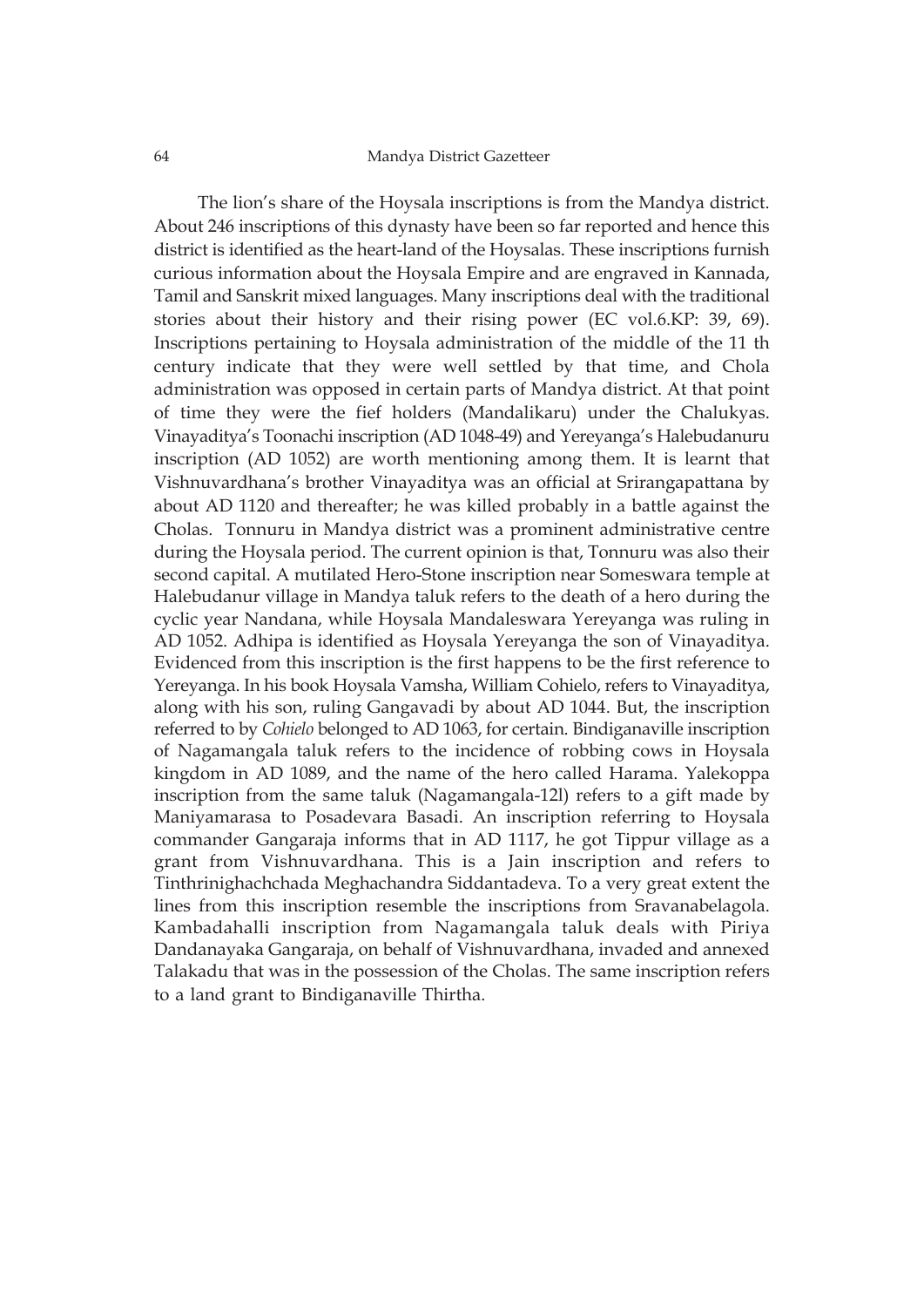#### 64 Mandya District Gazetteer

The lion's share of the Hoysala inscriptions is from the Mandya district. About 246 inscriptions of this dynasty have been so far reported and hence this district is identified as the heart-land of the Hoysalas. These inscriptions furnish curious information about the Hoysala Empire and are engraved in Kannada, Tamil and Sanskrit mixed languages. Many inscriptions deal with the traditional stories about their history and their rising power (EC vol.6.KP: 39, 69). Inscriptions pertaining to Hoysala administration of the middle of the 11 th century indicate that they were well settled by that time, and Chola administration was opposed in certain parts of Mandya district. At that point of time they were the fief holders (Mandalikaru) under the Chalukyas. Vinayaditya's Toonachi inscription (AD 1048-49) and Yereyanga's Halebudanuru inscription (AD 1052) are worth mentioning among them. It is learnt that Vishnuvardhana's brother Vinayaditya was an official at Srirangapattana by about AD 1120 and thereafter; he was killed probably in a battle against the Cholas. Tonnuru in Mandya district was a prominent administrative centre during the Hoysala period. The current opinion is that, Tonnuru was also their second capital. A mutilated Hero-Stone inscription near Someswara temple at Halebudanur village in Mandya taluk refers to the death of a hero during the cyclic year Nandana, while Hoysala Mandaleswara Yereyanga was ruling in AD 1052. Adhipa is identified as Hoysala Yereyanga the son of Vinayaditya. Evidenced from this inscription is the first happens to be the first reference to Yereyanga. In his book Hoysala Vamsha, William Cohielo, refers to Vinayaditya, along with his son, ruling Gangavadi by about AD 1044. But, the inscription referred to by *Cohielo* belonged to AD 1063, for certain. Bindiganaville inscription of Nagamangala taluk refers to the incidence of robbing cows in Hoysala kingdom in AD 1089, and the name of the hero called Harama. Yalekoppa inscription from the same taluk (Nagamangala-12l) refers to a gift made by Maniyamarasa to Posadevara Basadi. An inscription referring to Hoysala commander Gangaraja informs that in AD 1117, he got Tippur village as a grant from Vishnuvardhana. This is a Jain inscription and refers to Tinthrinighachchada Meghachandra Siddantadeva. To a very great extent the lines from this inscription resemble the inscriptions from Sravanabelagola. Kambadahalli inscription from Nagamangala taluk deals with Piriya Dandanayaka Gangaraja, on behalf of Vishnuvardhana, invaded and annexed Talakadu that was in the possession of the Cholas. The same inscription refers to a land grant to Bindiganaville Thirtha.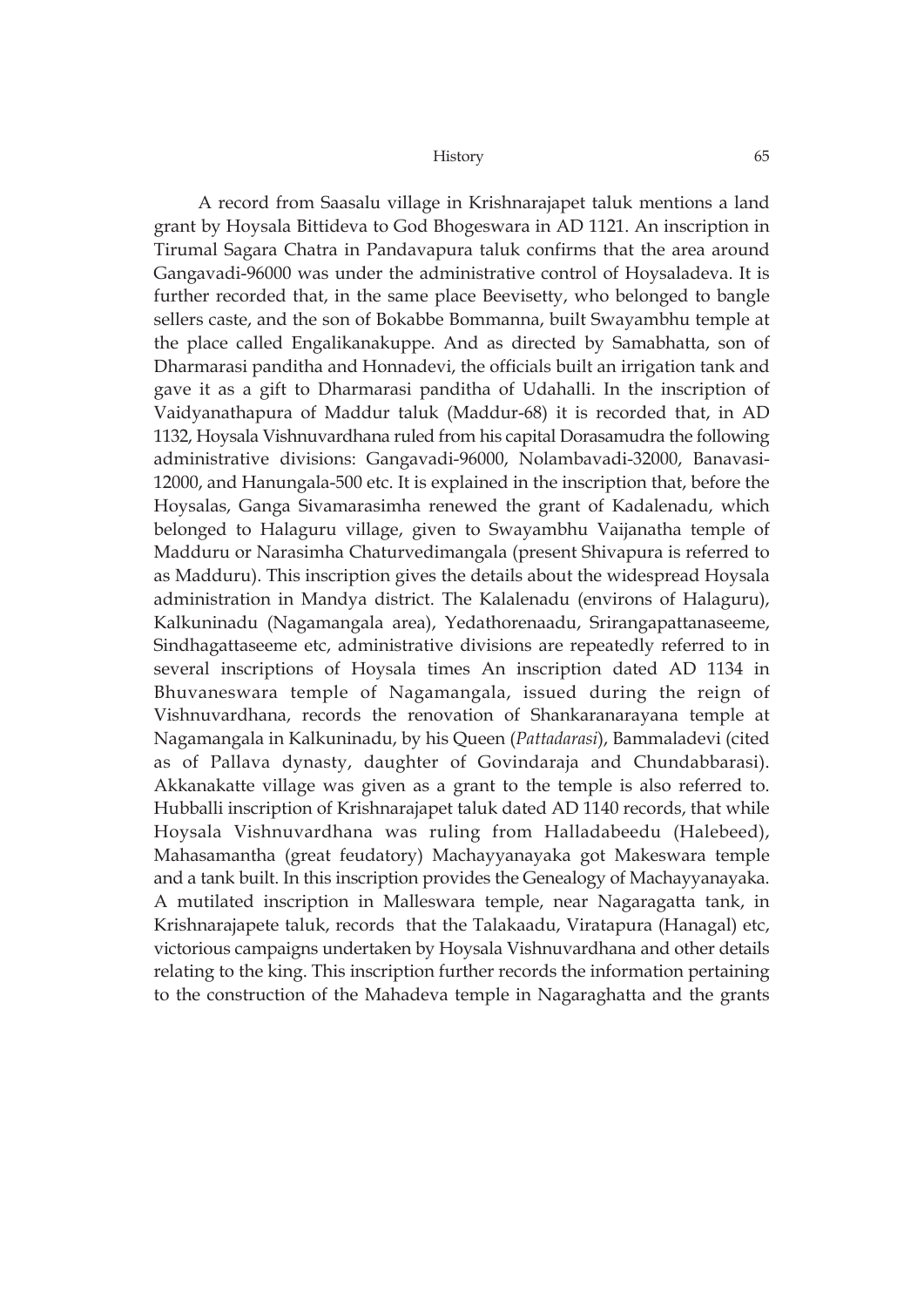A record from Saasalu village in Krishnarajapet taluk mentions a land grant by Hoysala Bittideva to God Bhogeswara in AD 1121. An inscription in Tirumal Sagara Chatra in Pandavapura taluk confirms that the area around Gangavadi-96000 was under the administrative control of Hoysaladeva. It is further recorded that, in the same place Beevisetty, who belonged to bangle sellers caste, and the son of Bokabbe Bommanna, built Swayambhu temple at the place called Engalikanakuppe. And as directed by Samabhatta, son of Dharmarasi panditha and Honnadevi, the officials built an irrigation tank and gave it as a gift to Dharmarasi panditha of Udahalli. In the inscription of Vaidyanathapura of Maddur taluk (Maddur-68) it is recorded that, in AD 1132, Hoysala Vishnuvardhana ruled from his capital Dorasamudra the following administrative divisions: Gangavadi-96000, Nolambavadi-32000, Banavasi-12000, and Hanungala-500 etc. It is explained in the inscription that, before the Hoysalas, Ganga Sivamarasimha renewed the grant of Kadalenadu, which belonged to Halaguru village, given to Swayambhu Vaijanatha temple of Madduru or Narasimha Chaturvedimangala (present Shivapura is referred to as Madduru). This inscription gives the details about the widespread Hoysala administration in Mandya district. The Kalalenadu (environs of Halaguru), Kalkuninadu (Nagamangala area), Yedathorenaadu, Srirangapattanaseeme, Sindhagattaseeme etc, administrative divisions are repeatedly referred to in several inscriptions of Hoysala times An inscription dated AD 1134 in Bhuvaneswara temple of Nagamangala, issued during the reign of Vishnuvardhana, records the renovation of Shankaranarayana temple at Nagamangala in Kalkuninadu, by his Queen (*Pattadarasi*), Bammaladevi (cited as of Pallava dynasty, daughter of Govindaraja and Chundabbarasi). Akkanakatte village was given as a grant to the temple is also referred to. Hubballi inscription of Krishnarajapet taluk dated AD 1140 records, that while Hoysala Vishnuvardhana was ruling from Halladabeedu (Halebeed), Mahasamantha (great feudatory) Machayyanayaka got Makeswara temple and a tank built. In this inscription provides the Genealogy of Machayyanayaka. A mutilated inscription in Malleswara temple, near Nagaragatta tank, in Krishnarajapete taluk, records that the Talakaadu, Viratapura (Hanagal) etc, victorious campaigns undertaken by Hoysala Vishnuvardhana and other details relating to the king. This inscription further records the information pertaining to the construction of the Mahadeva temple in Nagaraghatta and the grants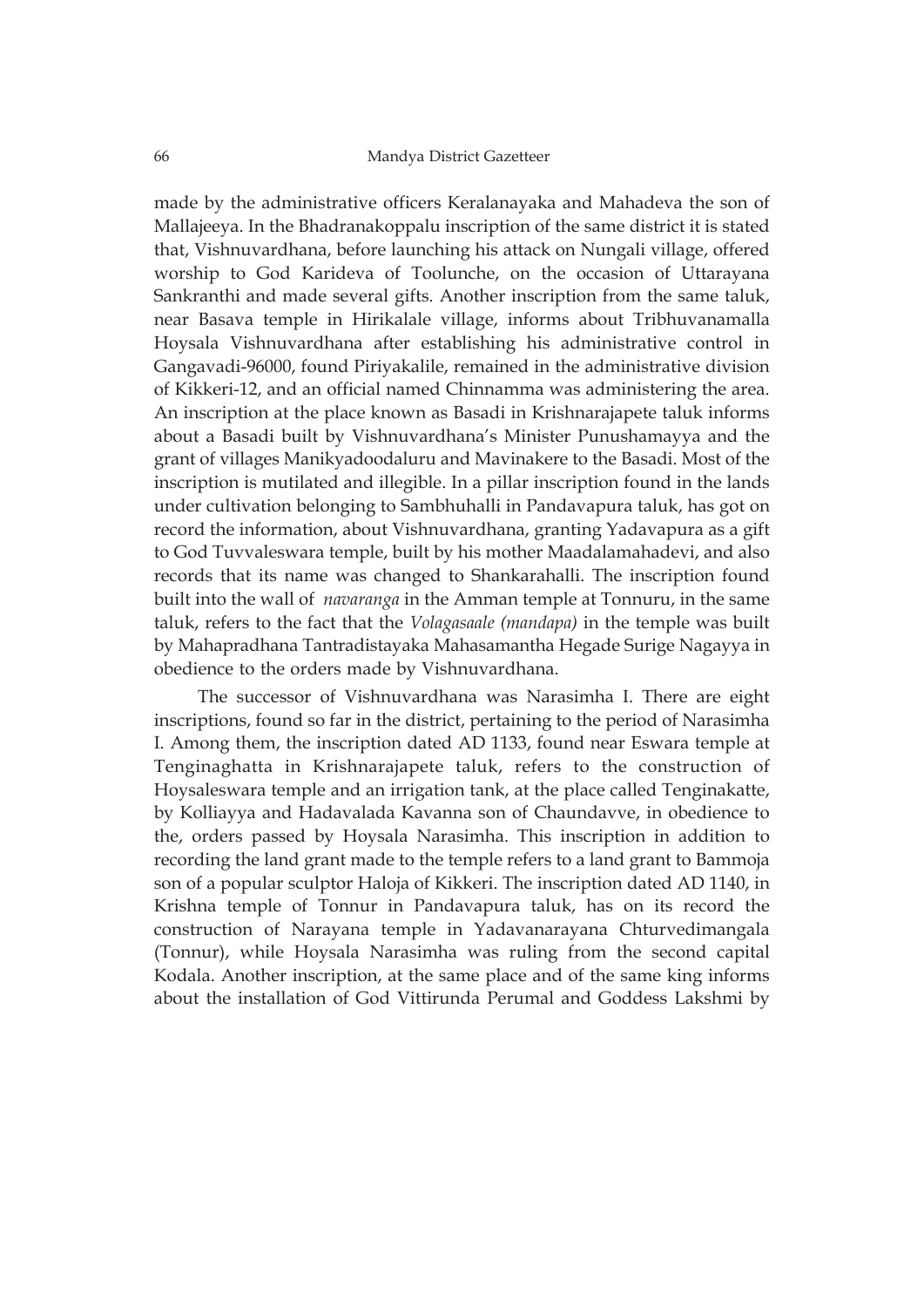made by the administrative officers Keralanayaka and Mahadeva the son of Mallajeeya. In the Bhadranakoppalu inscription of the same district it is stated that, Vishnuvardhana, before launching his attack on Nungali village, offered worship to God Karideva of Toolunche, on the occasion of Uttarayana Sankranthi and made several gifts. Another inscription from the same taluk, near Basava temple in Hirikalale village, informs about Tribhuvanamalla Hoysala Vishnuvardhana after establishing his administrative control in Gangavadi-96000, found Piriyakalile, remained in the administrative division of Kikkeri-12, and an official named Chinnamma was administering the area. An inscription at the place known as Basadi in Krishnarajapete taluk informs about a Basadi built by Vishnuvardhana's Minister Punushamayya and the grant of villages Manikyadoodaluru and Mavinakere to the Basadi. Most of the inscription is mutilated and illegible. In a pillar inscription found in the lands under cultivation belonging to Sambhuhalli in Pandavapura taluk, has got on record the information, about Vishnuvardhana, granting Yadavapura as a gift to God Tuvvaleswara temple, built by his mother Maadalamahadevi, and also records that its name was changed to Shankarahalli. The inscription found built into the wall of *navaranga* in the Amman temple at Tonnuru, in the same taluk, refers to the fact that the *Volagasaale (mandapa)* in the temple was built by Mahapradhana Tantradistayaka Mahasamantha Hegade Surige Nagayya in obedience to the orders made by Vishnuvardhana.

The successor of Vishnuvardhana was Narasimha I. There are eight inscriptions, found so far in the district, pertaining to the period of Narasimha I. Among them, the inscription dated AD 1133, found near Eswara temple at Tenginaghatta in Krishnarajapete taluk, refers to the construction of Hoysaleswara temple and an irrigation tank, at the place called Tenginakatte, by Kolliayya and Hadavalada Kavanna son of Chaundavve, in obedience to the, orders passed by Hoysala Narasimha. This inscription in addition to recording the land grant made to the temple refers to a land grant to Bammoja son of a popular sculptor Haloja of Kikkeri. The inscription dated AD 1140, in Krishna temple of Tonnur in Pandavapura taluk, has on its record the construction of Narayana temple in Yadavanarayana Chturvedimangala (Tonnur), while Hoysala Narasimha was ruling from the second capital Kodala. Another inscription, at the same place and of the same king informs about the installation of God Vittirunda Perumal and Goddess Lakshmi by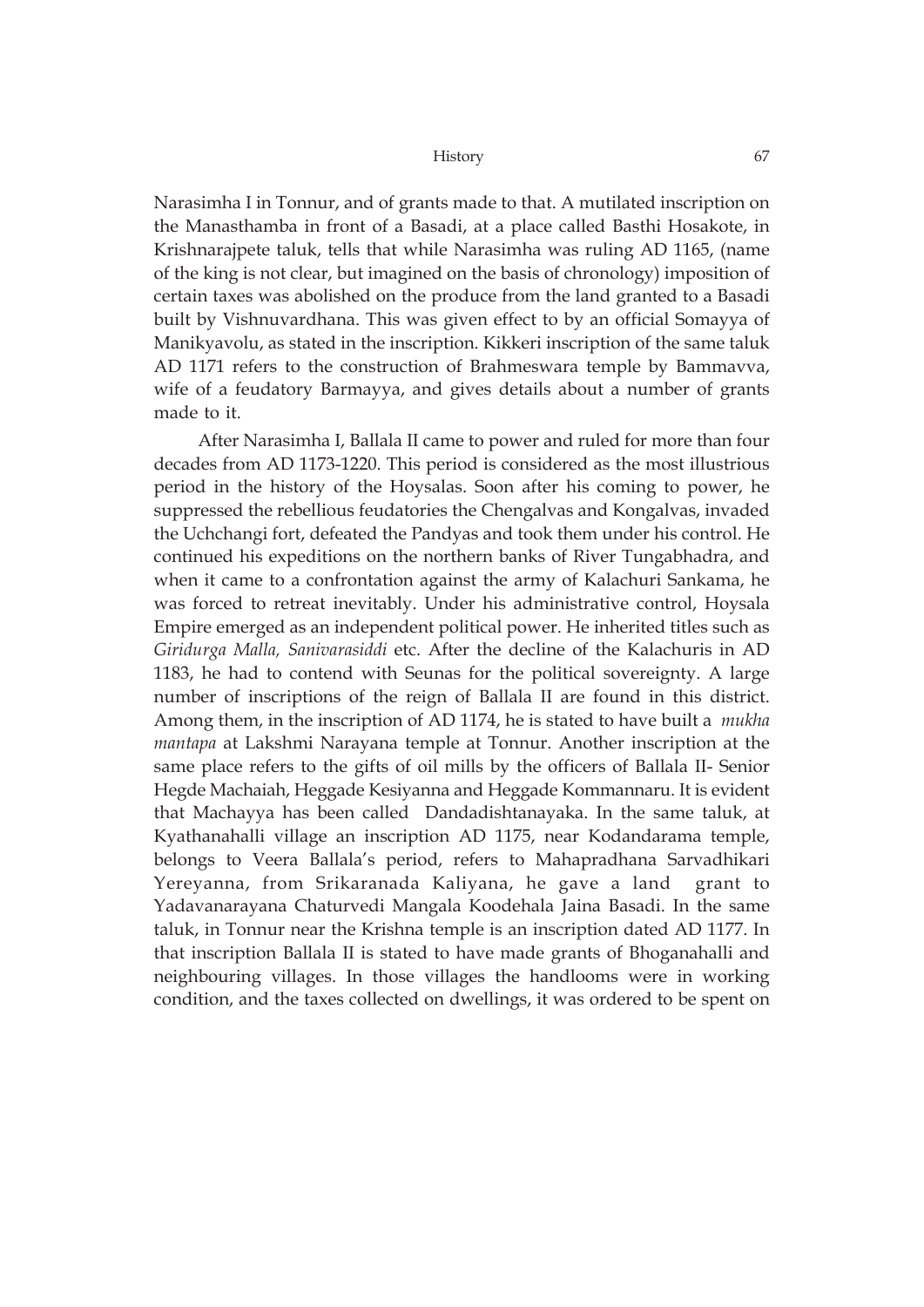Narasimha I in Tonnur, and of grants made to that. A mutilated inscription on the Manasthamba in front of a Basadi, at a place called Basthi Hosakote, in Krishnarajpete taluk, tells that while Narasimha was ruling AD 1165, (name of the king is not clear, but imagined on the basis of chronology) imposition of certain taxes was abolished on the produce from the land granted to a Basadi built by Vishnuvardhana. This was given effect to by an official Somayya of Manikyavolu, as stated in the inscription. Kikkeri inscription of the same taluk AD 1171 refers to the construction of Brahmeswara temple by Bammavva, wife of a feudatory Barmayya, and gives details about a number of grants made to it.

After Narasimha I, Ballala II came to power and ruled for more than four decades from AD 1173-1220. This period is considered as the most illustrious period in the history of the Hoysalas. Soon after his coming to power, he suppressed the rebellious feudatories the Chengalvas and Kongalvas, invaded the Uchchangi fort, defeated the Pandyas and took them under his control. He continued his expeditions on the northern banks of River Tungabhadra, and when it came to a confrontation against the army of Kalachuri Sankama, he was forced to retreat inevitably. Under his administrative control, Hoysala Empire emerged as an independent political power. He inherited titles such as *Giridurga Malla, Sanivarasiddi* etc. After the decline of the Kalachuris in AD 1183, he had to contend with Seunas for the political sovereignty. A large number of inscriptions of the reign of Ballala II are found in this district. Among them, in the inscription of AD 1174, he is stated to have built a *mukha mantapa* at Lakshmi Narayana temple at Tonnur. Another inscription at the same place refers to the gifts of oil mills by the officers of Ballala II- Senior Hegde Machaiah, Heggade Kesiyanna and Heggade Kommannaru. It is evident that Machayya has been called Dandadishtanayaka. In the same taluk, at Kyathanahalli village an inscription AD 1175, near Kodandarama temple, belongs to Veera Ballala's period, refers to Mahapradhana Sarvadhikari Yereyanna, from Srikaranada Kaliyana, he gave a land grant to Yadavanarayana Chaturvedi Mangala Koodehala Jaina Basadi. In the same taluk, in Tonnur near the Krishna temple is an inscription dated AD 1177. In that inscription Ballala II is stated to have made grants of Bhoganahalli and neighbouring villages. In those villages the handlooms were in working condition, and the taxes collected on dwellings, it was ordered to be spent on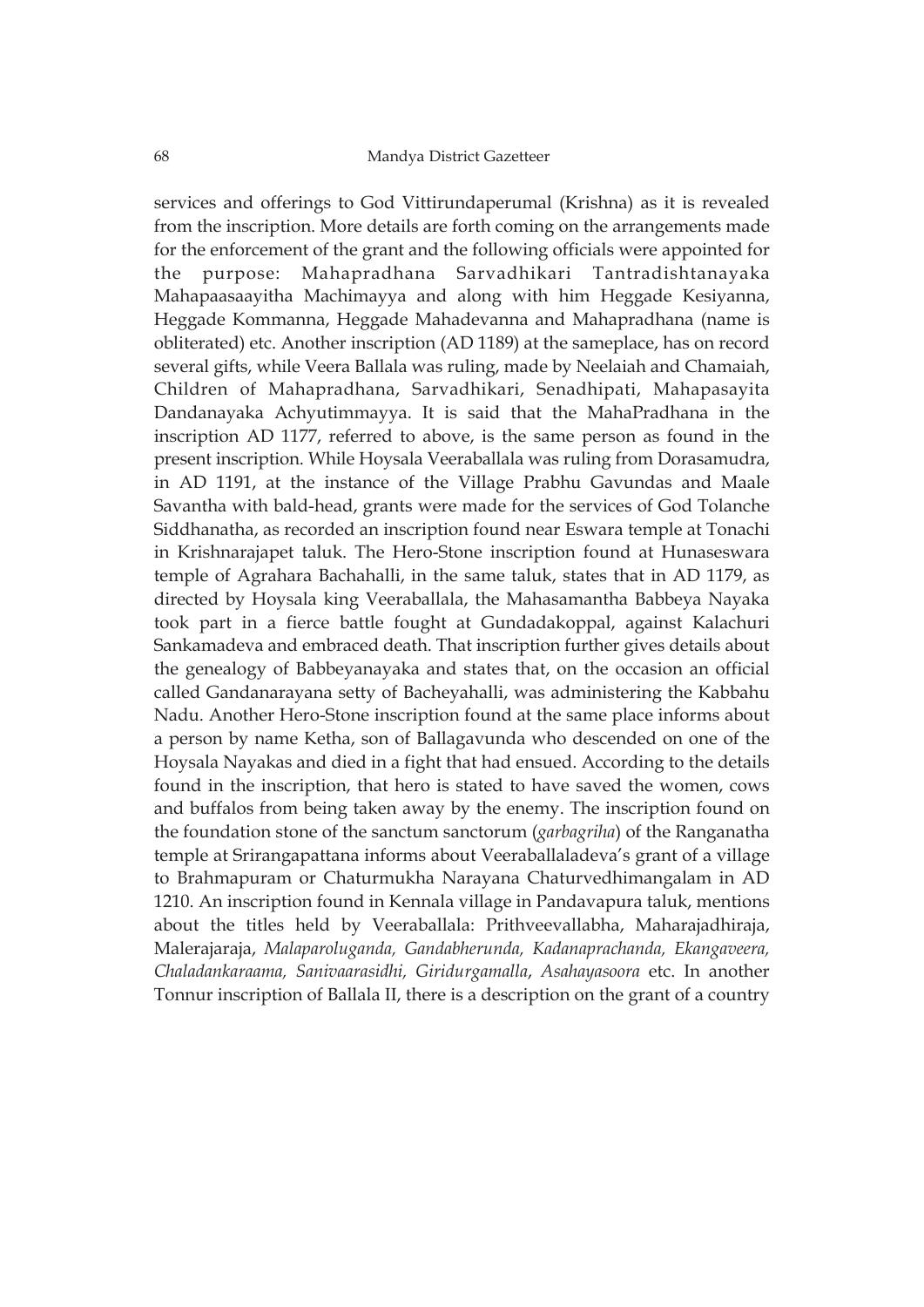services and offerings to God Vittirundaperumal (Krishna) as it is revealed from the inscription. More details are forth coming on the arrangements made for the enforcement of the grant and the following officials were appointed for the purpose: Mahapradhana Sarvadhikari Tantradishtanayaka Mahapaasaayitha Machimayya and along with him Heggade Kesiyanna, Heggade Kommanna, Heggade Mahadevanna and Mahapradhana (name is obliterated) etc. Another inscription (AD 1189) at the sameplace, has on record several gifts, while Veera Ballala was ruling, made by Neelaiah and Chamaiah, Children of Mahapradhana, Sarvadhikari, Senadhipati, Mahapasayita Dandanayaka Achyutimmayya. It is said that the MahaPradhana in the inscription AD 1177, referred to above, is the same person as found in the present inscription. While Hoysala Veeraballala was ruling from Dorasamudra, in AD 1191, at the instance of the Village Prabhu Gavundas and Maale Savantha with bald-head, grants were made for the services of God Tolanche Siddhanatha, as recorded an inscription found near Eswara temple at Tonachi in Krishnarajapet taluk. The Hero-Stone inscription found at Hunaseswara temple of Agrahara Bachahalli, in the same taluk, states that in AD 1179, as directed by Hoysala king Veeraballala, the Mahasamantha Babbeya Nayaka took part in a fierce battle fought at Gundadakoppal, against Kalachuri Sankamadeva and embraced death. That inscription further gives details about the genealogy of Babbeyanayaka and states that, on the occasion an official called Gandanarayana setty of Bacheyahalli, was administering the Kabbahu Nadu. Another Hero-Stone inscription found at the same place informs about a person by name Ketha, son of Ballagavunda who descended on one of the Hoysala Nayakas and died in a fight that had ensued. According to the details found in the inscription, that hero is stated to have saved the women, cows and buffalos from being taken away by the enemy. The inscription found on the foundation stone of the sanctum sanctorum (*garbagriha*) of the Ranganatha temple at Srirangapattana informs about Veeraballaladeva's grant of a village to Brahmapuram or Chaturmukha Narayana Chaturvedhimangalam in AD 1210. An inscription found in Kennala village in Pandavapura taluk, mentions about the titles held by Veeraballala: Prithveevallabha, Maharajadhiraja, Malerajaraja, *Malaparoluganda, Gandabherunda, Kadanaprachanda, Ekangaveera, Chaladankaraama, Sanivaarasidhi, Giridurgamalla*, *Asahayasoora* etc. In another Tonnur inscription of Ballala II, there is a description on the grant of a country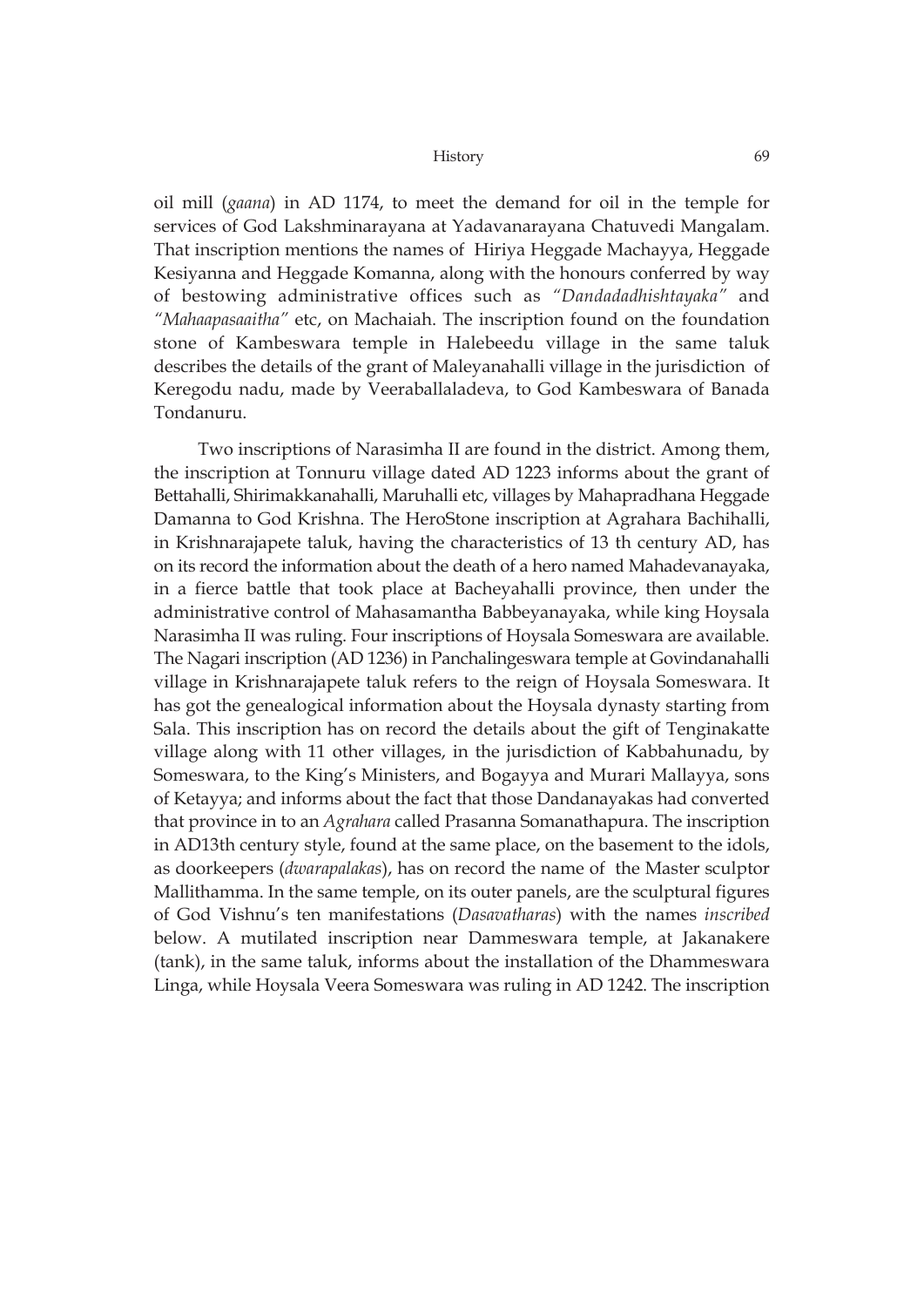oil mill (*gaana*) in AD 1174, to meet the demand for oil in the temple for services of God Lakshminarayana at Yadavanarayana Chatuvedi Mangalam. That inscription mentions the names of Hiriya Heggade Machayya, Heggade Kesiyanna and Heggade Komanna, along with the honours conferred by way of bestowing administrative offices such as *"Dandadadhishtayaka"* and *"Mahaapasaaitha"* etc, on Machaiah. The inscription found on the foundation stone of Kambeswara temple in Halebeedu village in the same taluk describes the details of the grant of Maleyanahalli village in the jurisdiction of Keregodu nadu, made by Veeraballaladeva, to God Kambeswara of Banada Tondanuru.

Two inscriptions of Narasimha II are found in the district. Among them, the inscription at Tonnuru village dated AD 1223 informs about the grant of Bettahalli, Shirimakkanahalli, Maruhalli etc, villages by Mahapradhana Heggade Damanna to God Krishna. The HeroStone inscription at Agrahara Bachihalli, in Krishnarajapete taluk, having the characteristics of 13 th century AD, has on its record the information about the death of a hero named Mahadevanayaka, in a fierce battle that took place at Bacheyahalli province, then under the administrative control of Mahasamantha Babbeyanayaka, while king Hoysala Narasimha II was ruling. Four inscriptions of Hoysala Someswara are available. The Nagari inscription (AD 1236) in Panchalingeswara temple at Govindanahalli village in Krishnarajapete taluk refers to the reign of Hoysala Someswara. It has got the genealogical information about the Hoysala dynasty starting from Sala. This inscription has on record the details about the gift of Tenginakatte village along with 11 other villages, in the jurisdiction of Kabbahunadu, by Someswara, to the King's Ministers, and Bogayya and Murari Mallayya, sons of Ketayya; and informs about the fact that those Dandanayakas had converted that province in to an *Agrahara* called Prasanna Somanathapura. The inscription in AD13th century style, found at the same place, on the basement to the idols, as doorkeepers (*dwarapalakas*), has on record the name of the Master sculptor Mallithamma. In the same temple, on its outer panels, are the sculptural figures of God Vishnu's ten manifestations (*Dasavatharas*) with the names *inscribed* below. A mutilated inscription near Dammeswara temple, at Jakanakere (tank), in the same taluk, informs about the installation of the Dhammeswara Linga, while Hoysala Veera Someswara was ruling in AD 1242. The inscription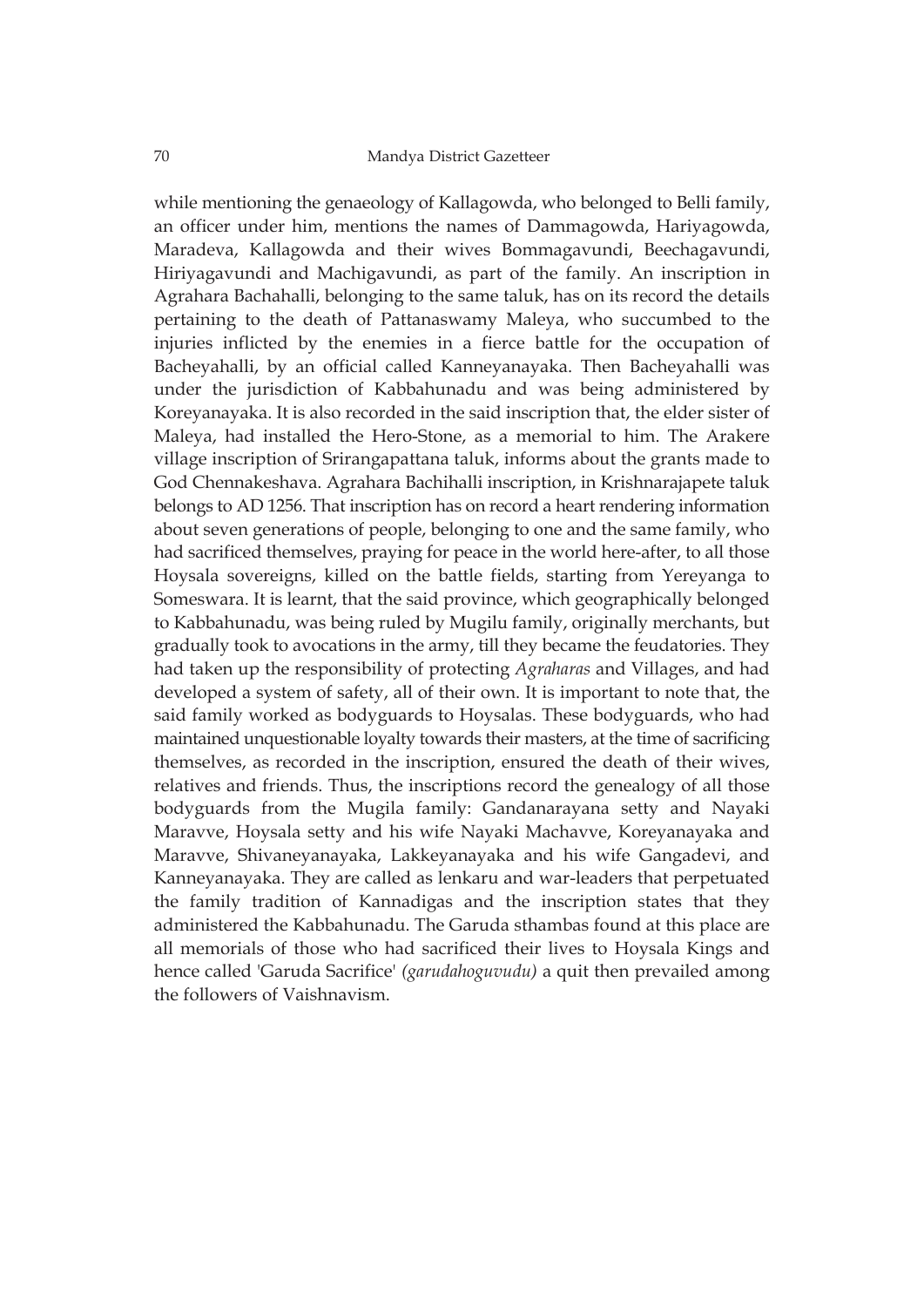while mentioning the genaeology of Kallagowda, who belonged to Belli family, an officer under him, mentions the names of Dammagowda, Hariyagowda, Maradeva, Kallagowda and their wives Bommagavundi, Beechagavundi, Hiriyagavundi and Machigavundi, as part of the family. An inscription in Agrahara Bachahalli, belonging to the same taluk, has on its record the details pertaining to the death of Pattanaswamy Maleya, who succumbed to the injuries inflicted by the enemies in a fierce battle for the occupation of Bacheyahalli, by an official called Kanneyanayaka. Then Bacheyahalli was under the jurisdiction of Kabbahunadu and was being administered by Koreyanayaka. It is also recorded in the said inscription that, the elder sister of Maleya, had installed the Hero-Stone, as a memorial to him. The Arakere village inscription of Srirangapattana taluk, informs about the grants made to God Chennakeshava. Agrahara Bachihalli inscription, in Krishnarajapete taluk belongs to AD 1256. That inscription has on record a heart rendering information about seven generations of people, belonging to one and the same family, who had sacrificed themselves, praying for peace in the world here-after, to all those Hoysala sovereigns, killed on the battle fields, starting from Yereyanga to Someswara. It is learnt, that the said province, which geographically belonged to Kabbahunadu, was being ruled by Mugilu family, originally merchants, but gradually took to avocations in the army, till they became the feudatories. They had taken up the responsibility of protecting *Agraharas* and Villages, and had developed a system of safety, all of their own. It is important to note that, the said family worked as bodyguards to Hoysalas. These bodyguards, who had maintained unquestionable loyalty towards their masters, at the time of sacrificing themselves, as recorded in the inscription, ensured the death of their wives, relatives and friends. Thus, the inscriptions record the genealogy of all those bodyguards from the Mugila family: Gandanarayana setty and Nayaki Maravve, Hoysala setty and his wife Nayaki Machavve, Koreyanayaka and Maravve, Shivaneyanayaka, Lakkeyanayaka and his wife Gangadevi, and Kanneyanayaka. They are called as lenkaru and war-leaders that perpetuated the family tradition of Kannadigas and the inscription states that they administered the Kabbahunadu. The Garuda sthambas found at this place are all memorials of those who had sacrificed their lives to Hoysala Kings and hence called 'Garuda Sacrifice' *(garudahoguvudu)* a quit then prevailed among the followers of Vaishnavism.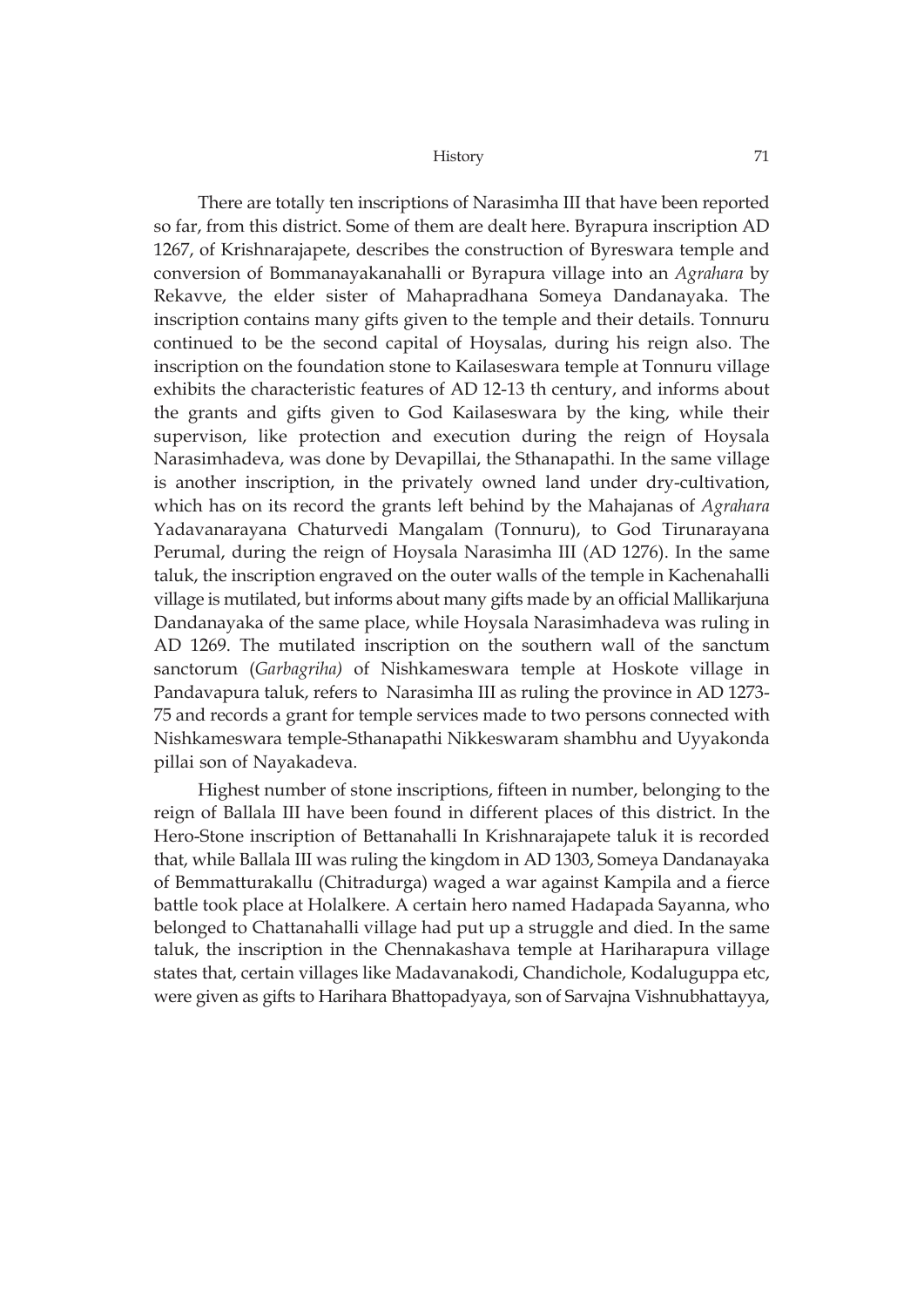There are totally ten inscriptions of Narasimha III that have been reported so far, from this district. Some of them are dealt here. Byrapura inscription AD 1267, of Krishnarajapete, describes the construction of Byreswara temple and conversion of Bommanayakanahalli or Byrapura village into an *Agrahara* by Rekavve, the elder sister of Mahapradhana Someya Dandanayaka. The inscription contains many gifts given to the temple and their details. Tonnuru continued to be the second capital of Hoysalas, during his reign also. The inscription on the foundation stone to Kailaseswara temple at Tonnuru village exhibits the characteristic features of AD 12-13 th century, and informs about the grants and gifts given to God Kailaseswara by the king, while their supervison, like protection and execution during the reign of Hoysala Narasimhadeva, was done by Devapillai, the Sthanapathi. In the same village is another inscription, in the privately owned land under dry-cultivation, which has on its record the grants left behind by the Mahajanas of *Agrahara* Yadavanarayana Chaturvedi Mangalam (Tonnuru), to God Tirunarayana Perumal, during the reign of Hoysala Narasimha III (AD 1276). In the same taluk, the inscription engraved on the outer walls of the temple in Kachenahalli village is mutilated, but informs about many gifts made by an official Mallikarjuna Dandanayaka of the same place, while Hoysala Narasimhadeva was ruling in AD 1269. The mutilated inscription on the southern wall of the sanctum sanctorum (*Garbagriha)* of Nishkameswara temple at Hoskote village in Pandavapura taluk, refers to Narasimha III as ruling the province in AD 1273- 75 and records a grant for temple services made to two persons connected with Nishkameswara temple-Sthanapathi Nikkeswaram shambhu and Uyyakonda pillai son of Nayakadeva.

Highest number of stone inscriptions, fifteen in number, belonging to the reign of Ballala III have been found in different places of this district. In the Hero-Stone inscription of Bettanahalli In Krishnarajapete taluk it is recorded that, while Ballala III was ruling the kingdom in AD 1303, Someya Dandanayaka of Bemmatturakallu (Chitradurga) waged a war against Kampila and a fierce battle took place at Holalkere. A certain hero named Hadapada Sayanna, who belonged to Chattanahalli village had put up a struggle and died. In the same taluk, the inscription in the Chennakashava temple at Hariharapura village states that, certain villages like Madavanakodi, Chandichole, Kodaluguppa etc, were given as gifts to Harihara Bhattopadyaya, son of Sarvajna Vishnubhattayya,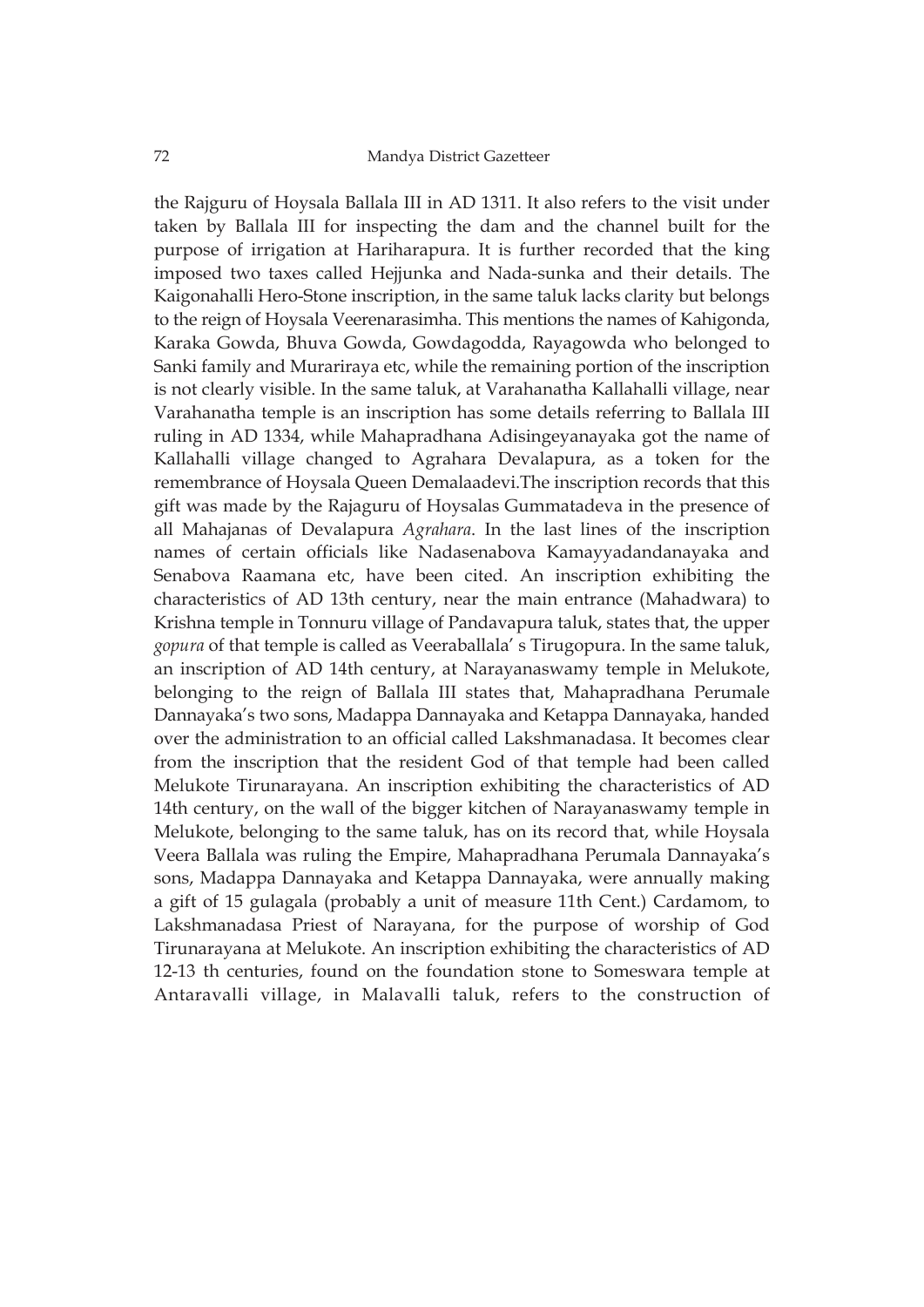the Rajguru of Hoysala Ballala III in AD 1311. It also refers to the visit under taken by Ballala III for inspecting the dam and the channel built for the purpose of irrigation at Hariharapura. It is further recorded that the king imposed two taxes called Hejjunka and Nada-sunka and their details. The Kaigonahalli Hero-Stone inscription, in the same taluk lacks clarity but belongs to the reign of Hoysala Veerenarasimha. This mentions the names of Kahigonda, Karaka Gowda, Bhuva Gowda, Gowdagodda, Rayagowda who belonged to Sanki family and Murariraya etc, while the remaining portion of the inscription is not clearly visible. In the same taluk, at Varahanatha Kallahalli village, near Varahanatha temple is an inscription has some details referring to Ballala III ruling in AD 1334, while Mahapradhana Adisingeyanayaka got the name of Kallahalli village changed to Agrahara Devalapura, as a token for the remembrance of Hoysala Queen Demalaadevi.The inscription records that this gift was made by the Rajaguru of Hoysalas Gummatadeva in the presence of all Mahajanas of Devalapura *Agrahara*. In the last lines of the inscription names of certain officials like Nadasenabova Kamayyadandanayaka and Senabova Raamana etc, have been cited. An inscription exhibiting the characteristics of AD 13th century, near the main entrance (Mahadwara) to Krishna temple in Tonnuru village of Pandavapura taluk, states that, the upper *gopura* of that temple is called as Veeraballala' s Tirugopura. In the same taluk, an inscription of AD 14th century, at Narayanaswamy temple in Melukote, belonging to the reign of Ballala III states that, Mahapradhana Perumale Dannayaka's two sons, Madappa Dannayaka and Ketappa Dannayaka, handed over the administration to an official called Lakshmanadasa. It becomes clear from the inscription that the resident God of that temple had been called Melukote Tirunarayana. An inscription exhibiting the characteristics of AD 14th century, on the wall of the bigger kitchen of Narayanaswamy temple in Melukote, belonging to the same taluk, has on its record that, while Hoysala Veera Ballala was ruling the Empire, Mahapradhana Perumala Dannayaka's sons, Madappa Dannayaka and Ketappa Dannayaka, were annually making a gift of 15 gulagala (probably a unit of measure 11th Cent.) Cardamom, to Lakshmanadasa Priest of Narayana, for the purpose of worship of God Tirunarayana at Melukote. An inscription exhibiting the characteristics of AD 12-13 th centuries, found on the foundation stone to Someswara temple at Antaravalli village, in Malavalli taluk, refers to the construction of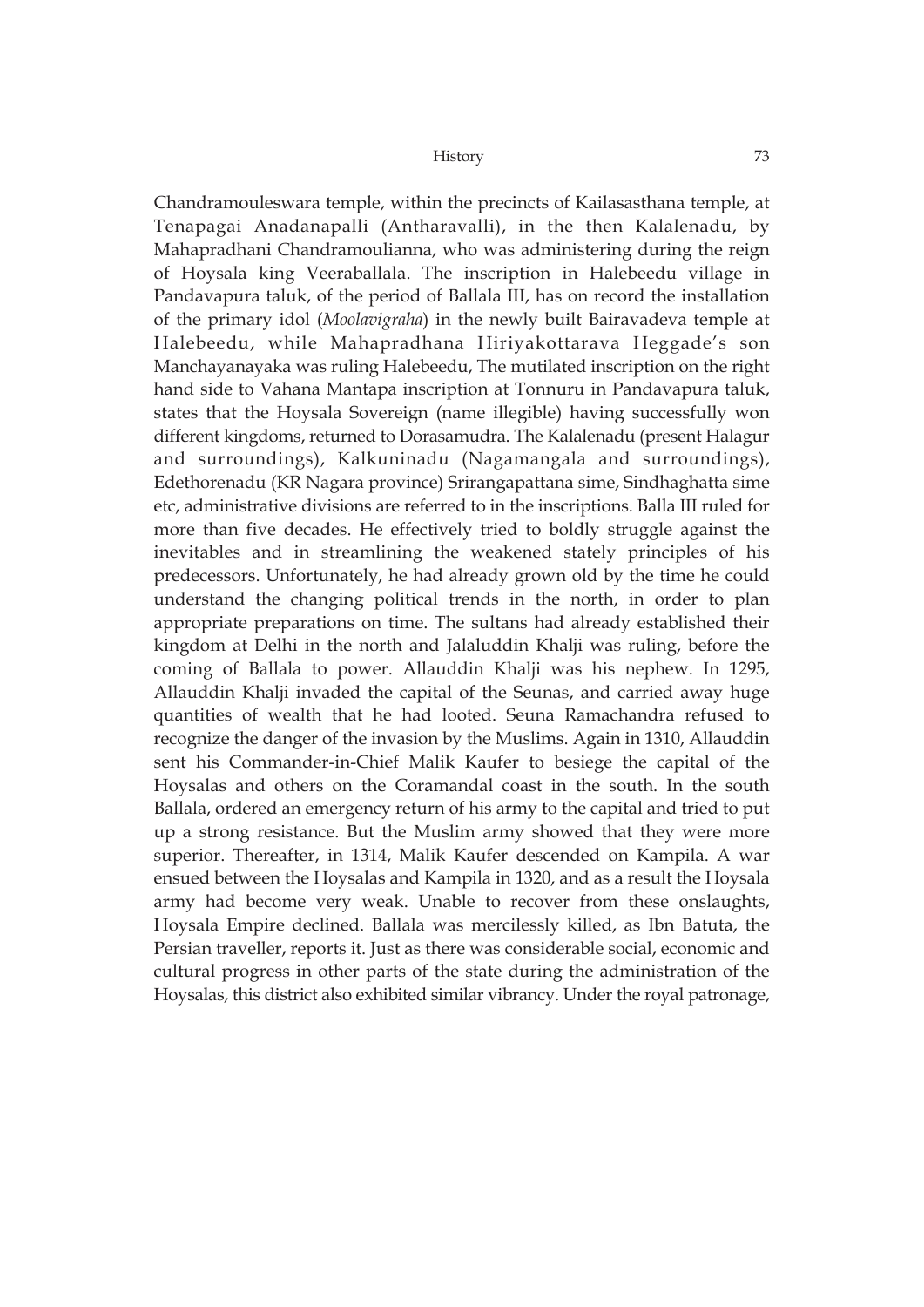Chandramouleswara temple, within the precincts of Kailasasthana temple, at Tenapagai Anadanapalli (Antharavalli), in the then Kalalenadu, by Mahapradhani Chandramoulianna, who was administering during the reign of Hoysala king Veeraballala. The inscription in Halebeedu village in Pandavapura taluk, of the period of Ballala III, has on record the installation of the primary idol (*Moolavigraha*) in the newly built Bairavadeva temple at Halebeedu, while Mahapradhana Hiriyakottarava Heggade's son Manchayanayaka was ruling Halebeedu, The mutilated inscription on the right hand side to Vahana Mantapa inscription at Tonnuru in Pandavapura taluk, states that the Hoysala Sovereign (name illegible) having successfully won different kingdoms, returned to Dorasamudra. The Kalalenadu (present Halagur and surroundings), Kalkuninadu (Nagamangala and surroundings), Edethorenadu (KR Nagara province) Srirangapattana sime, Sindhaghatta sime etc, administrative divisions are referred to in the inscriptions. Balla III ruled for more than five decades. He effectively tried to boldly struggle against the inevitables and in streamlining the weakened stately principles of his predecessors. Unfortunately, he had already grown old by the time he could understand the changing political trends in the north, in order to plan appropriate preparations on time. The sultans had already established their kingdom at Delhi in the north and Jalaluddin Khalji was ruling, before the coming of Ballala to power. Allauddin Khalji was his nephew. In 1295, Allauddin Khalji invaded the capital of the Seunas, and carried away huge quantities of wealth that he had looted. Seuna Ramachandra refused to recognize the danger of the invasion by the Muslims. Again in 1310, Allauddin sent his Commander-in-Chief Malik Kaufer to besiege the capital of the Hoysalas and others on the Coramandal coast in the south. In the south Ballala, ordered an emergency return of his army to the capital and tried to put up a strong resistance. But the Muslim army showed that they were more superior. Thereafter, in 1314, Malik Kaufer descended on Kampila. A war ensued between the Hoysalas and Kampila in 1320, and as a result the Hoysala army had become very weak. Unable to recover from these onslaughts, Hoysala Empire declined. Ballala was mercilessly killed, as Ibn Batuta, the Persian traveller, reports it. Just as there was considerable social, economic and cultural progress in other parts of the state during the administration of the Hoysalas, this district also exhibited similar vibrancy. Under the royal patronage,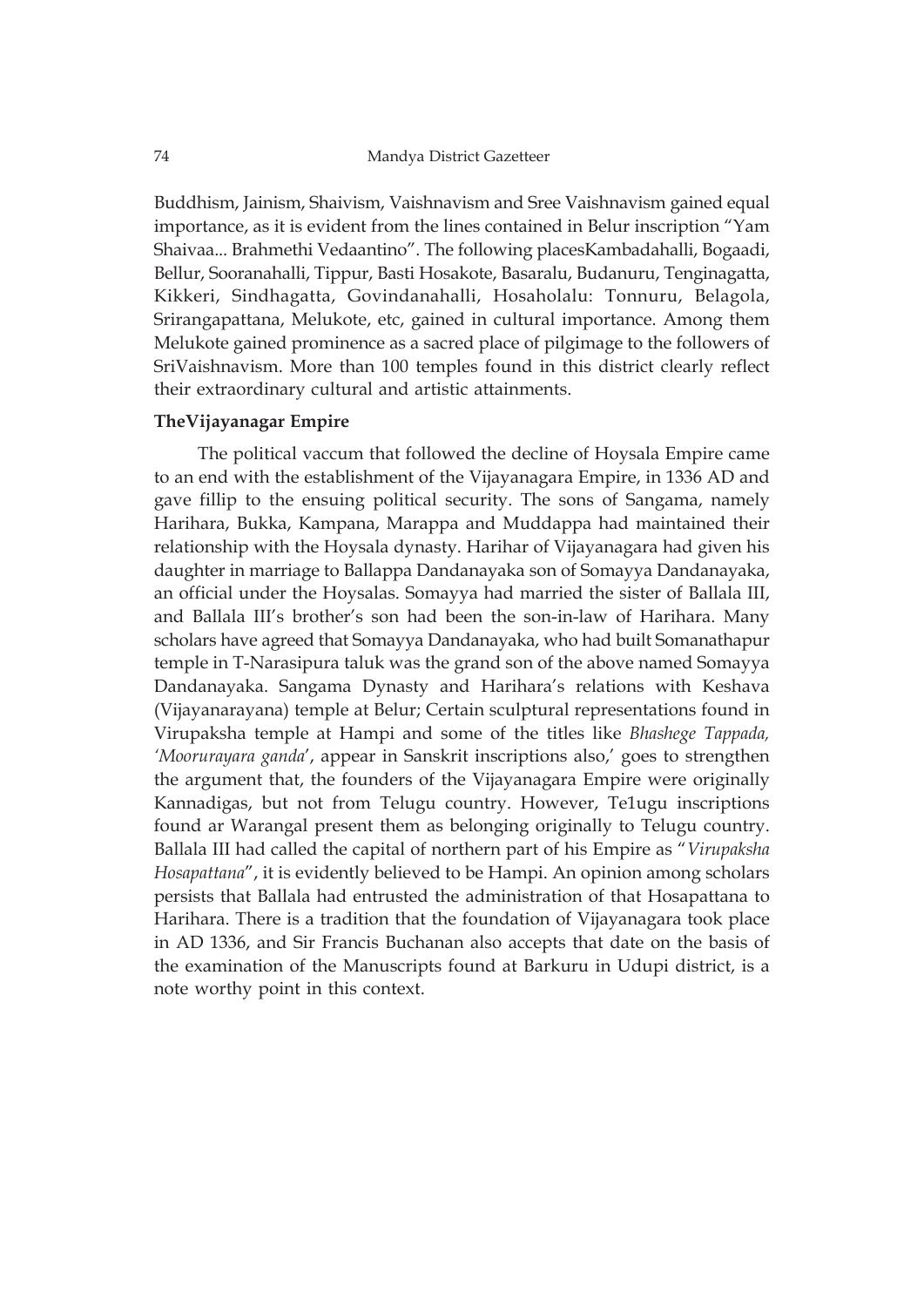Buddhism, Jainism, Shaivism, Vaishnavism and Sree Vaishnavism gained equal importance, as it is evident from the lines contained in Belur inscription "Yam Shaivaa... Brahmethi Vedaantino". The following placesKambadahalli, Bogaadi, Bellur, Sooranahalli, Tippur, Basti Hosakote, Basaralu, Budanuru, Tenginagatta, Kikkeri, Sindhagatta, Govindanahalli, Hosaholalu: Tonnuru, Belagola, Srirangapattana, Melukote, etc, gained in cultural importance. Among them Melukote gained prominence as a sacred place of pilgimage to the followers of SriVaishnavism. More than 100 temples found in this district clearly reflect their extraordinary cultural and artistic attainments.

## **TheVijayanagar Empire**

The political vaccum that followed the decline of Hoysala Empire came to an end with the establishment of the Vijayanagara Empire, in 1336 AD and gave fillip to the ensuing political security. The sons of Sangama, namely Harihara, Bukka, Kampana, Marappa and Muddappa had maintained their relationship with the Hoysala dynasty. Harihar of Vijayanagara had given his daughter in marriage to Ballappa Dandanayaka son of Somayya Dandanayaka, an official under the Hoysalas. Somayya had married the sister of Ballala III, and Ballala III's brother's son had been the son-in-law of Harihara. Many scholars have agreed that Somayya Dandanayaka, who had built Somanathapur temple in T-Narasipura taluk was the grand son of the above named Somayya Dandanayaka. Sangama Dynasty and Harihara's relations with Keshava (Vijayanarayana) temple at Belur; Certain sculptural representations found in Virupaksha temple at Hampi and some of the titles like *Bhashege Tappada, 'Moorurayara ganda*', appear in Sanskrit inscriptions also,' goes to strengthen the argument that, the founders of the Vijayanagara Empire were originally Kannadigas, but not from Telugu country. However, Te1ugu inscriptions found ar Warangal present them as belonging originally to Telugu country. Ballala III had called the capital of northern part of his Empire as "*Virupaksha Hosapattana*", it is evidently believed to be Hampi. An opinion among scholars persists that Ballala had entrusted the administration of that Hosapattana to Harihara. There is a tradition that the foundation of Vijayanagara took place in AD 1336, and Sir Francis Buchanan also accepts that date on the basis of the examination of the Manuscripts found at Barkuru in Udupi district, is a note worthy point in this context.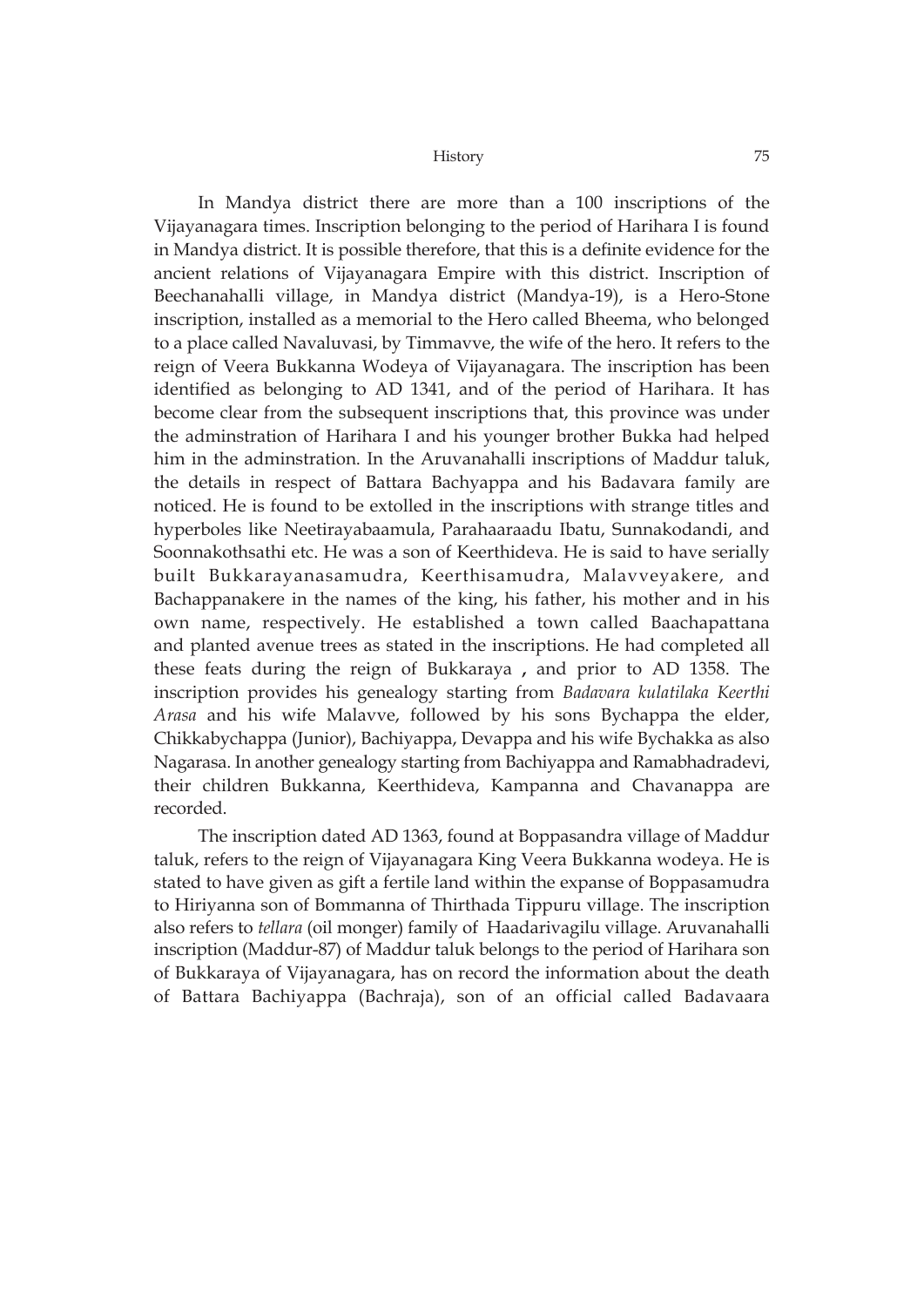In Mandya district there are more than a 100 inscriptions of the Vijayanagara times. Inscription belonging to the period of Harihara I is found in Mandya district. It is possible therefore, that this is a definite evidence for the ancient relations of Vijayanagara Empire with this district. Inscription of Beechanahalli village, in Mandya district (Mandya-19), is a Hero-Stone inscription, installed as a memorial to the Hero called Bheema, who belonged to a place called Navaluvasi, by Timmavve, the wife of the hero. It refers to the reign of Veera Bukkanna Wodeya of Vijayanagara. The inscription has been identified as belonging to AD 1341, and of the period of Harihara. It has become clear from the subsequent inscriptions that, this province was under the adminstration of Harihara I and his younger brother Bukka had helped him in the adminstration. In the Aruvanahalli inscriptions of Maddur taluk, the details in respect of Battara Bachyappa and his Badavara family are noticed. He is found to be extolled in the inscriptions with strange titles and hyperboles like Neetirayabaamula, Parahaaraadu Ibatu, Sunnakodandi, and Soonnakothsathi etc. He was a son of Keerthideva. He is said to have serially built Bukkarayanasamudra, Keerthisamudra, Malavveyakere, and Bachappanakere in the names of the king, his father, his mother and in his own name, respectively. He established a town called Baachapattana and planted avenue trees as stated in the inscriptions. He had completed all these feats during the reign of Bukkaraya **,** and prior to AD 1358. The inscription provides his genealogy starting from *Badavara kulatilaka Keerthi Arasa* and his wife Malavve, followed by his sons Bychappa the elder, Chikkabychappa (Junior), Bachiyappa, Devappa and his wife Bychakka as also Nagarasa. In another genealogy starting from Bachiyappa and Ramabhadradevi, their children Bukkanna, Keerthideva, Kampanna and Chavanappa are recorded.

The inscription dated AD 1363, found at Boppasandra village of Maddur taluk, refers to the reign of Vijayanagara King Veera Bukkanna wodeya. He is stated to have given as gift a fertile land within the expanse of Boppasamudra to Hiriyanna son of Bommanna of Thirthada Tippuru village. The inscription also refers to *tellara* (oil monger) family of Haadarivagilu village. Aruvanahalli inscription (Maddur-87) of Maddur taluk belongs to the period of Harihara son of Bukkaraya of Vijayanagara, has on record the information about the death of Battara Bachiyappa (Bachraja), son of an official called Badavaara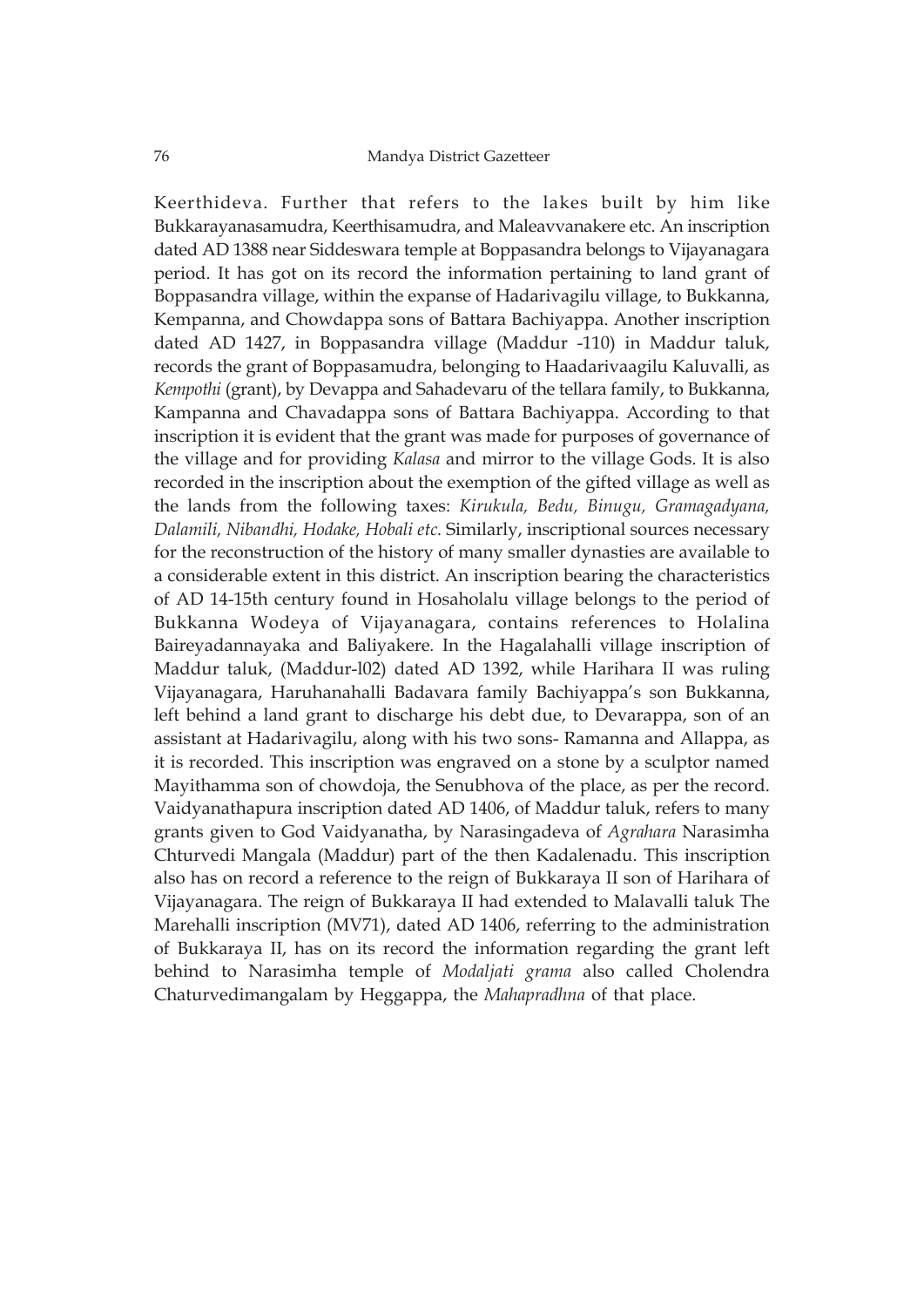Keerthideva. Further that refers to the lakes built by him like Bukkarayanasamudra, Keerthisamudra, and Maleavvanakere etc. An inscription dated AD 1388 near Siddeswara temple at Boppasandra belongs to Vijayanagara period. It has got on its record the information pertaining to land grant of Boppasandra village, within the expanse of Hadarivagilu village, to Bukkanna, Kempanna, and Chowdappa sons of Battara Bachiyappa. Another inscription dated AD 1427, in Boppasandra village (Maddur -110) in Maddur taluk, records the grant of Boppasamudra, belonging to Haadarivaagilu Kaluvalli, as *Kempothi* (grant), by Devappa and Sahadevaru of the tellara family, to Bukkanna, Kampanna and Chavadappa sons of Battara Bachiyappa. According to that inscription it is evident that the grant was made for purposes of governance of the village and for providing *Kalasa* and mirror to the village Gods. It is also recorded in the inscription about the exemption of the gifted village as well as the lands from the following taxes: *Kirukula, Bedu, Binugu, Gramagadyana, Dalamili, Nibandhi, Hodake, Hobali etc.* Similarly, inscriptional sources necessary for the reconstruction of the history of many smaller dynasties are available to a considerable extent in this district. An inscription bearing the characteristics of AD 14-15th century found in Hosaholalu village belongs to the period of Bukkanna Wodeya of Vijayanagara, contains references to Holalina Baireyadannayaka and Baliyakere*.* In the Hagalahalli village inscription of Maddur taluk, (Maddur-l02) dated AD 1392, while Harihara II was ruling Vijayanagara, Haruhanahalli Badavara family Bachiyappa's son Bukkanna, left behind a land grant to discharge his debt due, to Devarappa, son of an assistant at Hadarivagilu, along with his two sons- Ramanna and Allappa, as it is recorded. This inscription was engraved on a stone by a sculptor named Mayithamma son of chowdoja, the Senubhova of the place, as per the record. Vaidyanathapura inscription dated AD 1406, of Maddur taluk, refers to many grants given to God Vaidyanatha, by Narasingadeva of *Agrahara* Narasimha Chturvedi Mangala (Maddur) part of the then Kadalenadu. This inscription also has on record a reference to the reign of Bukkaraya II son of Harihara of Vijayanagara. The reign of Bukkaraya II had extended to Malavalli taluk The Marehalli inscription (MV71), dated AD 1406, referring to the administration of Bukkaraya II, has on its record the information regarding the grant left behind to Narasimha temple of *Modaljati grama* also called Cholendra Chaturvedimangalam by Heggappa, the *Mahapradhna* of that place.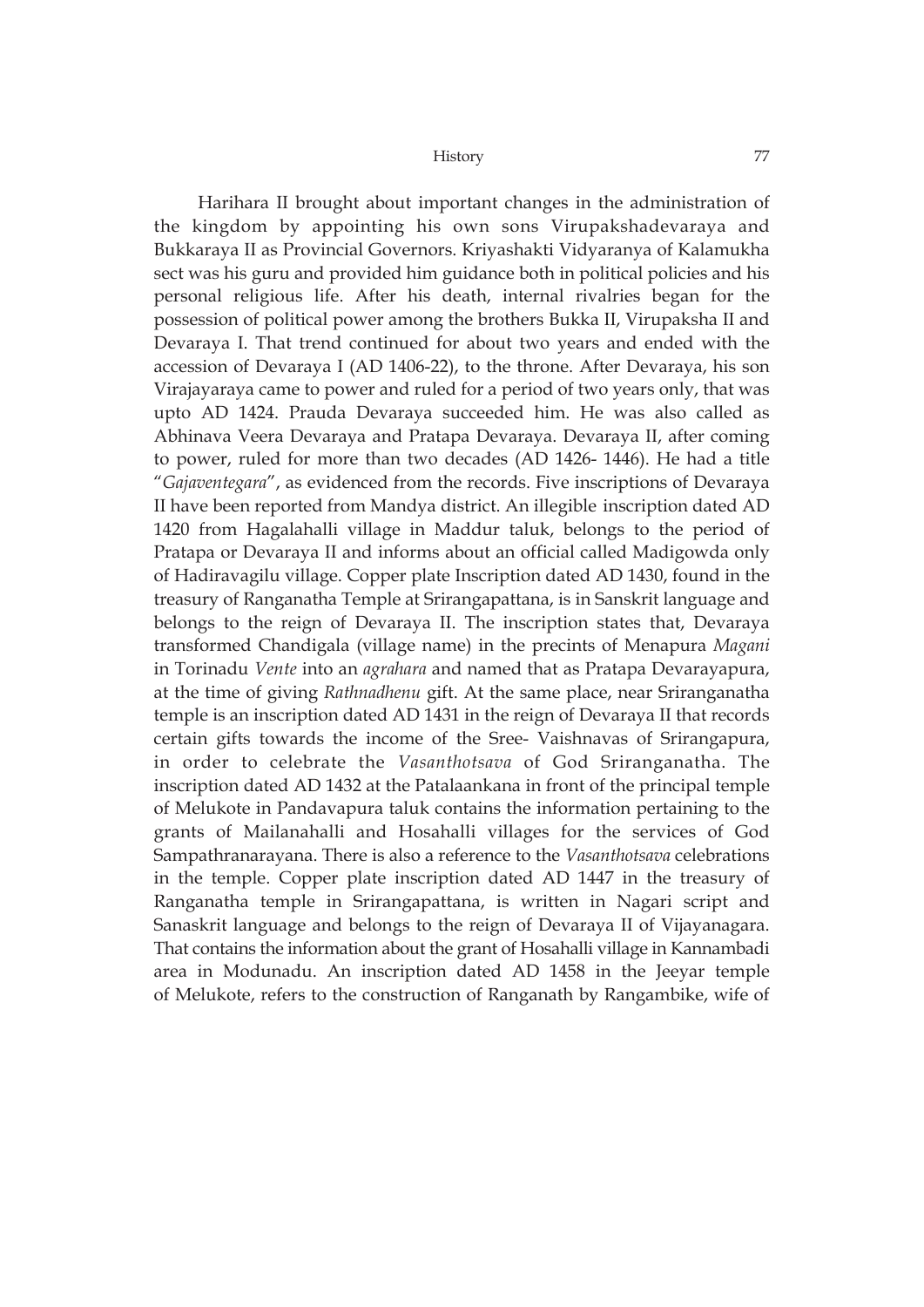Harihara II brought about important changes in the administration of the kingdom by appointing his own sons Virupakshadevaraya and Bukkaraya II as Provincial Governors. Kriyashakti Vidyaranya of Kalamukha sect was his guru and provided him guidance both in political policies and his personal religious life. After his death, internal rivalries began for the possession of political power among the brothers Bukka II, Virupaksha II and Devaraya I. That trend continued for about two years and ended with the accession of Devaraya I (AD 1406-22), to the throne. After Devaraya, his son Virajayaraya came to power and ruled for a period of two years only, that was upto AD 1424. Prauda Devaraya succeeded him. He was also called as Abhinava Veera Devaraya and Pratapa Devaraya. Devaraya II, after coming to power, ruled for more than two decades (AD 1426- 1446). He had a title "*Gajaventegara*", as evidenced from the records. Five inscriptions of Devaraya II have been reported from Mandya district. An illegible inscription dated AD 1420 from Hagalahalli village in Maddur taluk, belongs to the period of Pratapa or Devaraya II and informs about an official called Madigowda only of Hadiravagilu village. Copper plate Inscription dated AD 1430, found in the treasury of Ranganatha Temple at Srirangapattana, is in Sanskrit language and belongs to the reign of Devaraya II. The inscription states that, Devaraya transformed Chandigala (village name) in the precints of Menapura *Magani* in Torinadu *Vente* into an *agrahara* and named that as Pratapa Devarayapura, at the time of giving *Rathnadhenu* gift. At the same place, near Sriranganatha temple is an inscription dated AD 1431 in the reign of Devaraya II that records certain gifts towards the income of the Sree- Vaishnavas of Srirangapura, in order to celebrate the *Vasanthotsava* of God Sriranganatha. The inscription dated AD 1432 at the Patalaankana in front of the principal temple of Melukote in Pandavapura taluk contains the information pertaining to the grants of Mailanahalli and Hosahalli villages for the services of God Sampathranarayana. There is also a reference to the *Vasanthotsava* celebrations in the temple. Copper plate inscription dated AD 1447 in the treasury of Ranganatha temple in Srirangapattana, is written in Nagari script and Sanaskrit language and belongs to the reign of Devaraya II of Vijayanagara. That contains the information about the grant of Hosahalli village in Kannambadi area in Modunadu. An inscription dated AD 1458 in the Jeeyar temple of Melukote, refers to the construction of Ranganath by Rangambike, wife of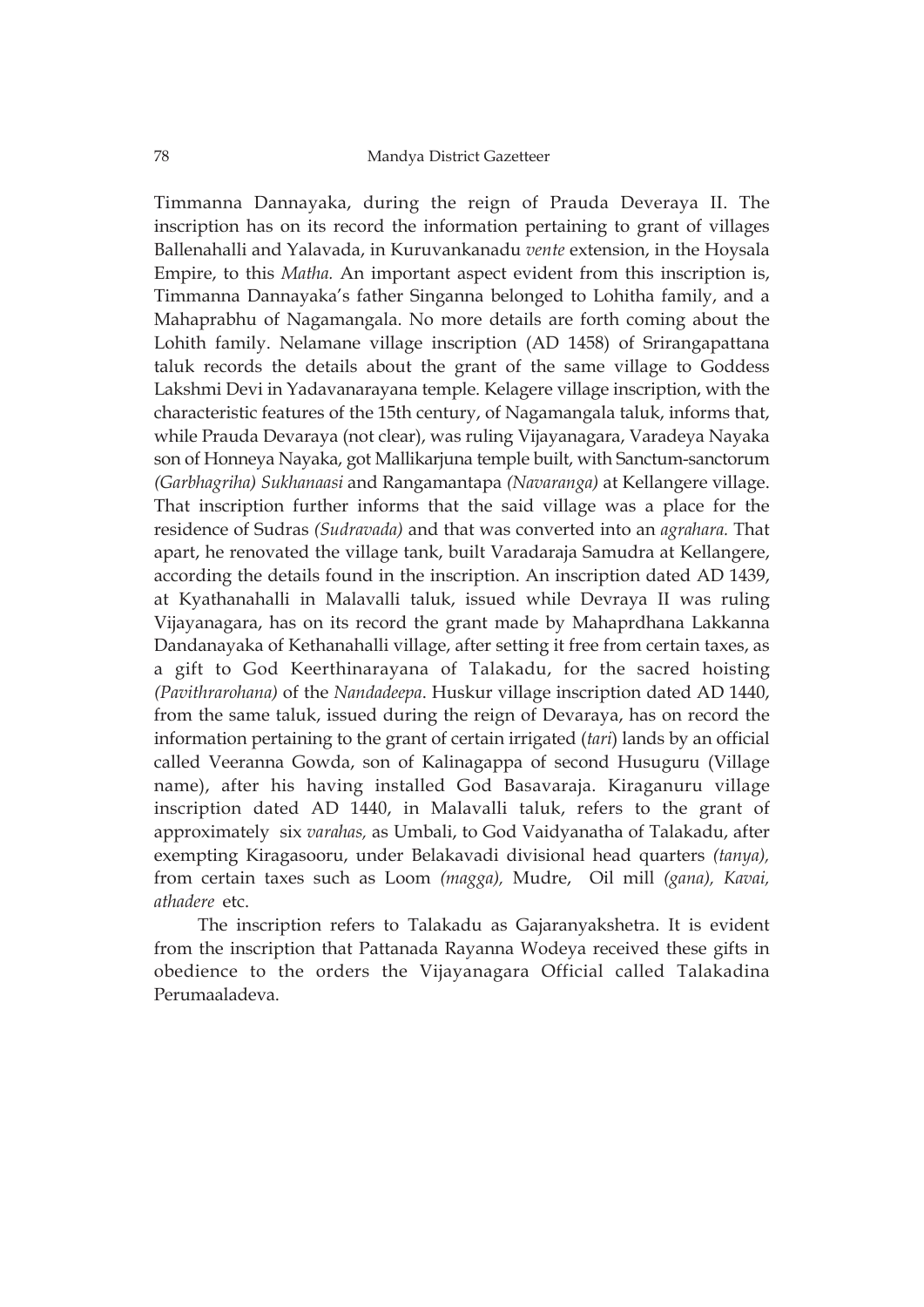Timmanna Dannayaka, during the reign of Prauda Deveraya II. The inscription has on its record the information pertaining to grant of villages Ballenahalli and Yalavada, in Kuruvankanadu *vente* extension, in the Hoysala Empire, to this *Matha.* An important aspect evident from this inscription is, Timmanna Dannayaka's father Singanna belonged to Lohitha family, and a Mahaprabhu of Nagamangala. No more details are forth coming about the Lohith family. Nelamane village inscription (AD 1458) of Srirangapattana taluk records the details about the grant of the same village to Goddess Lakshmi Devi in Yadavanarayana temple. Kelagere village inscription, with the characteristic features of the 15th century, of Nagamangala taluk, informs that, while Prauda Devaraya (not clear), was ruling Vijayanagara, Varadeya Nayaka son of Honneya Nayaka, got Mallikarjuna temple built, with Sanctum-sanctorum *(Garbhagriha) Sukhanaasi* and Rangamantapa *(Navaranga)* at Kellangere village. That inscription further informs that the said village was a place for the residence of Sudras *(Sudravada)* and that was converted into an *agrahara.* That apart, he renovated the village tank, built Varadaraja Samudra at Kellangere, according the details found in the inscription. An inscription dated AD 1439, at Kyathanahalli in Malavalli taluk, issued while Devraya II was ruling Vijayanagara, has on its record the grant made by Mahaprdhana Lakkanna Dandanayaka of Kethanahalli village, after setting it free from certain taxes, as a gift to God Keerthinarayana of Talakadu, for the sacred hoisting *(Pavithrarohana)* of the *Nandadeepa*. Huskur village inscription dated AD 1440, from the same taluk, issued during the reign of Devaraya, has on record the information pertaining to the grant of certain irrigated (*tari*) lands by an official called Veeranna Gowda, son of Kalinagappa of second Husuguru (Village name), after his having installed God Basavaraja. Kiraganuru village inscription dated AD 1440, in Malavalli taluk, refers to the grant of approximately six *varahas,* as Umbali, to God Vaidyanatha of Talakadu, after exempting Kiragasooru, under Belakavadi divisional head quarters *(tanya),* from certain taxes such as Loom *(magga),* Mudre, Oil mill *(gana), Kavai, athadere* etc.

The inscription refers to Talakadu as Gajaranyakshetra. It is evident from the inscription that Pattanada Rayanna Wodeya received these gifts in obedience to the orders the Vijayanagara Official called Talakadina Perumaaladeva.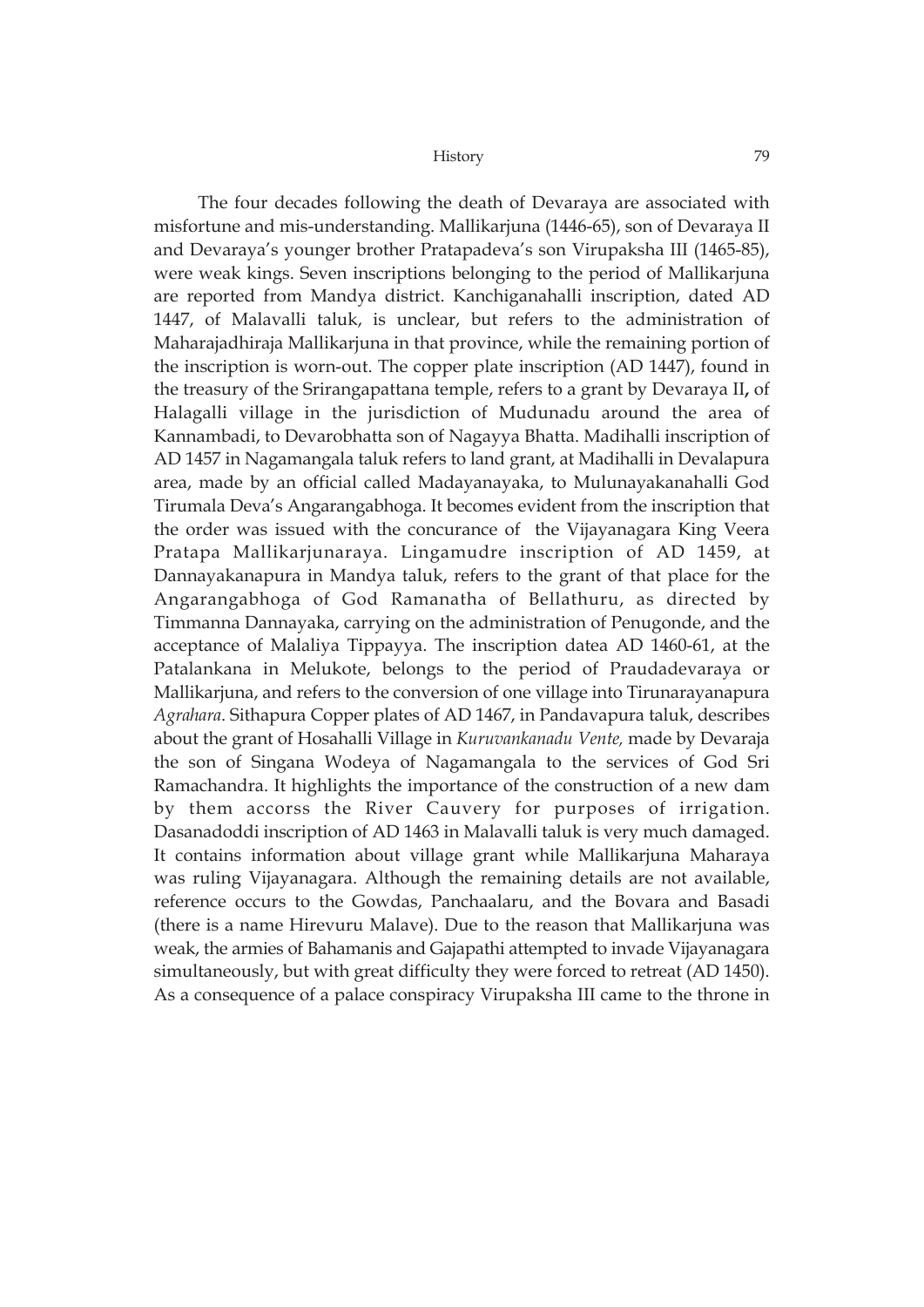The four decades following the death of Devaraya are associated with misfortune and mis-understanding. Mallikarjuna (1446-65), son of Devaraya II and Devaraya's younger brother Pratapadeva's son Virupaksha III (1465-85), were weak kings. Seven inscriptions belonging to the period of Mallikarjuna are reported from Mandya district. Kanchiganahalli inscription, dated AD 1447, of Malavalli taluk, is unclear, but refers to the administration of Maharajadhiraja Mallikarjuna in that province, while the remaining portion of the inscription is worn-out. The copper plate inscription (AD 1447), found in the treasury of the Srirangapattana temple, refers to a grant by Devaraya II**,** of Halagalli village in the jurisdiction of Mudunadu around the area of Kannambadi, to Devarobhatta son of Nagayya Bhatta. Madihalli inscription of AD 1457 in Nagamangala taluk refers to land grant, at Madihalli in Devalapura area, made by an official called Madayanayaka, to Mulunayakanahalli God Tirumala Deva's Angarangabhoga. It becomes evident from the inscription that the order was issued with the concurance of the Vijayanagara King Veera Pratapa Mallikarjunaraya. Lingamudre inscription of AD 1459, at Dannayakanapura in Mandya taluk, refers to the grant of that place for the Angarangabhoga of God Ramanatha of Bellathuru, as directed by Timmanna Dannayaka, carrying on the administration of Penugonde, and the acceptance of Malaliya Tippayya. The inscription datea AD 1460-61, at the Patalankana in Melukote, belongs to the period of Praudadevaraya or Mallikarjuna, and refers to the conversion of one village into Tirunarayanapura *Agrahara*. Sithapura Copper plates of AD 1467, in Pandavapura taluk, describes about the grant of Hosahalli Village in *Kuruvankanadu Vente,* made by Devaraja the son of Singana Wodeya of Nagamangala to the services of God Sri Ramachandra. It highlights the importance of the construction of a new dam by them accorss the River Cauvery for purposes of irrigation. Dasanadoddi inscription of AD 1463 in Malavalli taluk is very much damaged. It contains information about village grant while Mallikarjuna Maharaya was ruling Vijayanagara. Although the remaining details are not available, reference occurs to the Gowdas, Panchaalaru, and the Bovara and Basadi (there is a name Hirevuru Malave). Due to the reason that Mallikarjuna was weak, the armies of Bahamanis and Gajapathi attempted to invade Vijayanagara simultaneously, but with great difficulty they were forced to retreat (AD 1450). As a consequence of a palace conspiracy Virupaksha III came to the throne in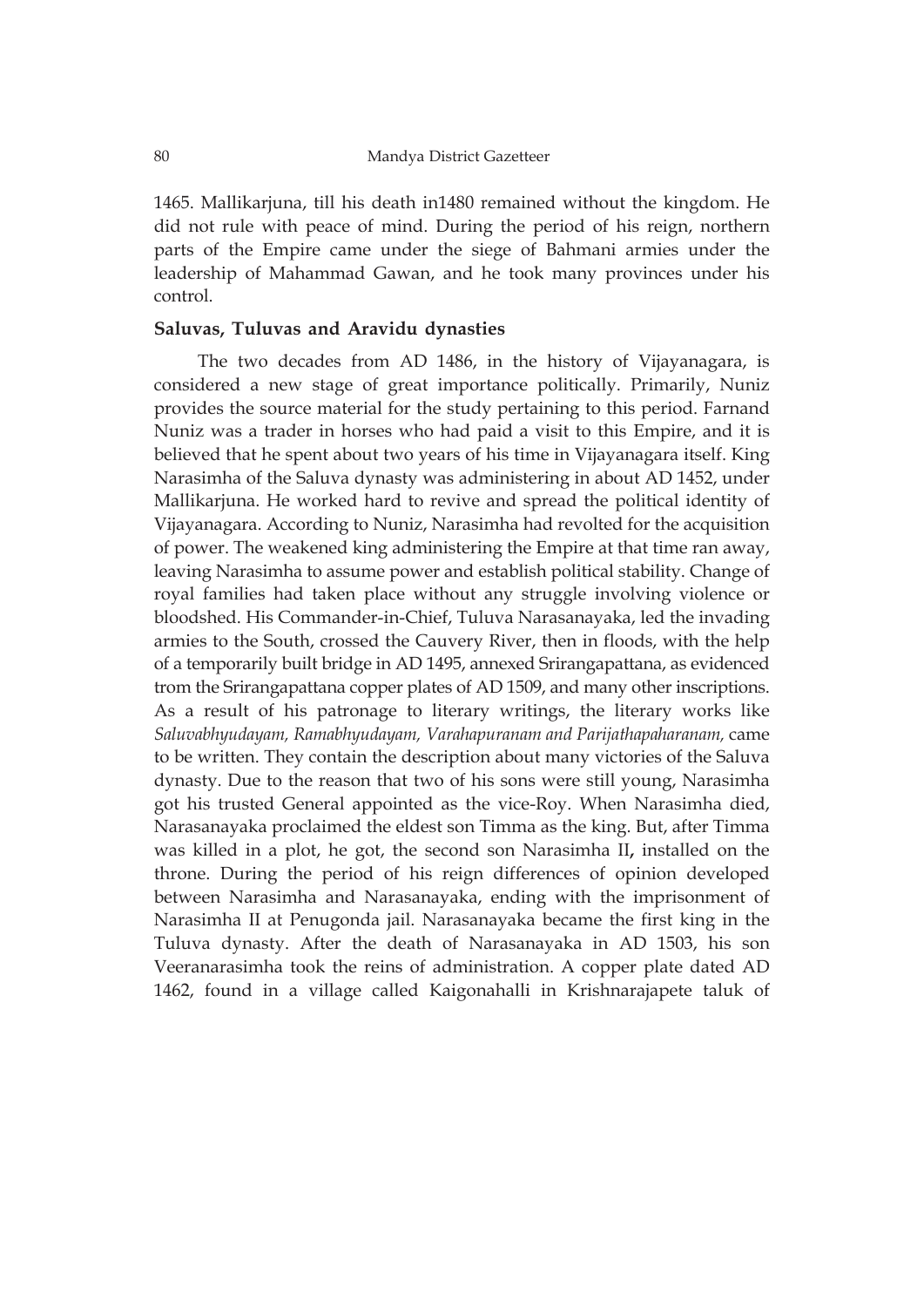1465. Mallikarjuna, till his death in1480 remained without the kingdom. He did not rule with peace of mind. During the period of his reign, northern parts of the Empire came under the siege of Bahmani armies under the leadership of Mahammad Gawan, and he took many provinces under his control.

### **Saluvas, Tuluvas and Aravidu dynasties**

The two decades from AD 1486, in the history of Vijayanagara, is considered a new stage of great importance politically. Primarily, Nuniz provides the source material for the study pertaining to this period. Farnand Nuniz was a trader in horses who had paid a visit to this Empire, and it is believed that he spent about two years of his time in Vijayanagara itself. King Narasimha of the Saluva dynasty was administering in about AD 1452, under Mallikarjuna. He worked hard to revive and spread the political identity of Vijayanagara. According to Nuniz, Narasimha had revolted for the acquisition of power. The weakened king administering the Empire at that time ran away, leaving Narasimha to assume power and establish political stability. Change of royal families had taken place without any struggle involving violence or bloodshed. His Commander-in-Chief, Tuluva Narasanayaka, led the invading armies to the South, crossed the Cauvery River, then in floods, with the help of a temporarily built bridge in AD 1495, annexed Srirangapattana, as evidenced trom the Srirangapattana copper plates of AD 1509, and many other inscriptions. As a result of his patronage to literary writings, the literary works like *Saluvabhyudayam, Ramabhyudayam, Varahapuranam and Parijathapaharanam,* came to be written. They contain the description about many victories of the Saluva dynasty. Due to the reason that two of his sons were still young, Narasimha got his trusted General appointed as the vice-Roy. When Narasimha died, Narasanayaka proclaimed the eldest son Timma as the king. But, after Timma was killed in a plot, he got, the second son Narasimha II**,** installed on the throne. During the period of his reign differences of opinion developed between Narasimha and Narasanayaka, ending with the imprisonment of Narasimha II at Penugonda jail. Narasanayaka became the first king in the Tuluva dynasty. After the death of Narasanayaka in AD 1503, his son Veeranarasimha took the reins of administration. A copper plate dated AD 1462, found in a village called Kaigonahalli in Krishnarajapete taluk of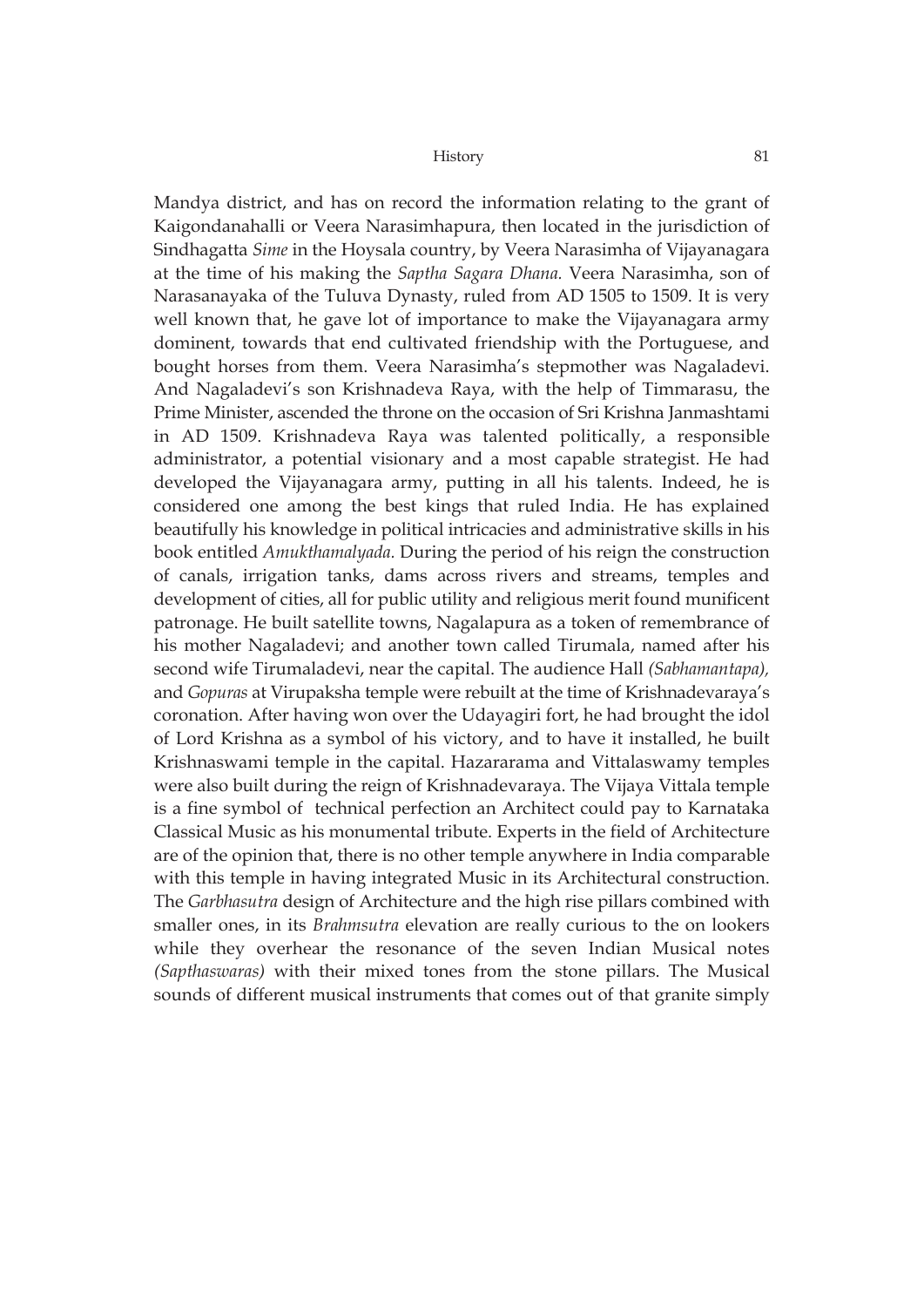Mandya district, and has on record the information relating to the grant of Kaigondanahalli or Veera Narasimhapura, then located in the jurisdiction of Sindhagatta *Sime* in the Hoysala country, by Veera Narasimha of Vijayanagara at the time of his making the *Saptha Sagara Dhana.* Veera Narasimha, son of Narasanayaka of the Tuluva Dynasty, ruled from AD 1505 to 1509. It is very well known that, he gave lot of importance to make the Vijayanagara army dominent, towards that end cultivated friendship with the Portuguese, and bought horses from them. Veera Narasimha's stepmother was Nagaladevi. And Nagaladevi's son Krishnadeva Raya, with the help of Timmarasu, the Prime Minister, ascended the throne on the occasion of Sri Krishna Janmashtami in AD 1509. Krishnadeva Raya was talented politically, a responsible administrator, a potential visionary and a most capable strategist. He had developed the Vijayanagara army, putting in all his talents. Indeed, he is considered one among the best kings that ruled India. He has explained beautifully his knowledge in political intricacies and administrative skills in his book entitled *Amukthamalyada.* During the period of his reign the construction of canals, irrigation tanks, dams across rivers and streams, temples and development of cities, all for public utility and religious merit found munificent patronage. He built satellite towns, Nagalapura as a token of remembrance of his mother Nagaladevi; and another town called Tirumala, named after his second wife Tirumaladevi, near the capital. The audience Hall *(Sabhamantapa),* and *Gopuras* at Virupaksha temple were rebuilt at the time of Krishnadevaraya's coronation. After having won over the Udayagiri fort, he had brought the idol of Lord Krishna as a symbol of his victory, and to have it installed, he built Krishnaswami temple in the capital. Hazararama and Vittalaswamy temples were also built during the reign of Krishnadevaraya. The Vijaya Vittala temple is a fine symbol of technical perfection an Architect could pay to Karnataka Classical Music as his monumental tribute. Experts in the field of Architecture are of the opinion that, there is no other temple anywhere in India comparable with this temple in having integrated Music in its Architectural construction. The *Garbhasutra* design of Architecture and the high rise pillars combined with smaller ones, in its *Brahmsutra* elevation are really curious to the on lookers while they overhear the resonance of the seven Indian Musical notes *(Sapthaswaras)* with their mixed tones from the stone pillars. The Musical sounds of different musical instruments that comes out of that granite simply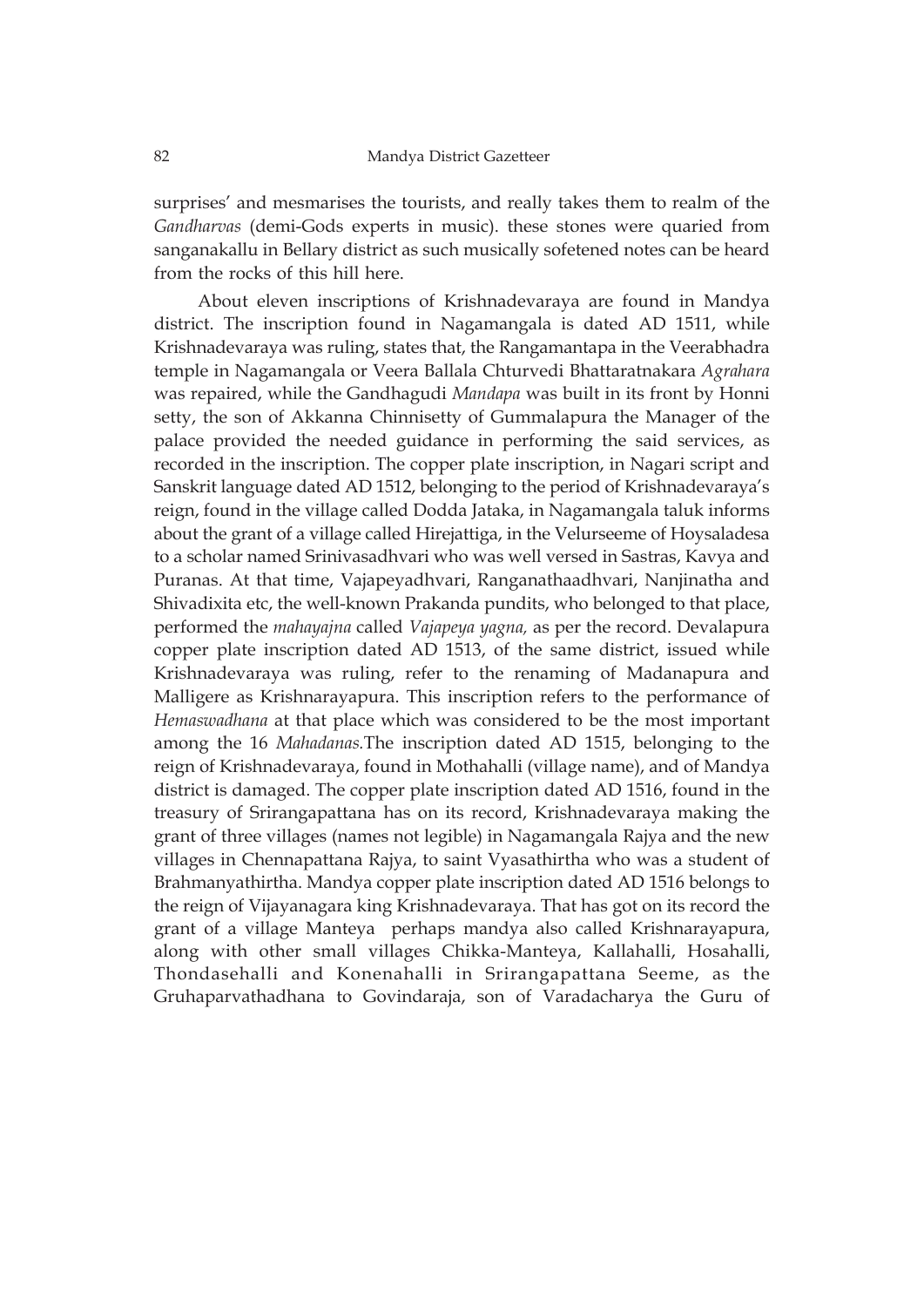surprises' and mesmarises the tourists, and really takes them to realm of the *Gandharvas* (demi-Gods experts in music). these stones were quaried from sanganakallu in Bellary district as such musically sofetened notes can be heard from the rocks of this hill here.

About eleven inscriptions of Krishnadevaraya are found in Mandya district. The inscription found in Nagamangala is dated AD 1511, while Krishnadevaraya was ruling, states that, the Rangamantapa in the Veerabhadra temple in Nagamangala or Veera Ballala Chturvedi Bhattaratnakara *Agrahara* was repaired, while the Gandhagudi *Mandapa* was built in its front by Honni setty, the son of Akkanna Chinnisetty of Gummalapura the Manager of the palace provided the needed guidance in performing the said services, as recorded in the inscription. The copper plate inscription, in Nagari script and Sanskrit language dated AD 1512, belonging to the period of Krishnadevaraya's reign, found in the village called Dodda Jataka, in Nagamangala taluk informs about the grant of a village called Hirejattiga, in the Velurseeme of Hoysaladesa to a scholar named Srinivasadhvari who was well versed in Sastras, Kavya and Puranas. At that time, Vajapeyadhvari, Ranganathaadhvari, Nanjinatha and Shivadixita etc, the well-known Prakanda pundits, who belonged to that place, performed the *mahayajna* called *Vajapeya yagna,* as per the record. Devalapura copper plate inscription dated AD 1513, of the same district, issued while Krishnadevaraya was ruling, refer to the renaming of Madanapura and Malligere as Krishnarayapura. This inscription refers to the performance of *Hemaswadhana* at that place which was considered to be the most important among the 16 *Mahadanas.*The inscription dated AD 1515, belonging to the reign of Krishnadevaraya, found in Mothahalli (village name), and of Mandya district is damaged. The copper plate inscription dated AD 1516, found in the treasury of Srirangapattana has on its record, Krishnadevaraya making the grant of three villages (names not legible) in Nagamangala Rajya and the new villages in Chennapattana Rajya, to saint Vyasathirtha who was a student of Brahmanyathirtha. Mandya copper plate inscription dated AD 1516 belongs to the reign of Vijayanagara king Krishnadevaraya. That has got on its record the grant of a village Manteya perhaps mandya also called Krishnarayapura, along with other small villages Chikka-Manteya, Kallahalli, Hosahalli, Thondasehalli and Konenahalli in Srirangapattana Seeme, as the Gruhaparvathadhana to Govindaraja, son of Varadacharya the Guru of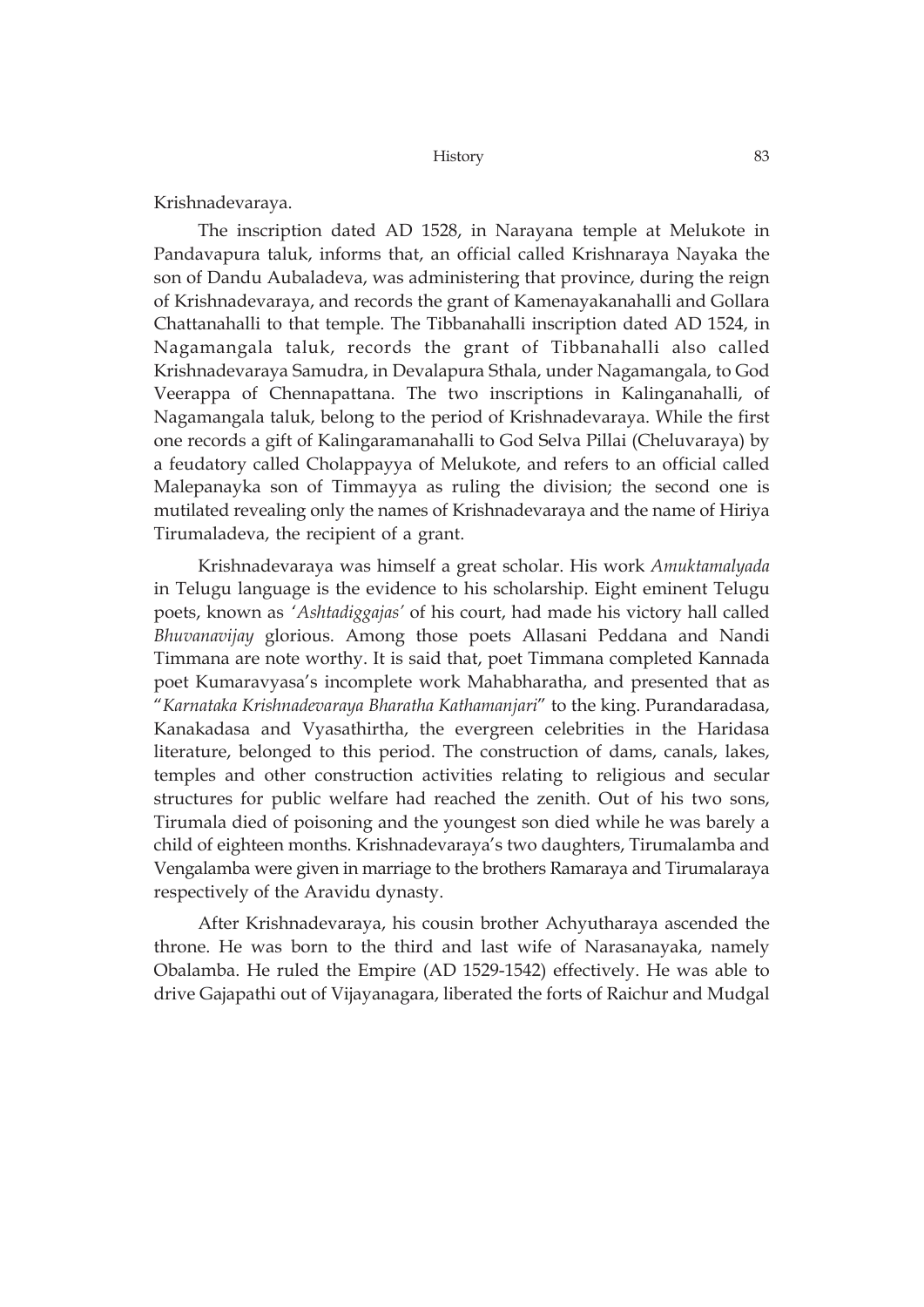### Krishnadevaraya.

The inscription dated AD 1528, in Narayana temple at Melukote in Pandavapura taluk, informs that, an official called Krishnaraya Nayaka the son of Dandu Aubaladeva, was administering that province, during the reign of Krishnadevaraya, and records the grant of Kamenayakanahalli and Gollara Chattanahalli to that temple. The Tibbanahalli inscription dated AD 1524, in Nagamangala taluk, records the grant of Tibbanahalli also called Krishnadevaraya Samudra, in Devalapura Sthala, under Nagamangala, to God Veerappa of Chennapattana. The two inscriptions in Kalinganahalli, of Nagamangala taluk, belong to the period of Krishnadevaraya. While the first one records a gift of Kalingaramanahalli to God Selva Pillai (Cheluvaraya) by a feudatory called Cholappayya of Melukote, and refers to an official called Malepanayka son of Timmayya as ruling the division; the second one is mutilated revealing only the names of Krishnadevaraya and the name of Hiriya Tirumaladeva, the recipient of a grant.

Krishnadevaraya was himself a great scholar. His work *Amuktamalyada* in Telugu language is the evidence to his scholarship. Eight eminent Telugu poets, known as '*Ashtadiggajas'* of his court, had made his victory hall called *Bhuvanavijay* glorious. Among those poets Allasani Peddana and Nandi Timmana are note worthy. It is said that, poet Timmana completed Kannada poet Kumaravyasa's incomplete work Mahabharatha, and presented that as "*Karnataka Krishnadevaraya Bharatha Kathamanjari*" to the king. Purandaradasa, Kanakadasa and Vyasathirtha, the evergreen celebrities in the Haridasa literature, belonged to this period. The construction of dams, canals, lakes, temples and other construction activities relating to religious and secular structures for public welfare had reached the zenith. Out of his two sons, Tirumala died of poisoning and the youngest son died while he was barely a child of eighteen months. Krishnadevaraya's two daughters, Tirumalamba and Vengalamba were given in marriage to the brothers Ramaraya and Tirumalaraya respectively of the Aravidu dynasty.

After Krishnadevaraya, his cousin brother Achyutharaya ascended the throne. He was born to the third and last wife of Narasanayaka, namely Obalamba. He ruled the Empire (AD 1529-1542) effectively. He was able to drive Gajapathi out of Vijayanagara, liberated the forts of Raichur and Mudgal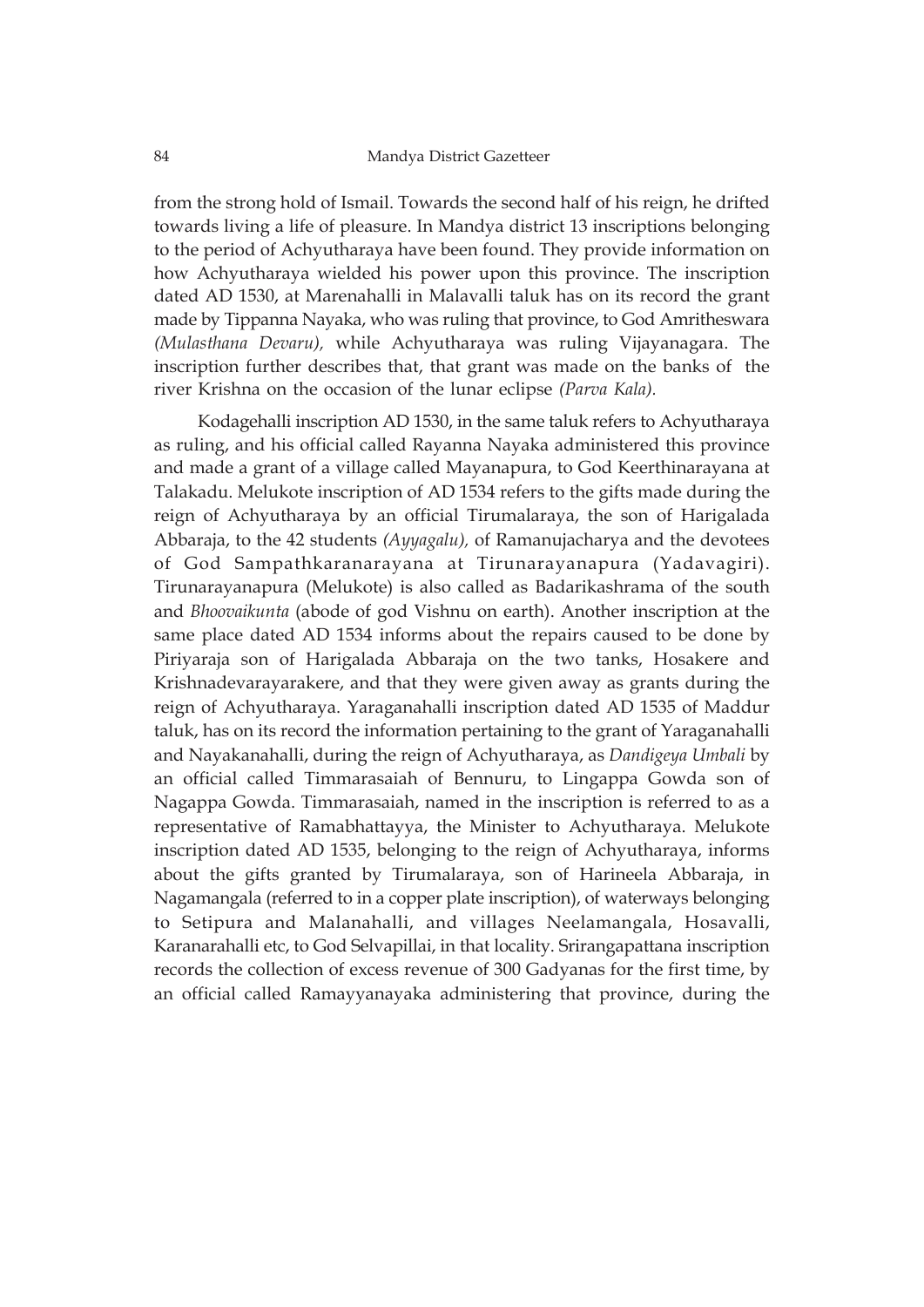### 84 Mandya District Gazetteer

from the strong hold of Ismail. Towards the second half of his reign, he drifted towards living a life of pleasure. In Mandya district 13 inscriptions belonging to the period of Achyutharaya have been found. They provide information on how Achyutharaya wielded his power upon this province. The inscription dated AD 1530, at Marenahalli in Malavalli taluk has on its record the grant made by Tippanna Nayaka, who was ruling that province, to God Amritheswara *(Mulasthana Devaru),* while Achyutharaya was ruling Vijayanagara. The inscription further describes that, that grant was made on the banks of the river Krishna on the occasion of the lunar eclipse *(Parva Kala).*

Kodagehalli inscription AD 1530, in the same taluk refers to Achyutharaya as ruling, and his official called Rayanna Nayaka administered this province and made a grant of a village called Mayanapura, to God Keerthinarayana at Talakadu. Melukote inscription of AD 1534 refers to the gifts made during the reign of Achyutharaya by an official Tirumalaraya, the son of Harigalada Abbaraja, to the 42 students *(Ayyagalu),* of Ramanujacharya and the devotees of God Sampathkaranarayana at Tirunarayanapura (Yadavagiri). Tirunarayanapura (Melukote) is also called as Badarikashrama of the south and *Bhoovaikunta* (abode of god Vishnu on earth). Another inscription at the same place dated AD 1534 informs about the repairs caused to be done by Piriyaraja son of Harigalada Abbaraja on the two tanks, Hosakere and Krishnadevarayarakere, and that they were given away as grants during the reign of Achyutharaya. Yaraganahalli inscription dated AD 1535 of Maddur taluk, has on its record the information pertaining to the grant of Yaraganahalli and Nayakanahalli, during the reign of Achyutharaya, as *Dandigeya Umbali* by an official called Timmarasaiah of Bennuru, to Lingappa Gowda son of Nagappa Gowda. Timmarasaiah, named in the inscription is referred to as a representative of Ramabhattayya, the Minister to Achyutharaya. Melukote inscription dated AD 1535, belonging to the reign of Achyutharaya, informs about the gifts granted by Tirumalaraya, son of Harineela Abbaraja, in Nagamangala (referred to in a copper plate inscription), of waterways belonging to Setipura and Malanahalli, and villages Neelamangala, Hosavalli, Karanarahalli etc, to God Selvapillai, in that locality. Srirangapattana inscription records the collection of excess revenue of 300 Gadyanas for the first time, by an official called Ramayyanayaka administering that province, during the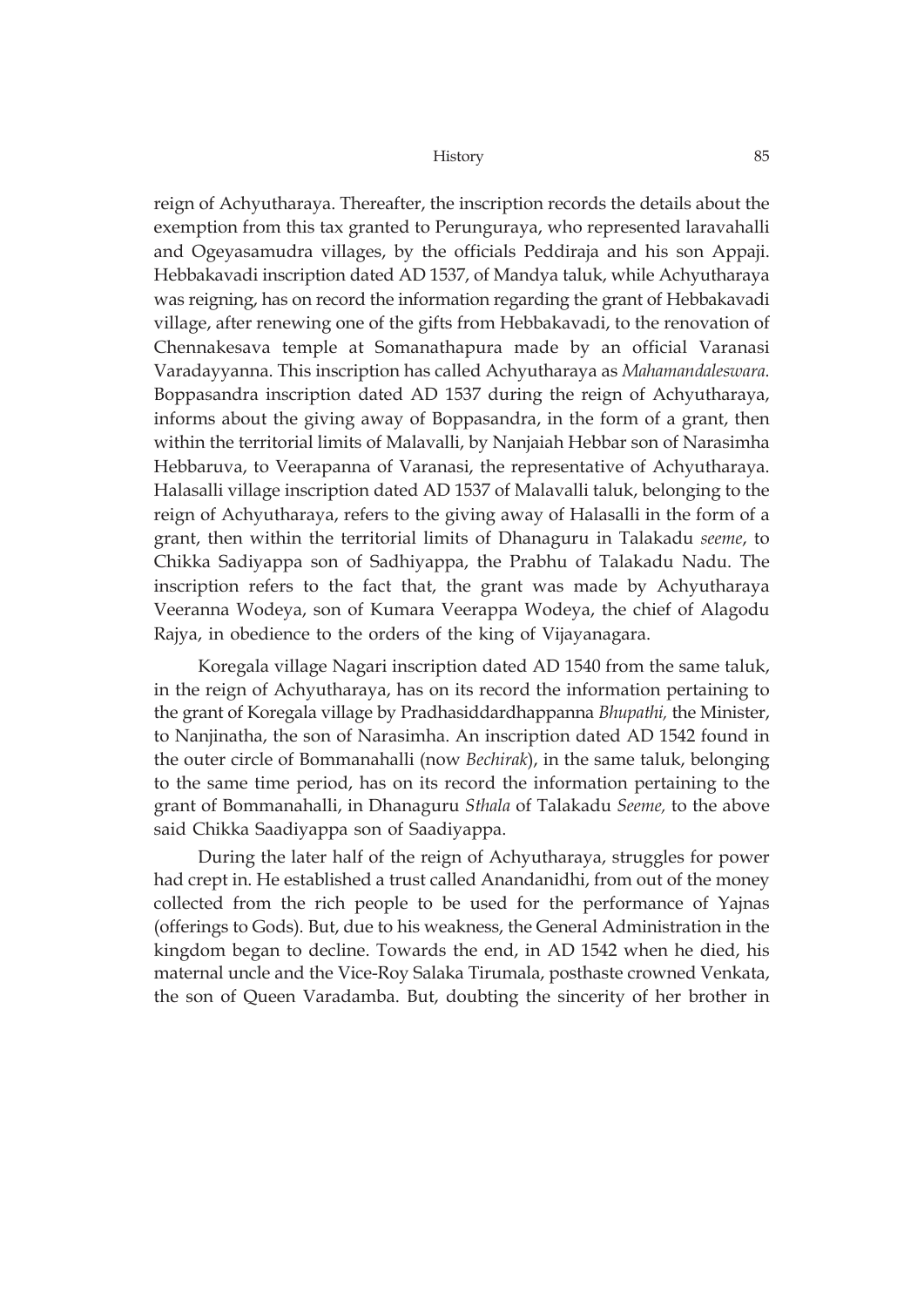reign of Achyutharaya. Thereafter, the inscription records the details about the exemption from this tax granted to Perunguraya, who represented laravahalli and Ogeyasamudra villages, by the officials Peddiraja and his son Appaji. Hebbakavadi inscription dated AD 1537, of Mandya taluk, while Achyutharaya was reigning, has on record the information regarding the grant of Hebbakavadi village, after renewing one of the gifts from Hebbakavadi, to the renovation of Chennakesava temple at Somanathapura made by an official Varanasi Varadayyanna. This inscription has called Achyutharaya as *Mahamandaleswara.* Boppasandra inscription dated AD 1537 during the reign of Achyutharaya, informs about the giving away of Boppasandra, in the form of a grant, then within the territorial limits of Malavalli, by Nanjaiah Hebbar son of Narasimha Hebbaruva, to Veerapanna of Varanasi, the representative of Achyutharaya. Halasalli village inscription dated AD 1537 of Malavalli taluk, belonging to the reign of Achyutharaya, refers to the giving away of Halasalli in the form of a grant, then within the territorial limits of Dhanaguru in Talakadu *seeme*, to Chikka Sadiyappa son of Sadhiyappa, the Prabhu of Talakadu Nadu. The inscription refers to the fact that, the grant was made by Achyutharaya Veeranna Wodeya, son of Kumara Veerappa Wodeya, the chief of Alagodu Rajya, in obedience to the orders of the king of Vijayanagara.

Koregala village Nagari inscription dated AD 1540 from the same taluk, in the reign of Achyutharaya, has on its record the information pertaining to the grant of Koregala village by Pradhasiddardhappanna *Bhupathi,* the Minister, to Nanjinatha, the son of Narasimha. An inscription dated AD 1542 found in the outer circle of Bommanahalli (now *Bechirak*), in the same taluk, belonging to the same time period, has on its record the information pertaining to the grant of Bommanahalli, in Dhanaguru *Sthala* of Talakadu *Seeme,* to the above said Chikka Saadiyappa son of Saadiyappa.

During the later half of the reign of Achyutharaya, struggles for power had crept in. He established a trust called Anandanidhi, from out of the money collected from the rich people to be used for the performance of Yajnas (offerings to Gods). But, due to his weakness, the General Administration in the kingdom began to decline. Towards the end, in AD 1542 when he died, his maternal uncle and the Vice-Roy Salaka Tirumala, posthaste crowned Venkata, the son of Queen Varadamba. But, doubting the sincerity of her brother in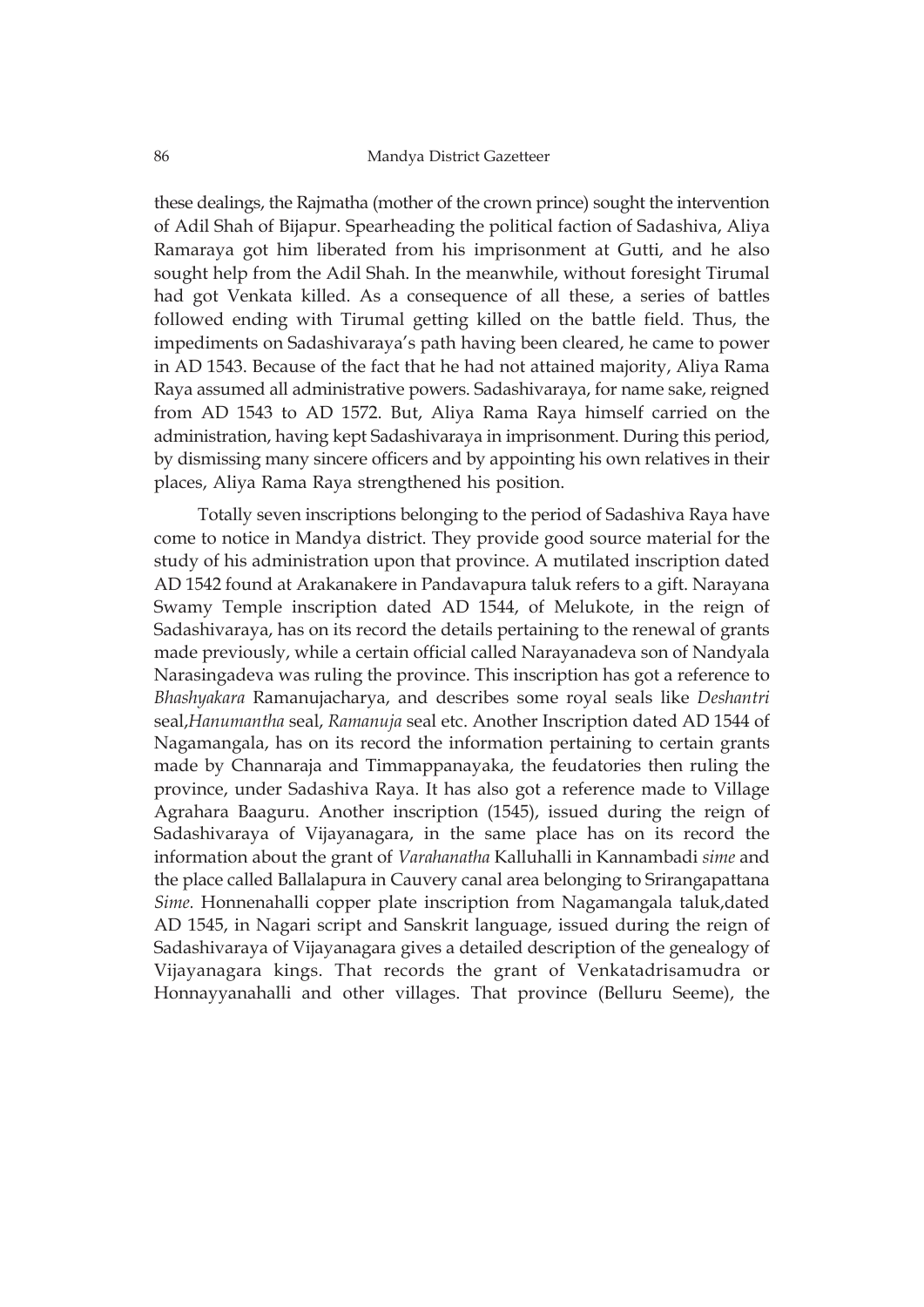these dealings, the Rajmatha (mother of the crown prince) sought the intervention of Adil Shah of Bijapur. Spearheading the political faction of Sadashiva, Aliya Ramaraya got him liberated from his imprisonment at Gutti, and he also sought help from the Adil Shah. In the meanwhile, without foresight Tirumal had got Venkata killed. As a consequence of all these, a series of battles followed ending with Tirumal getting killed on the battle field. Thus, the impediments on Sadashivaraya's path having been cleared, he came to power in AD 1543. Because of the fact that he had not attained majority, Aliya Rama Raya assumed all administrative powers. Sadashivaraya, for name sake, reigned from AD 1543 to AD 1572. But, Aliya Rama Raya himself carried on the administration, having kept Sadashivaraya in imprisonment. During this period, by dismissing many sincere officers and by appointing his own relatives in their places, Aliya Rama Raya strengthened his position.

Totally seven inscriptions belonging to the period of Sadashiva Raya have come to notice in Mandya district. They provide good source material for the study of his administration upon that province. A mutilated inscription dated AD 1542 found at Arakanakere in Pandavapura taluk refers to a gift. Narayana Swamy Temple inscription dated AD 1544, of Melukote, in the reign of Sadashivaraya, has on its record the details pertaining to the renewal of grants made previously, while a certain official called Narayanadeva son of Nandyala Narasingadeva was ruling the province. This inscription has got a reference to *Bhashyakara* Ramanujacharya, and describes some royal seals like *Deshantri* seal,*Hanumantha* seal, *Ramanuja* seal etc. Another Inscription dated AD 1544 of Nagamangala, has on its record the information pertaining to certain grants made by Channaraja and Timmappanayaka, the feudatories then ruling the province, under Sadashiva Raya. It has also got a reference made to Village Agrahara Baaguru. Another inscription (1545), issued during the reign of Sadashivaraya of Vijayanagara, in the same place has on its record the information about the grant of *Varahanatha* Kalluhalli in Kannambadi *sime* and the place called Ballalapura in Cauvery canal area belonging to Srirangapattana *Sime.* Honnenahalli copper plate inscription from Nagamangala taluk,dated AD 1545, in Nagari script and Sanskrit language, issued during the reign of Sadashivaraya of Vijayanagara gives a detailed description of the genealogy of Vijayanagara kings. That records the grant of Venkatadrisamudra or Honnayyanahalli and other villages. That province (Belluru Seeme), the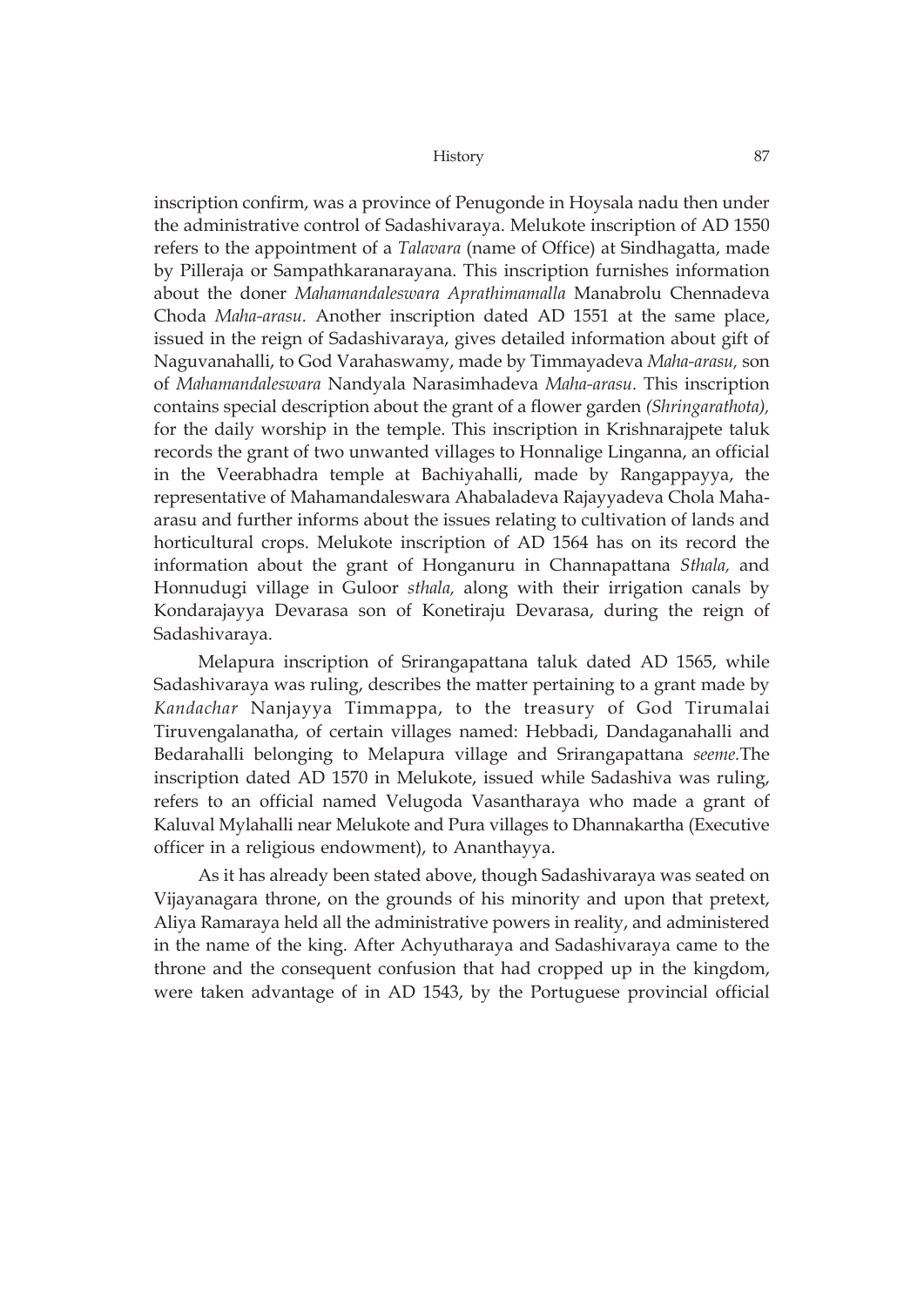inscription confirm, was a province of Penugonde in Hoysala nadu then under the administrative control of Sadashivaraya. Melukote inscription of AD 1550 refers to the appointment of a *Talavara* (name of Office) at Sindhagatta, made by Pilleraja or Sampathkaranarayana. This inscription furnishes information about the doner *Mahamandaleswara Aprathimamalla* Manabrolu Chennadeva Choda *Maha-arasu.* Another inscription dated AD 1551 at the same place, issued in the reign of Sadashivaraya, gives detailed information about gift of Naguvanahalli, to God Varahaswamy, made by Timmayadeva *Maha-arasu,* son of *Mahamandaleswara* Nandyala Narasimhadeva *Maha-arasu.* This inscription contains special description about the grant of a flower garden *(Shringarathota),* for the daily worship in the temple. This inscription in Krishnarajpete taluk records the grant of two unwanted villages to Honnalige Linganna, an official in the Veerabhadra temple at Bachiyahalli, made by Rangappayya, the representative of Mahamandaleswara Ahabaladeva Rajayyadeva Chola Mahaarasu and further informs about the issues relating to cultivation of lands and horticultural crops. Melukote inscription of AD 1564 has on its record the information about the grant of Honganuru in Channapattana *Sthala,* and Honnudugi village in Guloor *sthala,* along with their irrigation canals by Kondarajayya Devarasa son of Konetiraju Devarasa, during the reign of Sadashivaraya.

Melapura inscription of Srirangapattana taluk dated AD 1565, while Sadashivaraya was ruling, describes the matter pertaining to a grant made by *Kandachar* Nanjayya Timmappa, to the treasury of God Tirumalai Tiruvengalanatha, of certain villages named: Hebbadi, Dandaganahalli and Bedarahalli belonging to Melapura village and Srirangapattana *seeme.*The inscription dated AD 1570 in Melukote, issued while Sadashiva was ruling, refers to an official named Velugoda Vasantharaya who made a grant of Kaluval Mylahalli near Melukote and Pura villages to Dhannakartha (Executive officer in a religious endowment), to Ananthayya.

As it has already been stated above, though Sadashivaraya was seated on Vijayanagara throne, on the grounds of his minority and upon that pretext, Aliya Ramaraya held all the administrative powers in reality, and administered in the name of the king. After Achyutharaya and Sadashivaraya came to the throne and the consequent confusion that had cropped up in the kingdom, were taken advantage of in AD 1543, by the Portuguese provincial official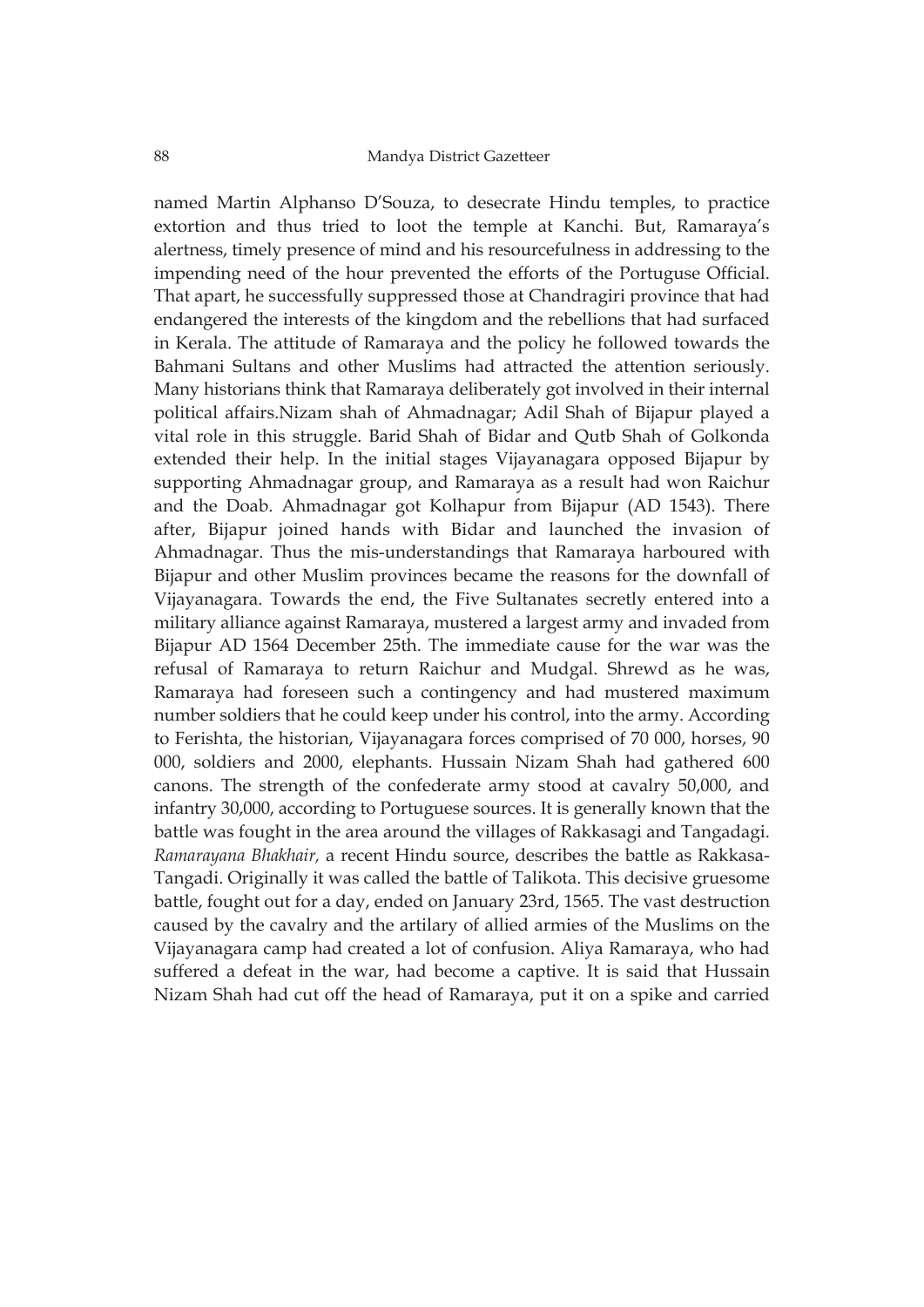named Martin Alphanso D'Souza, to desecrate Hindu temples, to practice extortion and thus tried to loot the temple at Kanchi. But, Ramaraya's alertness, timely presence of mind and his resourcefulness in addressing to the impending need of the hour prevented the efforts of the Portuguse Official. That apart, he successfully suppressed those at Chandragiri province that had endangered the interests of the kingdom and the rebellions that had surfaced in Kerala. The attitude of Ramaraya and the policy he followed towards the Bahmani Sultans and other Muslims had attracted the attention seriously. Many historians think that Ramaraya deliberately got involved in their internal political affairs.Nizam shah of Ahmadnagar; Adil Shah of Bijapur played a vital role in this struggle. Barid Shah of Bidar and Qutb Shah of Golkonda extended their help. In the initial stages Vijayanagara opposed Bijapur by supporting Ahmadnagar group, and Ramaraya as a result had won Raichur and the Doab. Ahmadnagar got Kolhapur from Bijapur (AD 1543). There after, Bijapur joined hands with Bidar and launched the invasion of Ahmadnagar. Thus the mis-understandings that Ramaraya harboured with Bijapur and other Muslim provinces became the reasons for the downfall of Vijayanagara. Towards the end, the Five Sultanates secretly entered into a military alliance against Ramaraya, mustered a largest army and invaded from Bijapur AD 1564 December 25th. The immediate cause for the war was the refusal of Ramaraya to return Raichur and Mudgal. Shrewd as he was, Ramaraya had foreseen such a contingency and had mustered maximum number soldiers that he could keep under his control, into the army. According to Ferishta, the historian, Vijayanagara forces comprised of 70 000, horses, 90 000, soldiers and 2000, elephants. Hussain Nizam Shah had gathered 600 canons. The strength of the confederate army stood at cavalry 50,000, and infantry 30,000, according to Portuguese sources. It is generally known that the battle was fought in the area around the villages of Rakkasagi and Tangadagi. *Ramarayana Bhakhair,* a recent Hindu source, describes the battle as Rakkasa-Tangadi. Originally it was called the battle of Talikota. This decisive gruesome battle, fought out for a day, ended on January 23rd, 1565. The vast destruction caused by the cavalry and the artilary of allied armies of the Muslims on the Vijayanagara camp had created a lot of confusion. Aliya Ramaraya, who had suffered a defeat in the war, had become a captive. It is said that Hussain Nizam Shah had cut off the head of Ramaraya, put it on a spike and carried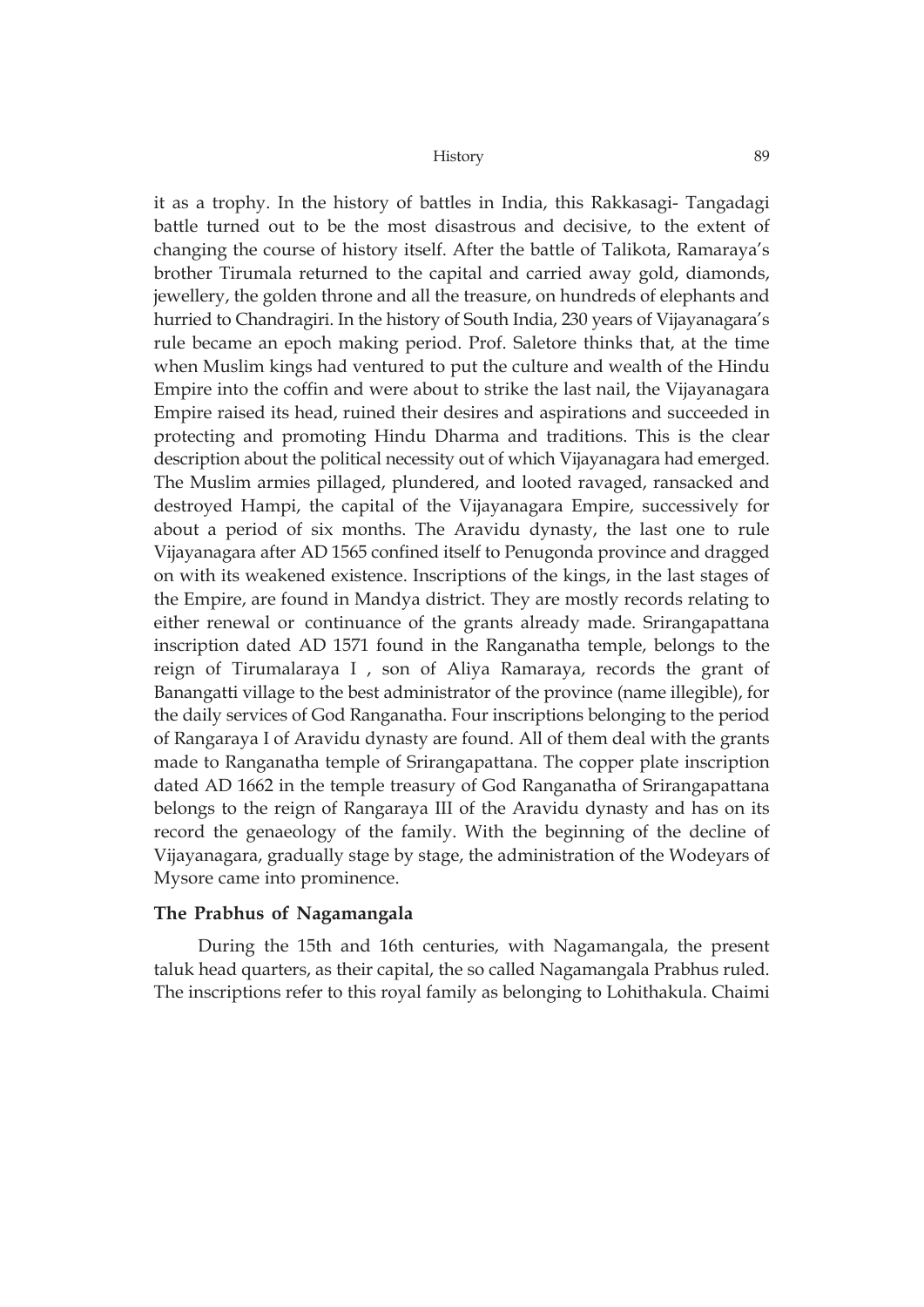it as a trophy. In the history of battles in India, this Rakkasagi- Tangadagi battle turned out to be the most disastrous and decisive, to the extent of changing the course of history itself. After the battle of Talikota, Ramaraya's brother Tirumala returned to the capital and carried away gold, diamonds, jewellery, the golden throne and all the treasure, on hundreds of elephants and hurried to Chandragiri. In the history of South India, 230 years of Vijayanagara's rule became an epoch making period. Prof. Saletore thinks that, at the time when Muslim kings had ventured to put the culture and wealth of the Hindu Empire into the coffin and were about to strike the last nail, the Vijayanagara Empire raised its head, ruined their desires and aspirations and succeeded in protecting and promoting Hindu Dharma and traditions. This is the clear description about the political necessity out of which Vijayanagara had emerged. The Muslim armies pillaged, plundered, and looted ravaged, ransacked and destroyed Hampi, the capital of the Vijayanagara Empire, successively for about a period of six months. The Aravidu dynasty, the last one to rule Vijayanagara after AD 1565 confined itself to Penugonda province and dragged on with its weakened existence. Inscriptions of the kings, in the last stages of the Empire, are found in Mandya district. They are mostly records relating to either renewal or continuance of the grants already made. Srirangapattana inscription dated AD 1571 found in the Ranganatha temple, belongs to the reign of Tirumalaraya I , son of Aliya Ramaraya, records the grant of Banangatti village to the best administrator of the province (name illegible), for the daily services of God Ranganatha. Four inscriptions belonging to the period of Rangaraya I of Aravidu dynasty are found. All of them deal with the grants made to Ranganatha temple of Srirangapattana. The copper plate inscription dated AD 1662 in the temple treasury of God Ranganatha of Srirangapattana belongs to the reign of Rangaraya III of the Aravidu dynasty and has on its record the genaeology of the family. With the beginning of the decline of Vijayanagara, gradually stage by stage, the administration of the Wodeyars of Mysore came into prominence.

## **The Prabhus of Nagamangala**

During the 15th and 16th centuries, with Nagamangala, the present taluk head quarters, as their capital, the so called Nagamangala Prabhus ruled. The inscriptions refer to this royal family as belonging to Lohithakula. Chaimi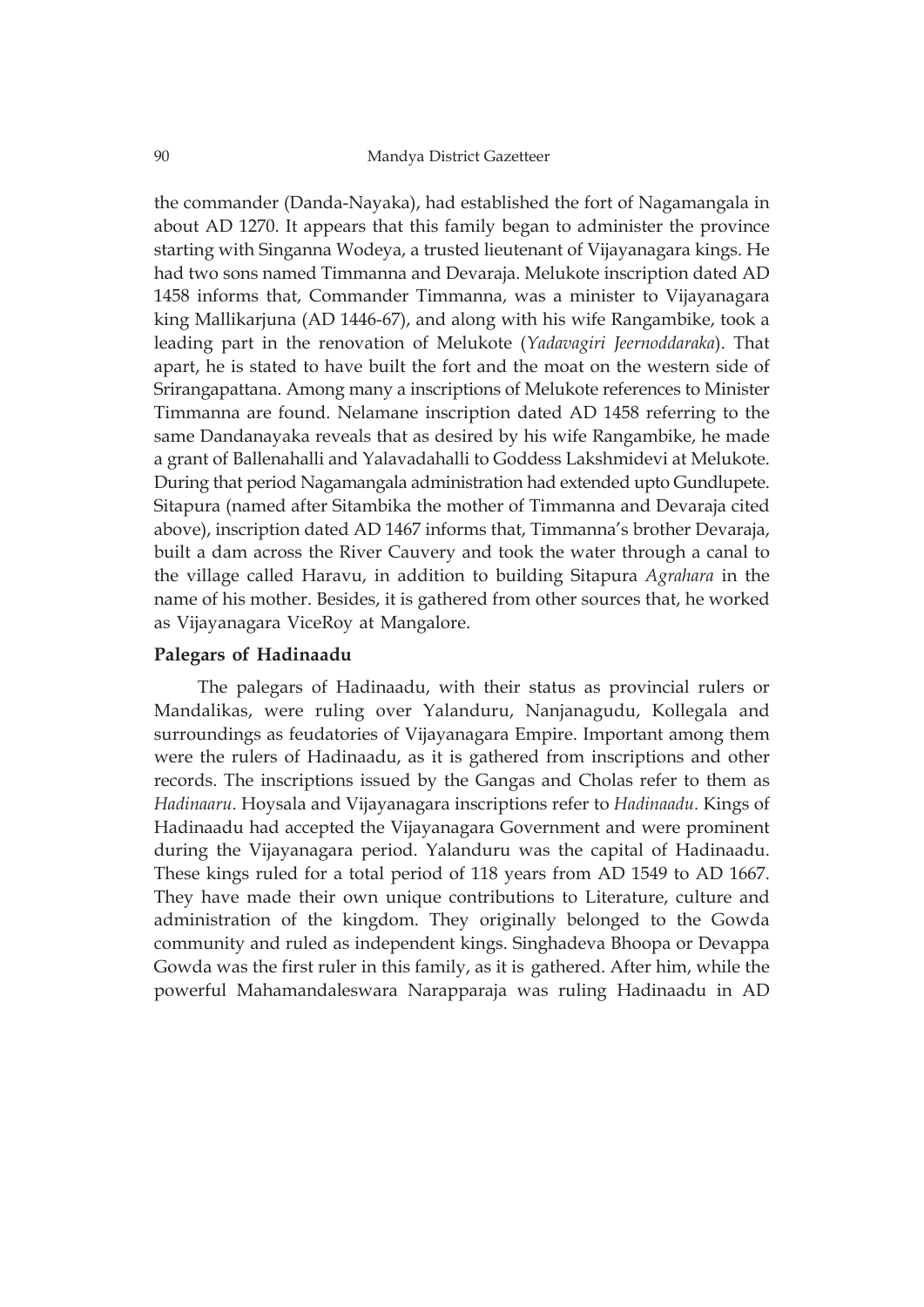the commander (Danda-Nayaka), had established the fort of Nagamangala in about AD 1270. It appears that this family began to administer the province starting with Singanna Wodeya, a trusted lieutenant of Vijayanagara kings. He had two sons named Timmanna and Devaraja. Melukote inscription dated AD 1458 informs that, Commander Timmanna, was a minister to Vijayanagara king Mallikarjuna (AD 1446-67), and along with his wife Rangambike, took a leading part in the renovation of Melukote (*Yadavagiri Jeernoddaraka*). That apart, he is stated to have built the fort and the moat on the western side of Srirangapattana. Among many a inscriptions of Melukote references to Minister Timmanna are found. Nelamane inscription dated AD 1458 referring to the same Dandanayaka reveals that as desired by his wife Rangambike, he made a grant of Ballenahalli and Yalavadahalli to Goddess Lakshmidevi at Melukote. During that period Nagamangala administration had extended upto Gundlupete. Sitapura (named after Sitambika the mother of Timmanna and Devaraja cited above), inscription dated AD 1467 informs that, Timmanna's brother Devaraja, built a dam across the River Cauvery and took the water through a canal to the village called Haravu, in addition to building Sitapura *Agrahara* in the name of his mother. Besides, it is gathered from other sources that, he worked as Vijayanagara ViceRoy at Mangalore.

# **Palegars of Hadinaadu**

The palegars of Hadinaadu, with their status as provincial rulers or Mandalikas, were ruling over Yalanduru, Nanjanagudu, Kollegala and surroundings as feudatories of Vijayanagara Empire. Important among them were the rulers of Hadinaadu, as it is gathered from inscriptions and other records. The inscriptions issued by the Gangas and Cholas refer to them as *Hadinaaru.* Hoysala and Vijayanagara inscriptions refer to *Hadinaadu.* Kings of Hadinaadu had accepted the Vijayanagara Government and were prominent during the Vijayanagara period. Yalanduru was the capital of Hadinaadu. These kings ruled for a total period of 118 years from AD 1549 to AD 1667. They have made their own unique contributions to Literature, culture and administration of the kingdom. They originally belonged to the Gowda community and ruled as independent kings. Singhadeva Bhoopa or Devappa Gowda was the first ruler in this family, as it is gathered. After him, while the powerful Mahamandaleswara Narapparaja was ruling Hadinaadu in AD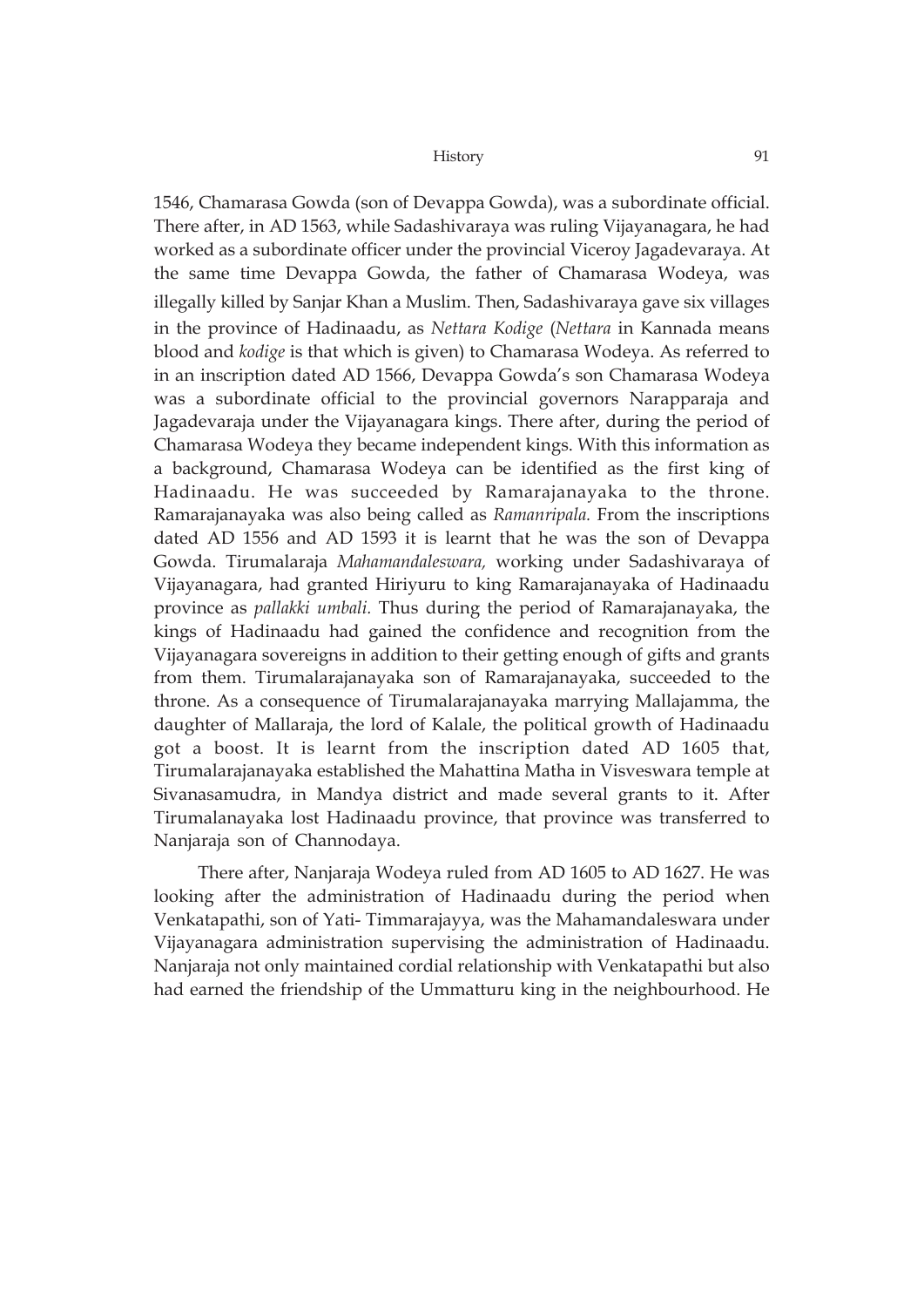1546, Chamarasa Gowda (son of Devappa Gowda), was a subordinate official. There after, in AD 1563, while Sadashivaraya was ruling Vijayanagara, he had worked as a subordinate officer under the provincial Viceroy Jagadevaraya. At the same time Devappa Gowda, the father of Chamarasa Wodeya, was illegally killed by Sanjar Khan a Muslim. Then, Sadashivaraya gave six villages in the province of Hadinaadu, as *Nettara Kodige* (*Nettara* in Kannada means blood and *kodige* is that which is given) to Chamarasa Wodeya. As referred to in an inscription dated AD 1566, Devappa Gowda's son Chamarasa Wodeya was a subordinate official to the provincial governors Narapparaja and Jagadevaraja under the Vijayanagara kings. There after, during the period of Chamarasa Wodeya they became independent kings. With this information as a background, Chamarasa Wodeya can be identified as the first king of Hadinaadu. He was succeeded by Ramarajanayaka to the throne. Ramarajanayaka was also being called as *Ramanripala.* From the inscriptions dated AD 1556 and AD 1593 it is learnt that he was the son of Devappa Gowda. Tirumalaraja *Mahamandaleswara,* working under Sadashivaraya of Vijayanagara, had granted Hiriyuru to king Ramarajanayaka of Hadinaadu province as *pallakki umbali.* Thus during the period of Ramarajanayaka, the kings of Hadinaadu had gained the confidence and recognition from the Vijayanagara sovereigns in addition to their getting enough of gifts and grants from them. Tirumalarajanayaka son of Ramarajanayaka, succeeded to the throne. As a consequence of Tirumalarajanayaka marrying Mallajamma, the daughter of Mallaraja, the lord of Kalale, the political growth of Hadinaadu got a boost. It is learnt from the inscription dated AD 1605 that, Tirumalarajanayaka established the Mahattina Matha in Visveswara temple at Sivanasamudra, in Mandya district and made several grants to it. After Tirumalanayaka lost Hadinaadu province, that province was transferred to Nanjaraja son of Channodaya.

There after, Nanjaraja Wodeya ruled from AD 1605 to AD 1627. He was looking after the administration of Hadinaadu during the period when Venkatapathi, son of Yati- Timmarajayya, was the Mahamandaleswara under Vijayanagara administration supervising the administration of Hadinaadu. Nanjaraja not only maintained cordial relationship with Venkatapathi but also had earned the friendship of the Ummatturu king in the neighbourhood. He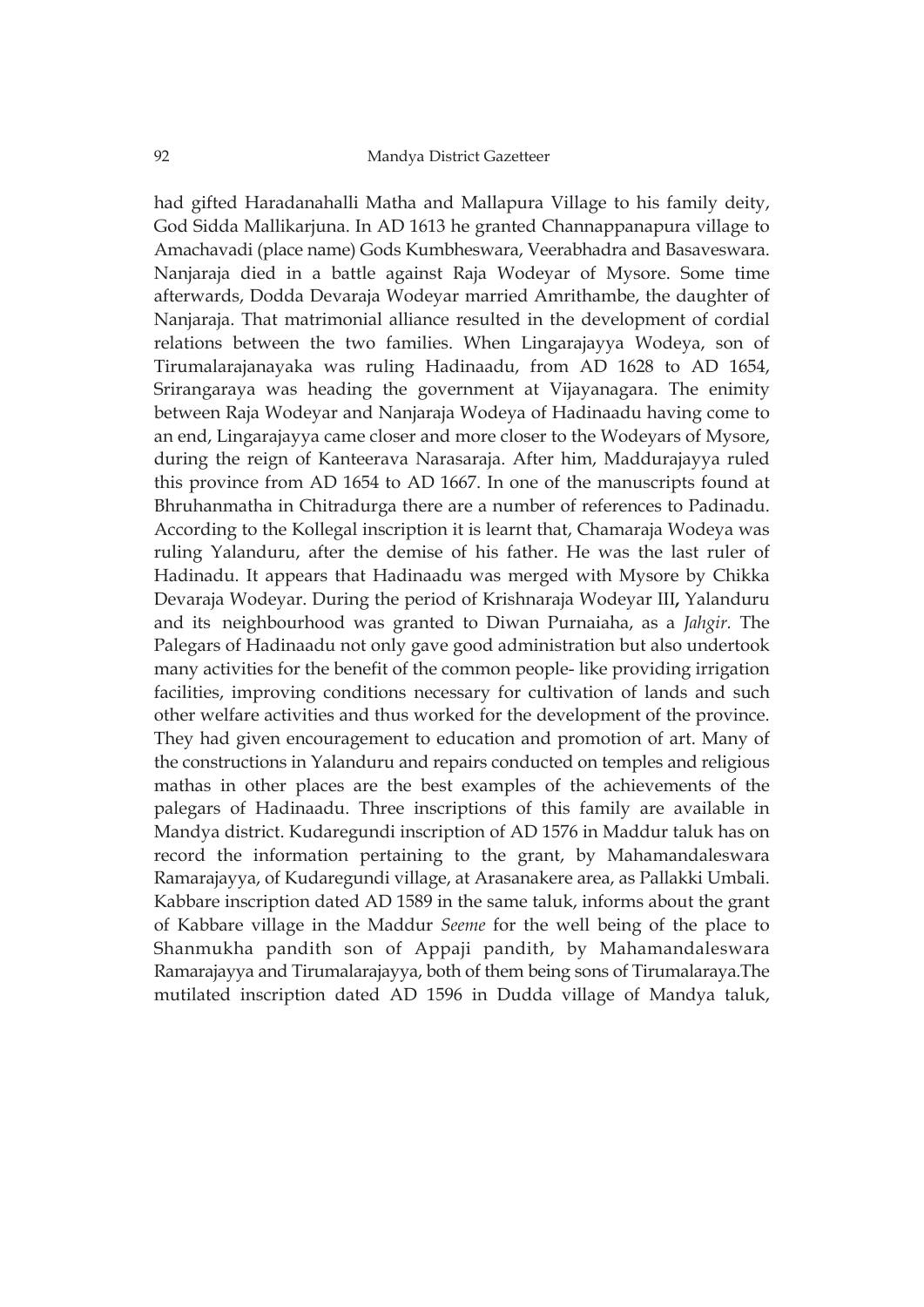had gifted Haradanahalli Matha and Mallapura Village to his family deity, God Sidda Mallikarjuna. In AD 1613 he granted Channappanapura village to Amachavadi (place name) Gods Kumbheswara, Veerabhadra and Basaveswara. Nanjaraja died in a battle against Raja Wodeyar of Mysore. Some time afterwards, Dodda Devaraja Wodeyar married Amrithambe, the daughter of Nanjaraja. That matrimonial alliance resulted in the development of cordial relations between the two families. When Lingarajayya Wodeya, son of Tirumalarajanayaka was ruling Hadinaadu, from AD 1628 to AD 1654, Srirangaraya was heading the government at Vijayanagara. The enimity between Raja Wodeyar and Nanjaraja Wodeya of Hadinaadu having come to an end, Lingarajayya came closer and more closer to the Wodeyars of Mysore, during the reign of Kanteerava Narasaraja. After him, Maddurajayya ruled this province from AD 1654 to AD 1667. In one of the manuscripts found at Bhruhanmatha in Chitradurga there are a number of references to Padinadu. According to the Kollegal inscription it is learnt that, Chamaraja Wodeya was ruling Yalanduru, after the demise of his father. He was the last ruler of Hadinadu. It appears that Hadinaadu was merged with Mysore by Chikka Devaraja Wodeyar. During the period of Krishnaraja Wodeyar III**,** Yalanduru and its neighbourhood was granted to Diwan Purnaiaha, as a *Jahgir.* The Palegars of Hadinaadu not only gave good administration but also undertook many activities for the benefit of the common people- like providing irrigation facilities, improving conditions necessary for cultivation of lands and such other welfare activities and thus worked for the development of the province. They had given encouragement to education and promotion of art. Many of the constructions in Yalanduru and repairs conducted on temples and religious mathas in other places are the best examples of the achievements of the palegars of Hadinaadu. Three inscriptions of this family are available in Mandya district. Kudaregundi inscription of AD 1576 in Maddur taluk has on record the information pertaining to the grant, by Mahamandaleswara Ramarajayya, of Kudaregundi village, at Arasanakere area, as Pallakki Umbali. Kabbare inscription dated AD 1589 in the same taluk, informs about the grant of Kabbare village in the Maddur *Seeme* for the well being of the place to Shanmukha pandith son of Appaji pandith, by Mahamandaleswara Ramarajayya and Tirumalarajayya, both of them being sons of Tirumalaraya.The mutilated inscription dated AD 1596 in Dudda village of Mandya taluk,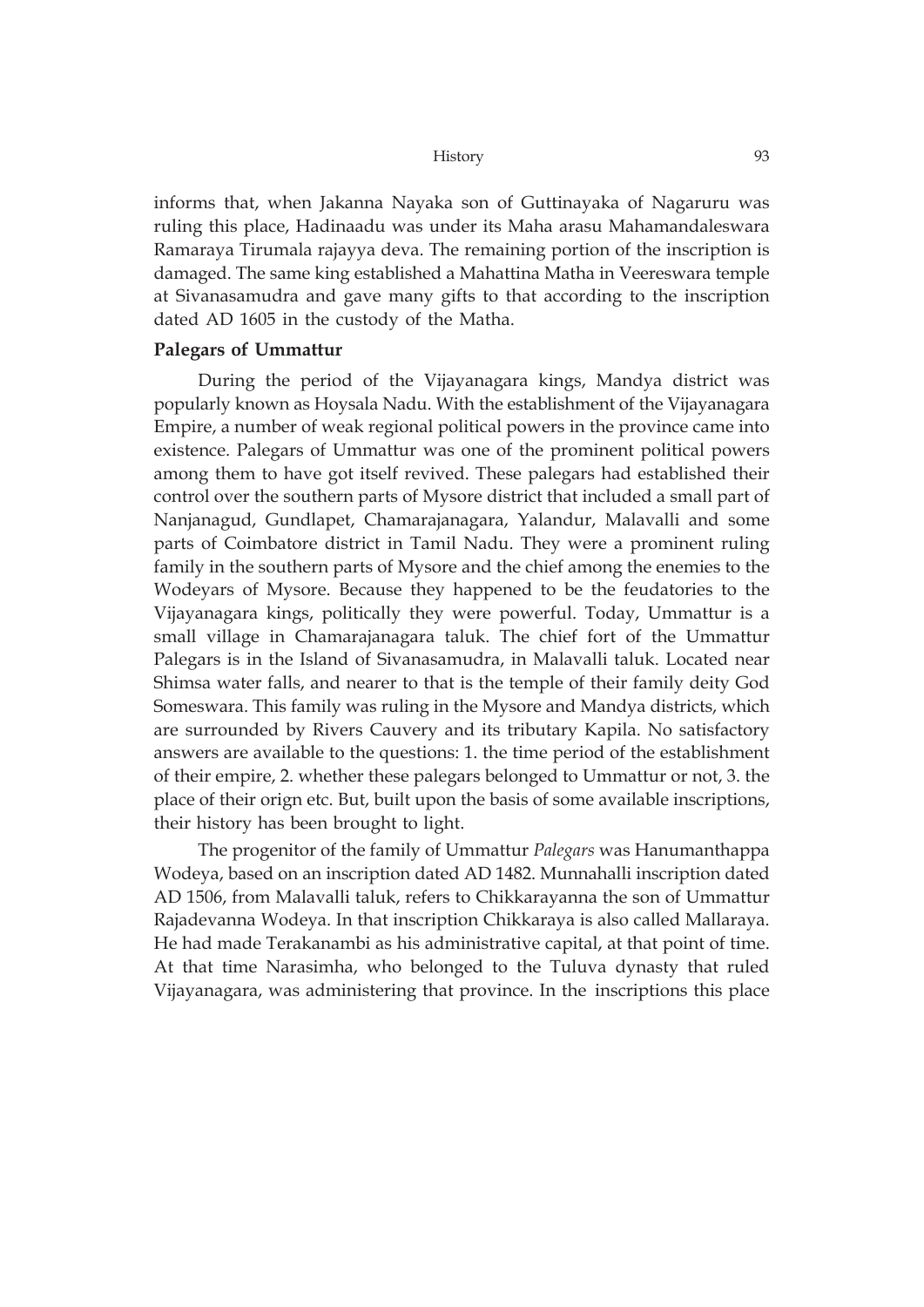informs that, when Jakanna Nayaka son of Guttinayaka of Nagaruru was ruling this place, Hadinaadu was under its Maha arasu Mahamandaleswara Ramaraya Tirumala rajayya deva. The remaining portion of the inscription is damaged. The same king established a Mahattina Matha in Veereswara temple at Sivanasamudra and gave many gifts to that according to the inscription dated AD 1605 in the custody of the Matha.

## **Palegars of Ummattur**

During the period of the Vijayanagara kings, Mandya district was popularly known as Hoysala Nadu. With the establishment of the Vijayanagara Empire, a number of weak regional political powers in the province came into existence. Palegars of Ummattur was one of the prominent political powers among them to have got itself revived. These palegars had established their control over the southern parts of Mysore district that included a small part of Nanjanagud, Gundlapet, Chamarajanagara, Yalandur, Malavalli and some parts of Coimbatore district in Tamil Nadu. They were a prominent ruling family in the southern parts of Mysore and the chief among the enemies to the Wodeyars of Mysore. Because they happened to be the feudatories to the Vijayanagara kings, politically they were powerful. Today, Ummattur is a small village in Chamarajanagara taluk. The chief fort of the Ummattur Palegars is in the Island of Sivanasamudra, in Malavalli taluk. Located near Shimsa water falls, and nearer to that is the temple of their family deity God Someswara. This family was ruling in the Mysore and Mandya districts, which are surrounded by Rivers Cauvery and its tributary Kapila. No satisfactory answers are available to the questions: 1. the time period of the establishment of their empire, 2. whether these palegars belonged to Ummattur or not, 3. the place of their orign etc. But, built upon the basis of some available inscriptions, their history has been brought to light.

The progenitor of the family of Ummattur *Palegars* was Hanumanthappa Wodeya, based on an inscription dated AD 1482. Munnahalli inscription dated AD 1506, from Malavalli taluk, refers to Chikkarayanna the son of Ummattur Rajadevanna Wodeya. In that inscription Chikkaraya is also called Mallaraya. He had made Terakanambi as his administrative capital, at that point of time. At that time Narasimha, who belonged to the Tuluva dynasty that ruled Vijayanagara, was administering that province. In the inscriptions this place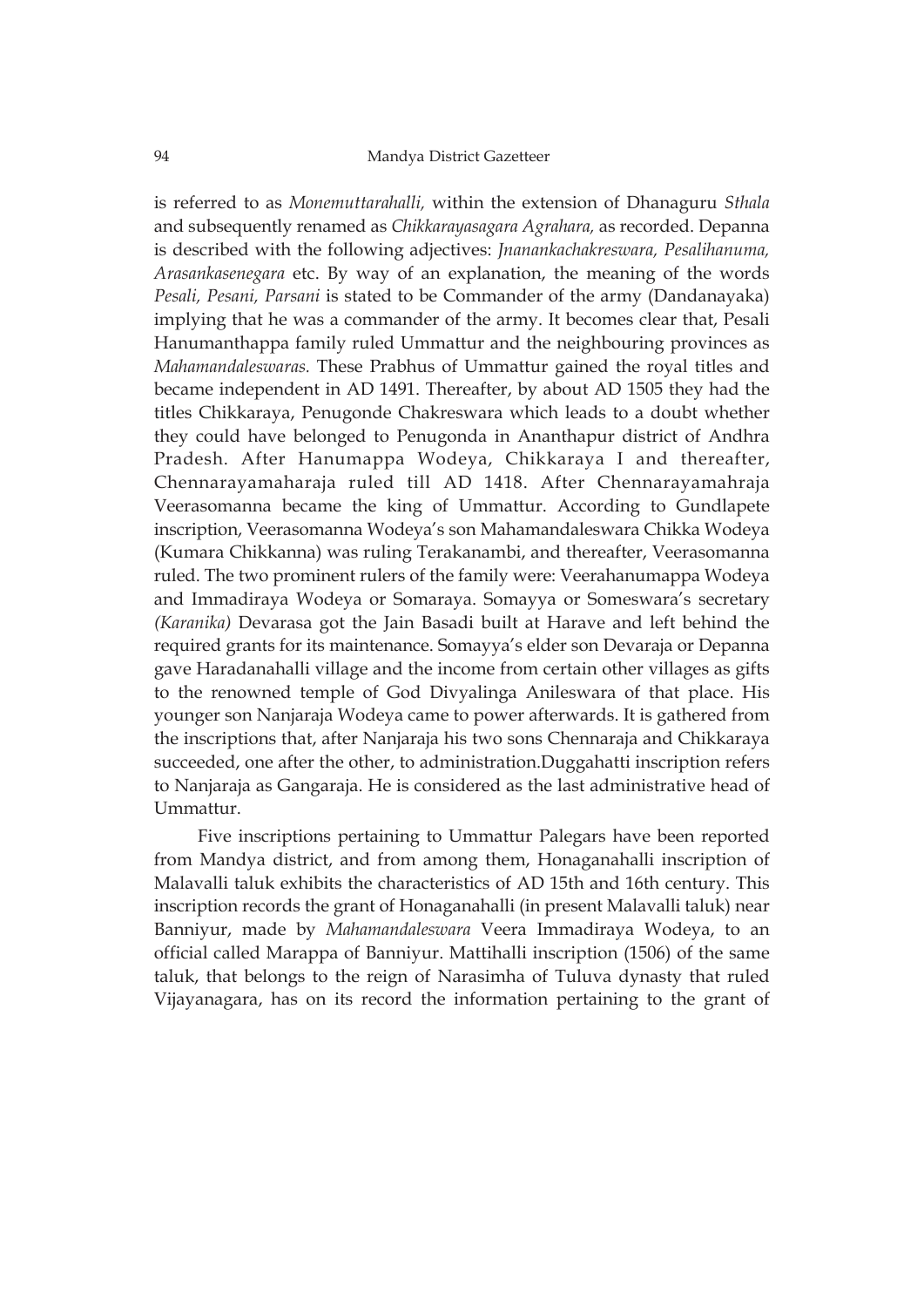is referred to as *Monemuttarahalli,* within the extension of Dhanaguru *Sthala* and subsequently renamed as *Chikkarayasagara Agrahara,* as recorded. Depanna is described with the following adjectives: *Jnanankachakreswara, Pesalihanuma, Arasankasenegara* etc. By way of an explanation, the meaning of the words *Pesali, Pesani, Parsani* is stated to be Commander of the army (Dandanayaka) implying that he was a commander of the army. It becomes clear that, Pesali Hanumanthappa family ruled Ummattur and the neighbouring provinces as *Mahamandaleswaras.* These Prabhus of Ummattur gained the royal titles and became independent in AD 1491. Thereafter, by about AD 1505 they had the titles Chikkaraya, Penugonde Chakreswara which leads to a doubt whether they could have belonged to Penugonda in Ananthapur district of Andhra Pradesh. After Hanumappa Wodeya, Chikkaraya I and thereafter, Chennarayamaharaja ruled till AD 1418. After Chennarayamahraja Veerasomanna became the king of Ummattur. According to Gundlapete inscription, Veerasomanna Wodeya's son Mahamandaleswara Chikka Wodeya (Kumara Chikkanna) was ruling Terakanambi, and thereafter, Veerasomanna ruled. The two prominent rulers of the family were: Veerahanumappa Wodeya and Immadiraya Wodeya or Somaraya. Somayya or Someswara's secretary *(Karanika)* Devarasa got the Jain Basadi built at Harave and left behind the required grants for its maintenance. Somayya's elder son Devaraja or Depanna gave Haradanahalli village and the income from certain other villages as gifts to the renowned temple of God Divyalinga Anileswara of that place. His younger son Nanjaraja Wodeya came to power afterwards. It is gathered from the inscriptions that, after Nanjaraja his two sons Chennaraja and Chikkaraya succeeded, one after the other, to administration.Duggahatti inscription refers to Nanjaraja as Gangaraja. He is considered as the last administrative head of Ummattur.

Five inscriptions pertaining to Ummattur Palegars have been reported from Mandya district, and from among them, Honaganahalli inscription of Malavalli taluk exhibits the characteristics of AD 15th and 16th century. This inscription records the grant of Honaganahalli (in present Malavalli taluk) near Banniyur, made by *Mahamandaleswara* Veera Immadiraya Wodeya, to an official called Marappa of Banniyur. Mattihalli inscription (1506) of the same taluk, that belongs to the reign of Narasimha of Tuluva dynasty that ruled Vijayanagara, has on its record the information pertaining to the grant of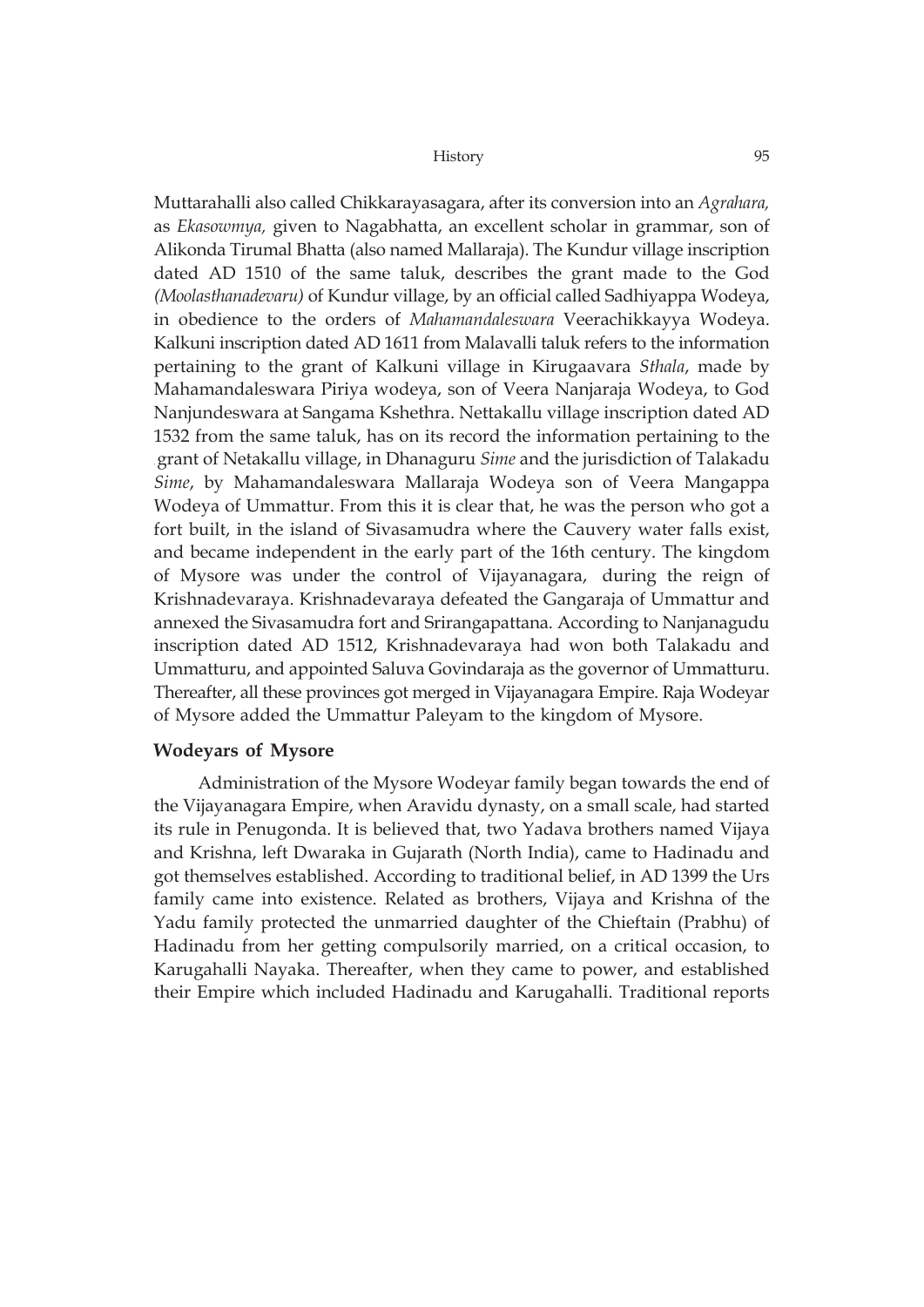Muttarahalli also called Chikkarayasagara, after its conversion into an *Agrahara,* as *Ekasowmya,* given to Nagabhatta, an excellent scholar in grammar, son of Alikonda Tirumal Bhatta (also named Mallaraja). The Kundur village inscription dated AD 1510 of the same taluk, describes the grant made to the God *(Moolasthanadevaru)* of Kundur village, by an official called Sadhiyappa Wodeya, in obedience to the orders of *Mahamandaleswara* Veerachikkayya Wodeya. Kalkuni inscription dated AD 1611 from Malavalli taluk refers to the information pertaining to the grant of Kalkuni village in Kirugaavara *Sthala*, made by Mahamandaleswara Piriya wodeya, son of Veera Nanjaraja Wodeya, to God Nanjundeswara at Sangama Kshethra. Nettakallu village inscription dated AD 1532 from the same taluk, has on its record the information pertaining to the . grant of Netakallu village, in Dhanaguru *Sime* and the jurisdiction of Talakadu *Sime*, by Mahamandaleswara Mallaraja Wodeya son of Veera Mangappa Wodeya of Ummattur. From this it is clear that, he was the person who got a fort built, in the island of Sivasamudra where the Cauvery water falls exist, and became independent in the early part of the 16th century. The kingdom of Mysore was under the control of Vijayanagara, during the reign of Krishnadevaraya. Krishnadevaraya defeated the Gangaraja of Ummattur and annexed the Sivasamudra fort and Srirangapattana. According to Nanjanagudu inscription dated AD 1512, Krishnadevaraya had won both Talakadu and Ummatturu, and appointed Saluva Govindaraja as the governor of Ummatturu. Thereafter, all these provinces got merged in Vijayanagara Empire. Raja Wodeyar of Mysore added the Ummattur Paleyam to the kingdom of Mysore.

## **Wodeyars of Mysore**

Administration of the Mysore Wodeyar family began towards the end of the Vijayanagara Empire, when Aravidu dynasty, on a small scale, had started its rule in Penugonda. It is believed that, two Yadava brothers named Vijaya and Krishna, left Dwaraka in Gujarath (North India), came to Hadinadu and got themselves established. According to traditional belief, in AD 1399 the Urs family came into existence. Related as brothers, Vijaya and Krishna of the Yadu family protected the unmarried daughter of the Chieftain (Prabhu) of Hadinadu from her getting compulsorily married, on a critical occasion, to Karugahalli Nayaka. Thereafter, when they came to power, and established their Empire which included Hadinadu and Karugahalli. Traditional reports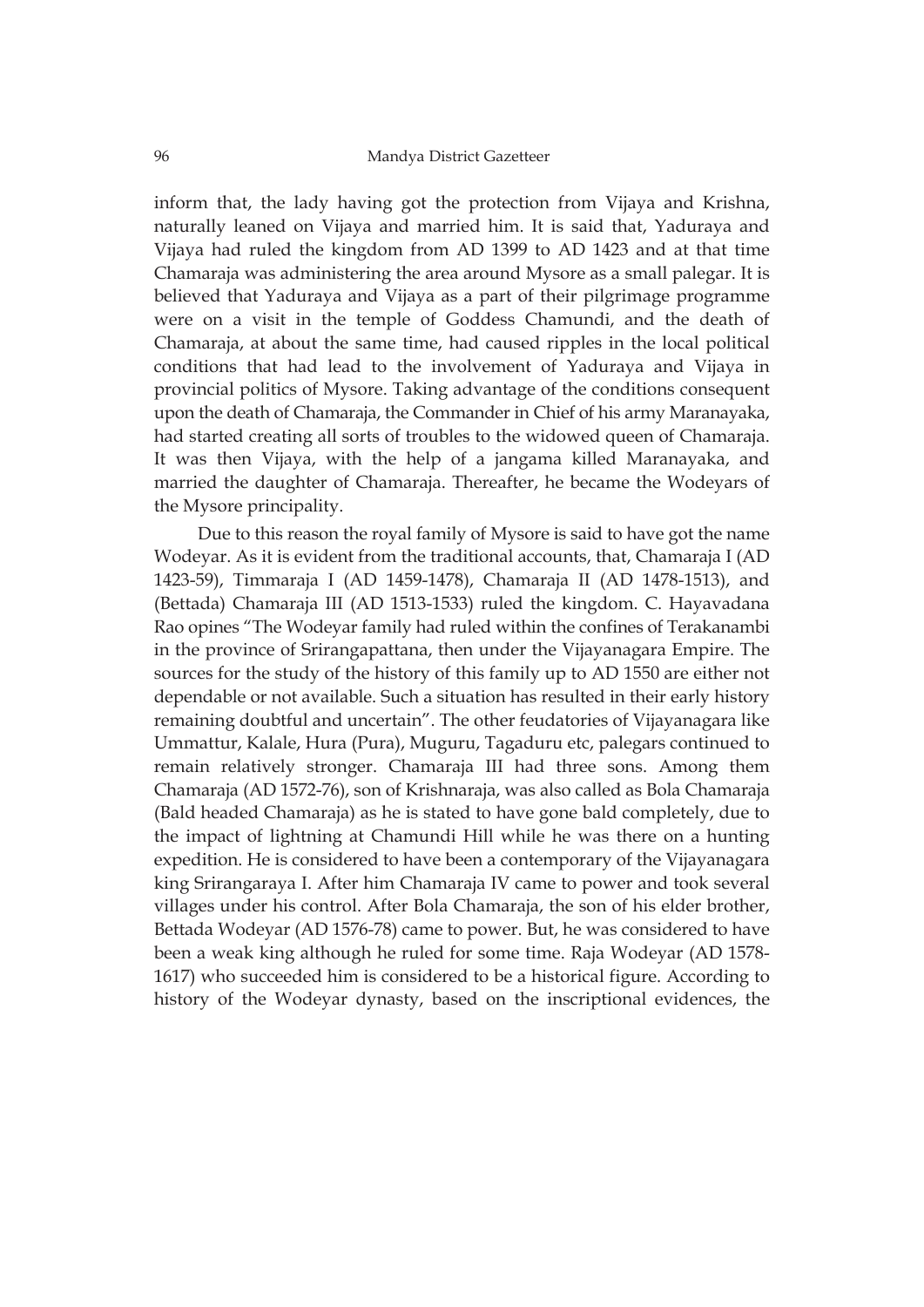inform that, the lady having got the protection from Vijaya and Krishna, naturally leaned on Vijaya and married him. It is said that, Yaduraya and Vijaya had ruled the kingdom from AD 1399 to AD 1423 and at that time Chamaraja was administering the area around Mysore as a small palegar. It is believed that Yaduraya and Vijaya as a part of their pilgrimage programme were on a visit in the temple of Goddess Chamundi, and the death of Chamaraja, at about the same time, had caused ripples in the local political conditions that had lead to the involvement of Yaduraya and Vijaya in provincial politics of Mysore. Taking advantage of the conditions consequent upon the death of Chamaraja, the Commander in Chief of his army Maranayaka, had started creating all sorts of troubles to the widowed queen of Chamaraja. It was then Vijaya, with the help of a jangama killed Maranayaka, and married the daughter of Chamaraja. Thereafter, he became the Wodeyars of the Mysore principality.

Due to this reason the royal family of Mysore is said to have got the name Wodeyar. As it is evident from the traditional accounts, that, Chamaraja I (AD 1423-59), Timmaraja I (AD 1459-1478), Chamaraja II (AD 1478-1513), and (Bettada) Chamaraja III (AD 1513-1533) ruled the kingdom. C. Hayavadana Rao opines "The Wodeyar family had ruled within the confines of Terakanambi in the province of Srirangapattana, then under the Vijayanagara Empire. The sources for the study of the history of this family up to AD 1550 are either not dependable or not available. Such a situation has resulted in their early history remaining doubtful and uncertain". The other feudatories of Vijayanagara like Ummattur, Kalale, Hura (Pura), Muguru, Tagaduru etc, palegars continued to remain relatively stronger. Chamaraja III had three sons. Among them Chamaraja (AD 1572-76), son of Krishnaraja, was also called as Bola Chamaraja (Bald headed Chamaraja) as he is stated to have gone bald completely, due to the impact of lightning at Chamundi Hill while he was there on a hunting expedition. He is considered to have been a contemporary of the Vijayanagara king Srirangaraya I. After him Chamaraja IV came to power and took several villages under his control. After Bola Chamaraja, the son of his elder brother, Bettada Wodeyar (AD 1576-78) came to power. But, he was considered to have been a weak king although he ruled for some time. Raja Wodeyar (AD 1578- 1617) who succeeded him is considered to be a historical figure. According to history of the Wodeyar dynasty, based on the inscriptional evidences, the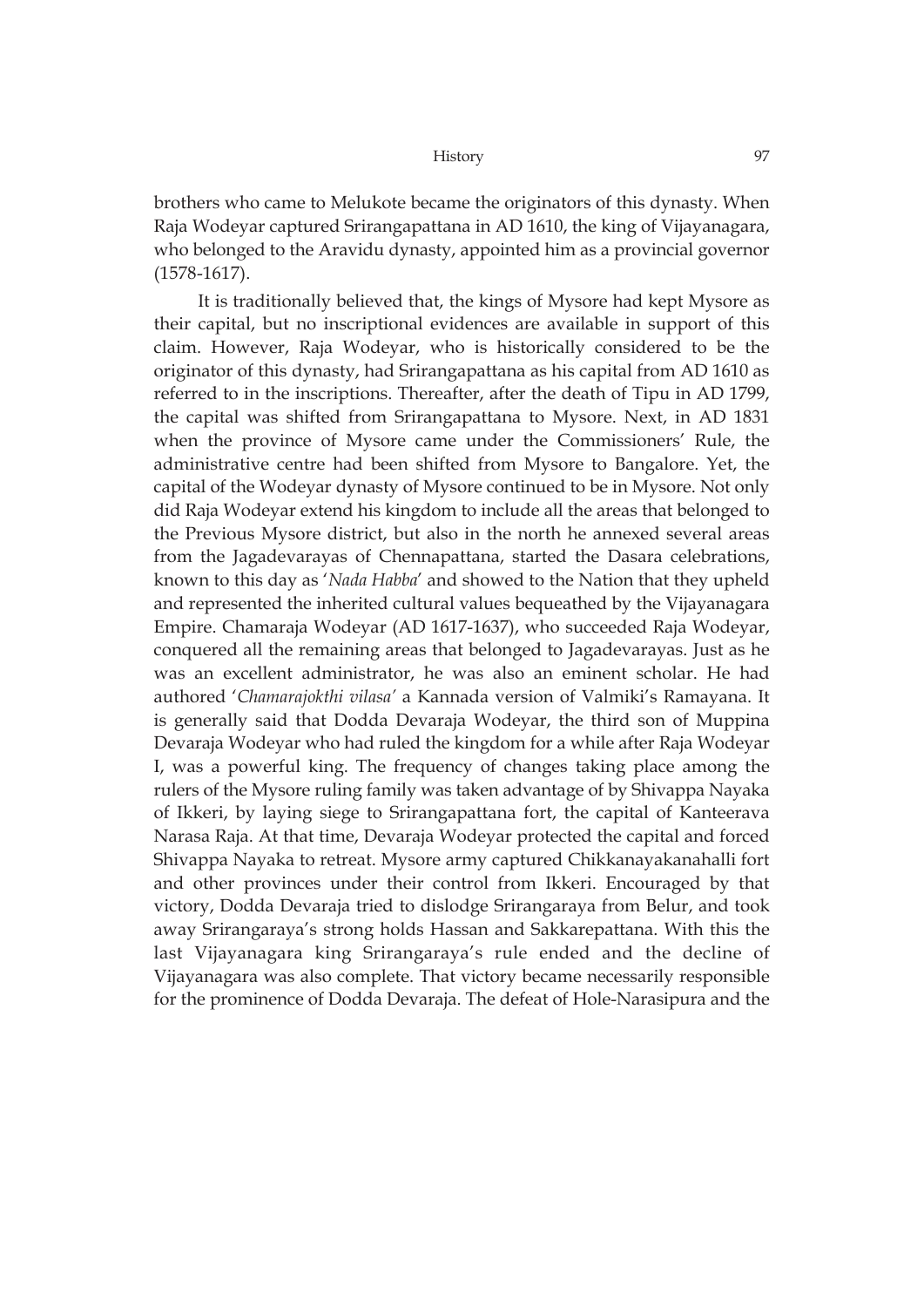brothers who came to Melukote became the originators of this dynasty. When Raja Wodeyar captured Srirangapattana in AD 1610, the king of Vijayanagara, who belonged to the Aravidu dynasty, appointed him as a provincial governor (1578-1617).

It is traditionally believed that, the kings of Mysore had kept Mysore as their capital, but no inscriptional evidences are available in support of this claim. However, Raja Wodeyar, who is historically considered to be the originator of this dynasty, had Srirangapattana as his capital from AD 1610 as referred to in the inscriptions. Thereafter, after the death of Tipu in AD 1799, the capital was shifted from Srirangapattana to Mysore. Next, in AD 1831 when the province of Mysore came under the Commissioners' Rule, the administrative centre had been shifted from Mysore to Bangalore. Yet, the capital of the Wodeyar dynasty of Mysore continued to be in Mysore. Not only did Raja Wodeyar extend his kingdom to include all the areas that belonged to the Previous Mysore district, but also in the north he annexed several areas from the Jagadevarayas of Chennapattana, started the Dasara celebrations, known to this day as '*Nada Habba*' and showed to the Nation that they upheld and represented the inherited cultural values bequeathed by the Vijayanagara Empire. Chamaraja Wodeyar (AD 1617-1637), who succeeded Raja Wodeyar, conquered all the remaining areas that belonged to Jagadevarayas. Just as he was an excellent administrator, he was also an eminent scholar. He had authored '*Chamarajokthi vilasa'* a Kannada version of Valmiki's Ramayana. It is generally said that Dodda Devaraja Wodeyar, the third son of Muppina Devaraja Wodeyar who had ruled the kingdom for a while after Raja Wodeyar I, was a powerful king. The frequency of changes taking place among the rulers of the Mysore ruling family was taken advantage of by Shivappa Nayaka of Ikkeri, by laying siege to Srirangapattana fort, the capital of Kanteerava Narasa Raja. At that time, Devaraja Wodeyar protected the capital and forced Shivappa Nayaka to retreat. Mysore army captured Chikkanayakanahalli fort and other provinces under their control from Ikkeri. Encouraged by that victory, Dodda Devaraja tried to dislodge Srirangaraya from Belur, and took away Srirangaraya's strong holds Hassan and Sakkarepattana. With this the last Vijayanagara king Srirangaraya's rule ended and the decline of Vijayanagara was also complete. That victory became necessarily responsible for the prominence of Dodda Devaraja. The defeat of Hole-Narasipura and the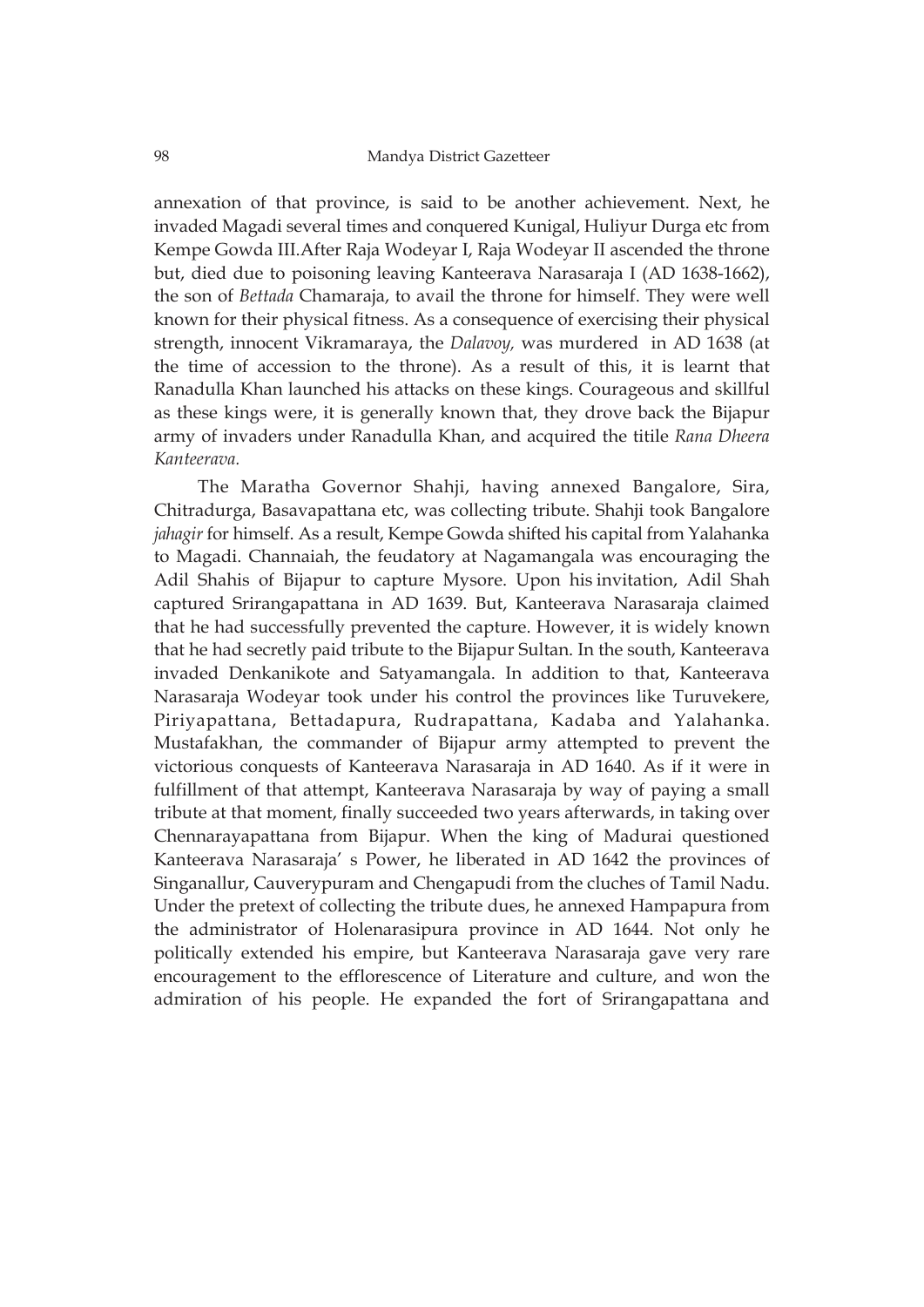annexation of that province, is said to be another achievement. Next, he invaded Magadi several times and conquered Kunigal, Huliyur Durga etc from Kempe Gowda III.After Raja Wodeyar I, Raja Wodeyar II ascended the throne but, died due to poisoning leaving Kanteerava Narasaraja I (AD 1638-1662), the son of *Bettada* Chamaraja, to avail the throne for himself. They were well known for their physical fitness. As a consequence of exercising their physical strength, innocent Vikramaraya, the *Dalavoy,* was murdered in AD 1638 (at the time of accession to the throne). As a result of this, it is learnt that Ranadulla Khan launched his attacks on these kings. Courageous and skillful as these kings were, it is generally known that, they drove back the Bijapur army of invaders under Ranadulla Khan, and acquired the titile *Rana Dheera Kanteerava.*

The Maratha Governor Shahji, having annexed Bangalore, Sira, Chitradurga, Basavapattana etc, was collecting tribute. Shahji took Bangalore *jahagir* for himself. As a result, Kempe Gowda shifted his capital from Yalahanka to Magadi. Channaiah, the feudatory at Nagamangala was encouraging the Adil Shahis of Bijapur to capture Mysore. Upon his invitation, Adil Shah captured Srirangapattana in AD 1639. But, Kanteerava Narasaraja claimed that he had successfully prevented the capture. However, it is widely known that he had secretly paid tribute to the Bijapur Sultan. In the south, Kanteerava invaded Denkanikote and Satyamangala. In addition to that, Kanteerava Narasaraja Wodeyar took under his control the provinces like Turuvekere, Piriyapattana, Bettadapura, Rudrapattana, Kadaba and Yalahanka. Mustafakhan, the commander of Bijapur army attempted to prevent the victorious conquests of Kanteerava Narasaraja in AD 1640. As if it were in fulfillment of that attempt, Kanteerava Narasaraja by way of paying a small tribute at that moment, finally succeeded two years afterwards, in taking over Chennarayapattana from Bijapur. When the king of Madurai questioned Kanteerava Narasaraja' s Power, he liberated in AD 1642 the provinces of Singanallur, Cauverypuram and Chengapudi from the cluches of Tamil Nadu. Under the pretext of collecting the tribute dues, he annexed Hampapura from the administrator of Holenarasipura province in AD 1644. Not only he politically extended his empire, but Kanteerava Narasaraja gave very rare encouragement to the efflorescence of Literature and culture, and won the admiration of his people. He expanded the fort of Srirangapattana and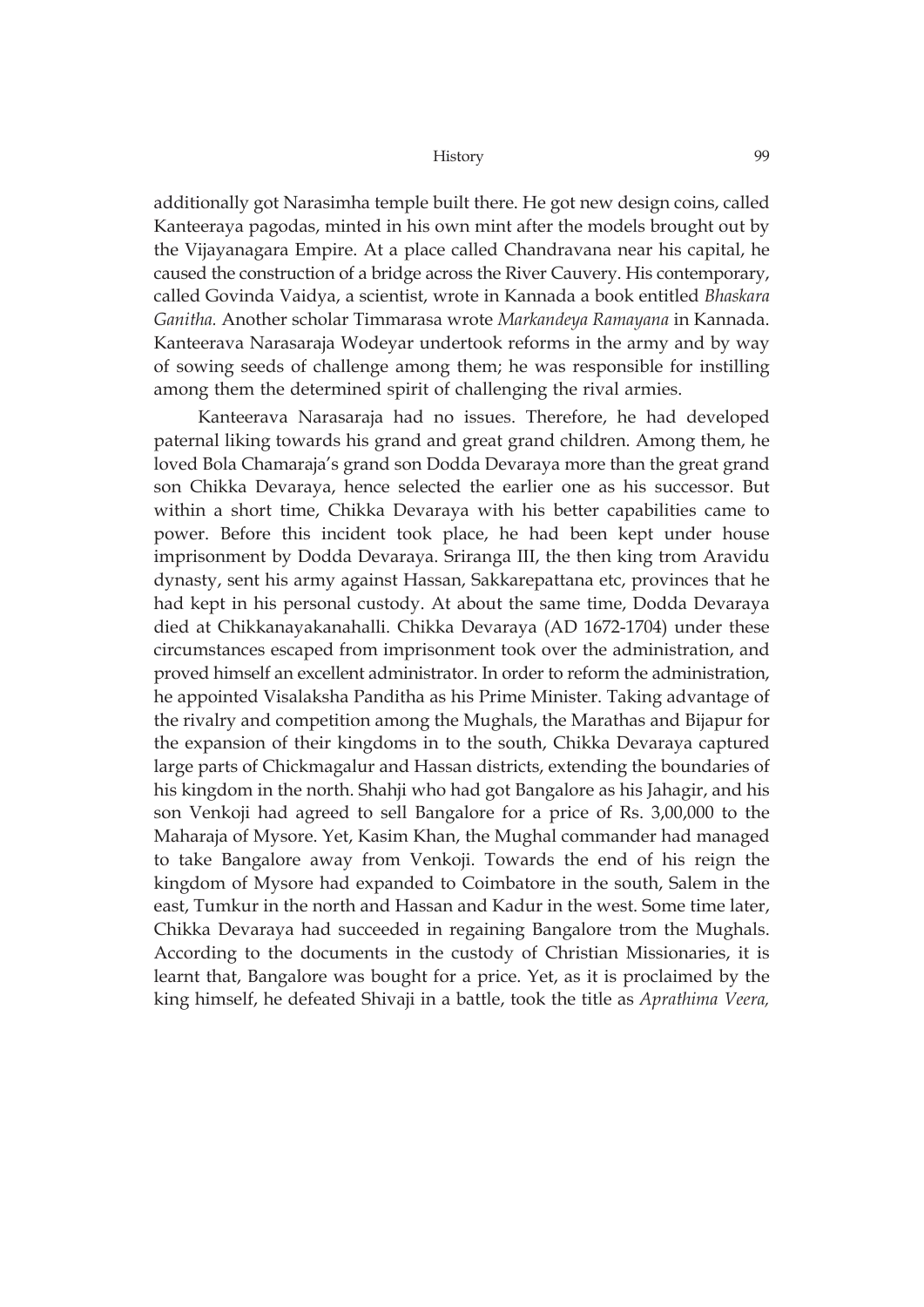additionally got Narasimha temple built there. He got new design coins, called Kanteeraya pagodas, minted in his own mint after the models brought out by the Vijayanagara Empire. At a place called Chandravana near his capital, he caused the construction of a bridge across the River Cauvery. His contemporary, called Govinda Vaidya, a scientist, wrote in Kannada a book entitled *Bhaskara Ganitha.* Another scholar Timmarasa wrote *Markandeya Ramayana* in Kannada. Kanteerava Narasaraja Wodeyar undertook reforms in the army and by way of sowing seeds of challenge among them; he was responsible for instilling among them the determined spirit of challenging the rival armies.

Kanteerava Narasaraja had no issues. Therefore, he had developed paternal liking towards his grand and great grand children. Among them, he loved Bola Chamaraja's grand son Dodda Devaraya more than the great grand son Chikka Devaraya, hence selected the earlier one as his successor. But within a short time, Chikka Devaraya with his better capabilities came to power. Before this incident took place, he had been kept under house imprisonment by Dodda Devaraya. Sriranga III, the then king trom Aravidu dynasty, sent his army against Hassan, Sakkarepattana etc, provinces that he had kept in his personal custody. At about the same time, Dodda Devaraya died at Chikkanayakanahalli. Chikka Devaraya (AD 1672-1704) under these circumstances escaped from imprisonment took over the administration, and proved himself an excellent administrator. In order to reform the administration, he appointed Visalaksha Panditha as his Prime Minister. Taking advantage of the rivalry and competition among the Mughals, the Marathas and Bijapur for the expansion of their kingdoms in to the south, Chikka Devaraya captured large parts of Chickmagalur and Hassan districts, extending the boundaries of his kingdom in the north. Shahji who had got Bangalore as his Jahagir, and his son Venkoji had agreed to sell Bangalore for a price of Rs. 3,00,000 to the Maharaja of Mysore. Yet, Kasim Khan, the Mughal commander had managed to take Bangalore away from Venkoji. Towards the end of his reign the kingdom of Mysore had expanded to Coimbatore in the south, Salem in the east, Tumkur in the north and Hassan and Kadur in the west. Some time later, Chikka Devaraya had succeeded in regaining Bangalore trom the Mughals. According to the documents in the custody of Christian Missionaries, it is learnt that, Bangalore was bought for a price. Yet, as it is proclaimed by the king himself, he defeated Shivaji in a battle, took the title as *Aprathima Veera,*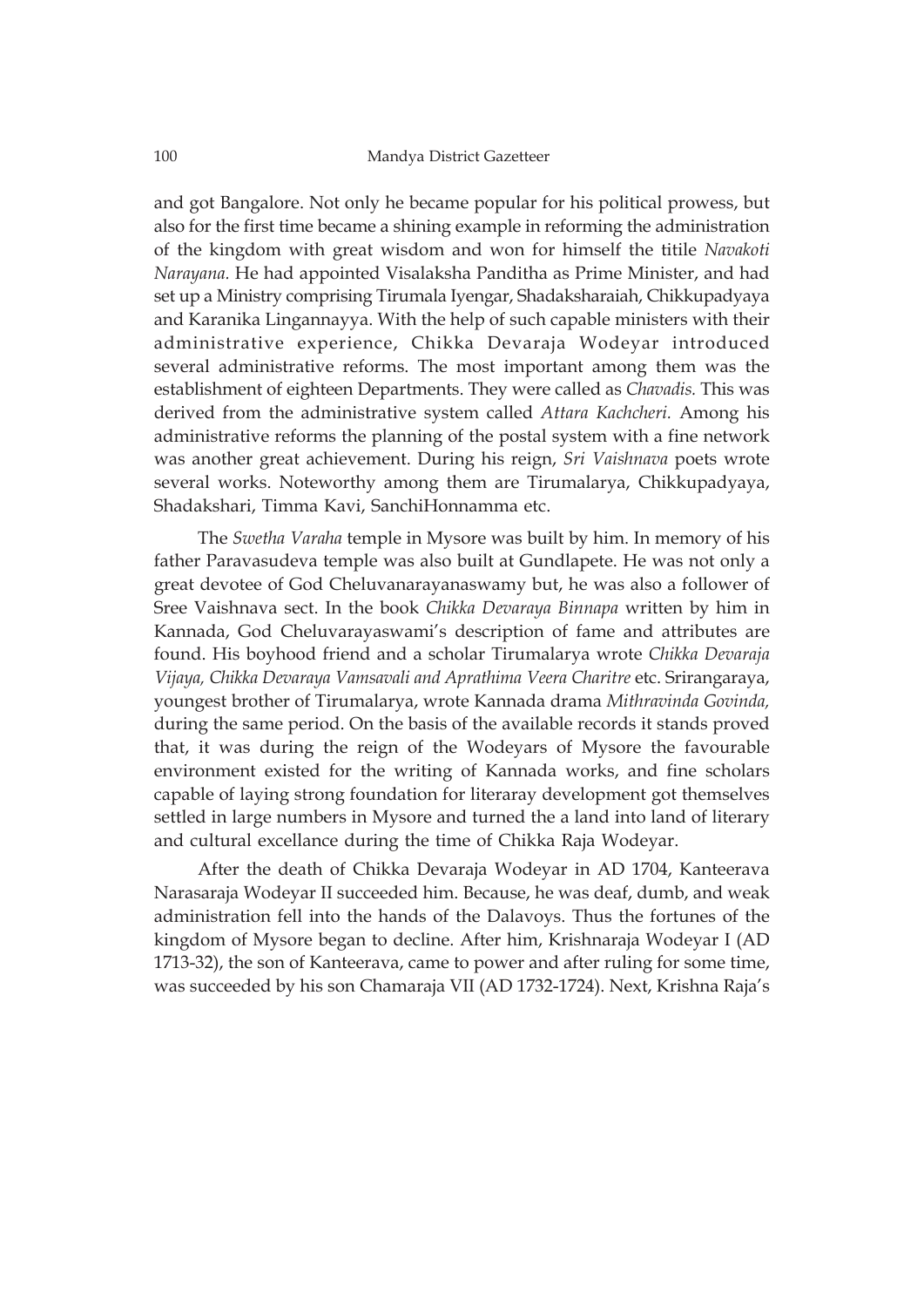and got Bangalore. Not only he became popular for his political prowess, but also for the first time became a shining example in reforming the administration of the kingdom with great wisdom and won for himself the titile *Navakoti Narayana.* He had appointed Visalaksha Panditha as Prime Minister, and had set up a Ministry comprising Tirumala Iyengar, Shadaksharaiah, Chikkupadyaya and Karanika Lingannayya. With the help of such capable ministers with their administrative experience, Chikka Devaraja Wodeyar introduced several administrative reforms. The most important among them was the establishment of eighteen Departments. They were called as *Chavadis.* This was derived from the administrative system called *Attara Kachcheri.* Among his administrative reforms the planning of the postal system with a fine network was another great achievement. During his reign, *Sri Vaishnava* poets wrote several works. Noteworthy among them are Tirumalarya, Chikkupadyaya, Shadakshari, Timma Kavi, SanchiHonnamma etc.

The *Swetha Varaha* temple in Mysore was built by him. In memory of his father Paravasudeva temple was also built at Gundlapete. He was not only a great devotee of God Cheluvanarayanaswamy but, he was also a follower of Sree Vaishnava sect. In the book *Chikka Devaraya Binnapa* written by him in Kannada, God Cheluvarayaswami's description of fame and attributes are found. His boyhood friend and a scholar Tirumalarya wrote *Chikka Devaraja Vijaya, Chikka Devaraya Vamsavali and Aprathima Veera Charitre* etc. Srirangaraya, youngest brother of Tirumalarya, wrote Kannada drama *Mithravinda Govinda,* during the same period. On the basis of the available records it stands proved that, it was during the reign of the Wodeyars of Mysore the favourable environment existed for the writing of Kannada works, and fine scholars capable of laying strong foundation for literaray development got themselves settled in large numbers in Mysore and turned the a land into land of literary and cultural excellance during the time of Chikka Raja Wodeyar.

After the death of Chikka Devaraja Wodeyar in AD 1704, Kanteerava Narasaraja Wodeyar II succeeded him. Because, he was deaf, dumb, and weak administration fell into the hands of the Dalavoys. Thus the fortunes of the kingdom of Mysore began to decline. After him, Krishnaraja Wodeyar I (AD 1713-32), the son of Kanteerava, came to power and after ruling for some time, was succeeded by his son Chamaraja VII (AD 1732-1724). Next, Krishna Raja's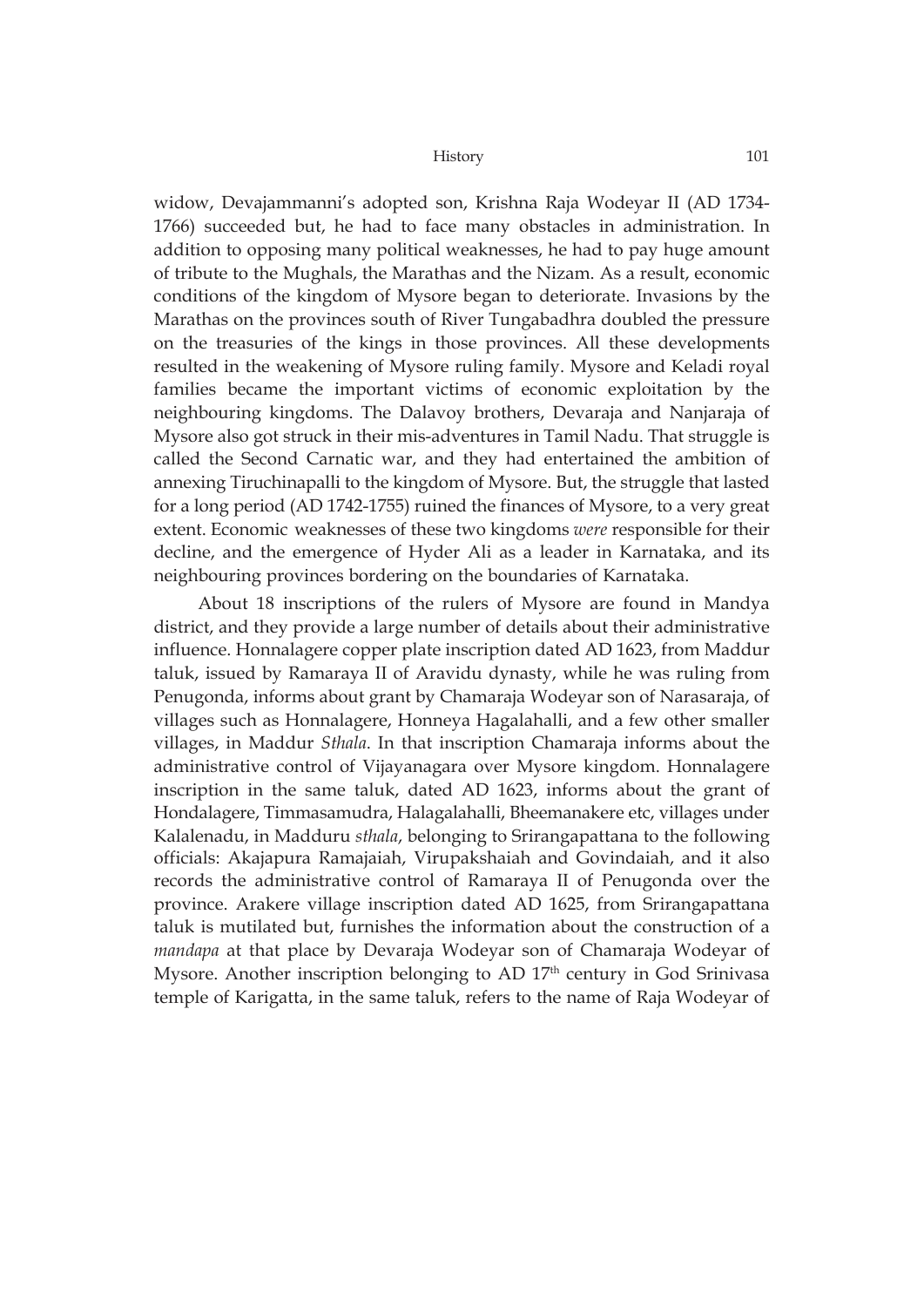widow, Devajammanni's adopted son, Krishna Raja Wodeyar II (AD 1734- 1766) succeeded but, he had to face many obstacles in administration. In addition to opposing many political weaknesses, he had to pay huge amount of tribute to the Mughals, the Marathas and the Nizam. As a result, economic conditions of the kingdom of Mysore began to deteriorate. Invasions by the Marathas on the provinces south of River Tungabadhra doubled the pressure on the treasuries of the kings in those provinces. All these developments resulted in the weakening of Mysore ruling family. Mysore and Keladi royal families became the important victims of economic exploitation by the neighbouring kingdoms. The Dalavoy brothers, Devaraja and Nanjaraja of Mysore also got struck in their mis-adventures in Tamil Nadu. That struggle is called the Second Carnatic war, and they had entertained the ambition of annexing Tiruchinapalli to the kingdom of Mysore. But, the struggle that lasted for a long period (AD 1742-1755) ruined the finances of Mysore, to a very great extent. Economic weaknesses of these two kingdoms *were* responsible for their decline, and the emergence of Hyder Ali as a leader in Karnataka, and its neighbouring provinces bordering on the boundaries of Karnataka.

About 18 inscriptions of the rulers of Mysore are found in Mandya district, and they provide a large number of details about their administrative influence. Honnalagere copper plate inscription dated AD 1623, from Maddur taluk, issued by Ramaraya II of Aravidu dynasty, while he was ruling from Penugonda, informs about grant by Chamaraja Wodeyar son of Narasaraja, of villages such as Honnalagere, Honneya Hagalahalli, and a few other smaller villages, in Maddur *Sthala*. In that inscription Chamaraja informs about the administrative control of Vijayanagara over Mysore kingdom. Honnalagere inscription in the same taluk, dated AD 1623, informs about the grant of Hondalagere, Timmasamudra, Halagalahalli, Bheemanakere etc, villages under Kalalenadu, in Madduru *sthala*, belonging to Srirangapattana to the following officials: Akajapura Ramajaiah, Virupakshaiah and Govindaiah, and it also records the administrative control of Ramaraya II of Penugonda over the province. Arakere village inscription dated AD 1625, from Srirangapattana taluk is mutilated but, furnishes the information about the construction of a *mandapa* at that place by Devaraja Wodeyar son of Chamaraja Wodeyar of Mysore. Another inscription belonging to AD  $17<sup>th</sup>$  century in God Srinivasa temple of Karigatta, in the same taluk, refers to the name of Raja Wodeyar of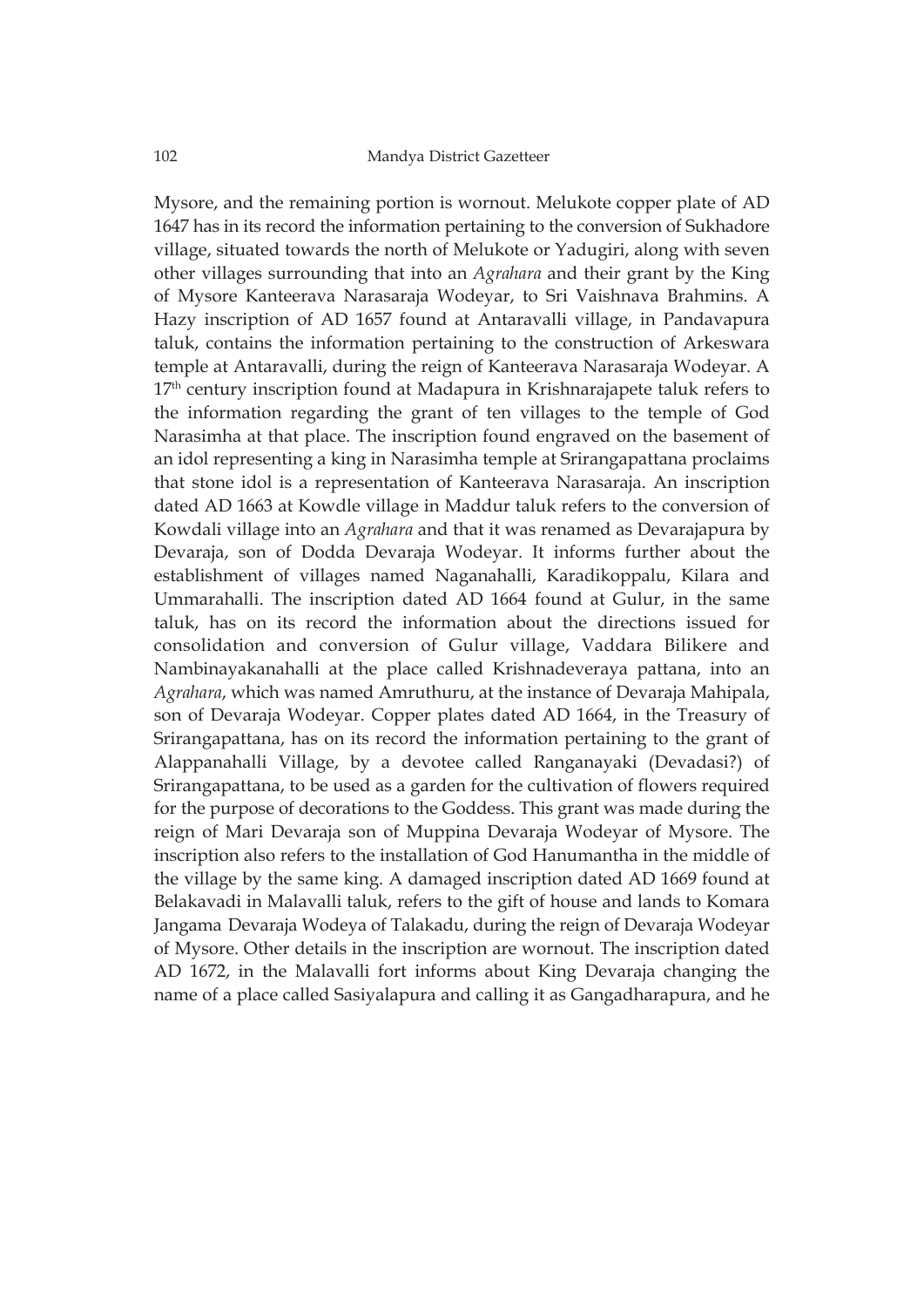Mysore, and the remaining portion is wornout. Melukote copper plate of AD 1647 has in its record the information pertaining to the conversion of Sukhadore village, situated towards the north of Melukote or Yadugiri, along with seven other villages surrounding that into an *Agrahara* and their grant by the King of Mysore Kanteerava Narasaraja Wodeyar, to Sri Vaishnava Brahmins. A Hazy inscription of AD 1657 found at Antaravalli village, in Pandavapura taluk, contains the information pertaining to the construction of Arkeswara temple at Antaravalli, during the reign of Kanteerava Narasaraja Wodeyar. A 17<sup>th</sup> century inscription found at Madapura in Krishnarajapete taluk refers to the information regarding the grant of ten villages to the temple of God Narasimha at that place. The inscription found engraved on the basement of an idol representing a king in Narasimha temple at Srirangapattana proclaims that stone idol is a representation of Kanteerava Narasaraja. An inscription dated AD 1663 at Kowdle village in Maddur taluk refers to the conversion of Kowdali village into an *Agrahara* and that it was renamed as Devarajapura by Devaraja, son of Dodda Devaraja Wodeyar. It informs further about the establishment of villages named Naganahalli, Karadikoppalu, Kilara and Ummarahalli. The inscription dated AD 1664 found at Gulur, in the same taluk, has on its record the information about the directions issued for consolidation and conversion of Gulur village, Vaddara Bilikere and Nambinayakanahalli at the place called Krishnadeveraya pattana, into an *Agrahara*, which was named Amruthuru, at the instance of Devaraja Mahipala, son of Devaraja Wodeyar. Copper plates dated AD 1664, in the Treasury of Srirangapattana, has on its record the information pertaining to the grant of Alappanahalli Village, by a devotee called Ranganayaki (Devadasi?) of Srirangapattana, to be used as a garden for the cultivation of flowers required for the purpose of decorations to the Goddess. This grant was made during the reign of Mari Devaraja son of Muppina Devaraja Wodeyar of Mysore. The inscription also refers to the installation of God Hanumantha in the middle of the village by the same king. A damaged inscription dated AD 1669 found at Belakavadi in Malavalli taluk, refers to the gift of house and lands to Komara Jangama Devaraja Wodeya of Talakadu, during the reign of Devaraja Wodeyar of Mysore. Other details in the inscription are wornout. The inscription dated AD 1672, in the Malavalli fort informs about King Devaraja changing the name of a place called Sasiyalapura and calling it as Gangadharapura, and he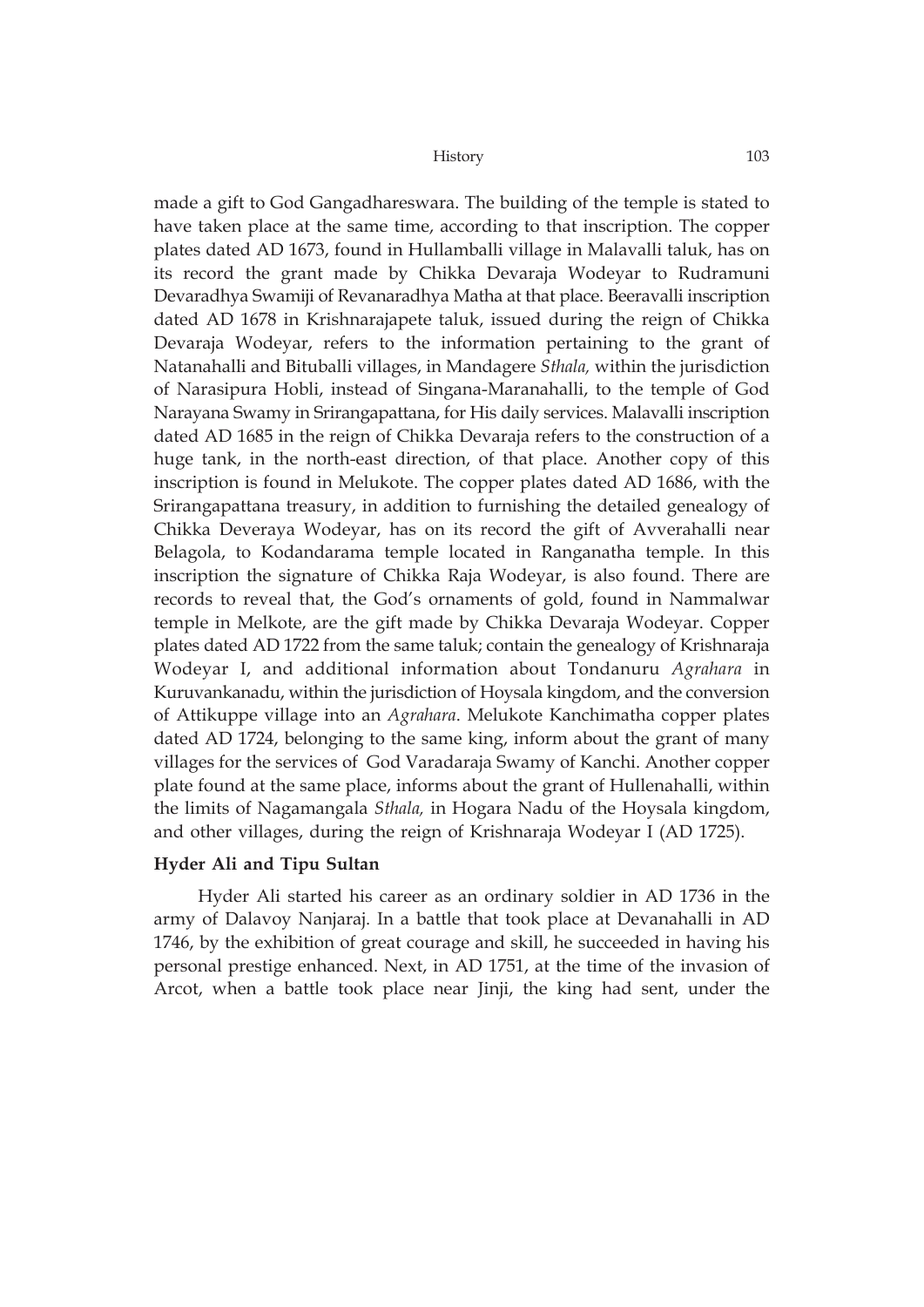made a gift to God Gangadhareswara. The building of the temple is stated to have taken place at the same time, according to that inscription. The copper plates dated AD 1673, found in Hullamballi village in Malavalli taluk, has on its record the grant made by Chikka Devaraja Wodeyar to Rudramuni Devaradhya Swamiji of Revanaradhya Matha at that place. Beeravalli inscription dated AD 1678 in Krishnarajapete taluk, issued during the reign of Chikka Devaraja Wodeyar, refers to the information pertaining to the grant of Natanahalli and Bituballi villages, in Mandagere *Sthala,* within the jurisdiction of Narasipura Hobli, instead of Singana-Maranahalli, to the temple of God Narayana Swamy in Srirangapattana, for His daily services. Malavalli inscription dated AD 1685 in the reign of Chikka Devaraja refers to the construction of a huge tank, in the north-east direction, of that place. Another copy of this inscription is found in Melukote. The copper plates dated AD 1686, with the Srirangapattana treasury, in addition to furnishing the detailed genealogy of Chikka Deveraya Wodeyar, has on its record the gift of Avverahalli near Belagola, to Kodandarama temple located in Ranganatha temple. In this inscription the signature of Chikka Raja Wodeyar, is also found. There are records to reveal that, the God's ornaments of gold, found in Nammalwar temple in Melkote, are the gift made by Chikka Devaraja Wodeyar. Copper plates dated AD 1722 from the same taluk; contain the genealogy of Krishnaraja Wodeyar I, and additional information about Tondanuru *Agrahara* in Kuruvankanadu, within the jurisdiction of Hoysala kingdom, and the conversion of Attikuppe village into an *Agrahara*. Melukote Kanchimatha copper plates dated AD 1724, belonging to the same king, inform about the grant of many villages for the services of God Varadaraja Swamy of Kanchi. Another copper plate found at the same place, informs about the grant of Hullenahalli, within the limits of Nagamangala *Sthala,* in Hogara Nadu of the Hoysala kingdom, and other villages, during the reign of Krishnaraja Wodeyar I (AD 1725).

## **Hyder Ali and Tipu Sultan**

Hyder Ali started his career as an ordinary soldier in AD 1736 in the army of Dalavoy Nanjaraj. In a battle that took place at Devanahalli in AD 1746, by the exhibition of great courage and skill, he succeeded in having his personal prestige enhanced. Next, in AD 1751, at the time of the invasion of Arcot, when a battle took place near Jinji, the king had sent, under the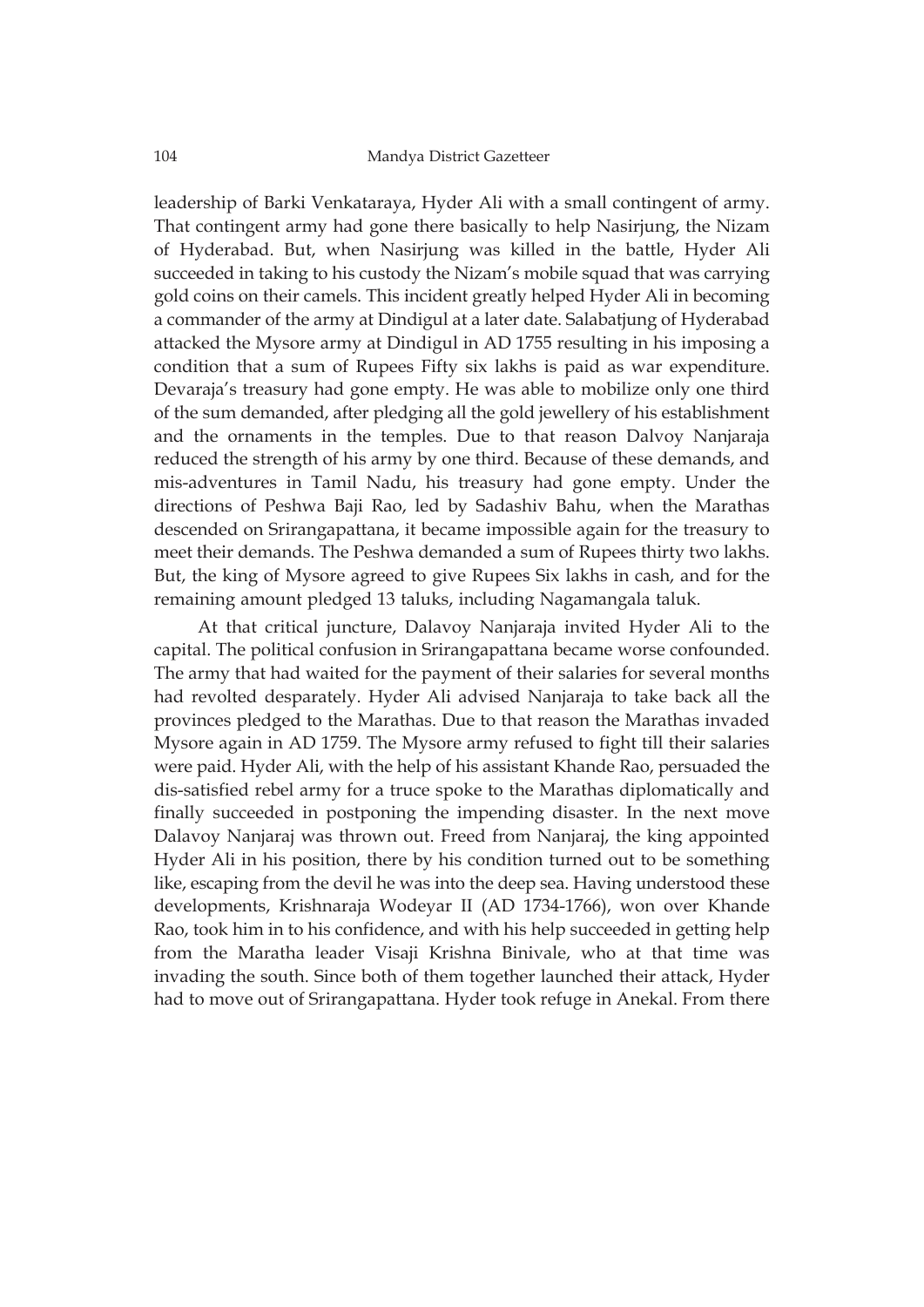leadership of Barki Venkataraya, Hyder Ali with a small contingent of army. That contingent army had gone there basically to help Nasirjung, the Nizam of Hyderabad. But, when Nasirjung was killed in the battle, Hyder Ali succeeded in taking to his custody the Nizam's mobile squad that was carrying gold coins on their camels. This incident greatly helped Hyder Ali in becoming a commander of the army at Dindigul at a later date. Salabatjung of Hyderabad attacked the Mysore army at Dindigul in AD 1755 resulting in his imposing a condition that a sum of Rupees Fifty six lakhs is paid as war expenditure. Devaraja's treasury had gone empty. He was able to mobilize only one third of the sum demanded, after pledging all the gold jewellery of his establishment and the ornaments in the temples. Due to that reason Dalvoy Nanjaraja reduced the strength of his army by one third. Because of these demands, and mis-adventures in Tamil Nadu, his treasury had gone empty. Under the directions of Peshwa Baji Rao, led by Sadashiv Bahu, when the Marathas descended on Srirangapattana, it became impossible again for the treasury to meet their demands. The Peshwa demanded a sum of Rupees thirty two lakhs. But, the king of Mysore agreed to give Rupees Six lakhs in cash, and for the remaining amount pledged 13 taluks, including Nagamangala taluk.

At that critical juncture, Dalavoy Nanjaraja invited Hyder Ali to the capital. The political confusion in Srirangapattana became worse confounded. The army that had waited for the payment of their salaries for several months had revolted desparately. Hyder Ali advised Nanjaraja to take back all the provinces pledged to the Marathas. Due to that reason the Marathas invaded Mysore again in AD 1759. The Mysore army refused to fight till their salaries were paid. Hyder Ali, with the help of his assistant Khande Rao, persuaded the dis-satisfied rebel army for a truce spoke to the Marathas diplomatically and finally succeeded in postponing the impending disaster. In the next move Dalavoy Nanjaraj was thrown out. Freed from Nanjaraj, the king appointed Hyder Ali in his position, there by his condition turned out to be something like, escaping from the devil he was into the deep sea. Having understood these developments, Krishnaraja Wodeyar II (AD 1734-1766), won over Khande Rao, took him in to his confidence, and with his help succeeded in getting help from the Maratha leader Visaji Krishna Binivale, who at that time was invading the south. Since both of them together launched their attack, Hyder had to move out of Srirangapattana. Hyder took refuge in Anekal. From there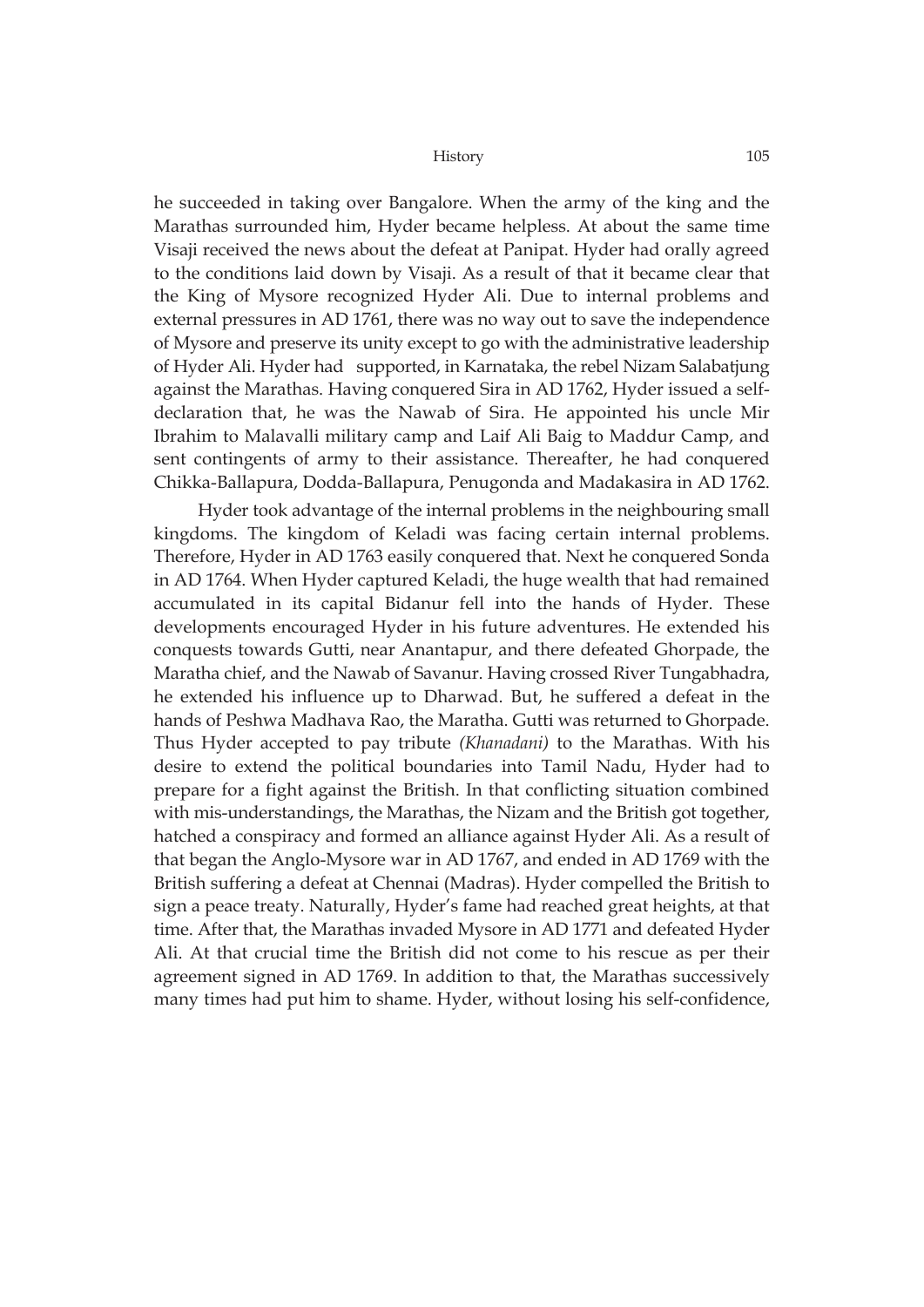he succeeded in taking over Bangalore. When the army of the king and the Marathas surrounded him, Hyder became helpless. At about the same time Visaji received the news about the defeat at Panipat. Hyder had orally agreed to the conditions laid down by Visaji. As a result of that it became clear that the King of Mysore recognized Hyder Ali. Due to internal problems and external pressures in AD 1761, there was no way out to save the independence of Mysore and preserve its unity except to go with the administrative leadership of Hyder Ali. Hyder had supported, in Karnataka, the rebel Nizam Salabatjung against the Marathas. Having conquered Sira in AD 1762, Hyder issued a selfdeclaration that, he was the Nawab of Sira. He appointed his uncle Mir Ibrahim to Malavalli military camp and Laif Ali Baig to Maddur Camp, and sent contingents of army to their assistance. Thereafter, he had conquered Chikka-Ballapura, Dodda-Ballapura, Penugonda and Madakasira in AD 1762.

Hyder took advantage of the internal problems in the neighbouring small kingdoms. The kingdom of Keladi was facing certain internal problems. Therefore, Hyder in AD 1763 easily conquered that. Next he conquered Sonda in AD 1764. When Hyder captured Keladi, the huge wealth that had remained accumulated in its capital Bidanur fell into the hands of Hyder. These developments encouraged Hyder in his future adventures. He extended his conquests towards Gutti, near Anantapur, and there defeated Ghorpade, the Maratha chief, and the Nawab of Savanur. Having crossed River Tungabhadra, he extended his influence up to Dharwad. But, he suffered a defeat in the hands of Peshwa Madhava Rao, the Maratha. Gutti was returned to Ghorpade. Thus Hyder accepted to pay tribute *(Khanadani)* to the Marathas. With his desire to extend the political boundaries into Tamil Nadu, Hyder had to prepare for a fight against the British. In that conflicting situation combined with mis-understandings, the Marathas, the Nizam and the British got together, hatched a conspiracy and formed an alliance against Hyder Ali. As a result of that began the Anglo-Mysore war in AD 1767, and ended in AD 1769 with the British suffering a defeat at Chennai (Madras). Hyder compelled the British to sign a peace treaty. Naturally, Hyder's fame had reached great heights, at that time. After that, the Marathas invaded Mysore in AD 1771 and defeated Hyder Ali. At that crucial time the British did not come to his rescue as per their agreement signed in AD 1769. In addition to that, the Marathas successively many times had put him to shame. Hyder, without losing his self-confidence,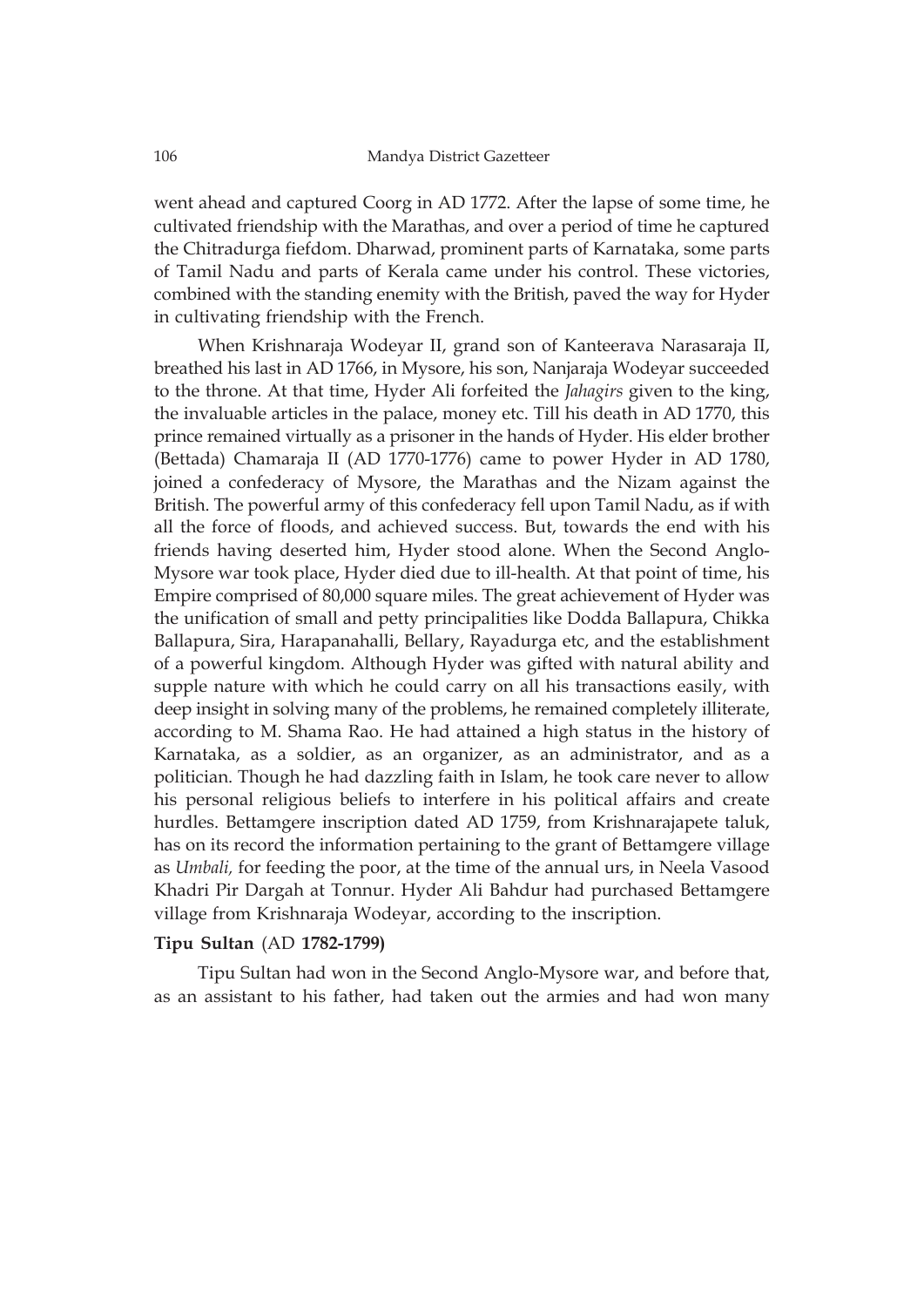went ahead and captured Coorg in AD 1772. After the lapse of some time, he cultivated friendship with the Marathas, and over a period of time he captured the Chitradurga fiefdom. Dharwad, prominent parts of Karnataka, some parts of Tamil Nadu and parts of Kerala came under his control. These victories, combined with the standing enemity with the British, paved the way for Hyder in cultivating friendship with the French.

When Krishnaraja Wodeyar II, grand son of Kanteerava Narasaraja II, breathed his last in AD 1766, in Mysore, his son, Nanjaraja Wodeyar succeeded to the throne. At that time, Hyder Ali forfeited the *Jahagirs* given to the king, the invaluable articles in the palace, money etc. Till his death in AD 1770, this prince remained virtually as a prisoner in the hands of Hyder. His elder brother (Bettada) Chamaraja II (AD 1770-1776) came to power Hyder in AD 1780, joined a confederacy of Mysore, the Marathas and the Nizam against the British. The powerful army of this confederacy fell upon Tamil Nadu, as if with all the force of floods, and achieved success. But, towards the end with his friends having deserted him, Hyder stood alone. When the Second Anglo-Mysore war took place, Hyder died due to ill-health. At that point of time, his Empire comprised of 80,000 square miles. The great achievement of Hyder was the unification of small and petty principalities like Dodda Ballapura, Chikka Ballapura, Sira, Harapanahalli, Bellary, Rayadurga etc, and the establishment of a powerful kingdom. Although Hyder was gifted with natural ability and supple nature with which he could carry on all his transactions easily, with deep insight in solving many of the problems, he remained completely illiterate, according to M. Shama Rao. He had attained a high status in the history of Karnataka, as a soldier, as an organizer, as an administrator, and as a politician. Though he had dazzling faith in Islam, he took care never to allow his personal religious beliefs to interfere in his political affairs and create hurdles. Bettamgere inscription dated AD 1759, from Krishnarajapete taluk, has on its record the information pertaining to the grant of Bettamgere village as *Umbali,* for feeding the poor, at the time of the annual urs, in Neela Vasood Khadri Pir Dargah at Tonnur. Hyder Ali Bahdur had purchased Bettamgere village from Krishnaraja Wodeyar, according to the inscription.

# **Tipu Sultan** (AD **1782-1799)**

Tipu Sultan had won in the Second Anglo-Mysore war, and before that, as an assistant to his father, had taken out the armies and had won many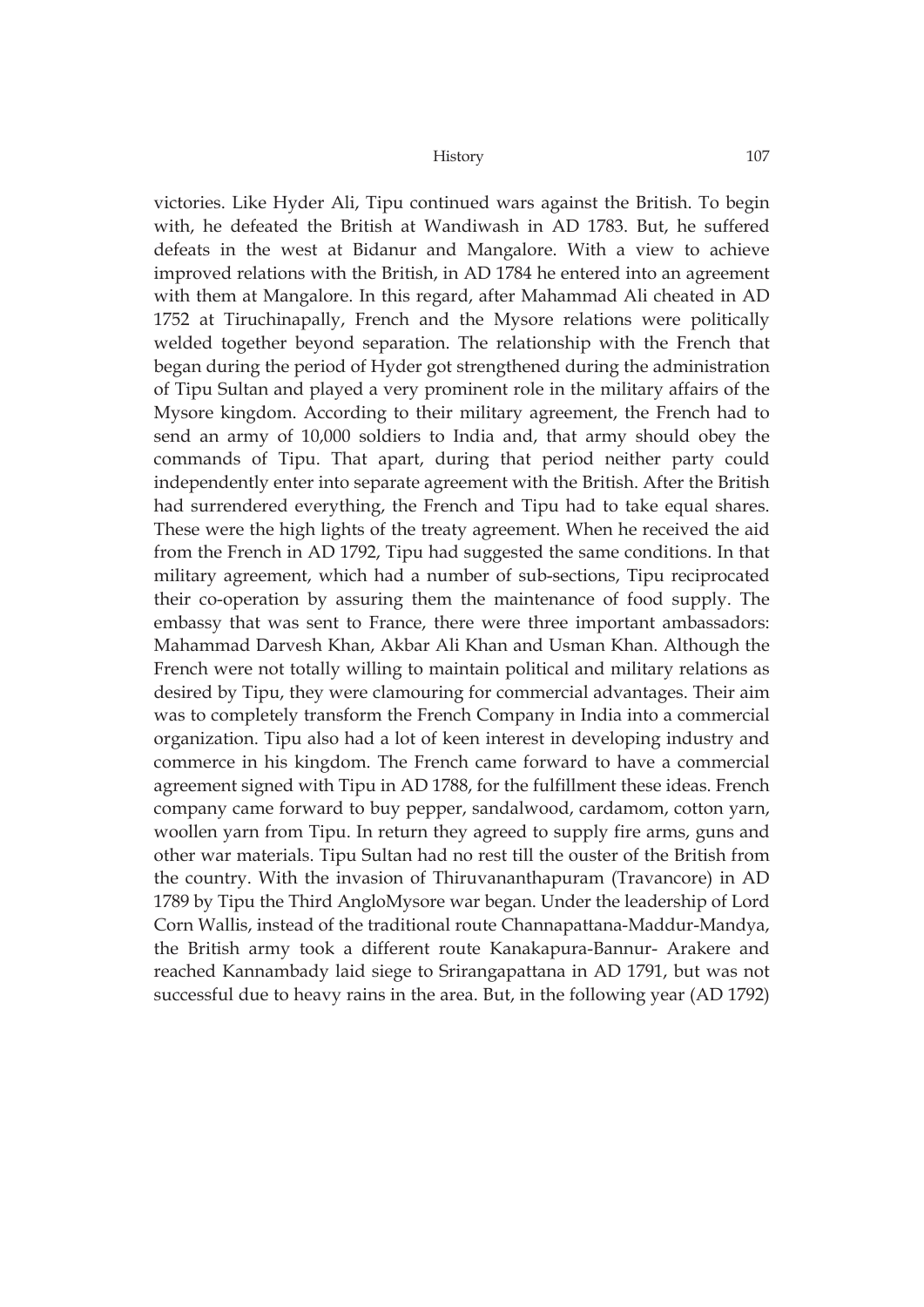victories. Like Hyder Ali, Tipu continued wars against the British. To begin with, he defeated the British at Wandiwash in AD 1783. But, he suffered defeats in the west at Bidanur and Mangalore. With a view to achieve improved relations with the British, in AD 1784 he entered into an agreement with them at Mangalore. In this regard, after Mahammad Ali cheated in AD 1752 at Tiruchinapally, French and the Mysore relations were politically welded together beyond separation. The relationship with the French that began during the period of Hyder got strengthened during the administration of Tipu Sultan and played a very prominent role in the military affairs of the Mysore kingdom. According to their military agreement, the French had to send an army of 10,000 soldiers to India and, that army should obey the commands of Tipu. That apart, during that period neither party could independently enter into separate agreement with the British. After the British had surrendered everything, the French and Tipu had to take equal shares. These were the high lights of the treaty agreement. When he received the aid from the French in AD 1792, Tipu had suggested the same conditions. In that military agreement, which had a number of sub-sections, Tipu reciprocated their co-operation by assuring them the maintenance of food supply. The embassy that was sent to France, there were three important ambassadors: Mahammad Darvesh Khan, Akbar Ali Khan and Usman Khan. Although the French were not totally willing to maintain political and military relations as desired by Tipu, they were clamouring for commercial advantages. Their aim was to completely transform the French Company in India into a commercial organization. Tipu also had a lot of keen interest in developing industry and commerce in his kingdom. The French came forward to have a commercial agreement signed with Tipu in AD 1788, for the fulfillment these ideas. French company came forward to buy pepper, sandalwood, cardamom, cotton yarn, woollen yarn from Tipu. In return they agreed to supply fire arms, guns and other war materials. Tipu Sultan had no rest till the ouster of the British from the country. With the invasion of Thiruvananthapuram (Travancore) in AD 1789 by Tipu the Third AngloMysore war began. Under the leadership of Lord Corn Wallis, instead of the traditional route Channapattana-Maddur-Mandya, the British army took a different route Kanakapura-Bannur- Arakere and reached Kannambady laid siege to Srirangapattana in AD 1791, but was not successful due to heavy rains in the area. But, in the following year (AD 1792)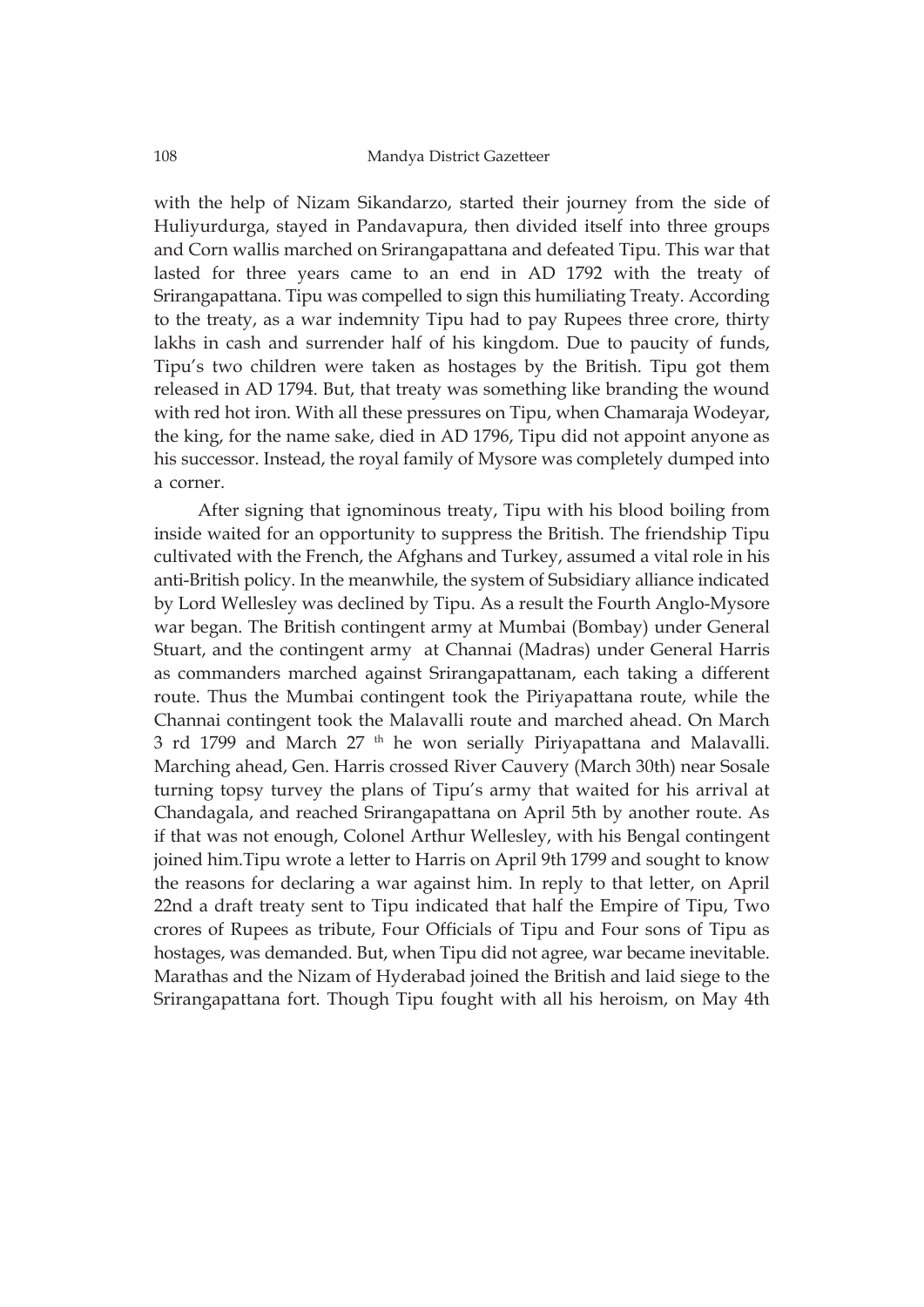with the help of Nizam Sikandarzo, started their journey from the side of Huliyurdurga, stayed in Pandavapura, then divided itself into three groups and Corn wallis marched on Srirangapattana and defeated Tipu. This war that lasted for three years came to an end in AD 1792 with the treaty of Srirangapattana. Tipu was compelled to sign this humiliating Treaty. According to the treaty, as a war indemnity Tipu had to pay Rupees three crore, thirty lakhs in cash and surrender half of his kingdom. Due to paucity of funds, Tipu's two children were taken as hostages by the British. Tipu got them released in AD 1794. But, that treaty was something like branding the wound with red hot iron. With all these pressures on Tipu, when Chamaraja Wodeyar, the king, for the name sake, died in AD 1796, Tipu did not appoint anyone as his successor. Instead, the royal family of Mysore was completely dumped into a corner.

After signing that ignominous treaty, Tipu with his blood boiling from inside waited for an opportunity to suppress the British. The friendship Tipu cultivated with the French, the Afghans and Turkey, assumed a vital role in his anti-British policy. In the meanwhile, the system of Subsidiary alliance indicated by Lord Wellesley was declined by Tipu. As a result the Fourth Anglo-Mysore war began. The British contingent army at Mumbai (Bombay) under General Stuart, and the contingent army at Channai (Madras) under General Harris as commanders marched against Srirangapattanam, each taking a different route. Thus the Mumbai contingent took the Piriyapattana route, while the Channai contingent took the Malavalli route and marched ahead. On March 3 rd 1799 and March 27 th he won serially Piriyapattana and Malavalli. Marching ahead, Gen. Harris crossed River Cauvery (March 30th) near Sosale turning topsy turvey the plans of Tipu's army that waited for his arrival at Chandagala, and reached Srirangapattana on April 5th by another route. As if that was not enough, Colonel Arthur Wellesley, with his Bengal contingent joined him.Tipu wrote a letter to Harris on April 9th 1799 and sought to know the reasons for declaring a war against him. In reply to that letter, on April 22nd a draft treaty sent to Tipu indicated that half the Empire of Tipu, Two crores of Rupees as tribute, Four Officials of Tipu and Four sons of Tipu as hostages, was demanded. But, when Tipu did not agree, war became inevitable. Marathas and the Nizam of Hyderabad joined the British and laid siege to the Srirangapattana fort. Though Tipu fought with all his heroism, on May 4th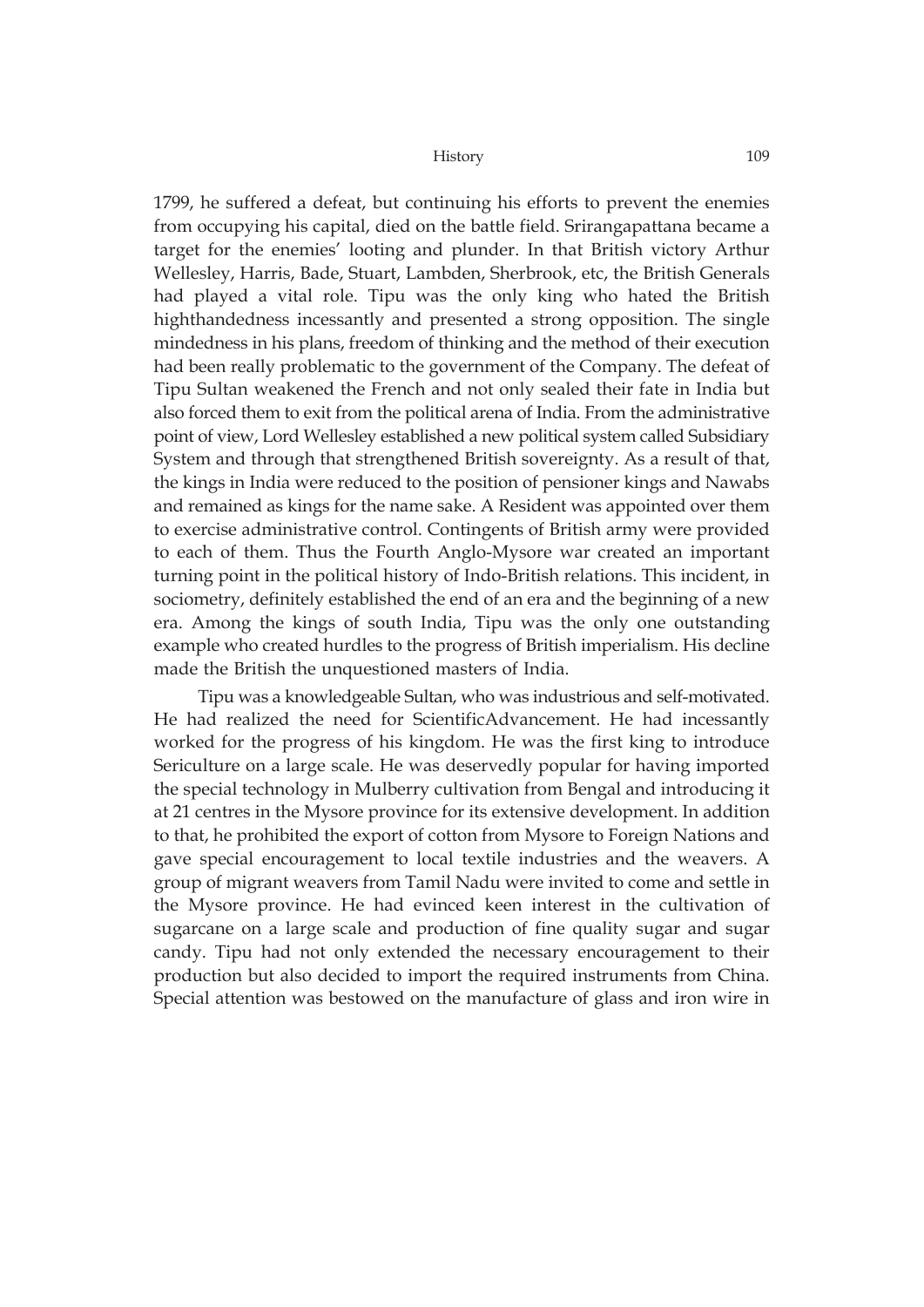1799, he suffered a defeat, but continuing his efforts to prevent the enemies from occupying his capital, died on the battle field. Srirangapattana became a target for the enemies' looting and plunder. In that British victory Arthur Wellesley, Harris, Bade, Stuart, Lambden, Sherbrook, etc, the British Generals had played a vital role. Tipu was the only king who hated the British highthandedness incessantly and presented a strong opposition. The single mindedness in his plans, freedom of thinking and the method of their execution had been really problematic to the government of the Company. The defeat of Tipu Sultan weakened the French and not only sealed their fate in India but also forced them to exit from the political arena of India. From the administrative point of view, Lord Wellesley established a new political system called Subsidiary System and through that strengthened British sovereignty. As a result of that, the kings in India were reduced to the position of pensioner kings and Nawabs and remained as kings for the name sake. A Resident was appointed over them to exercise administrative control. Contingents of British army were provided to each of them. Thus the Fourth Anglo-Mysore war created an important turning point in the political history of Indo-British relations. This incident, in sociometry, definitely established the end of an era and the beginning of a new era. Among the kings of south India, Tipu was the only one outstanding example who created hurdles to the progress of British imperialism. His decline made the British the unquestioned masters of India.

Tipu was a knowledgeable Sultan, who was industrious and self-motivated. He had realized the need for ScientificAdvancement. He had incessantly worked for the progress of his kingdom. He was the first king to introduce Sericulture on a large scale. He was deservedly popular for having imported the special technology in Mulberry cultivation from Bengal and introducing it at 21 centres in the Mysore province for its extensive development. In addition to that, he prohibited the export of cotton from Mysore to Foreign Nations and gave special encouragement to local textile industries and the weavers. A group of migrant weavers from Tamil Nadu were invited to come and settle in the Mysore province. He had evinced keen interest in the cultivation of sugarcane on a large scale and production of fine quality sugar and sugar candy. Tipu had not only extended the necessary encouragement to their production but also decided to import the required instruments from China. Special attention was bestowed on the manufacture of glass and iron wire in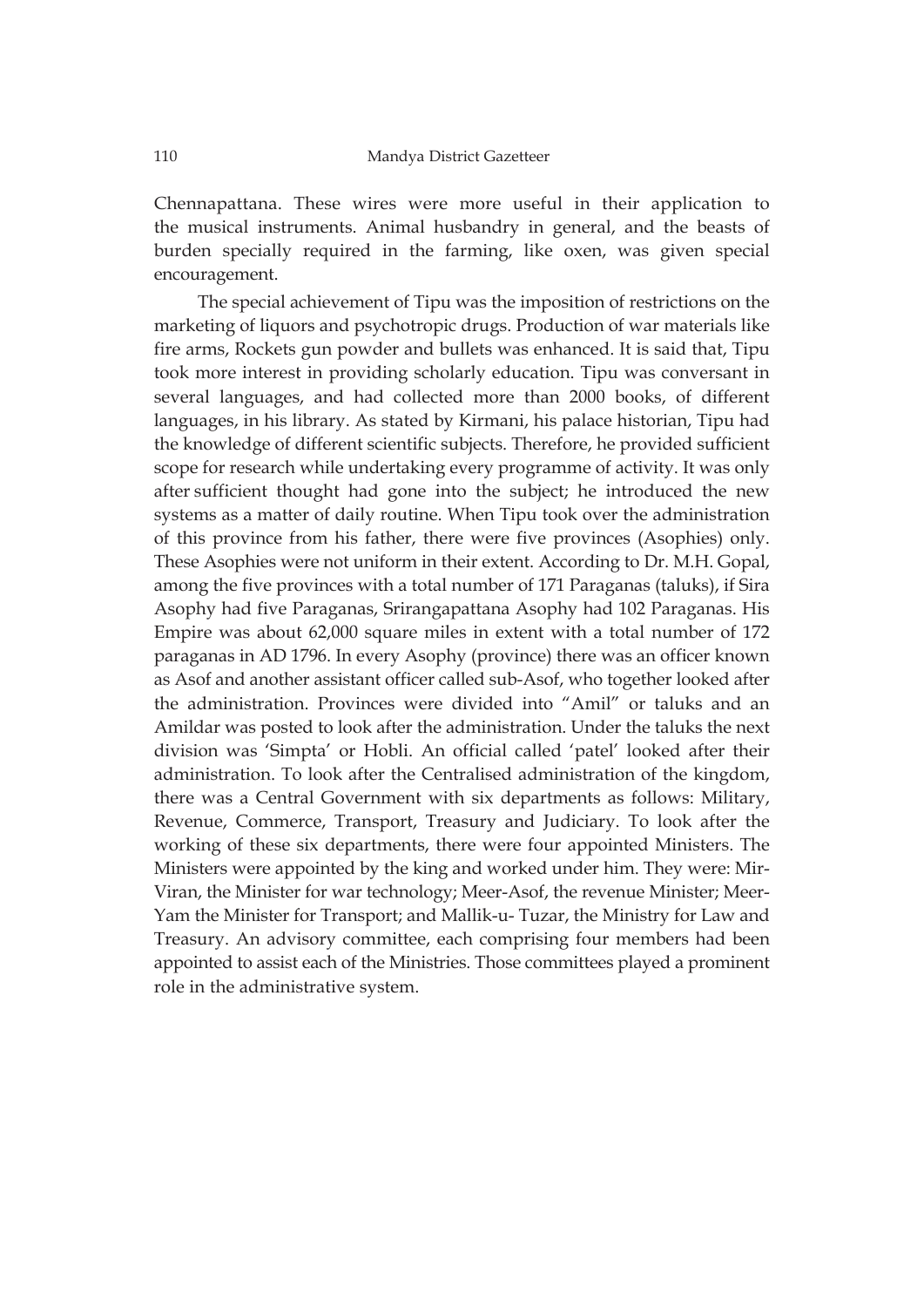Chennapattana. These wires were more useful in their application to the musical instruments. Animal husbandry in general, and the beasts of burden specially required in the farming, like oxen, was given special encouragement.

The special achievement of Tipu was the imposition of restrictions on the marketing of liquors and psychotropic drugs. Production of war materials like fire arms, Rockets gun powder and bullets was enhanced. It is said that, Tipu took more interest in providing scholarly education. Tipu was conversant in several languages, and had collected more than 2000 books, of different languages, in his library. As stated by Kirmani, his palace historian, Tipu had the knowledge of different scientific subjects. Therefore, he provided sufficient scope for research while undertaking every programme of activity. It was only after sufficient thought had gone into the subject; he introduced the new systems as a matter of daily routine. When Tipu took over the administration of this province from his father, there were five provinces (Asophies) only. These Asophies were not uniform in their extent. According to Dr. M.H. Gopal, among the five provinces with a total number of 171 Paraganas (taluks), if Sira Asophy had five Paraganas, Srirangapattana Asophy had 102 Paraganas. His Empire was about 62,000 square miles in extent with a total number of 172 paraganas in AD 1796. In every Asophy (province) there was an officer known as Asof and another assistant officer called sub-Asof, who together looked after the administration. Provinces were divided into "Amil" or taluks and an Amildar was posted to look after the administration. Under the taluks the next division was 'Simpta' or Hobli. An official called 'patel' looked after their administration. To look after the Centralised administration of the kingdom, there was a Central Government with six departments as follows: Military, Revenue, Commerce, Transport, Treasury and Judiciary. To look after the working of these six departments, there were four appointed Ministers. The Ministers were appointed by the king and worked under him. They were: Mir-Viran, the Minister for war technology; Meer-Asof, the revenue Minister; Meer-Yam the Minister for Transport; and Mallik-u- Tuzar, the Ministry for Law and Treasury. An advisory committee, each comprising four members had been appointed to assist each of the Ministries. Those committees played a prominent role in the administrative system.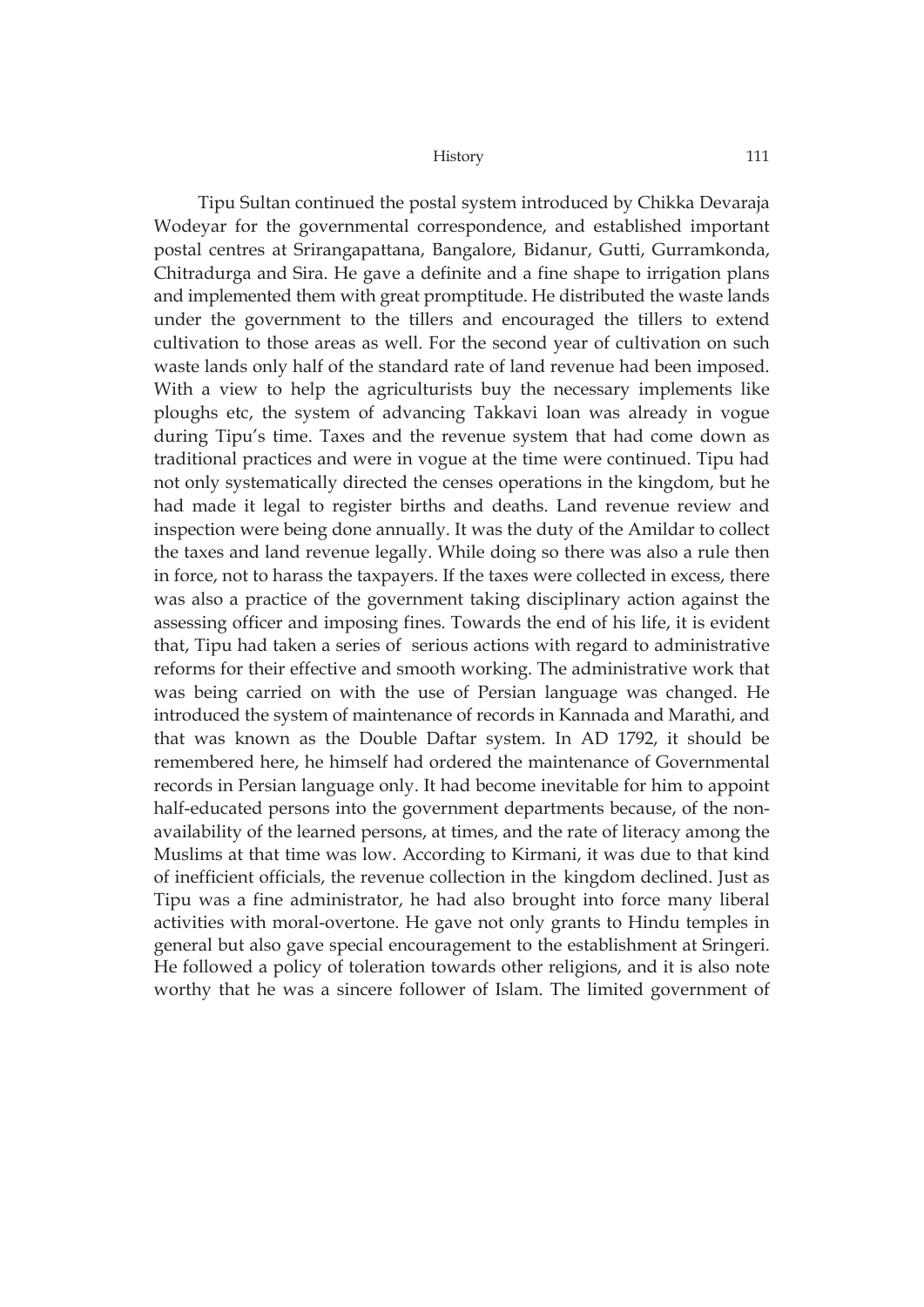Tipu Sultan continued the postal system introduced by Chikka Devaraja Wodeyar for the governmental correspondence, and established important postal centres at Srirangapattana, Bangalore, Bidanur, Gutti, Gurramkonda, Chitradurga and Sira. He gave a definite and a fine shape to irrigation plans and implemented them with great promptitude. He distributed the waste lands under the government to the tillers and encouraged the tillers to extend cultivation to those areas as well. For the second year of cultivation on such waste lands only half of the standard rate of land revenue had been imposed. With a view to help the agriculturists buy the necessary implements like ploughs etc, the system of advancing Takkavi loan was already in vogue during Tipu's time. Taxes and the revenue system that had come down as traditional practices and were in vogue at the time were continued. Tipu had not only systematically directed the censes operations in the kingdom, but he had made it legal to register births and deaths. Land revenue review and inspection were being done annually. It was the duty of the Amildar to collect the taxes and land revenue legally. While doing so there was also a rule then in force, not to harass the taxpayers. If the taxes were collected in excess, there was also a practice of the government taking disciplinary action against the assessing officer and imposing fines. Towards the end of his life, it is evident that, Tipu had taken a series of serious actions with regard to administrative reforms for their effective and smooth working. The administrative work that was being carried on with the use of Persian language was changed. He introduced the system of maintenance of records in Kannada and Marathi, and that was known as the Double Daftar system. In AD 1792, it should be remembered here, he himself had ordered the maintenance of Governmental records in Persian language only. It had become inevitable for him to appoint half-educated persons into the government departments because, of the nonavailability of the learned persons, at times, and the rate of literacy among the Muslims at that time was low. According to Kirmani, it was due to that kind of inefficient officials, the revenue collection in the kingdom declined. Just as Tipu was a fine administrator, he had also brought into force many liberal activities with moral-overtone. He gave not only grants to Hindu temples in general but also gave special encouragement to the establishment at Sringeri. He followed a policy of toleration towards other religions, and it is also note worthy that he was a sincere follower of Islam. The limited government of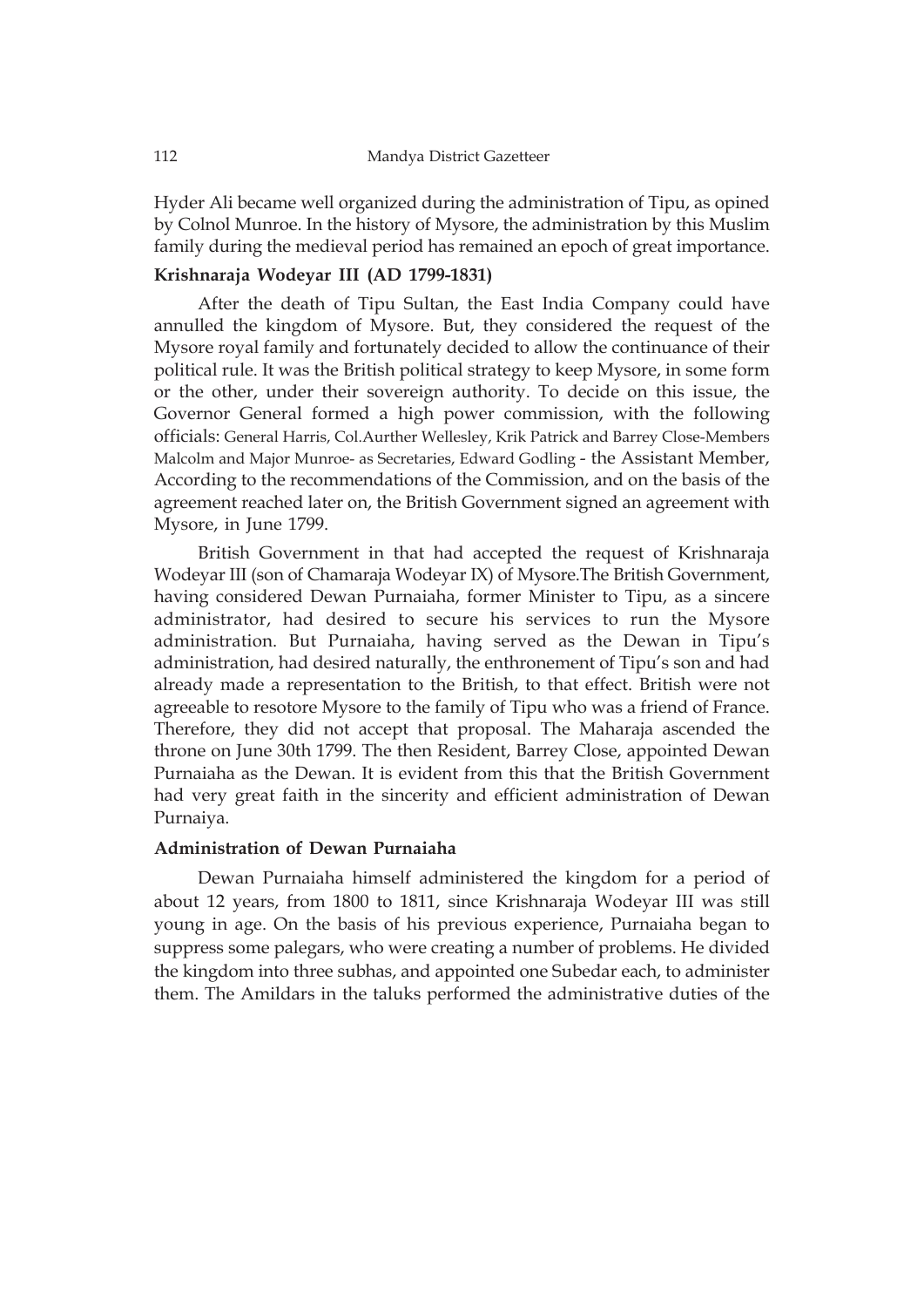Hyder Ali became well organized during the administration of Tipu, as opined by Colnol Munroe. In the history of Mysore, the administration by this Muslim family during the medieval period has remained an epoch of great importance.

# **Krishnaraja Wodeyar III (AD 1799-1831)**

After the death of Tipu Sultan, the East India Company could have annulled the kingdom of Mysore. But, they considered the request of the Mysore royal family and fortunately decided to allow the continuance of their political rule. It was the British political strategy to keep Mysore, in some form or the other, under their sovereign authority. To decide on this issue, the Governor General formed a high power commission, with the following officials: General Harris, Col.Aurther Wellesley, Krik Patrick and Barrey Close-Members Malcolm and Major Munroe- as Secretaries, Edward Godling - the Assistant Member, According to the recommendations of the Commission, and on the basis of the agreement reached later on, the British Government signed an agreement with Mysore, in June 1799.

British Government in that had accepted the request of Krishnaraja Wodeyar III (son of Chamaraja Wodeyar IX) of Mysore.The British Government, having considered Dewan Purnaiaha, former Minister to Tipu, as a sincere administrator, had desired to secure his services to run the Mysore administration. But Purnaiaha, having served as the Dewan in Tipu's administration, had desired naturally, the enthronement of Tipu's son and had already made a representation to the British, to that effect. British were not agreeable to resotore Mysore to the family of Tipu who was a friend of France. Therefore, they did not accept that proposal. The Maharaja ascended the throne on June 30th 1799. The then Resident, Barrey Close, appointed Dewan Purnaiaha as the Dewan. It is evident from this that the British Government had very great faith in the sincerity and efficient administration of Dewan Purnaiya.

# **Administration of Dewan Purnaiaha**

Dewan Purnaiaha himself administered the kingdom for a period of about 12 years, from 1800 to 1811, since Krishnaraja Wodeyar III was still young in age. On the basis of his previous experience, Purnaiaha began to suppress some palegars, who were creating a number of problems. He divided the kingdom into three subhas, and appointed one Subedar each, to administer them. The Amildars in the taluks performed the administrative duties of the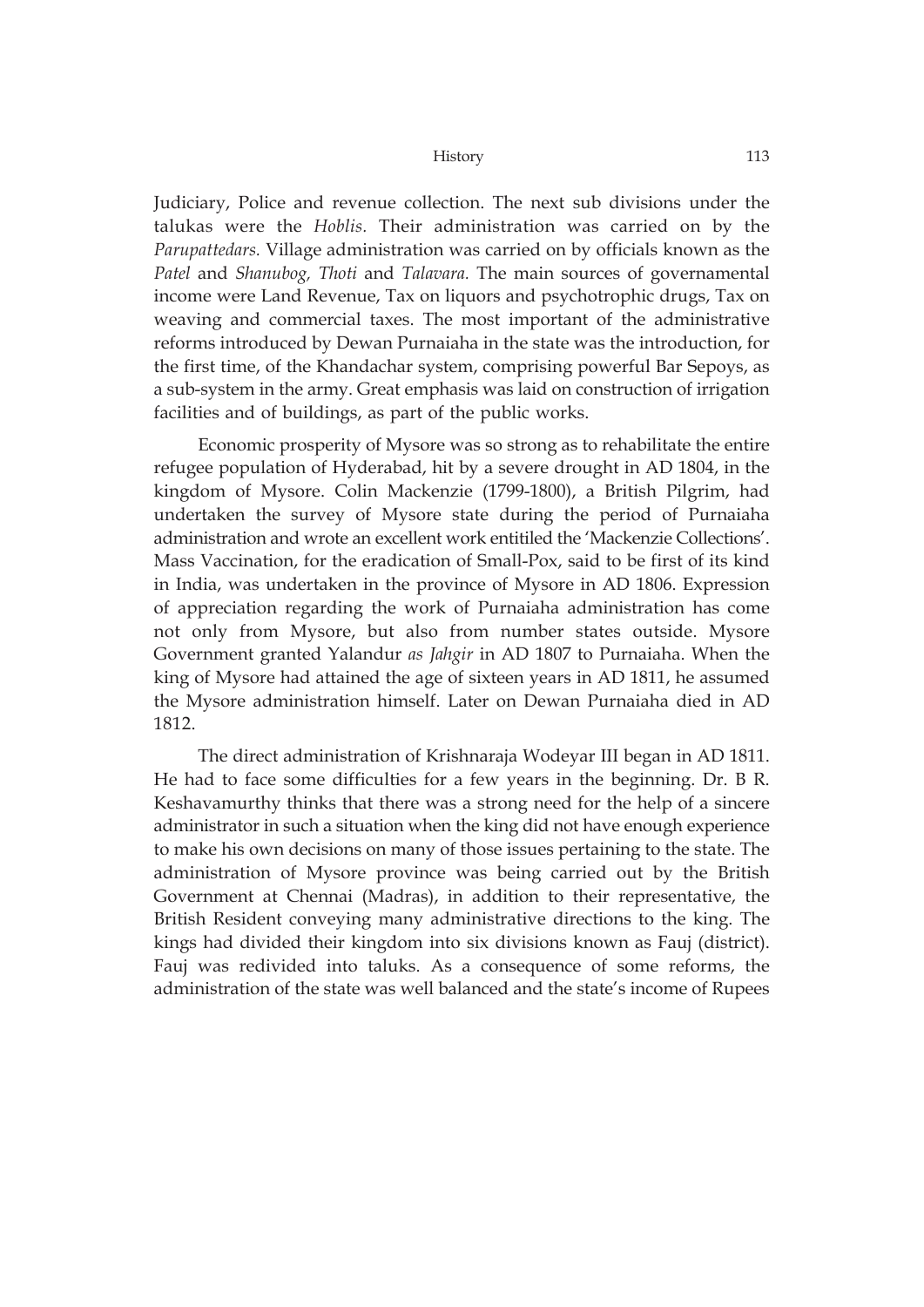Judiciary, Police and revenue collection. The next sub divisions under the talukas were the *Hoblis.* Their administration was carried on by the *Parupattedars.* Village administration was carried on by officials known as the *Patel* and *Shanubog, Thoti* and *Talavara.* The main sources of governamental income were Land Revenue, Tax on liquors and psychotrophic drugs, Tax on weaving and commercial taxes. The most important of the administrative reforms introduced by Dewan Purnaiaha in the state was the introduction, for the first time, of the Khandachar system, comprising powerful Bar Sepoys, as a sub-system in the army. Great emphasis was laid on construction of irrigation facilities and of buildings, as part of the public works.

Economic prosperity of Mysore was so strong as to rehabilitate the entire refugee population of Hyderabad, hit by a severe drought in AD 1804, in the kingdom of Mysore. Colin Mackenzie (1799-1800), a British Pilgrim, had undertaken the survey of Mysore state during the period of Purnaiaha administration and wrote an excellent work entitiled the 'Mackenzie Collections'. Mass Vaccination, for the eradication of Small-Pox, said to be first of its kind in India, was undertaken in the province of Mysore in AD 1806. Expression of appreciation regarding the work of Purnaiaha administration has come not only from Mysore, but also from number states outside. Mysore Government granted Yalandur *as Jahgir* in AD 1807 to Purnaiaha. When the king of Mysore had attained the age of sixteen years in AD 1811, he assumed the Mysore administration himself. Later on Dewan Purnaiaha died in AD 1812.

The direct administration of Krishnaraja Wodeyar III began in AD 1811. He had to face some difficulties for a few years in the beginning. Dr. B R. Keshavamurthy thinks that there was a strong need for the help of a sincere administrator in such a situation when the king did not have enough experience to make his own decisions on many of those issues pertaining to the state. The administration of Mysore province was being carried out by the British Government at Chennai (Madras), in addition to their representative, the British Resident conveying many administrative directions to the king. The kings had divided their kingdom into six divisions known as Fauj (district). Fauj was redivided into taluks. As a consequence of some reforms, the administration of the state was well balanced and the state's income of Rupees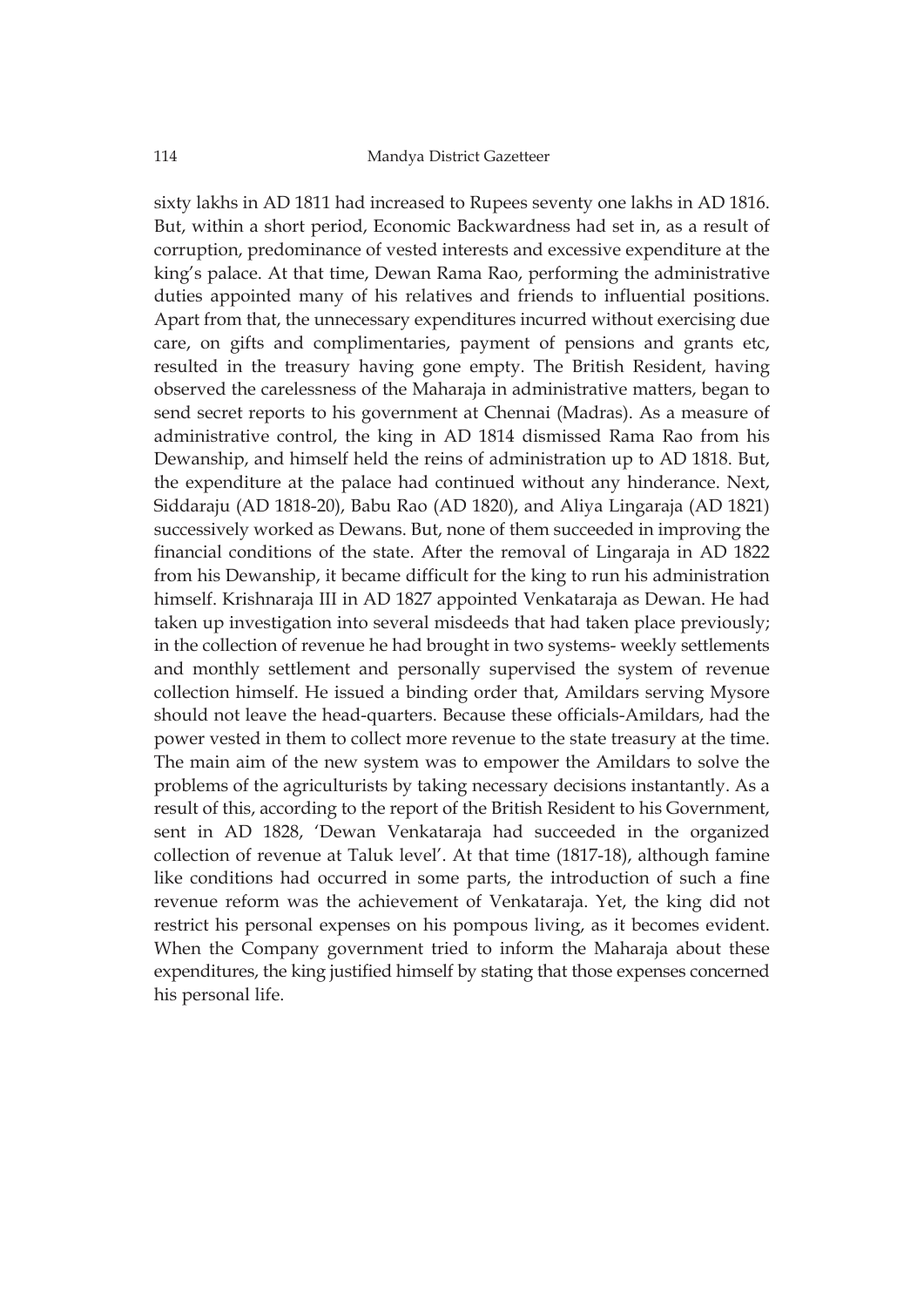sixty lakhs in AD 1811 had increased to Rupees seventy one lakhs in AD 1816. But, within a short period, Economic Backwardness had set in, as a result of corruption, predominance of vested interests and excessive expenditure at the king's palace. At that time, Dewan Rama Rao, performing the administrative duties appointed many of his relatives and friends to influential positions. Apart from that, the unnecessary expenditures incurred without exercising due care, on gifts and complimentaries, payment of pensions and grants etc, resulted in the treasury having gone empty. The British Resident, having observed the carelessness of the Maharaja in administrative matters, began to send secret reports to his government at Chennai (Madras). As a measure of administrative control, the king in AD 1814 dismissed Rama Rao from his Dewanship, and himself held the reins of administration up to AD 1818. But, the expenditure at the palace had continued without any hinderance. Next, Siddaraju (AD 1818-20), Babu Rao (AD 1820), and Aliya Lingaraja (AD 1821) successively worked as Dewans. But, none of them succeeded in improving the financial conditions of the state. After the removal of Lingaraja in AD 1822 from his Dewanship, it became difficult for the king to run his administration himself. Krishnaraja III in AD 1827 appointed Venkataraja as Dewan. He had taken up investigation into several misdeeds that had taken place previously; in the collection of revenue he had brought in two systems- weekly settlements and monthly settlement and personally supervised the system of revenue collection himself. He issued a binding order that, Amildars serving Mysore should not leave the head-quarters. Because these officials-Amildars, had the power vested in them to collect more revenue to the state treasury at the time. The main aim of the new system was to empower the Amildars to solve the problems of the agriculturists by taking necessary decisions instantantly. As a result of this, according to the report of the British Resident to his Government, sent in AD 1828, 'Dewan Venkataraja had succeeded in the organized collection of revenue at Taluk level'. At that time (1817-18), although famine like conditions had occurred in some parts, the introduction of such a fine revenue reform was the achievement of Venkataraja. Yet, the king did not restrict his personal expenses on his pompous living, as it becomes evident. When the Company government tried to inform the Maharaja about these expenditures, the king justified himself by stating that those expenses concerned his personal life.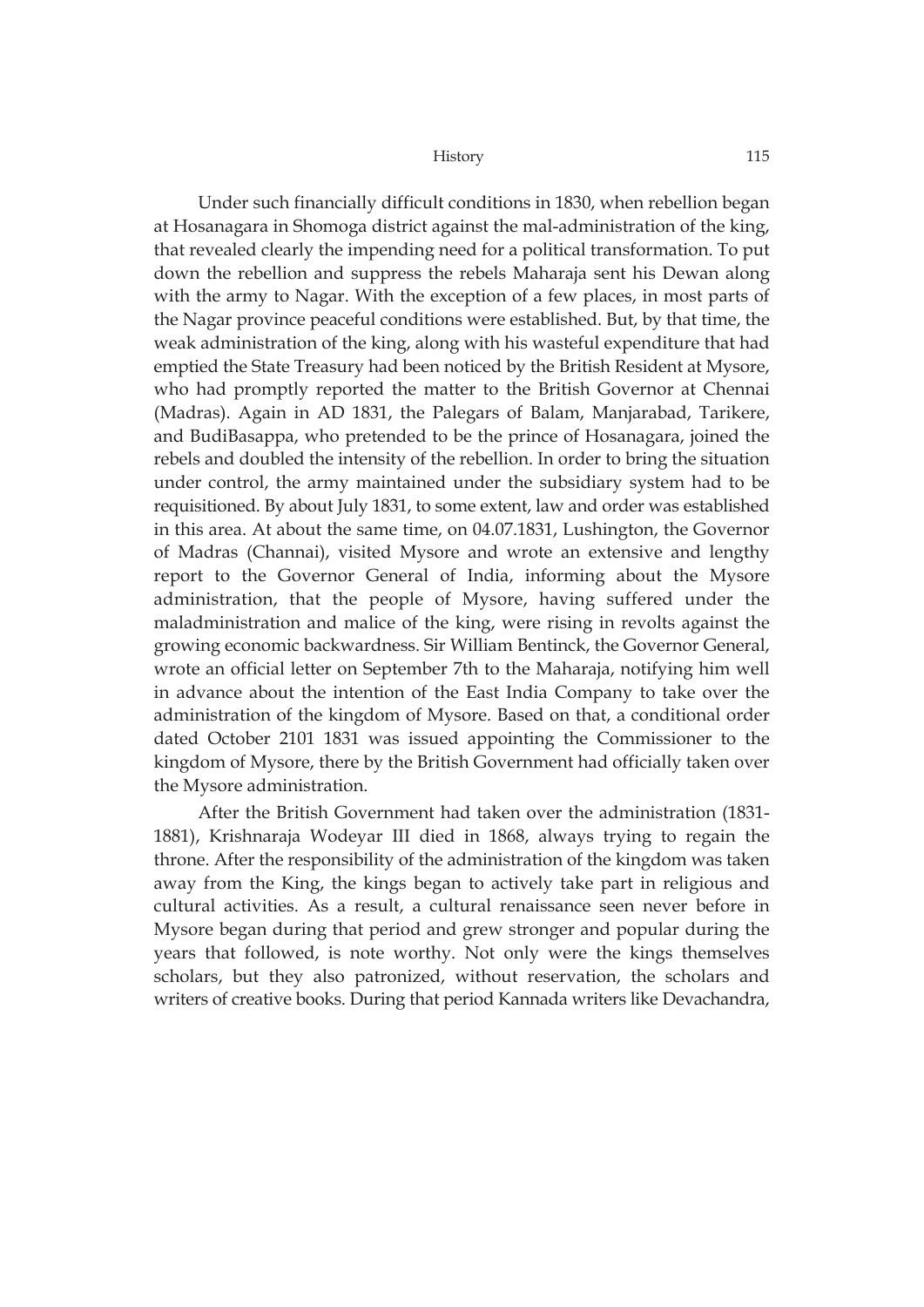Under such financially difficult conditions in 1830, when rebellion began at Hosanagara in Shomoga district against the mal-administration of the king, that revealed clearly the impending need for a political transformation. To put down the rebellion and suppress the rebels Maharaja sent his Dewan along with the army to Nagar. With the exception of a few places, in most parts of the Nagar province peaceful conditions were established. But, by that time, the weak administration of the king, along with his wasteful expenditure that had emptied the State Treasury had been noticed by the British Resident at Mysore, who had promptly reported the matter to the British Governor at Chennai (Madras). Again in AD 1831, the Palegars of Balam, Manjarabad, Tarikere, and BudiBasappa, who pretended to be the prince of Hosanagara, joined the rebels and doubled the intensity of the rebellion. In order to bring the situation under control, the army maintained under the subsidiary system had to be requisitioned. By about July 1831, to some extent, law and order was established in this area. At about the same time, on 04.07.1831, Lushington, the Governor of Madras (Channai), visited Mysore and wrote an extensive and lengthy report to the Governor General of India, informing about the Mysore administration, that the people of Mysore, having suffered under the maladministration and malice of the king, were rising in revolts against the growing economic backwardness. Sir William Bentinck, the Governor General, wrote an official letter on September 7th to the Maharaja, notifying him well in advance about the intention of the East India Company to take over the administration of the kingdom of Mysore. Based on that, a conditional order dated October 2101 1831 was issued appointing the Commissioner to the kingdom of Mysore, there by the British Government had officially taken over the Mysore administration.

After the British Government had taken over the administration (1831- 1881), Krishnaraja Wodeyar III died in 1868, always trying to regain the throne. After the responsibility of the administration of the kingdom was taken away from the King, the kings began to actively take part in religious and cultural activities. As a result, a cultural renaissance seen never before in Mysore began during that period and grew stronger and popular during the years that followed, is note worthy. Not only were the kings themselves scholars, but they also patronized, without reservation, the scholars and writers of creative books. During that period Kannada writers like Devachandra,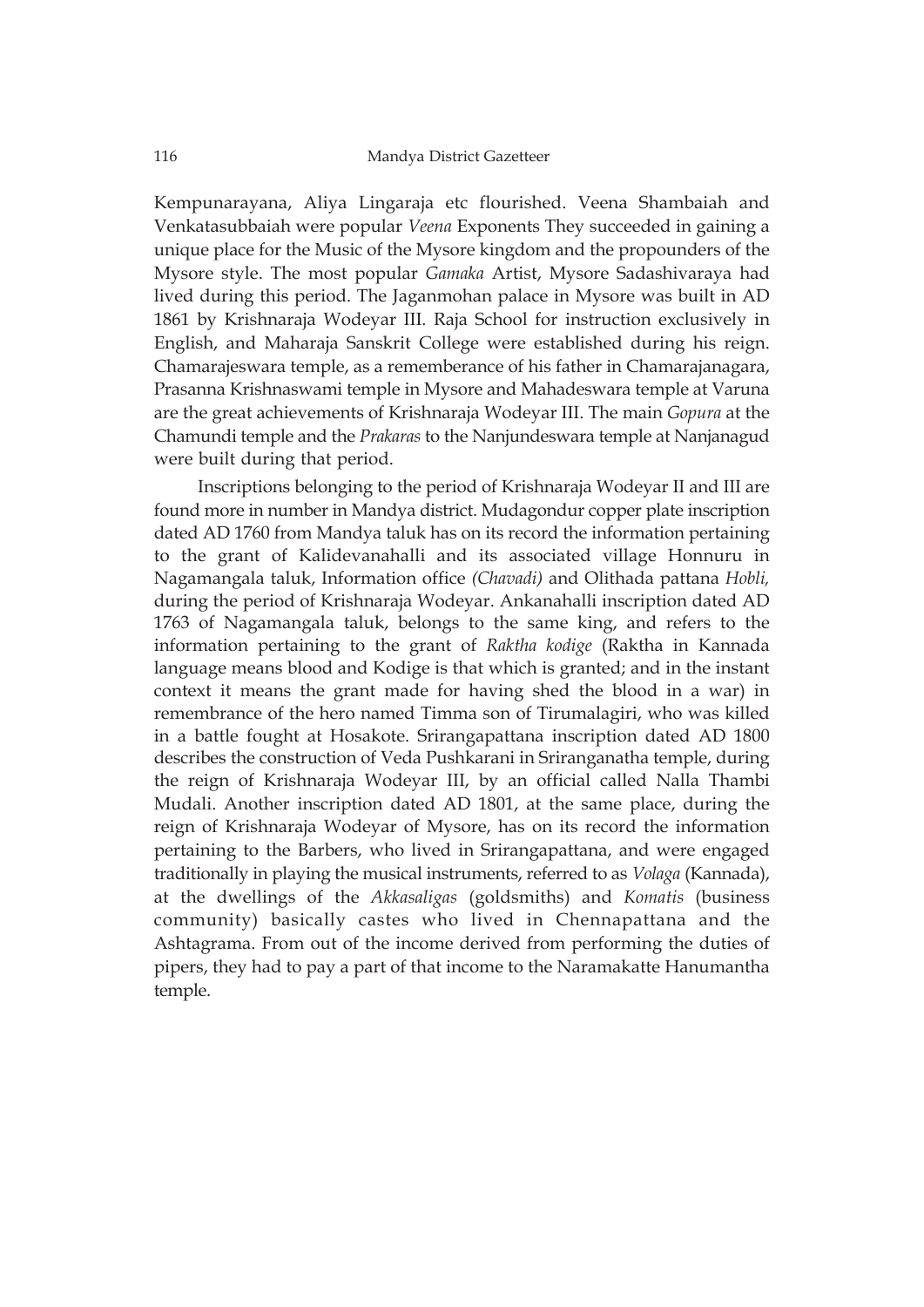Kempunarayana, Aliya Lingaraja etc flourished. Veena Shambaiah and Venkatasubbaiah were popular *Veena* Exponents They succeeded in gaining a unique place for the Music of the Mysore kingdom and the propounders of the Mysore style. The most popular *Gamaka* Artist, Mysore Sadashivaraya had lived during this period. The Jaganmohan palace in Mysore was built in AD 1861 by Krishnaraja Wodeyar III. Raja School for instruction exclusively in English, and Maharaja Sanskrit College were established during his reign. Chamarajeswara temple, as a rememberance of his father in Chamarajanagara, Prasanna Krishnaswami temple in Mysore and Mahadeswara temple at Varuna are the great achievements of Krishnaraja Wodeyar III. The main *Gopura* at the Chamundi temple and the *Prakaras* to the Nanjundeswara temple at Nanjanagud were built during that period.

Inscriptions belonging to the period of Krishnaraja Wodeyar II and III are found more in number in Mandya district. Mudagondur copper plate inscription dated AD 1760 from Mandya taluk has on its record the information pertaining to the grant of Kalidevanahalli and its associated village Honnuru in Nagamangala taluk, Information office *(Chavadi)* and Olithada pattana *Hobli,* during the period of Krishnaraja Wodeyar. Ankanahalli inscription dated AD 1763 of Nagamangala taluk, belongs to the same king, and refers to the information pertaining to the grant of *Raktha kodige* (Raktha in Kannada language means blood and Kodige is that which is granted; and in the instant context it means the grant made for having shed the blood in a war) in remembrance of the hero named Timma son of Tirumalagiri, who was killed in a battle fought at Hosakote. Srirangapattana inscription dated AD 1800 describes the construction of Veda Pushkarani in Sriranganatha temple, during the reign of Krishnaraja Wodeyar III, by an official called Nalla Thambi Mudali. Another inscription dated AD 1801, at the same place, during the reign of Krishnaraja Wodeyar of Mysore, has on its record the information pertaining to the Barbers, who lived in Srirangapattana, and were engaged traditionally in playing the musical instruments, referred to as *Volaga* (Kannada), at the dwellings of the *Akkasaligas* (goldsmiths) and *Komatis* (business community) basically castes who lived in Chennapattana and the Ashtagrama. From out of the income derived from performing the duties of pipers, they had to pay a part of that income to the Naramakatte Hanumantha temple.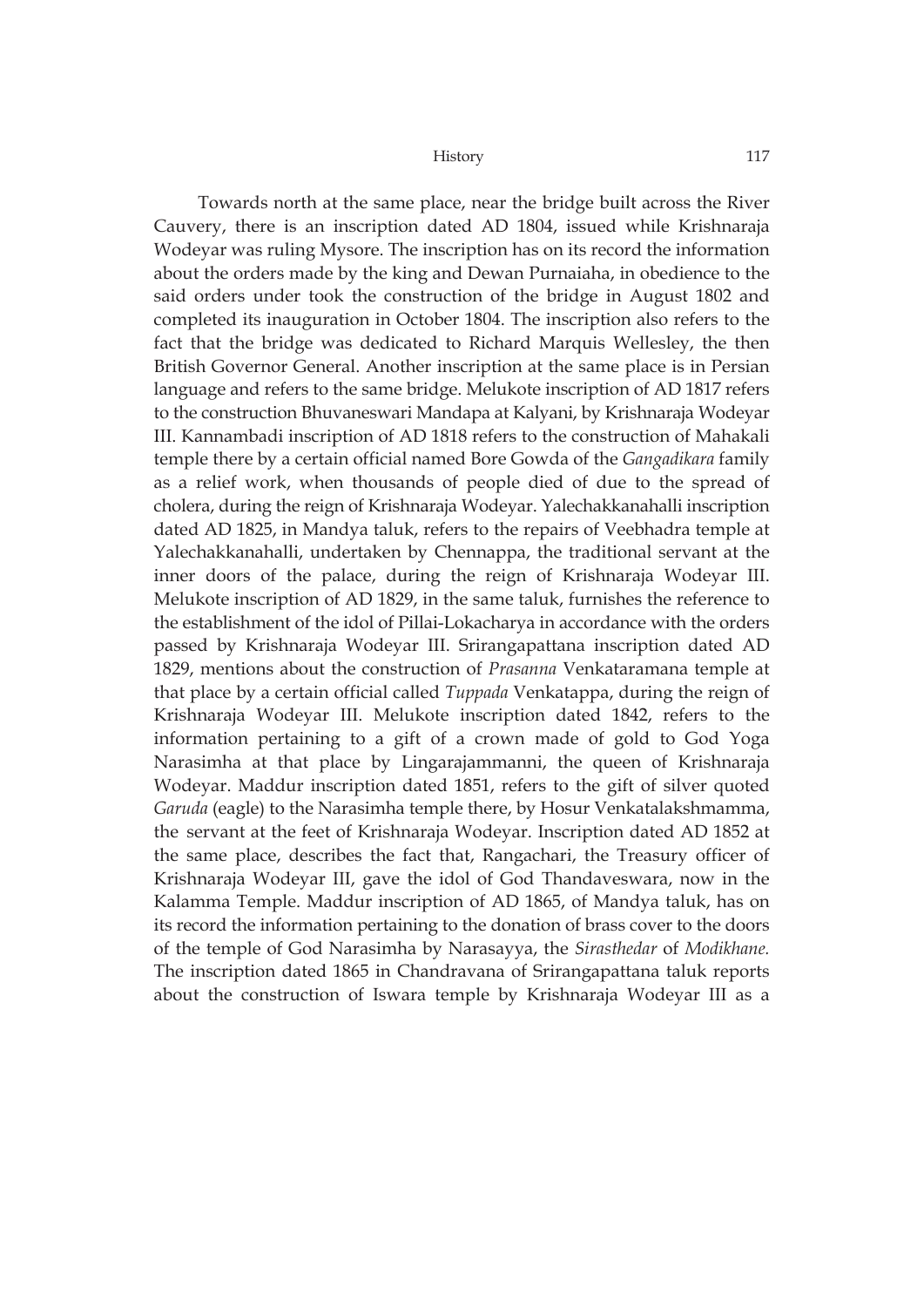Towards north at the same place, near the bridge built across the River Cauvery, there is an inscription dated AD 1804, issued while Krishnaraja Wodeyar was ruling Mysore. The inscription has on its record the information about the orders made by the king and Dewan Purnaiaha, in obedience to the said orders under took the construction of the bridge in August 1802 and completed its inauguration in October 1804. The inscription also refers to the fact that the bridge was dedicated to Richard Marquis Wellesley, the then British Governor General. Another inscription at the same place is in Persian language and refers to the same bridge. Melukote inscription of AD 1817 refers to the construction Bhuvaneswari Mandapa at Kalyani, by Krishnaraja Wodeyar III. Kannambadi inscription of AD 1818 refers to the construction of Mahakali temple there by a certain official named Bore Gowda of the *Gangadikara* family as a relief work, when thousands of people died of due to the spread of cholera, during the reign of Krishnaraja Wodeyar. Yalechakkanahalli inscription dated AD 1825, in Mandya taluk, refers to the repairs of Veebhadra temple at Yalechakkanahalli, undertaken by Chennappa, the traditional servant at the inner doors of the palace, during the reign of Krishnaraja Wodeyar III. Melukote inscription of AD 1829, in the same taluk, furnishes the reference to the establishment of the idol of Pillai-Lokacharya in accordance with the orders passed by Krishnaraja Wodeyar III. Srirangapattana inscription dated AD 1829, mentions about the construction of *Prasanna* Venkataramana temple at that place by a certain official called *Tuppada* Venkatappa, during the reign of Krishnaraja Wodeyar III. Melukote inscription dated 1842, refers to the information pertaining to a gift of a crown made of gold to God Yoga Narasimha at that place by Lingarajammanni, the queen of Krishnaraja Wodeyar. Maddur inscription dated 1851, refers to the gift of silver quoted *Garuda* (eagle) to the Narasimha temple there, by Hosur Venkatalakshmamma, the servant at the feet of Krishnaraja Wodeyar. Inscription dated AD 1852 at the same place, describes the fact that, Rangachari, the Treasury officer of Krishnaraja Wodeyar III, gave the idol of God Thandaveswara, now in the Kalamma Temple. Maddur inscription of AD 1865, of Mandya taluk, has on its record the information pertaining to the donation of brass cover to the doors of the temple of God Narasimha by Narasayya, the *Sirasthedar* of *Modikhane.* The inscription dated 1865 in Chandravana of Srirangapattana taluk reports about the construction of Iswara temple by Krishnaraja Wodeyar III as a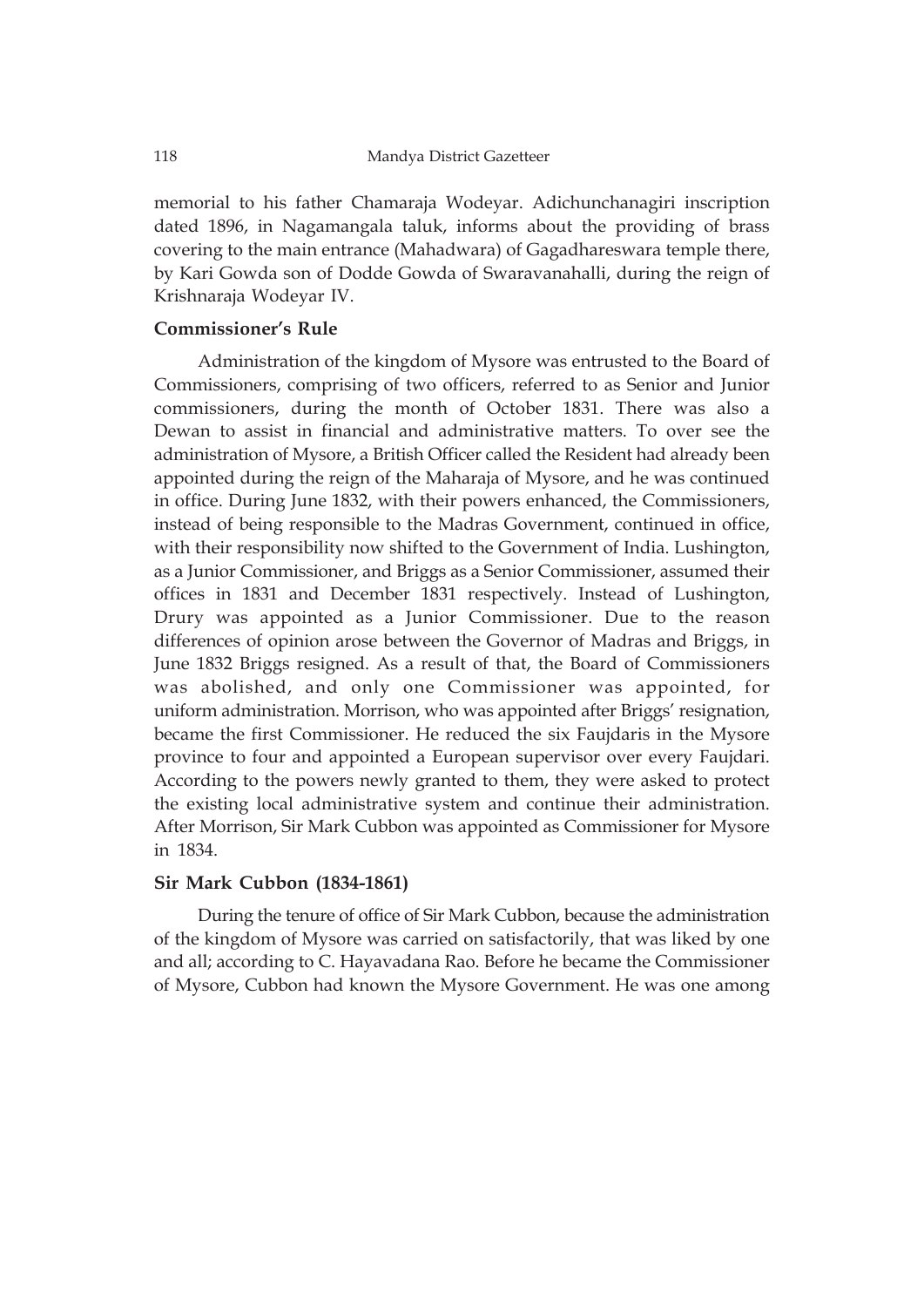memorial to his father Chamaraja Wodeyar. Adichunchanagiri inscription dated 1896, in Nagamangala taluk, informs about the providing of brass covering to the main entrance (Mahadwara) of Gagadhareswara temple there, by Kari Gowda son of Dodde Gowda of Swaravanahalli, during the reign of Krishnaraja Wodeyar IV.

### **Commissioner's Rule**

Administration of the kingdom of Mysore was entrusted to the Board of Commissioners, comprising of two officers, referred to as Senior and Junior commissioners, during the month of October 1831. There was also a Dewan to assist in financial and administrative matters. To over see the administration of Mysore, a British Officer called the Resident had already been appointed during the reign of the Maharaja of Mysore, and he was continued in office. During June 1832, with their powers enhanced, the Commissioners, instead of being responsible to the Madras Government, continued in office, with their responsibility now shifted to the Government of India. Lushington, as a Junior Commissioner, and Briggs as a Senior Commissioner, assumed their offices in 1831 and December 1831 respectively. Instead of Lushington, Drury was appointed as a Junior Commissioner. Due to the reason differences of opinion arose between the Governor of Madras and Briggs, in June 1832 Briggs resigned. As a result of that, the Board of Commissioners was abolished, and only one Commissioner was appointed, for uniform administration. Morrison, who was appointed after Briggs' resignation, became the first Commissioner. He reduced the six Faujdaris in the Mysore province to four and appointed a European supervisor over every Faujdari. According to the powers newly granted to them, they were asked to protect the existing local administrative system and continue their administration. After Morrison, Sir Mark Cubbon was appointed as Commissioner for Mysore in 1834.

### **Sir Mark Cubbon (1834-1861)**

During the tenure of office of Sir Mark Cubbon, because the administration of the kingdom of Mysore was carried on satisfactorily, that was liked by one and all; according to C. Hayavadana Rao. Before he became the Commissioner of Mysore, Cubbon had known the Mysore Government. He was one among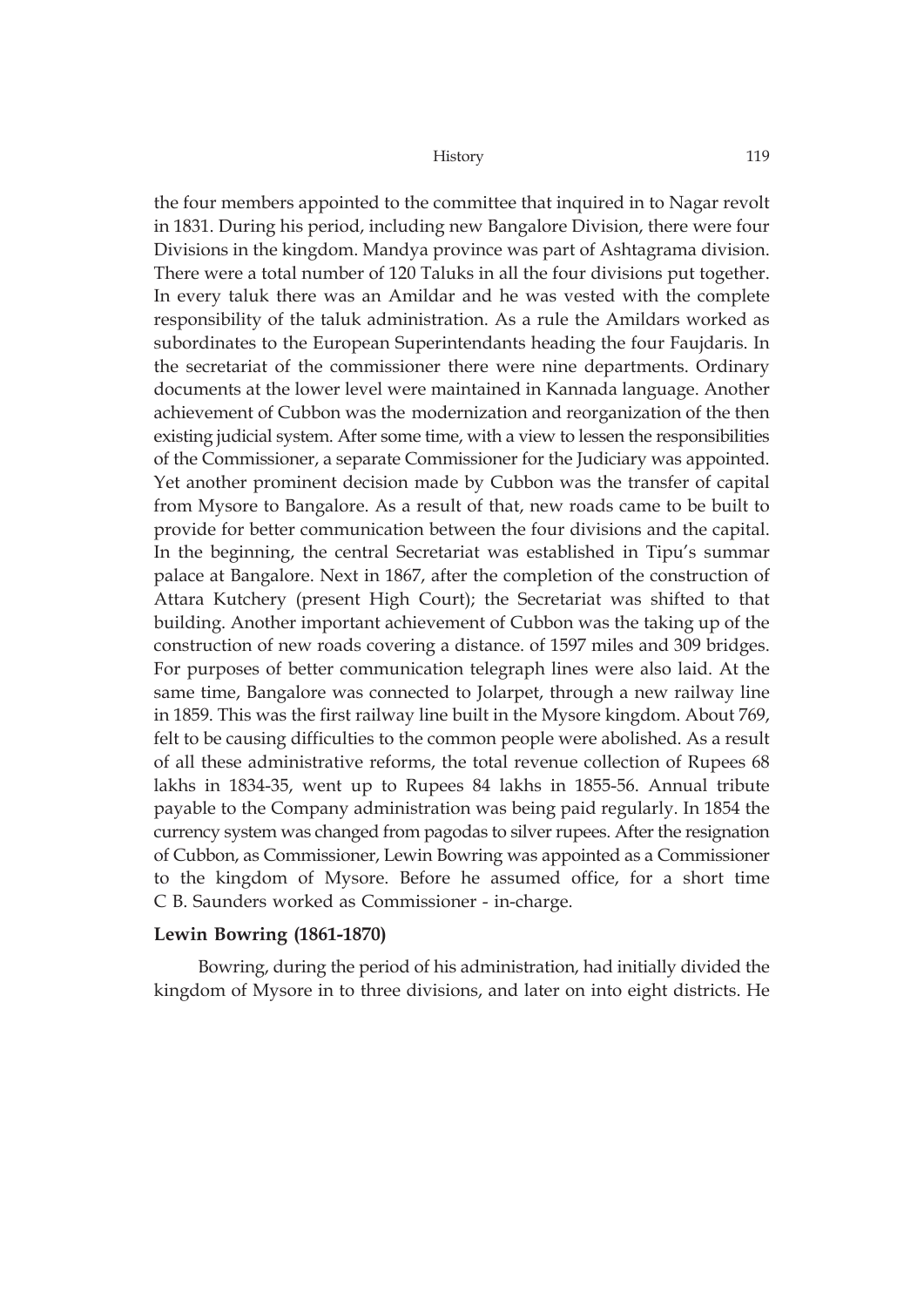the four members appointed to the committee that inquired in to Nagar revolt in 1831. During his period, including new Bangalore Division, there were four Divisions in the kingdom. Mandya province was part of Ashtagrama division. There were a total number of 120 Taluks in all the four divisions put together. In every taluk there was an Amildar and he was vested with the complete responsibility of the taluk administration. As a rule the Amildars worked as subordinates to the European Superintendants heading the four Faujdaris. In the secretariat of the commissioner there were nine departments. Ordinary documents at the lower level were maintained in Kannada language. Another achievement of Cubbon was the modernization and reorganization of the then existing judicial system. After some time, with a view to lessen the responsibilities of the Commissioner, a separate Commissioner for the Judiciary was appointed. Yet another prominent decision made by Cubbon was the transfer of capital from Mysore to Bangalore. As a result of that, new roads came to be built to provide for better communication between the four divisions and the capital. In the beginning, the central Secretariat was established in Tipu's summar palace at Bangalore. Next in 1867, after the completion of the construction of Attara Kutchery (present High Court); the Secretariat was shifted to that building. Another important achievement of Cubbon was the taking up of the construction of new roads covering a distance. of 1597 miles and 309 bridges. For purposes of better communication telegraph lines were also laid. At the same time, Bangalore was connected to Jolarpet, through a new railway line in 1859. This was the first railway line built in the Mysore kingdom. About 769, felt to be causing difficulties to the common people were abolished. As a result of all these administrative reforms, the total revenue collection of Rupees 68 lakhs in 1834-35, went up to Rupees 84 lakhs in 1855-56. Annual tribute payable to the Company administration was being paid regularly. In 1854 the currency system was changed from pagodas to silver rupees. After the resignation of Cubbon, as Commissioner, Lewin Bowring was appointed as a Commissioner to the kingdom of Mysore. Before he assumed office, for a short time C B. Saunders worked as Commissioner - in-charge.

### **Lewin Bowring (1861-1870)**

Bowring, during the period of his administration, had initially divided the kingdom of Mysore in to three divisions, and later on into eight districts. He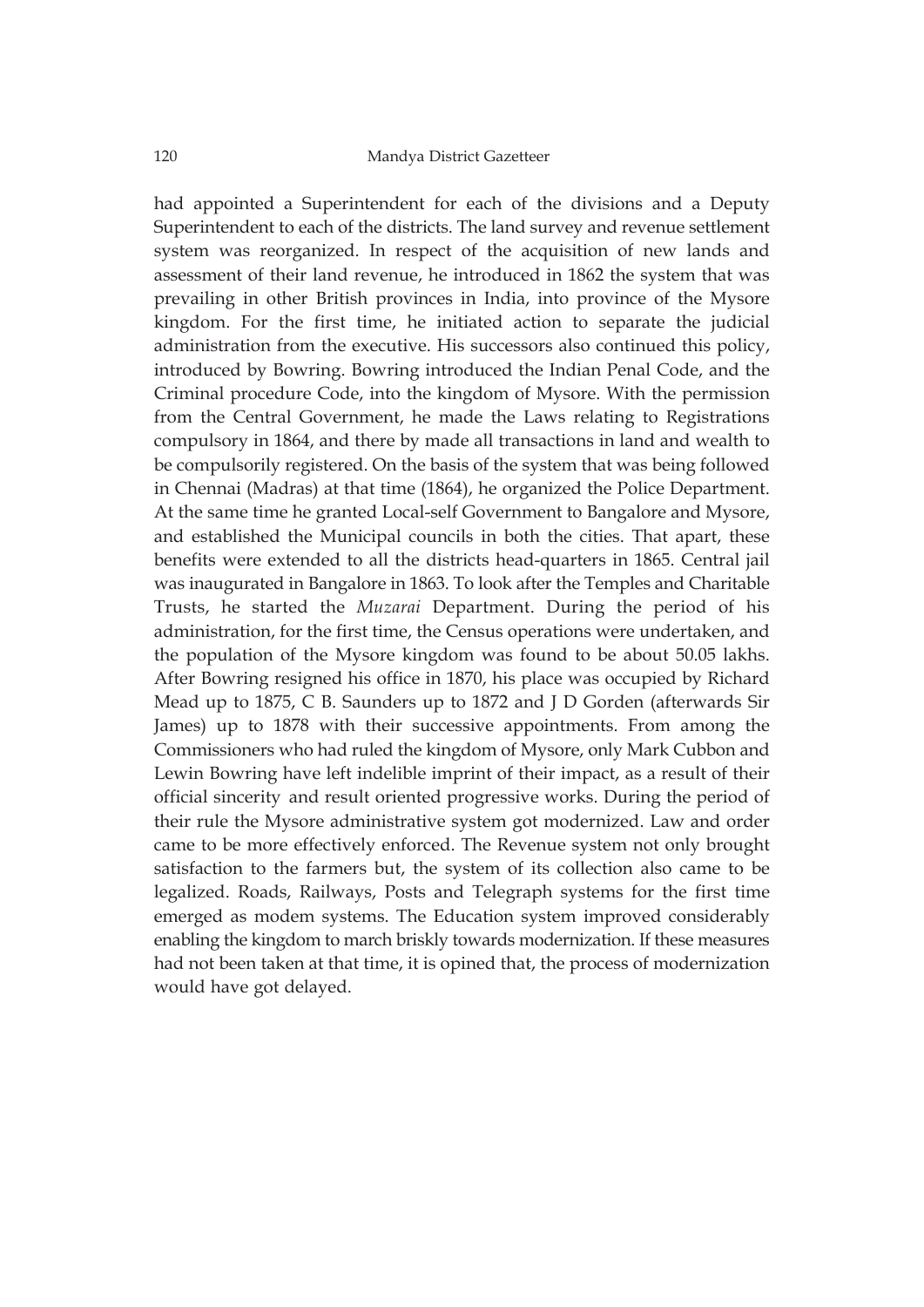had appointed a Superintendent for each of the divisions and a Deputy Superintendent to each of the districts. The land survey and revenue settlement system was reorganized. In respect of the acquisition of new lands and assessment of their land revenue, he introduced in 1862 the system that was prevailing in other British provinces in India, into province of the Mysore kingdom. For the first time, he initiated action to separate the judicial administration from the executive. His successors also continued this policy, introduced by Bowring. Bowring introduced the Indian Penal Code, and the Criminal procedure Code, into the kingdom of Mysore. With the permission from the Central Government, he made the Laws relating to Registrations compulsory in 1864, and there by made all transactions in land and wealth to be compulsorily registered. On the basis of the system that was being followed in Chennai (Madras) at that time (1864), he organized the Police Department. At the same time he granted Local-self Government to Bangalore and Mysore, and established the Municipal councils in both the cities. That apart, these benefits were extended to all the districts head-quarters in 1865. Central jail was inaugurated in Bangalore in 1863. To look after the Temples and Charitable Trusts, he started the *Muzarai* Department. During the period of his administration, for the first time, the Census operations were undertaken, and the population of the Mysore kingdom was found to be about 50.05 lakhs. After Bowring resigned his office in 1870, his place was occupied by Richard Mead up to 1875, C B. Saunders up to 1872 and J D Gorden (afterwards Sir James) up to 1878 with their successive appointments. From among the Commissioners who had ruled the kingdom of Mysore, only Mark Cubbon and Lewin Bowring have left indelible imprint of their impact, as a result of their official sincerity and result oriented progressive works. During the period of their rule the Mysore administrative system got modernized. Law and order came to be more effectively enforced. The Revenue system not only brought satisfaction to the farmers but, the system of its collection also came to be legalized. Roads, Railways, Posts and Telegraph systems for the first time emerged as modem systems. The Education system improved considerably enabling the kingdom to march briskly towards modernization. If these measures had not been taken at that time, it is opined that, the process of modernization would have got delayed.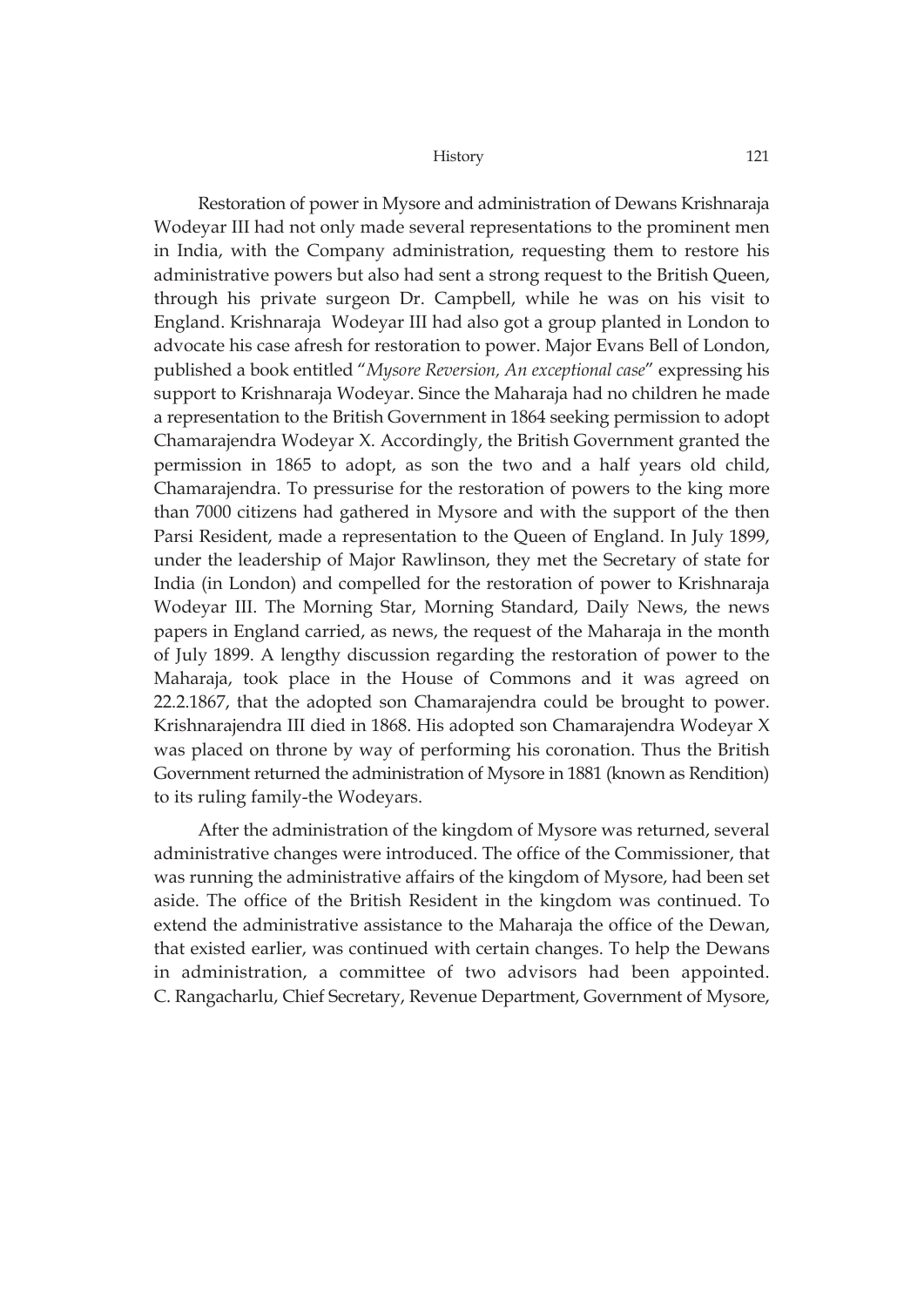Restoration of power in Mysore and administration of Dewans Krishnaraja Wodeyar III had not only made several representations to the prominent men in India, with the Company administration, requesting them to restore his administrative powers but also had sent a strong request to the British Queen, through his private surgeon Dr. Campbell, while he was on his visit to England. Krishnaraja Wodeyar III had also got a group planted in London to advocate his case afresh for restoration to power. Major Evans Bell of London, published a book entitled "*Mysore Reversion, An exceptional case*" expressing his support to Krishnaraja Wodeyar. Since the Maharaja had no children he made a representation to the British Government in 1864 seeking permission to adopt Chamarajendra Wodeyar X. Accordingly, the British Government granted the permission in 1865 to adopt, as son the two and a half years old child, Chamarajendra. To pressurise for the restoration of powers to the king more than 7000 citizens had gathered in Mysore and with the support of the then Parsi Resident, made a representation to the Queen of England. In July 1899, under the leadership of Major Rawlinson, they met the Secretary of state for India (in London) and compelled for the restoration of power to Krishnaraja Wodeyar III. The Morning Star, Morning Standard, Daily News, the news papers in England carried, as news, the request of the Maharaja in the month of July 1899. A lengthy discussion regarding the restoration of power to the Maharaja, took place in the House of Commons and it was agreed on 22.2.1867, that the adopted son Chamarajendra could be brought to power. Krishnarajendra III died in 1868. His adopted son Chamarajendra Wodeyar X was placed on throne by way of performing his coronation. Thus the British Government returned the administration of Mysore in 1881 (known as Rendition) to its ruling family-the Wodeyars.

After the administration of the kingdom of Mysore was returned, several administrative changes were introduced. The office of the Commissioner, that was running the administrative affairs of the kingdom of Mysore, had been set aside. The office of the British Resident in the kingdom was continued. To extend the administrative assistance to the Maharaja the office of the Dewan, that existed earlier, was continued with certain changes. To help the Dewans in administration, a committee of two advisors had been appointed. C. Rangacharlu, Chief Secretary, Revenue Department, Government of Mysore,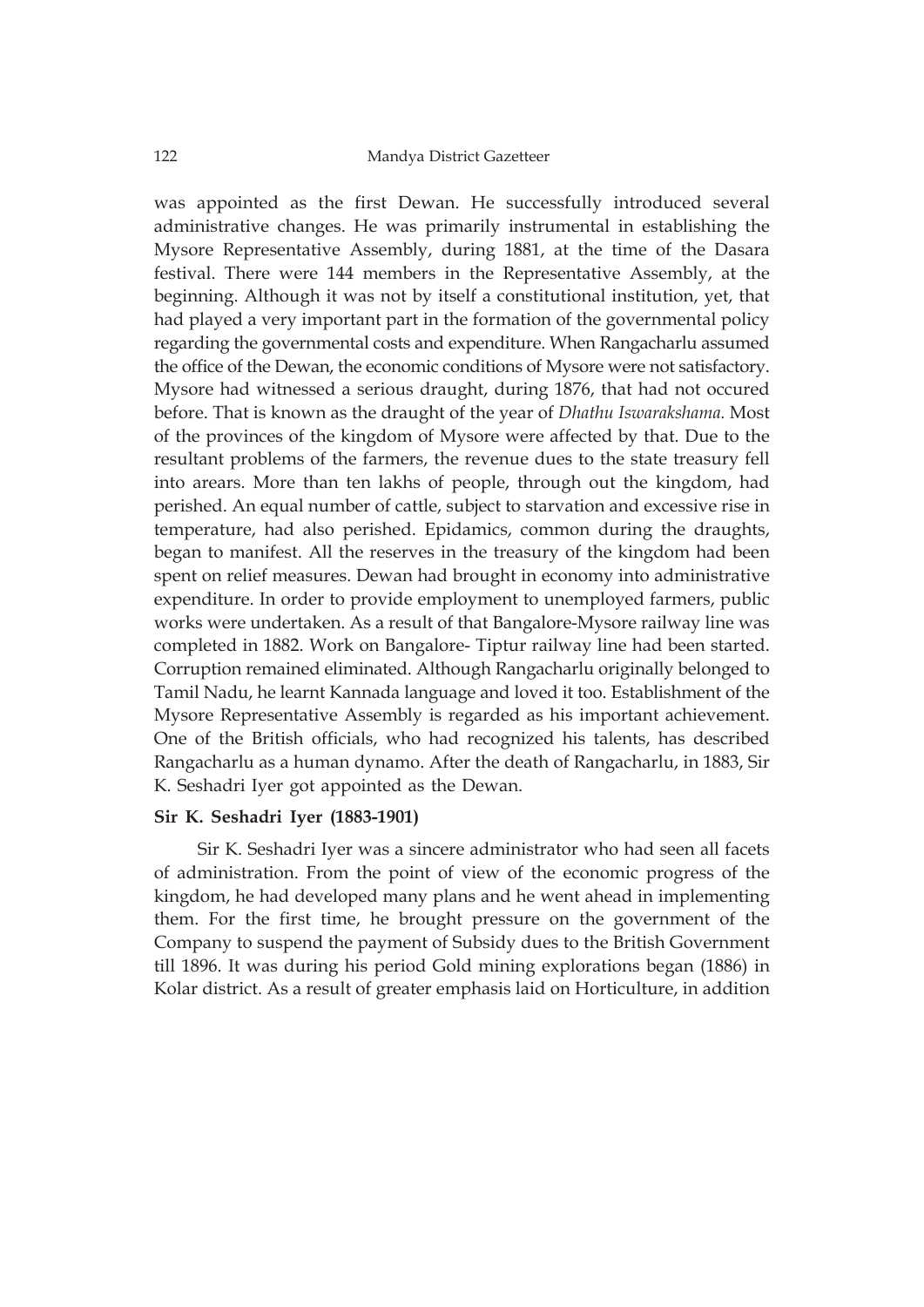was appointed as the first Dewan. He successfully introduced several administrative changes. He was primarily instrumental in establishing the Mysore Representative Assembly, during 1881, at the time of the Dasara festival. There were 144 members in the Representative Assembly, at the beginning. Although it was not by itself a constitutional institution, yet, that had played a very important part in the formation of the governmental policy regarding the governmental costs and expenditure. When Rangacharlu assumed the office of the Dewan, the economic conditions of Mysore were not satisfactory. Mysore had witnessed a serious draught, during 1876, that had not occured before. That is known as the draught of the year of *Dhathu Iswarakshama.* Most of the provinces of the kingdom of Mysore were affected by that. Due to the resultant problems of the farmers, the revenue dues to the state treasury fell into arears. More than ten lakhs of people, through out the kingdom, had perished. An equal number of cattle, subject to starvation and excessive rise in temperature, had also perished. Epidamics, common during the draughts, began to manifest. All the reserves in the treasury of the kingdom had been spent on relief measures. Dewan had brought in economy into administrative expenditure. In order to provide employment to unemployed farmers, public works were undertaken. As a result of that Bangalore-Mysore railway line was completed in 1882. Work on Bangalore- Tiptur railway line had been started. Corruption remained eliminated. Although Rangacharlu originally belonged to Tamil Nadu, he learnt Kannada language and loved it too. Establishment of the Mysore Representative Assembly is regarded as his important achievement. One of the British officials, who had recognized his talents, has described Rangacharlu as a human dynamo. After the death of Rangacharlu, in 1883, Sir K. Seshadri Iyer got appointed as the Dewan.

# **Sir K. Seshadri Iyer (1883-1901)**

Sir K. Seshadri Iyer was a sincere administrator who had seen all facets of administration. From the point of view of the economic progress of the kingdom, he had developed many plans and he went ahead in implementing them. For the first time, he brought pressure on the government of the Company to suspend the payment of Subsidy dues to the British Government till 1896. It was during his period Gold mining explorations began (1886) in Kolar district. As a result of greater emphasis laid on Horticulture, in addition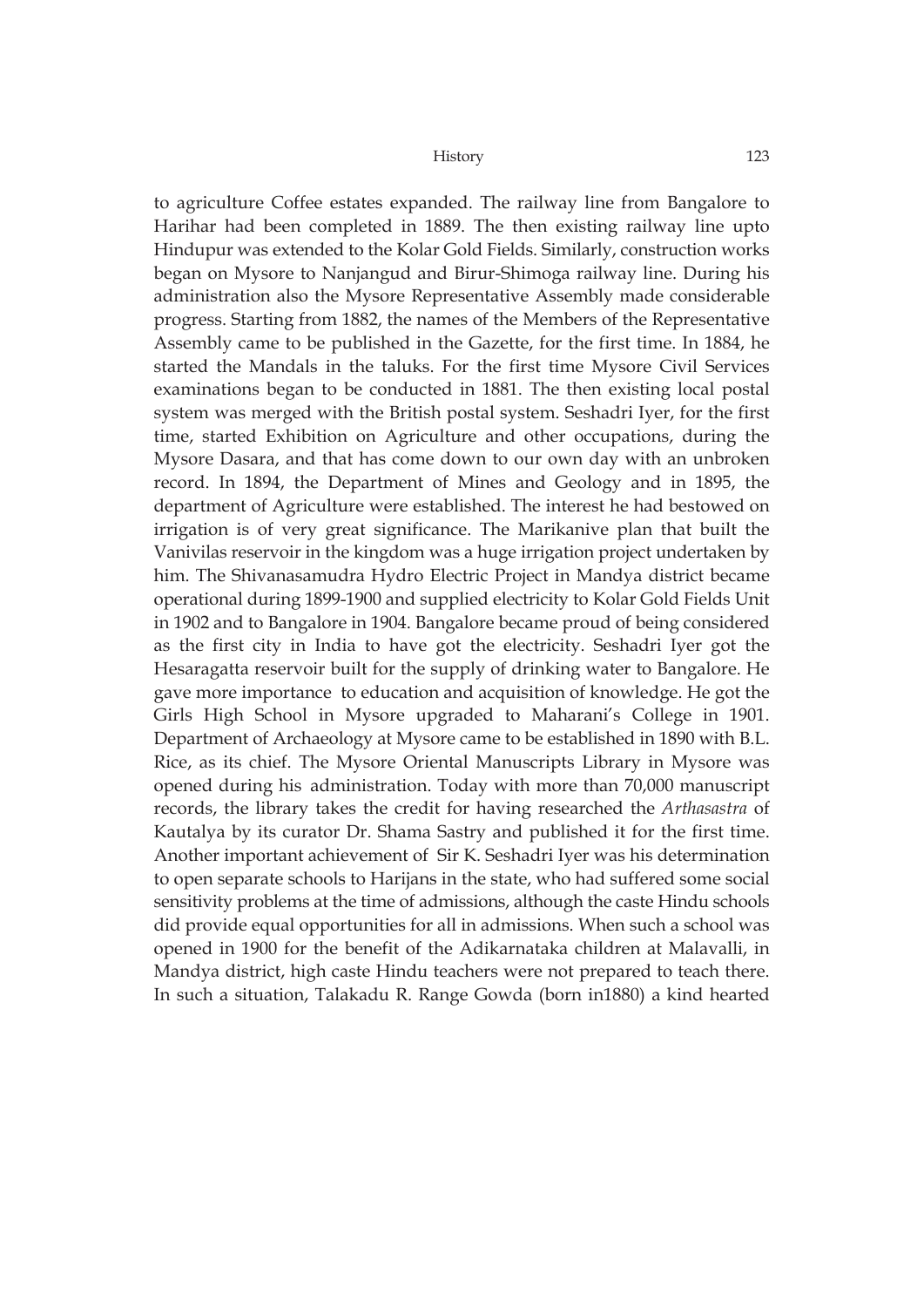to agriculture Coffee estates expanded. The railway line from Bangalore to Harihar had been completed in 1889. The then existing railway line upto Hindupur was extended to the Kolar Gold Fields. Similarly, construction works began on Mysore to Nanjangud and Birur-Shimoga railway line. During his administration also the Mysore Representative Assembly made considerable progress. Starting from 1882, the names of the Members of the Representative Assembly came to be published in the Gazette, for the first time. In 1884, he started the Mandals in the taluks. For the first time Mysore Civil Services examinations began to be conducted in 1881. The then existing local postal system was merged with the British postal system. Seshadri Iyer, for the first time, started Exhibition on Agriculture and other occupations, during the Mysore Dasara, and that has come down to our own day with an unbroken record. In 1894, the Department of Mines and Geology and in 1895, the department of Agriculture were established. The interest he had bestowed on irrigation is of very great significance. The Marikanive plan that built the Vanivilas reservoir in the kingdom was a huge irrigation project undertaken by him. The Shivanasamudra Hydro Electric Project in Mandya district became operational during 1899-1900 and supplied electricity to Kolar Gold Fields Unit in 1902 and to Bangalore in 1904. Bangalore became proud of being considered as the first city in India to have got the electricity. Seshadri Iyer got the Hesaragatta reservoir built for the supply of drinking water to Bangalore. He gave more importance to education and acquisition of knowledge. He got the Girls High School in Mysore upgraded to Maharani's College in 1901. Department of Archaeology at Mysore came to be established in 1890 with B.L. Rice, as its chief. The Mysore Oriental Manuscripts Library in Mysore was opened during his administration. Today with more than 70,000 manuscript records, the library takes the credit for having researched the *Arthasastra* of Kautalya by its curator Dr. Shama Sastry and published it for the first time. Another important achievement of Sir K. Seshadri Iyer was his determination to open separate schools to Harijans in the state, who had suffered some social sensitivity problems at the time of admissions, although the caste Hindu schools did provide equal opportunities for all in admissions. When such a school was opened in 1900 for the benefit of the Adikarnataka children at Malavalli, in Mandya district, high caste Hindu teachers were not prepared to teach there. In such a situation, Talakadu R. Range Gowda (born in1880) a kind hearted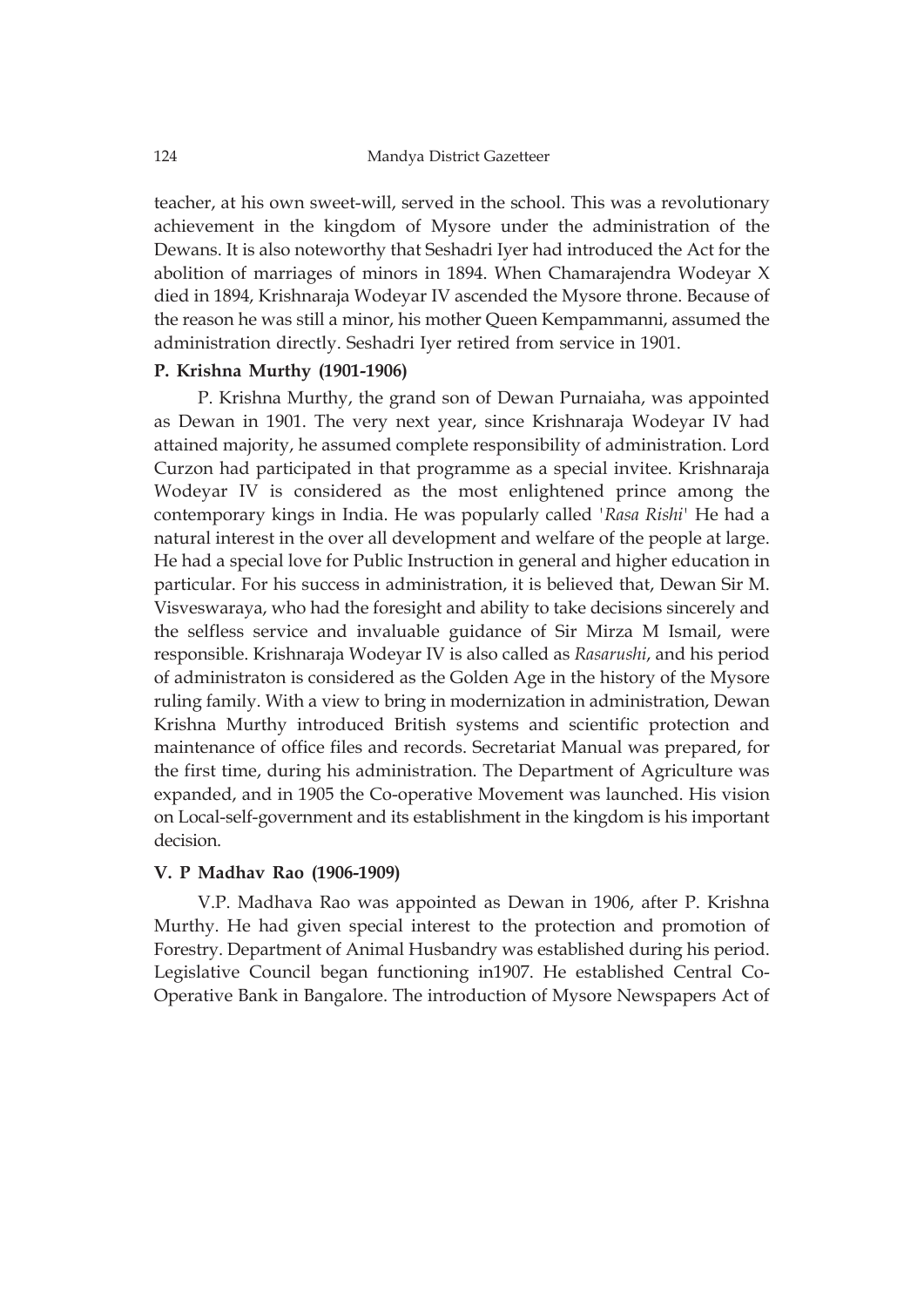teacher, at his own sweet-will, served in the school. This was a revolutionary achievement in the kingdom of Mysore under the administration of the Dewans. It is also noteworthy that Seshadri Iyer had introduced the Act for the abolition of marriages of minors in 1894. When Chamarajendra Wodeyar X died in 1894, Krishnaraja Wodeyar IV ascended the Mysore throne. Because of the reason he was still a minor, his mother Queen Kempammanni, assumed the administration directly. Seshadri Iyer retired from service in 1901.

# **P. Krishna Murthy (1901-1906)**

P. Krishna Murthy, the grand son of Dewan Purnaiaha, was appointed as Dewan in 1901. The very next year, since Krishnaraja Wodeyar IV had attained majority, he assumed complete responsibility of administration. Lord Curzon had participated in that programme as a special invitee. Krishnaraja Wodeyar IV is considered as the most enlightened prince among the contemporary kings in India. He was popularly called *'Rasa Rishi'* He had a natural interest in the over all development and welfare of the people at large. He had a special love for Public Instruction in general and higher education in particular. For his success in administration, it is believed that, Dewan Sir M. Visveswaraya, who had the foresight and ability to take decisions sincerely and the selfless service and invaluable guidance of Sir Mirza M Ismail, were responsible. Krishnaraja Wodeyar IV is also called as *Rasarushi*, and his period of administraton is considered as the Golden Age in the history of the Mysore ruling family. With a view to bring in modernization in administration, Dewan Krishna Murthy introduced British systems and scientific protection and maintenance of office files and records. Secretariat Manual was prepared, for the first time, during his administration. The Department of Agriculture was expanded, and in 1905 the Co-operative Movement was launched. His vision on Local-self-government and its establishment in the kingdom is his important decision.

### **V. P Madhav Rao (1906-1909)**

V.P. Madhava Rao was appointed as Dewan in 1906, after P. Krishna Murthy. He had given special interest to the protection and promotion of Forestry. Department of Animal Husbandry was established during his period. Legislative Council began functioning in1907. He established Central Co-Operative Bank in Bangalore. The introduction of Mysore Newspapers Act of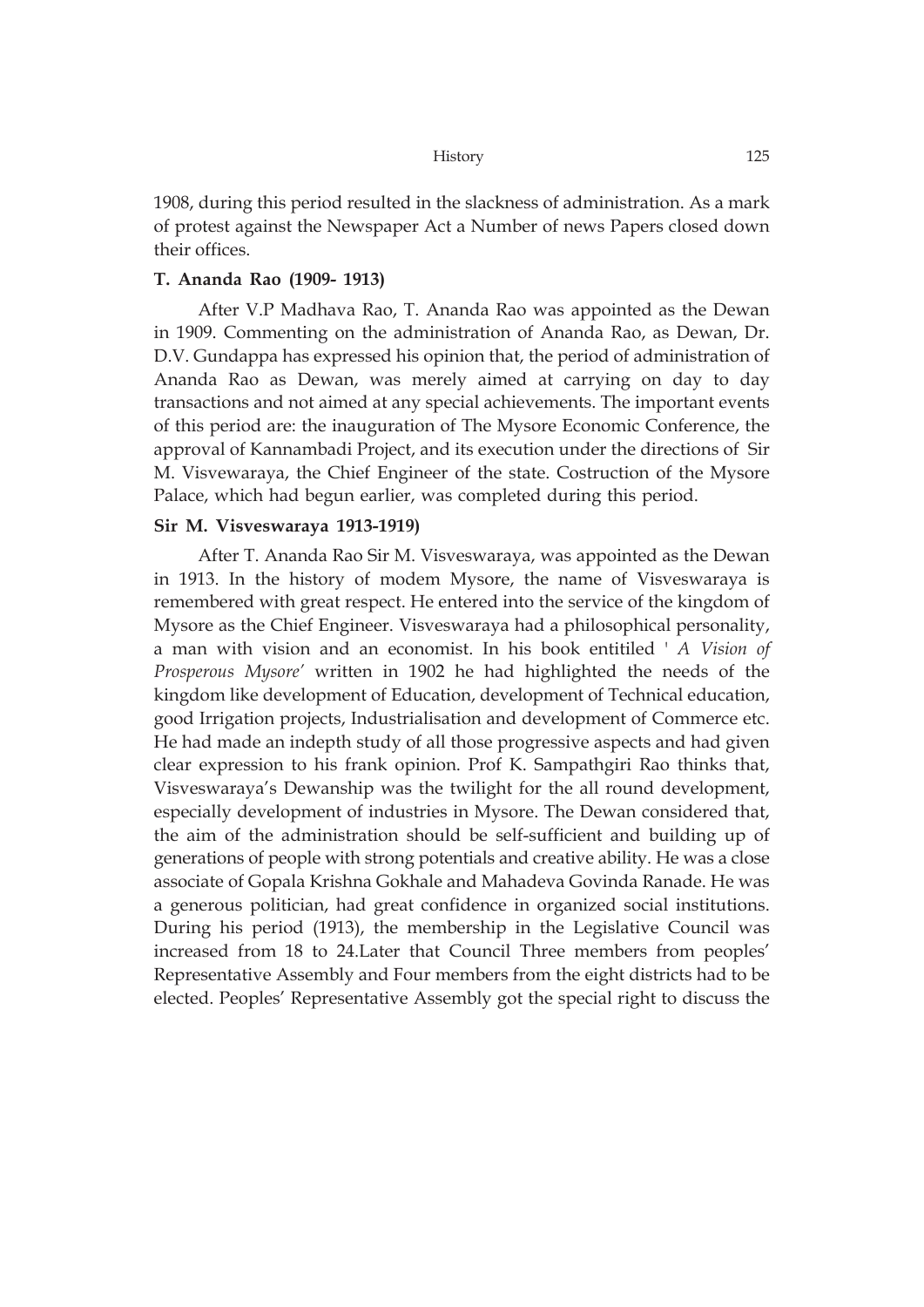1908, during this period resulted in the slackness of administration. As a mark of protest against the Newspaper Act a Number of news Papers closed down their offices.

### **T. Ananda Rao (1909- 1913)**

After V.P Madhava Rao, T. Ananda Rao was appointed as the Dewan in 1909. Commenting on the administration of Ananda Rao, as Dewan, Dr. D.V. Gundappa has expressed his opinion that, the period of administration of Ananda Rao as Dewan, was merely aimed at carrying on day to day transactions and not aimed at any special achievements. The important events of this period are: the inauguration of The Mysore Economic Conference, the approval of Kannambadi Project, and its execution under the directions of Sir M. Visvewaraya, the Chief Engineer of the state. Costruction of the Mysore Palace, which had begun earlier, was completed during this period.

### **Sir M. Visveswaraya 1913-1919)**

After T. Ananda Rao Sir M. Visveswaraya, was appointed as the Dewan in 1913. In the history of modem Mysore, the name of Visveswaraya is remembered with great respect. He entered into the service of the kingdom of Mysore as the Chief Engineer. Visveswaraya had a philosophical personality, a man with vision and an economist. In his book entitiled ' *A Vision of Prosperous Mysore'* written in 1902 he had highlighted the needs of the kingdom like development of Education, development of Technical education, good Irrigation projects, Industrialisation and development of Commerce etc. He had made an indepth study of all those progressive aspects and had given clear expression to his frank opinion. Prof K. Sampathgiri Rao thinks that, Visveswaraya's Dewanship was the twilight for the all round development, especially development of industries in Mysore. The Dewan considered that, the aim of the administration should be self-sufficient and building up of generations of people with strong potentials and creative ability. He was a close associate of Gopala Krishna Gokhale and Mahadeva Govinda Ranade. He was a generous politician, had great confidence in organized social institutions. During his period (1913), the membership in the Legislative Council was increased from 18 to 24.Later that Council Three members from peoples' Representative Assembly and Four members from the eight districts had to be elected. Peoples' Representative Assembly got the special right to discuss the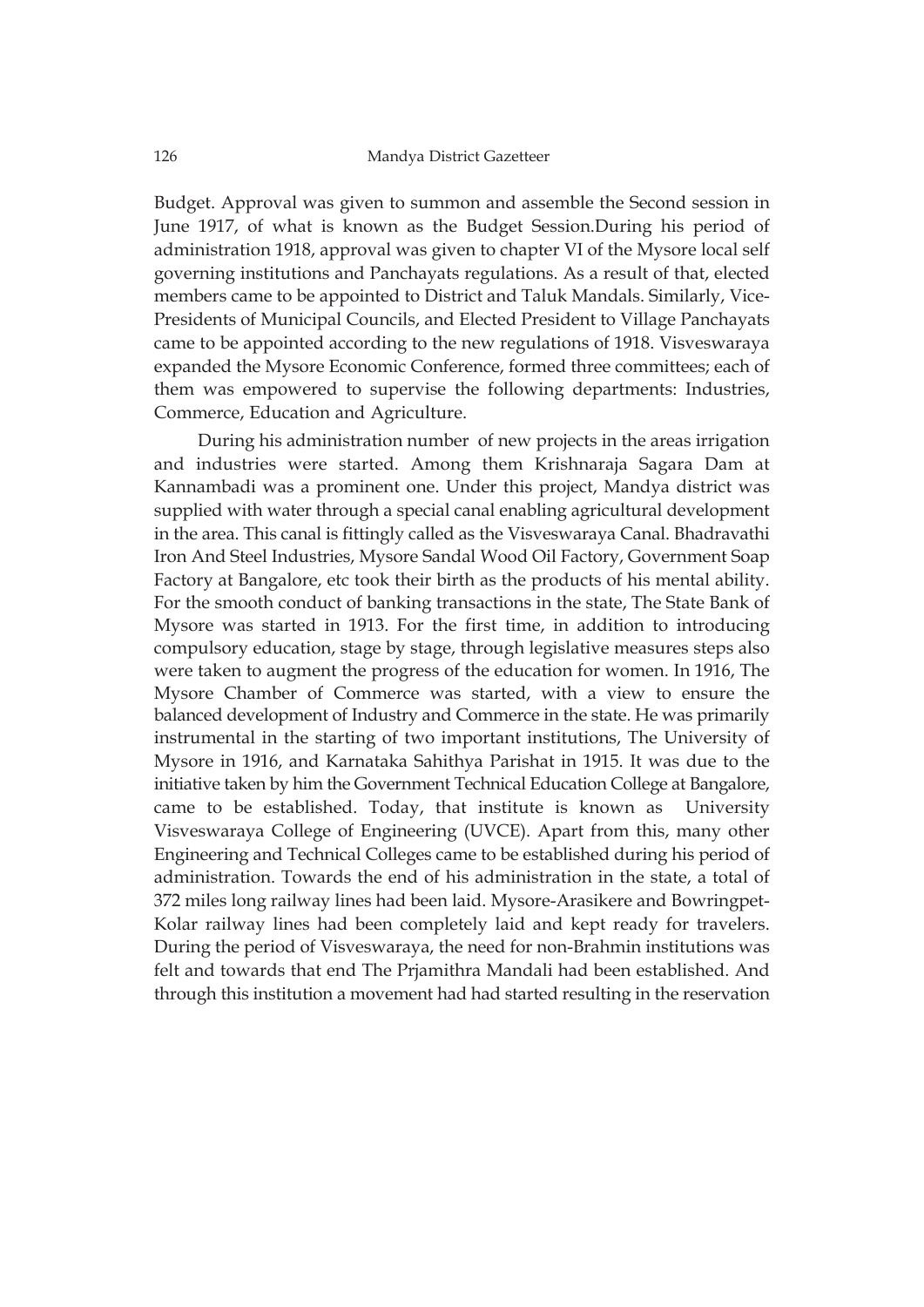Budget. Approval was given to summon and assemble the Second session in June 1917, of what is known as the Budget Session.During his period of administration 1918, approval was given to chapter VI of the Mysore local self governing institutions and Panchayats regulations. As a result of that, elected members came to be appointed to District and Taluk Mandals. Similarly, Vice-Presidents of Municipal Councils, and Elected President to Village Panchayats came to be appointed according to the new regulations of 1918. Visveswaraya expanded the Mysore Economic Conference, formed three committees; each of them was empowered to supervise the following departments: Industries, Commerce, Education and Agriculture.

During his administration number of new projects in the areas irrigation and industries were started. Among them Krishnaraja Sagara Dam at Kannambadi was a prominent one. Under this project, Mandya district was supplied with water through a special canal enabling agricultural development in the area. This canal is fittingly called as the Visveswaraya Canal. Bhadravathi Iron And Steel Industries, Mysore Sandal Wood Oil Factory, Government Soap Factory at Bangalore, etc took their birth as the products of his mental ability. For the smooth conduct of banking transactions in the state, The State Bank of Mysore was started in 1913. For the first time, in addition to introducing compulsory education, stage by stage, through legislative measures steps also were taken to augment the progress of the education for women. In 1916, The Mysore Chamber of Commerce was started, with a view to ensure the balanced development of Industry and Commerce in the state. He was primarily instrumental in the starting of two important institutions, The University of Mysore in 1916, and Karnataka Sahithya Parishat in 1915. It was due to the initiative taken by him the Government Technical Education College at Bangalore, came to be established. Today, that institute is known as University Visveswaraya College of Engineering (UVCE). Apart from this, many other Engineering and Technical Colleges came to be established during his period of administration. Towards the end of his administration in the state, a total of 372 miles long railway lines had been laid. Mysore-Arasikere and Bowringpet-Kolar railway lines had been completely laid and kept ready for travelers. During the period of Visveswaraya, the need for non-Brahmin institutions was felt and towards that end The Prjamithra Mandali had been established. And through this institution a movement had had started resulting in the reservation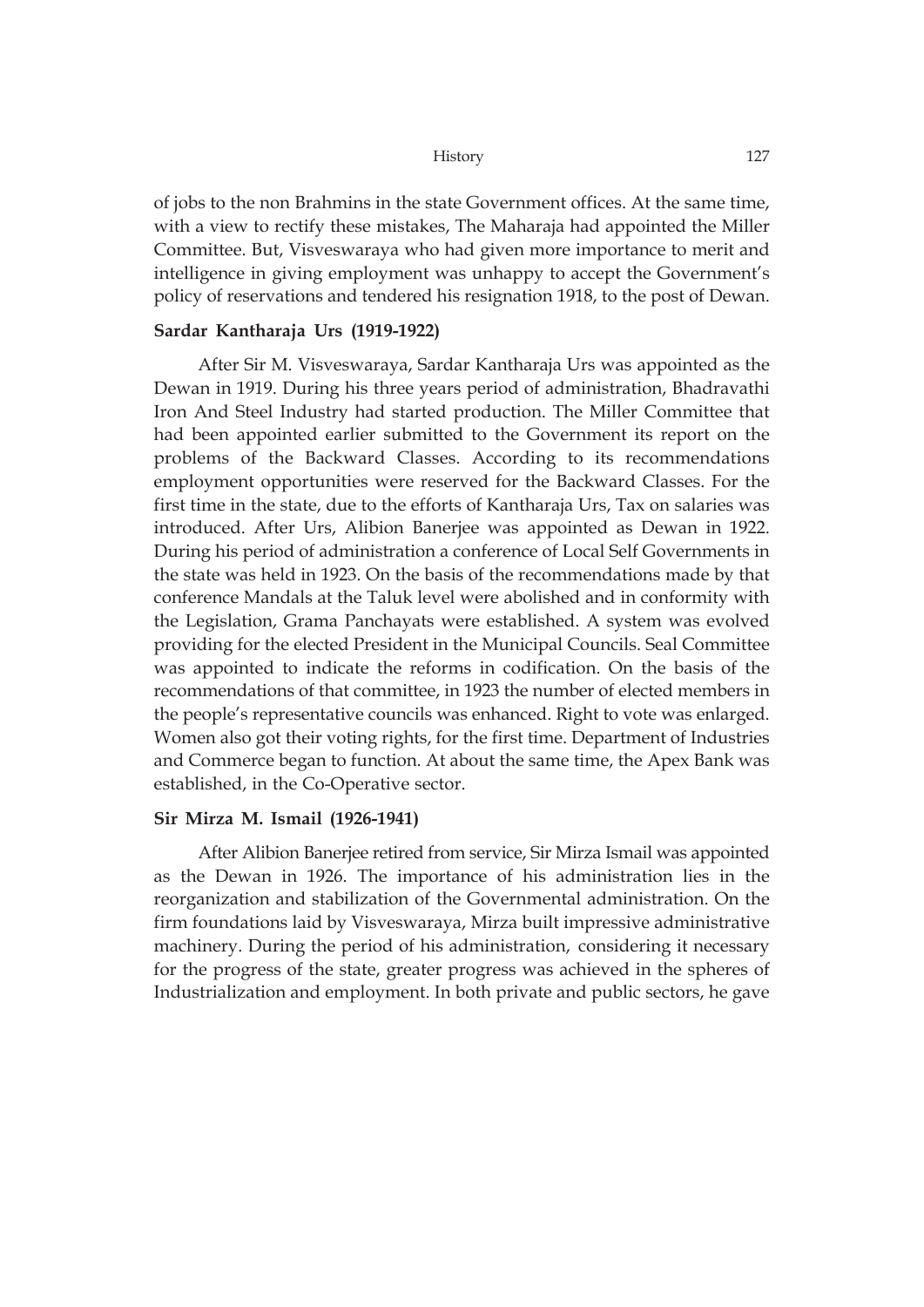of jobs to the non Brahmins in the state Government offices. At the same time, with a view to rectify these mistakes, The Maharaja had appointed the Miller Committee. But, Visveswaraya who had given more importance to merit and intelligence in giving employment was unhappy to accept the Government's policy of reservations and tendered his resignation 1918, to the post of Dewan.

### **Sardar Kantharaja Urs (1919-1922)**

After Sir M. Visveswaraya, Sardar Kantharaja Urs was appointed as the Dewan in 1919. During his three years period of administration, Bhadravathi Iron And Steel Industry had started production. The Miller Committee that had been appointed earlier submitted to the Government its report on the problems of the Backward Classes. According to its recommendations employment opportunities were reserved for the Backward Classes. For the first time in the state, due to the efforts of Kantharaja Urs, Tax on salaries was introduced. After Urs, Alibion Banerjee was appointed as Dewan in 1922. During his period of administration a conference of Local Self Governments in the state was held in 1923. On the basis of the recommendations made by that conference Mandals at the Taluk level were abolished and in conformity with the Legislation, Grama Panchayats were established. A system was evolved providing for the elected President in the Municipal Councils. Seal Committee was appointed to indicate the reforms in codification. On the basis of the recommendations of that committee, in 1923 the number of elected members in the people's representative councils was enhanced. Right to vote was enlarged. Women also got their voting rights, for the first time. Department of Industries and Commerce began to function. At about the same time, the Apex Bank was established, in the Co-Operative sector.

### **Sir Mirza M. Ismail (1926-1941)**

After Alibion Banerjee retired from service, Sir Mirza Ismail was appointed as the Dewan in 1926. The importance of his administration lies in the reorganization and stabilization of the Governmental administration. On the firm foundations laid by Visveswaraya, Mirza built impressive administrative machinery. During the period of his administration, considering it necessary for the progress of the state, greater progress was achieved in the spheres of Industrialization and employment. In both private and public sectors, he gave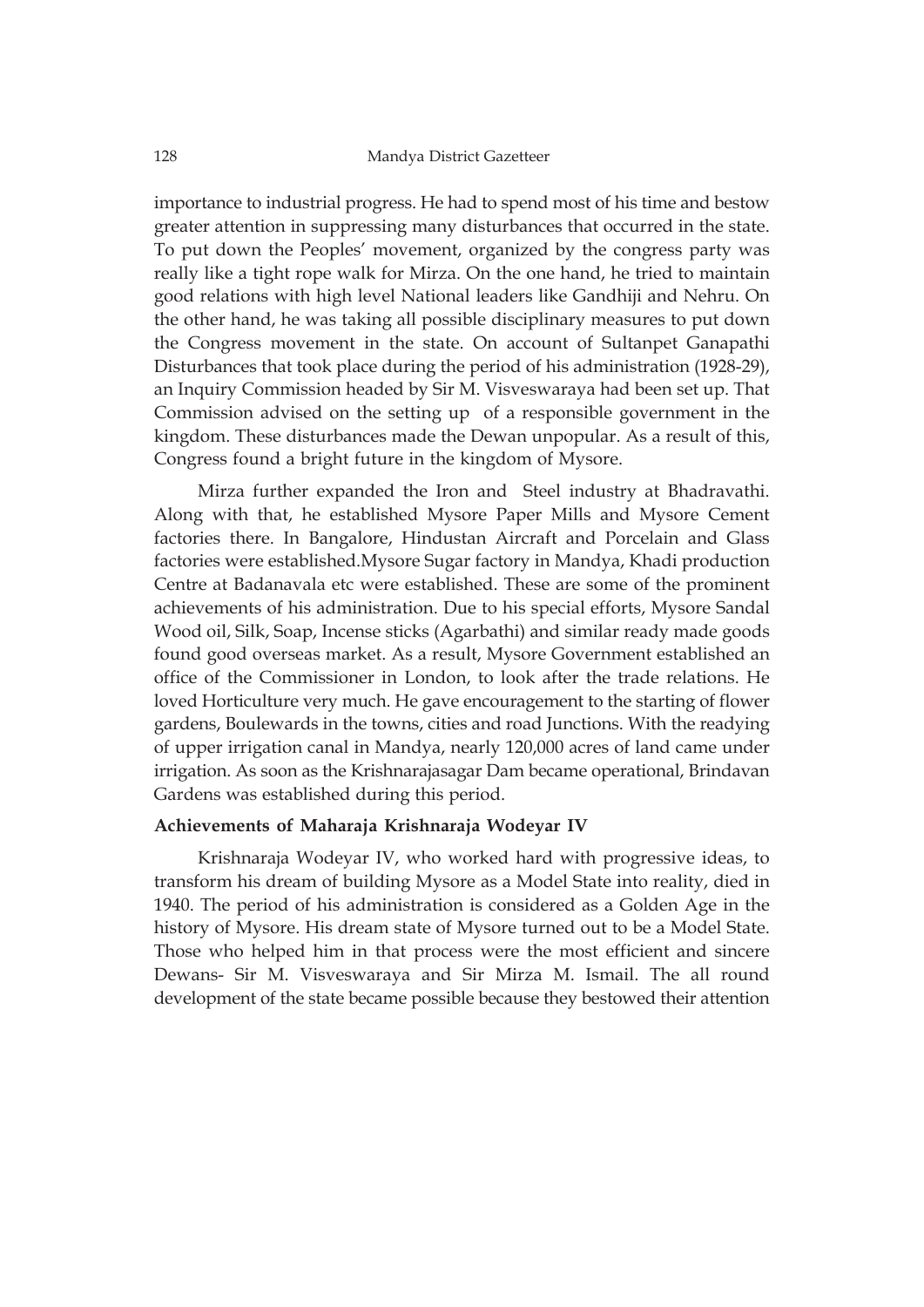importance to industrial progress. He had to spend most of his time and bestow greater attention in suppressing many disturbances that occurred in the state. To put down the Peoples' movement, organized by the congress party was really like a tight rope walk for Mirza. On the one hand, he tried to maintain good relations with high level National leaders like Gandhiji and Nehru. On the other hand, he was taking all possible disciplinary measures to put down the Congress movement in the state. On account of Sultanpet Ganapathi Disturbances that took place during the period of his administration (1928-29), an Inquiry Commission headed by Sir M. Visveswaraya had been set up. That Commission advised on the setting up of a responsible government in the kingdom. These disturbances made the Dewan unpopular. As a result of this, Congress found a bright future in the kingdom of Mysore.

Mirza further expanded the Iron and Steel industry at Bhadravathi. Along with that, he established Mysore Paper Mills and Mysore Cement factories there. In Bangalore, Hindustan Aircraft and Porcelain and Glass factories were established.Mysore Sugar factory in Mandya, Khadi production Centre at Badanavala etc were established. These are some of the prominent achievements of his administration. Due to his special efforts, Mysore Sandal Wood oil, Silk, Soap, Incense sticks (Agarbathi) and similar ready made goods found good overseas market. As a result, Mysore Government established an office of the Commissioner in London, to look after the trade relations. He loved Horticulture very much. He gave encouragement to the starting of flower gardens, Boulewards in the towns, cities and road Junctions. With the readying of upper irrigation canal in Mandya, nearly 120,000 acres of land came under irrigation. As soon as the Krishnarajasagar Dam became operational, Brindavan Gardens was established during this period.

### **Achievements of Maharaja Krishnaraja Wodeyar IV**

Krishnaraja Wodeyar IV, who worked hard with progressive ideas, to transform his dream of building Mysore as a Model State into reality, died in 1940. The period of his administration is considered as a Golden Age in the history of Mysore. His dream state of Mysore turned out to be a Model State. Those who helped him in that process were the most efficient and sincere Dewans- Sir M. Visveswaraya and Sir Mirza M. Ismail. The all round development of the state became possible because they bestowed their attention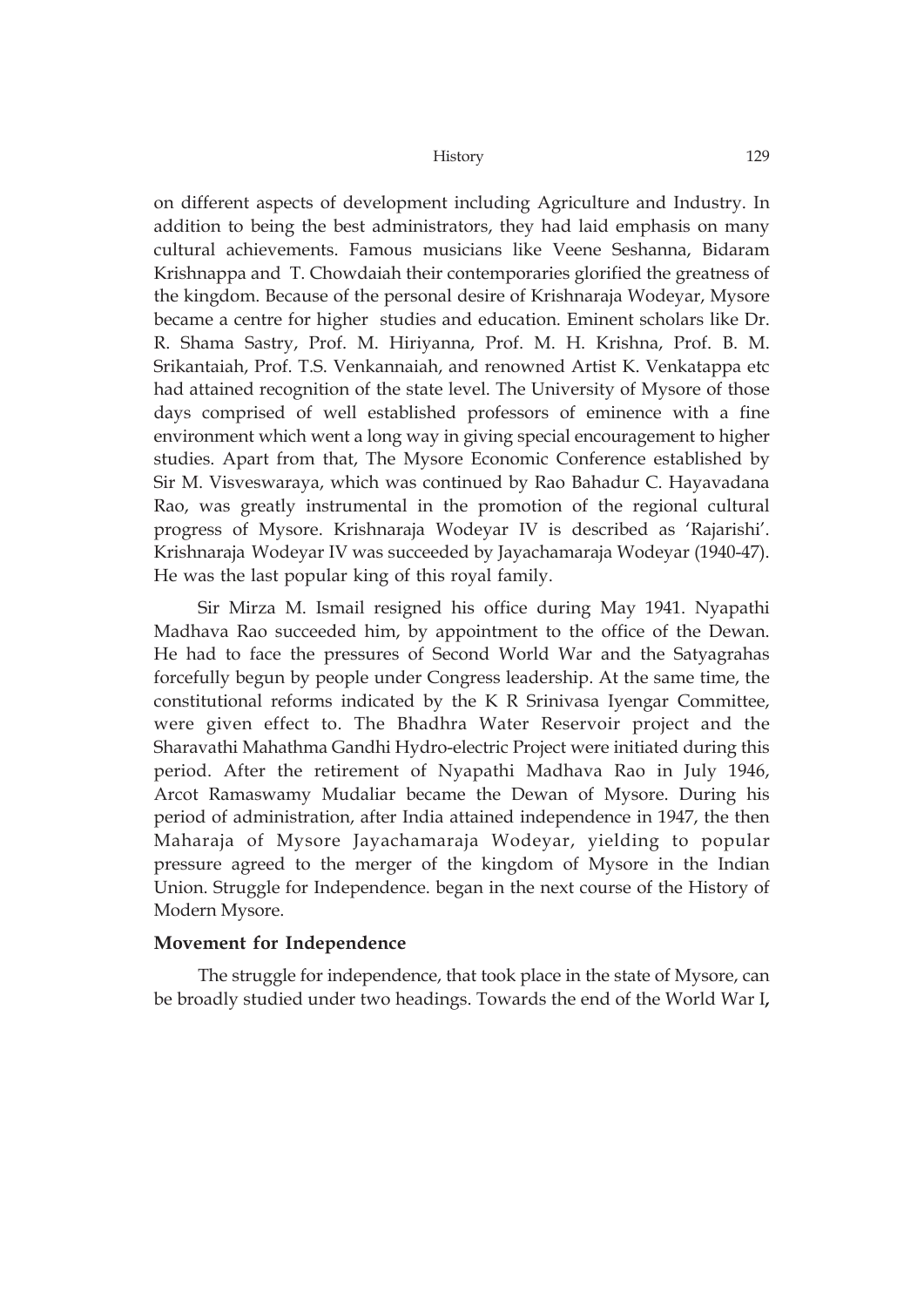on different aspects of development including Agriculture and Industry. In addition to being the best administrators, they had laid emphasis on many cultural achievements. Famous musicians like Veene Seshanna, Bidaram Krishnappa and T. Chowdaiah their contemporaries glorified the greatness of the kingdom. Because of the personal desire of Krishnaraja Wodeyar, Mysore became a centre for higher studies and education. Eminent scholars like Dr. R. Shama Sastry, Prof. M. Hiriyanna, Prof. M. H. Krishna, Prof. B. M. Srikantaiah, Prof. T.S. Venkannaiah, and renowned Artist K. Venkatappa etc had attained recognition of the state level. The University of Mysore of those days comprised of well established professors of eminence with a fine environment which went a long way in giving special encouragement to higher studies. Apart from that, The Mysore Economic Conference established by Sir M. Visveswaraya, which was continued by Rao Bahadur C. Hayavadana Rao, was greatly instrumental in the promotion of the regional cultural progress of Mysore. Krishnaraja Wodeyar IV is described as 'Rajarishi'. Krishnaraja Wodeyar IV was succeeded by Jayachamaraja Wodeyar (1940-47). He was the last popular king of this royal family.

Sir Mirza M. Ismail resigned his office during May 1941. Nyapathi Madhava Rao succeeded him, by appointment to the office of the Dewan. He had to face the pressures of Second World War and the Satyagrahas forcefully begun by people under Congress leadership. At the same time, the constitutional reforms indicated by the K R Srinivasa Iyengar Committee, were given effect to. The Bhadhra Water Reservoir project and the Sharavathi Mahathma Gandhi Hydro-electric Project were initiated during this period. After the retirement of Nyapathi Madhava Rao in July 1946, Arcot Ramaswamy Mudaliar became the Dewan of Mysore. During his period of administration, after India attained independence in 1947, the then Maharaja of Mysore Jayachamaraja Wodeyar, yielding to popular pressure agreed to the merger of the kingdom of Mysore in the Indian Union. Struggle for Independence. began in the next course of the History of Modern Mysore.

### **Movement for Independence**

The struggle for independence, that took place in the state of Mysore, can be broadly studied under two headings. Towards the end of the World War I**,**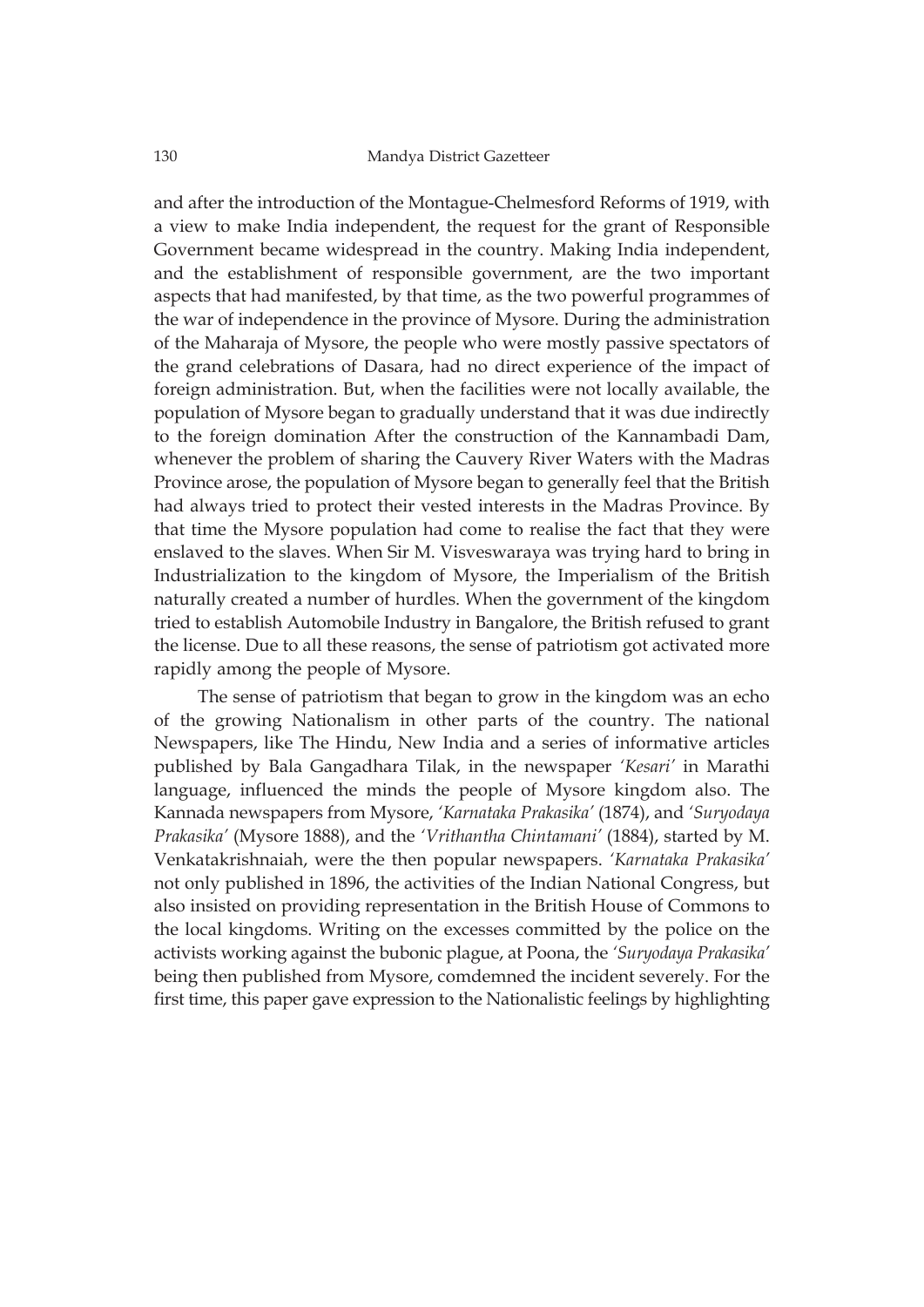and after the introduction of the Montague-Chelmesford Reforms of 1919, with a view to make India independent, the request for the grant of Responsible Government became widespread in the country. Making India independent, and the establishment of responsible government, are the two important aspects that had manifested, by that time, as the two powerful programmes of the war of independence in the province of Mysore. During the administration of the Maharaja of Mysore, the people who were mostly passive spectators of the grand celebrations of Dasara, had no direct experience of the impact of foreign administration. But, when the facilities were not locally available, the population of Mysore began to gradually understand that it was due indirectly to the foreign domination After the construction of the Kannambadi Dam, whenever the problem of sharing the Cauvery River Waters with the Madras Province arose, the population of Mysore began to generally feel that the British had always tried to protect their vested interests in the Madras Province. By that time the Mysore population had come to realise the fact that they were enslaved to the slaves. When Sir M. Visveswaraya was trying hard to bring in Industrialization to the kingdom of Mysore, the Imperialism of the British naturally created a number of hurdles. When the government of the kingdom tried to establish Automobile Industry in Bangalore, the British refused to grant the license. Due to all these reasons, the sense of patriotism got activated more rapidly among the people of Mysore.

The sense of patriotism that began to grow in the kingdom was an echo of the growing Nationalism in other parts of the country. The national Newspapers, like The Hindu, New India and a series of informative articles published by Bala Gangadhara Tilak, in the newspaper *'Kesari'* in Marathi language, influenced the minds the people of Mysore kingdom also. The Kannada newspapers from Mysore, *'Karnataka Prakasika'* (1874), and *'Suryodaya Prakasika'* (Mysore 1888), and the *'Vrithantha Chintamani'* (1884), started by M. Venkatakrishnaiah, were the then popular newspapers. *'Karnataka Prakasika'* not only published in 1896, the activities of the Indian National Congress, but also insisted on providing representation in the British House of Commons to the local kingdoms. Writing on the excesses committed by the police on the activists working against the bubonic plague, at Poona, the *'Suryodaya Prakasika'* being then published from Mysore, comdemned the incident severely. For the first time, this paper gave expression to the Nationalistic feelings by highlighting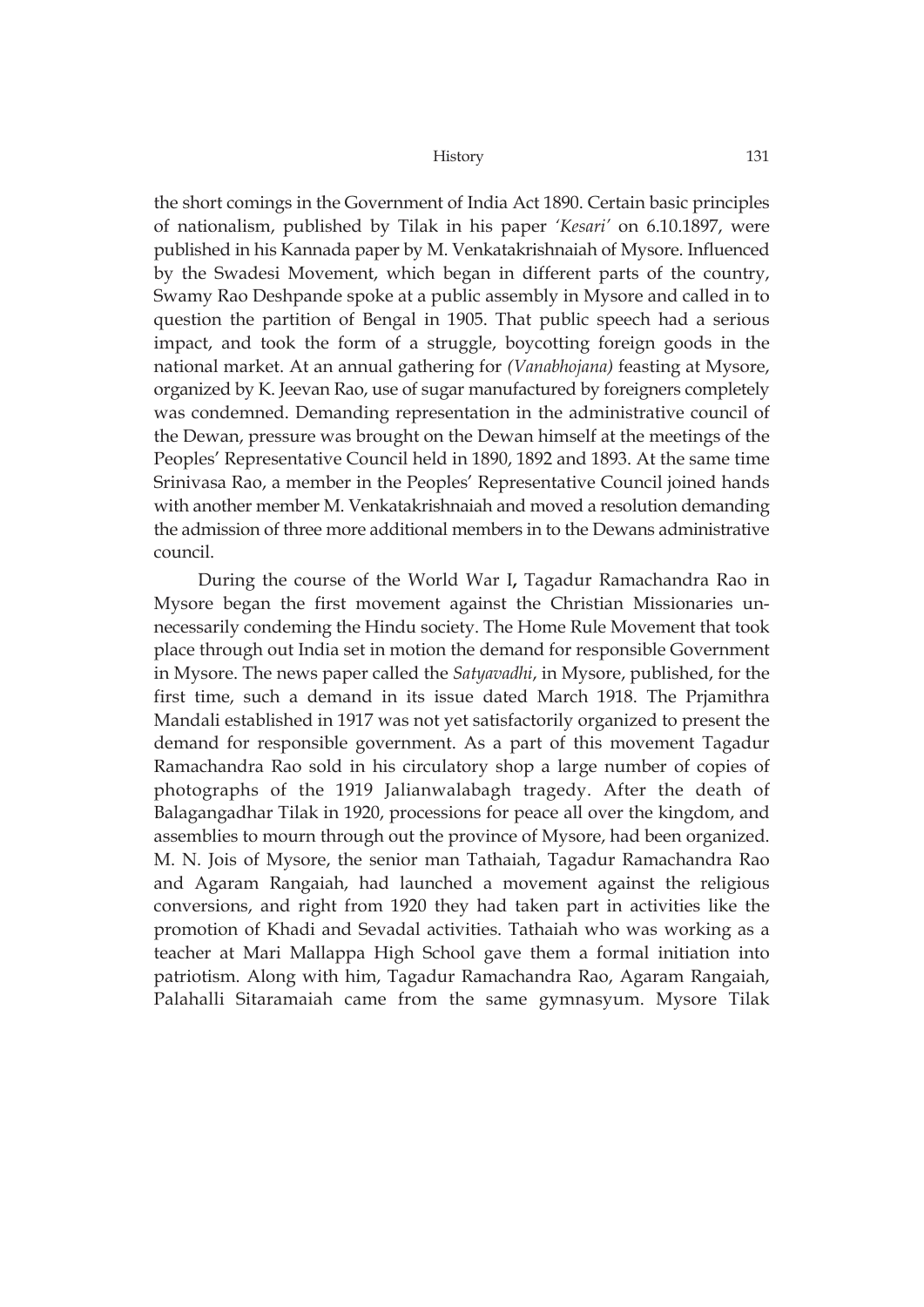the short comings in the Government of India Act 1890. Certain basic principles of nationalism, published by Tilak in his paper *'Kesari'* on 6.10.1897, were published in his Kannada paper by M. Venkatakrishnaiah of Mysore. Influenced by the Swadesi Movement, which began in different parts of the country, Swamy Rao Deshpande spoke at a public assembly in Mysore and called in to question the partition of Bengal in 1905. That public speech had a serious impact, and took the form of a struggle, boycotting foreign goods in the national market. At an annual gathering for *(Vanabhojana)* feasting at Mysore, organized by K. Jeevan Rao, use of sugar manufactured by foreigners completely was condemned. Demanding representation in the administrative council of the Dewan, pressure was brought on the Dewan himself at the meetings of the Peoples' Representative Council held in 1890, 1892 and 1893. At the same time Srinivasa Rao, a member in the Peoples' Representative Council joined hands with another member M. Venkatakrishnaiah and moved a resolution demanding the admission of three more additional members in to the Dewans administrative council.

During the course of the World War I**,** Tagadur Ramachandra Rao in Mysore began the first movement against the Christian Missionaries unnecessarily condeming the Hindu society. The Home Rule Movement that took place through out India set in motion the demand for responsible Government in Mysore. The news paper called the *Satyavadhi*, in Mysore, published, for the first time, such a demand in its issue dated March 1918. The Prjamithra Mandali established in 1917 was not yet satisfactorily organized to present the demand for responsible government. As a part of this movement Tagadur Ramachandra Rao sold in his circulatory shop a large number of copies of photographs of the 1919 Jalianwalabagh tragedy. After the death of Balagangadhar Tilak in 1920, processions for peace all over the kingdom, and assemblies to mourn through out the province of Mysore, had been organized. M. N. Jois of Mysore, the senior man Tathaiah, Tagadur Ramachandra Rao and Agaram Rangaiah, had launched a movement against the religious conversions, and right from 1920 they had taken part in activities like the promotion of Khadi and Sevadal activities. Tathaiah who was working as a teacher at Mari Mallappa High School gave them a formal initiation into patriotism. Along with him, Tagadur Ramachandra Rao, Agaram Rangaiah, Palahalli Sitaramaiah came from the same gymnasyum. Mysore Tilak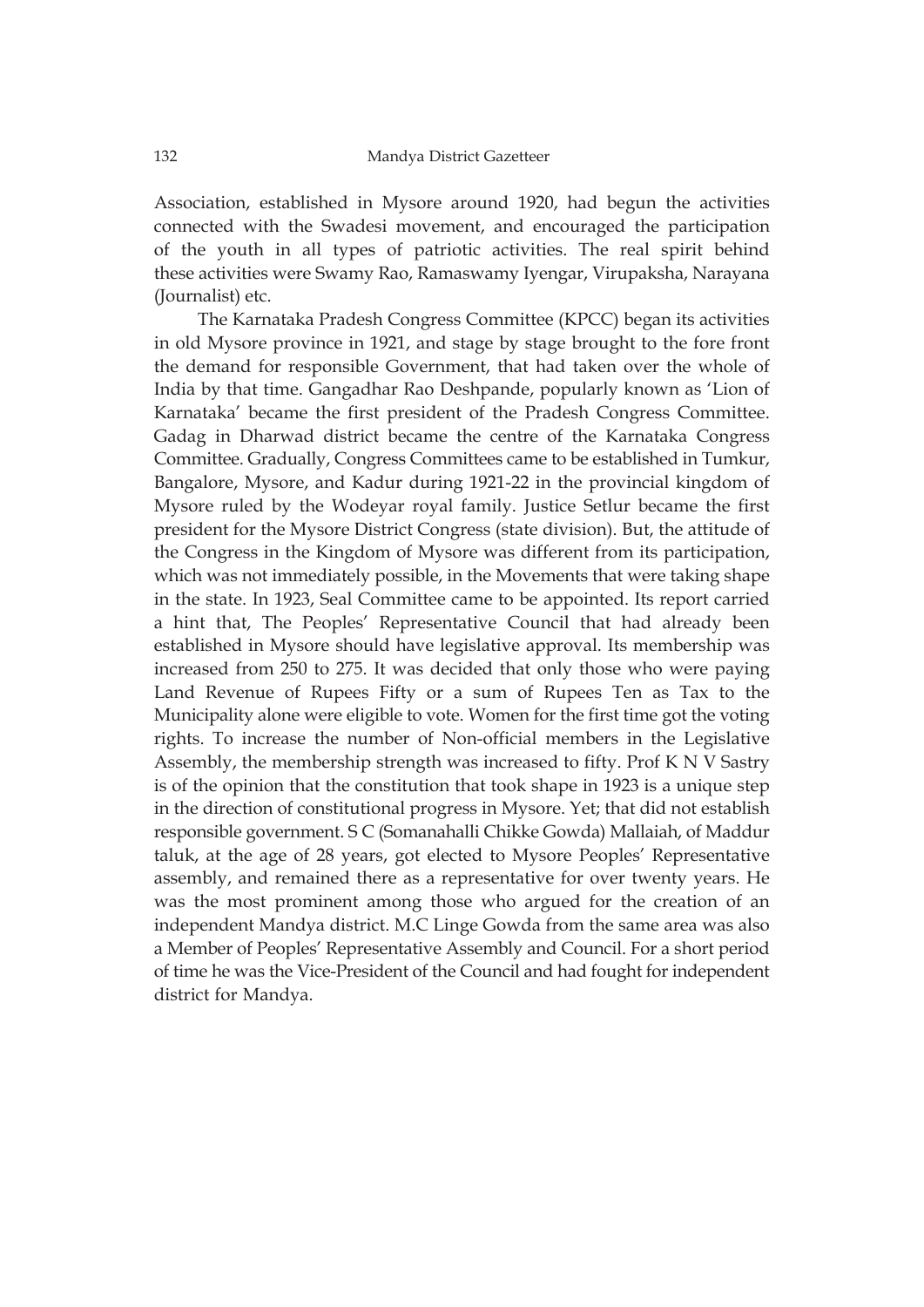Association, established in Mysore around 1920, had begun the activities connected with the Swadesi movement, and encouraged the participation of the youth in all types of patriotic activities. The real spirit behind these activities were Swamy Rao, Ramaswamy Iyengar, Virupaksha, Narayana (Journalist) etc.

The Karnataka Pradesh Congress Committee (KPCC) began its activities in old Mysore province in 1921, and stage by stage brought to the fore front the demand for responsible Government, that had taken over the whole of India by that time. Gangadhar Rao Deshpande, popularly known as 'Lion of Karnataka' became the first president of the Pradesh Congress Committee. Gadag in Dharwad district became the centre of the Karnataka Congress Committee. Gradually, Congress Committees came to be established in Tumkur, Bangalore, Mysore, and Kadur during 1921-22 in the provincial kingdom of Mysore ruled by the Wodeyar royal family. Justice Setlur became the first president for the Mysore District Congress (state division). But, the attitude of the Congress in the Kingdom of Mysore was different from its participation, which was not immediately possible, in the Movements that were taking shape in the state. In 1923, Seal Committee came to be appointed. Its report carried a hint that, The Peoples' Representative Council that had already been established in Mysore should have legislative approval. Its membership was increased from 250 to 275. It was decided that only those who were paying Land Revenue of Rupees Fifty or a sum of Rupees Ten as Tax to the Municipality alone were eligible to vote. Women for the first time got the voting rights. To increase the number of Non-official members in the Legislative Assembly, the membership strength was increased to fifty. Prof K N V Sastry is of the opinion that the constitution that took shape in 1923 is a unique step in the direction of constitutional progress in Mysore. Yet; that did not establish responsible government. S C (Somanahalli Chikke Gowda) Mallaiah, of Maddur taluk, at the age of 28 years, got elected to Mysore Peoples' Representative assembly, and remained there as a representative for over twenty years. He was the most prominent among those who argued for the creation of an independent Mandya district. M.C Linge Gowda from the same area was also a Member of Peoples' Representative Assembly and Council. For a short period of time he was the Vice-President of the Council and had fought for independent district for Mandya.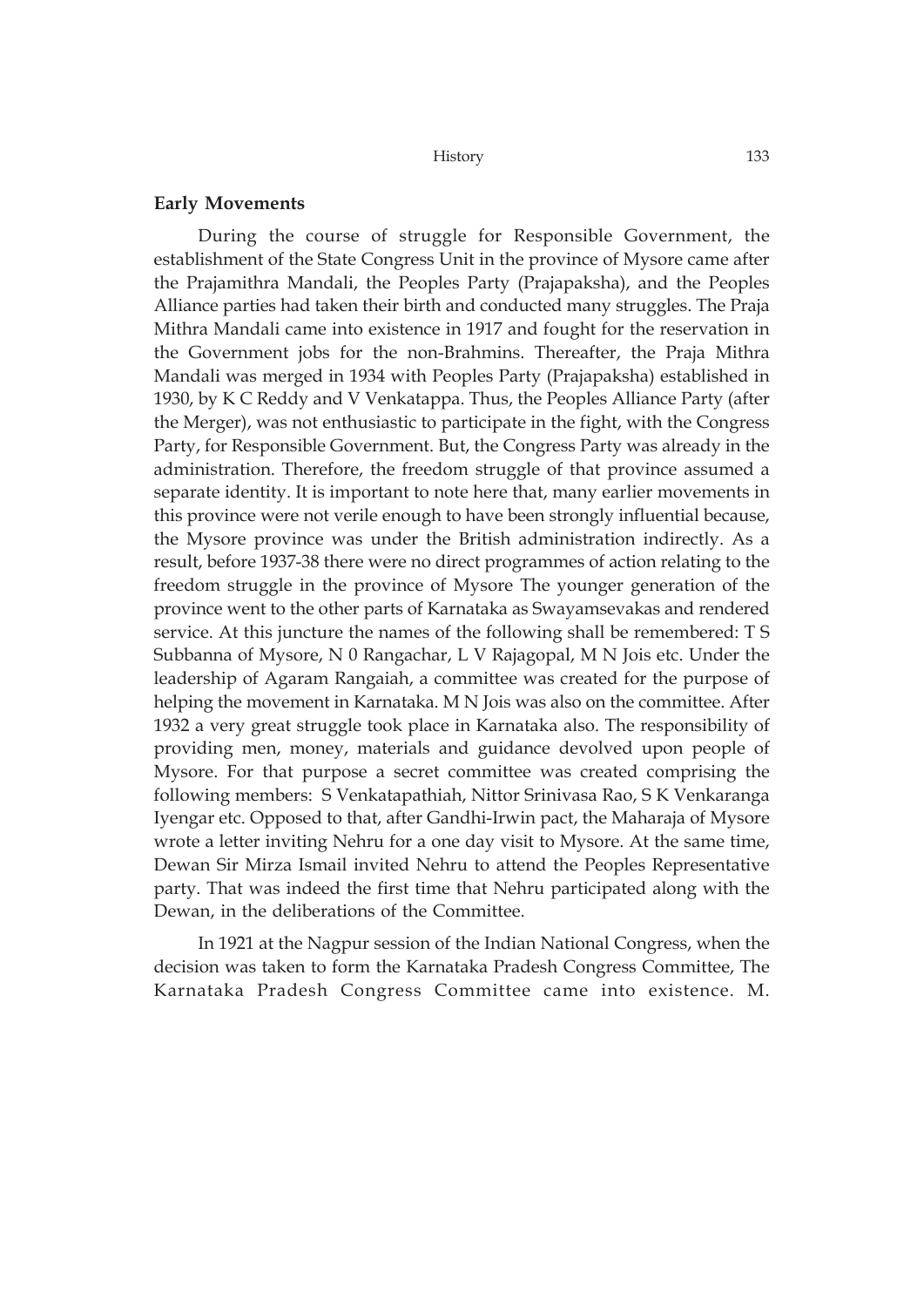### **Early Movements**

During the course of struggle for Responsible Government, the establishment of the State Congress Unit in the province of Mysore came after the Prajamithra Mandali, the Peoples Party (Prajapaksha), and the Peoples Alliance parties had taken their birth and conducted many struggles. The Praja Mithra Mandali came into existence in 1917 and fought for the reservation in the Government jobs for the non-Brahmins. Thereafter, the Praja Mithra Mandali was merged in 1934 with Peoples Party (Prajapaksha) established in 1930, by K C Reddy and V Venkatappa. Thus, the Peoples Alliance Party (after the Merger), was not enthusiastic to participate in the fight, with the Congress Party, for Responsible Government. But, the Congress Party was already in the administration. Therefore, the freedom struggle of that province assumed a separate identity. It is important to note here that, many earlier movements in this province were not verile enough to have been strongly influential because, the Mysore province was under the British administration indirectly. As a result, before 1937-38 there were no direct programmes of action relating to the freedom struggle in the province of Mysore The younger generation of the province went to the other parts of Karnataka as Swayamsevakas and rendered service. At this juncture the names of the following shall be remembered: T S Subbanna of Mysore, N 0 Rangachar, L V Rajagopal, M N Jois etc. Under the leadership of Agaram Rangaiah, a committee was created for the purpose of helping the movement in Karnataka. M N Jois was also on the committee. After 1932 a very great struggle took place in Karnataka also. The responsibility of providing men, money, materials and guidance devolved upon people of Mysore. For that purpose a secret committee was created comprising the following members: S Venkatapathiah, Nittor Srinivasa Rao, S K Venkaranga Iyengar etc. Opposed to that, after Gandhi-Irwin pact, the Maharaja of Mysore wrote a letter inviting Nehru for a one day visit to Mysore. At the same time, Dewan Sir Mirza Ismail invited Nehru to attend the Peoples Representative party. That was indeed the first time that Nehru participated along with the Dewan, in the deliberations of the Committee.

In 1921 at the Nagpur session of the Indian National Congress, when the decision was taken to form the Karnataka Pradesh Congress Committee, The Karnataka Pradesh Congress Committee came into existence. M.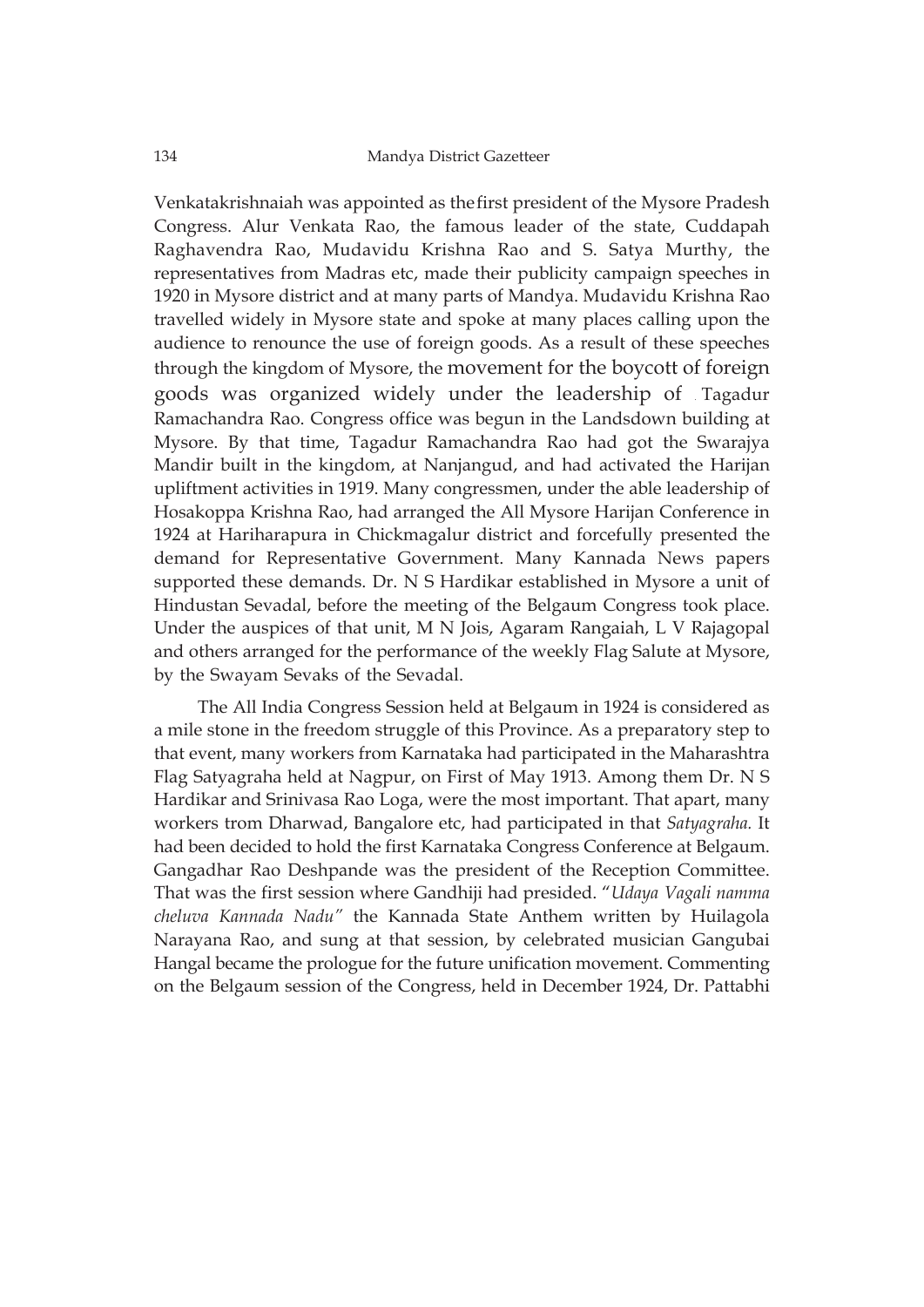Venkatakrishnaiah was appointed as thefirst president of the Mysore Pradesh Congress. Alur Venkata Rao, the famous leader of the state, Cuddapah Raghavendra Rao, Mudavidu Krishna Rao and S. Satya Murthy, the representatives from Madras etc, made their publicity campaign speeches in 1920 in Mysore district and at many parts of Mandya. Mudavidu Krishna Rao travelled widely in Mysore state and spoke at many places calling upon the audience to renounce the use of foreign goods. As a result of these speeches through the kingdom of Mysore, the movement for the boycott of foreign goods was organized widely under the leadership of . Tagadur Ramachandra Rao. Congress office was begun in the Landsdown building at Mysore. By that time, Tagadur Ramachandra Rao had got the Swarajya Mandir built in the kingdom, at Nanjangud, and had activated the Harijan upliftment activities in 1919. Many congressmen, under the able leadership of Hosakoppa Krishna Rao, had arranged the All Mysore Harijan Conference in 1924 at Hariharapura in Chickmagalur district and forcefully presented the demand for Representative Government. Many Kannada News papers supported these demands. Dr. N S Hardikar established in Mysore a unit of Hindustan Sevadal, before the meeting of the Belgaum Congress took place. Under the auspices of that unit, M N Jois, Agaram Rangaiah, L V Rajagopal and others arranged for the performance of the weekly Flag Salute at Mysore, by the Swayam Sevaks of the Sevadal.

The All India Congress Session held at Belgaum in 1924 is considered as a mile stone in the freedom struggle of this Province. As a preparatory step to that event, many workers from Karnataka had participated in the Maharashtra Flag Satyagraha held at Nagpur, on First of May 1913. Among them Dr. N S Hardikar and Srinivasa Rao Loga, were the most important. That apart, many workers trom Dharwad, Bangalore etc, had participated in that *Satyagraha.* It had been decided to hold the first Karnataka Congress Conference at Belgaum. Gangadhar Rao Deshpande was the president of the Reception Committee. That was the first session where Gandhiji had presided. "*Udaya Vagali namma cheluva Kannada Nadu"* the Kannada State Anthem written by Huilagola Narayana Rao, and sung at that session, by celebrated musician Gangubai Hangal became the prologue for the future unification movement. Commenting on the Belgaum session of the Congress, held in December 1924, Dr. Pattabhi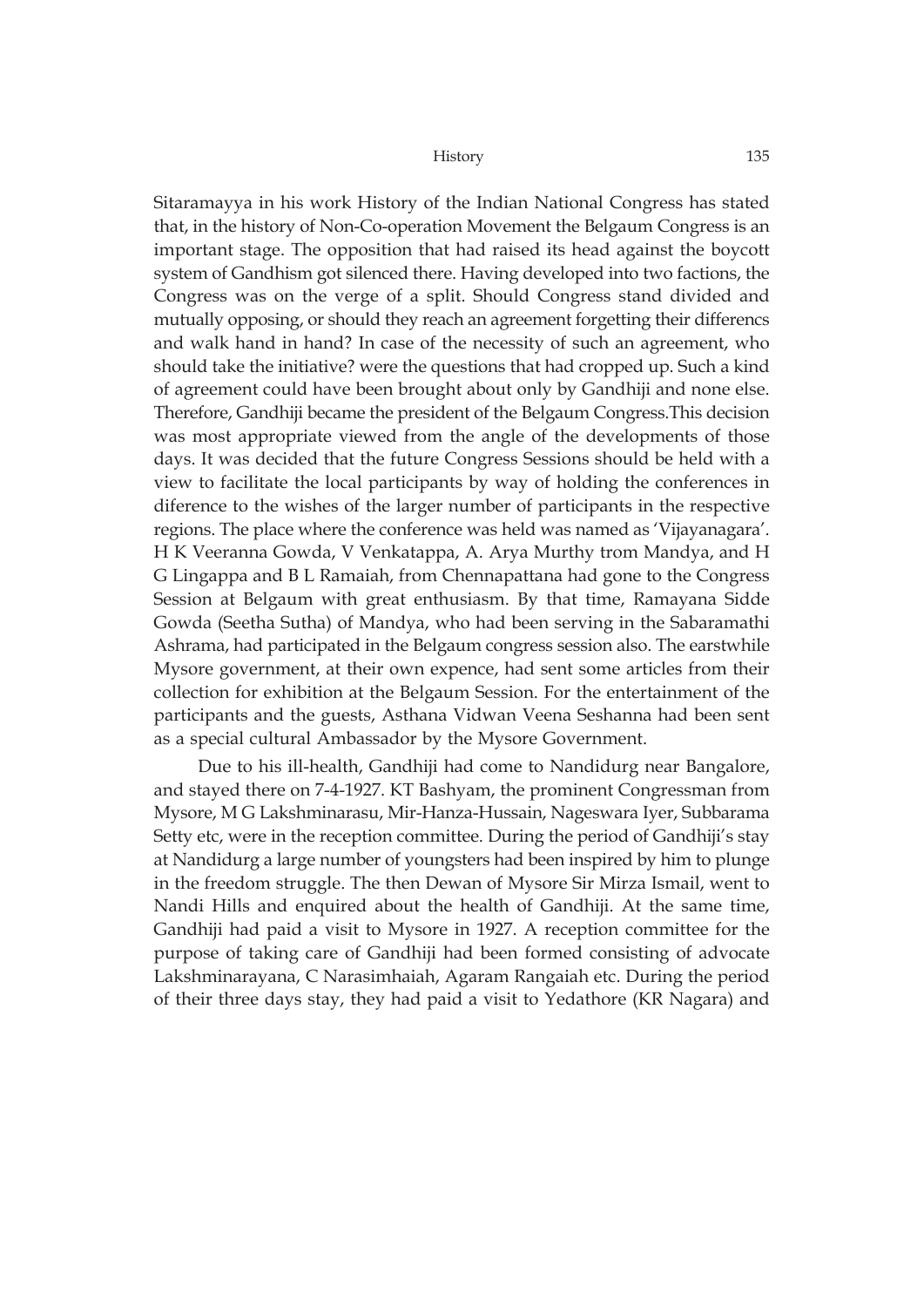Sitaramayya in his work History of the Indian National Congress has stated that, in the history of Non-Co-operation Movement the Belgaum Congress is an important stage. The opposition that had raised its head against the boycott system of Gandhism got silenced there. Having developed into two factions, the Congress was on the verge of a split. Should Congress stand divided and mutually opposing, or should they reach an agreement forgetting their differencs and walk hand in hand? In case of the necessity of such an agreement, who should take the initiative? were the questions that had cropped up. Such a kind of agreement could have been brought about only by Gandhiji and none else. Therefore, Gandhiji became the president of the Belgaum Congress.This decision was most appropriate viewed from the angle of the developments of those days. It was decided that the future Congress Sessions should be held with a view to facilitate the local participants by way of holding the conferences in diference to the wishes of the larger number of participants in the respective regions. The place where the conference was held was named as 'Vijayanagara'. H K Veeranna Gowda, V Venkatappa, A. Arya Murthy trom Mandya, and H G Lingappa and B L Ramaiah, from Chennapattana had gone to the Congress Session at Belgaum with great enthusiasm. By that time, Ramayana Sidde Gowda (Seetha Sutha) of Mandya, who had been serving in the Sabaramathi Ashrama, had participated in the Belgaum congress session also. The earstwhile Mysore government, at their own expence, had sent some articles from their collection for exhibition at the Belgaum Session. For the entertainment of the participants and the guests, Asthana Vidwan Veena Seshanna had been sent as a special cultural Ambassador by the Mysore Government.

Due to his ill-health, Gandhiji had come to Nandidurg near Bangalore, and stayed there on 7-4-1927. KT Bashyam, the prominent Congressman from Mysore, M G Lakshminarasu, Mir-Hanza-Hussain, Nageswara Iyer, Subbarama Setty etc, were in the reception committee. During the period of Gandhiji's stay at Nandidurg a large number of youngsters had been inspired by him to plunge in the freedom struggle. The then Dewan of Mysore Sir Mirza Ismail, went to Nandi Hills and enquired about the health of Gandhiji. At the same time, Gandhiji had paid a visit to Mysore in 1927. A reception committee for the purpose of taking care of Gandhiji had been formed consisting of advocate Lakshminarayana, C Narasimhaiah, Agaram Rangaiah etc. During the period of their three days stay, they had paid a visit to Yedathore (KR Nagara) and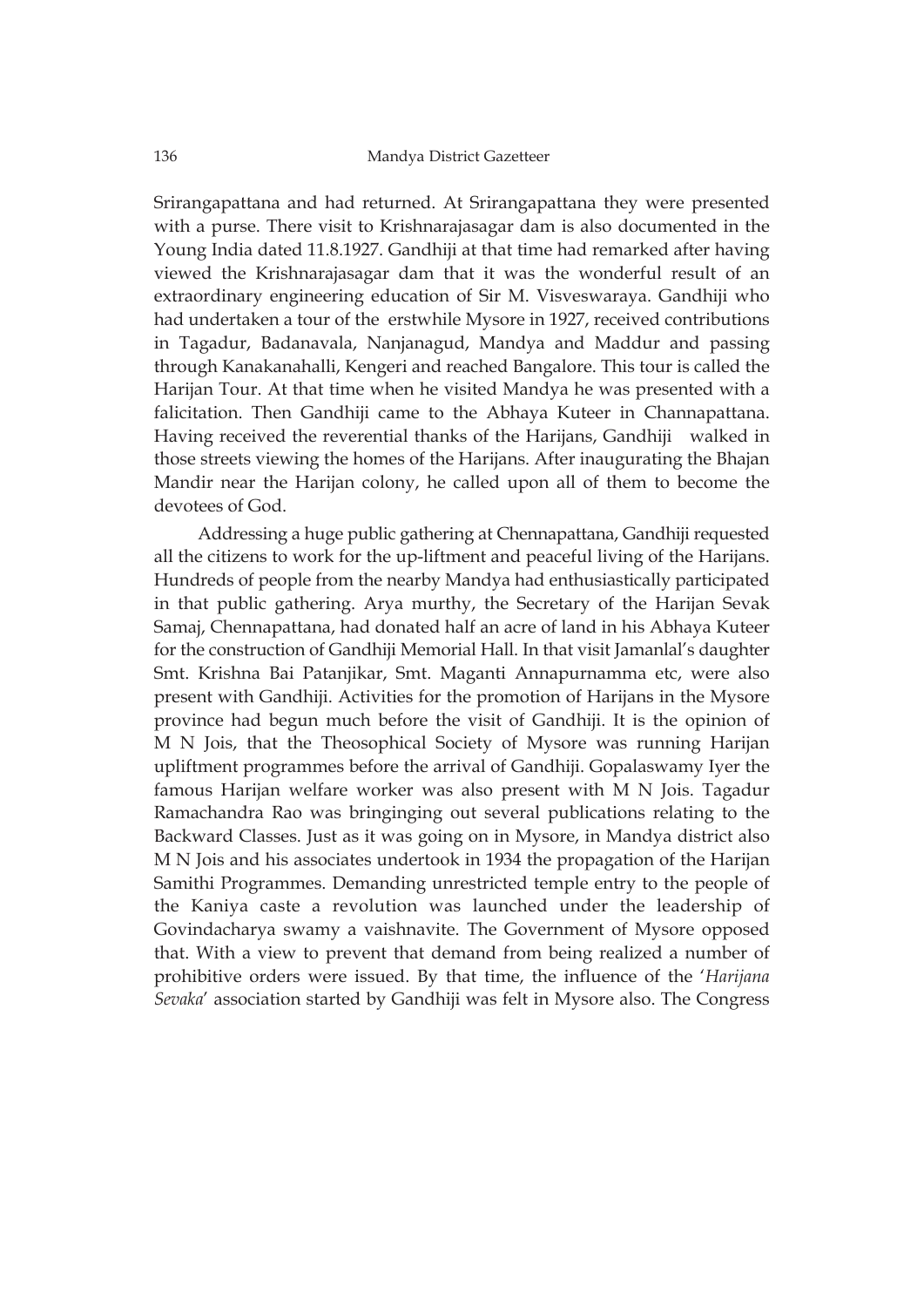Srirangapattana and had returned. At Srirangapattana they were presented with a purse. There visit to Krishnarajasagar dam is also documented in the Young India dated 11.8.1927. Gandhiji at that time had remarked after having viewed the Krishnarajasagar dam that it was the wonderful result of an extraordinary engineering education of Sir M. Visveswaraya. Gandhiji who had undertaken a tour of the erstwhile Mysore in 1927, received contributions in Tagadur, Badanavala, Nanjanagud, Mandya and Maddur and passing through Kanakanahalli, Kengeri and reached Bangalore. This tour is called the Harijan Tour. At that time when he visited Mandya he was presented with a falicitation. Then Gandhiji came to the Abhaya Kuteer in Channapattana. Having received the reverential thanks of the Harijans, Gandhiji walked in those streets viewing the homes of the Harijans. After inaugurating the Bhajan Mandir near the Harijan colony, he called upon all of them to become the devotees of God.

Addressing a huge public gathering at Chennapattana, Gandhiji requested all the citizens to work for the up-liftment and peaceful living of the Harijans. Hundreds of people from the nearby Mandya had enthusiastically participated in that public gathering. Arya murthy, the Secretary of the Harijan Sevak Samaj, Chennapattana, had donated half an acre of land in his Abhaya Kuteer for the construction of Gandhiji Memorial Hall. In that visit Jamanlal's daughter Smt. Krishna Bai Patanjikar, Smt. Maganti Annapurnamma etc, were also present with Gandhiji. Activities for the promotion of Harijans in the Mysore province had begun much before the visit of Gandhiji. It is the opinion of M N Jois, that the Theosophical Society of Mysore was running Harijan upliftment programmes before the arrival of Gandhiji. Gopalaswamy Iyer the famous Harijan welfare worker was also present with M N Jois. Tagadur Ramachandra Rao was bringinging out several publications relating to the Backward Classes. Just as it was going on in Mysore, in Mandya district also M N Jois and his associates undertook in 1934 the propagation of the Harijan Samithi Programmes. Demanding unrestricted temple entry to the people of the Kaniya caste a revolution was launched under the leadership of Govindacharya swamy a vaishnavite. The Government of Mysore opposed that. With a view to prevent that demand from being realized a number of prohibitive orders were issued. By that time, the influence of the '*Harijana Sevaka*' association started by Gandhiji was felt in Mysore also. The Congress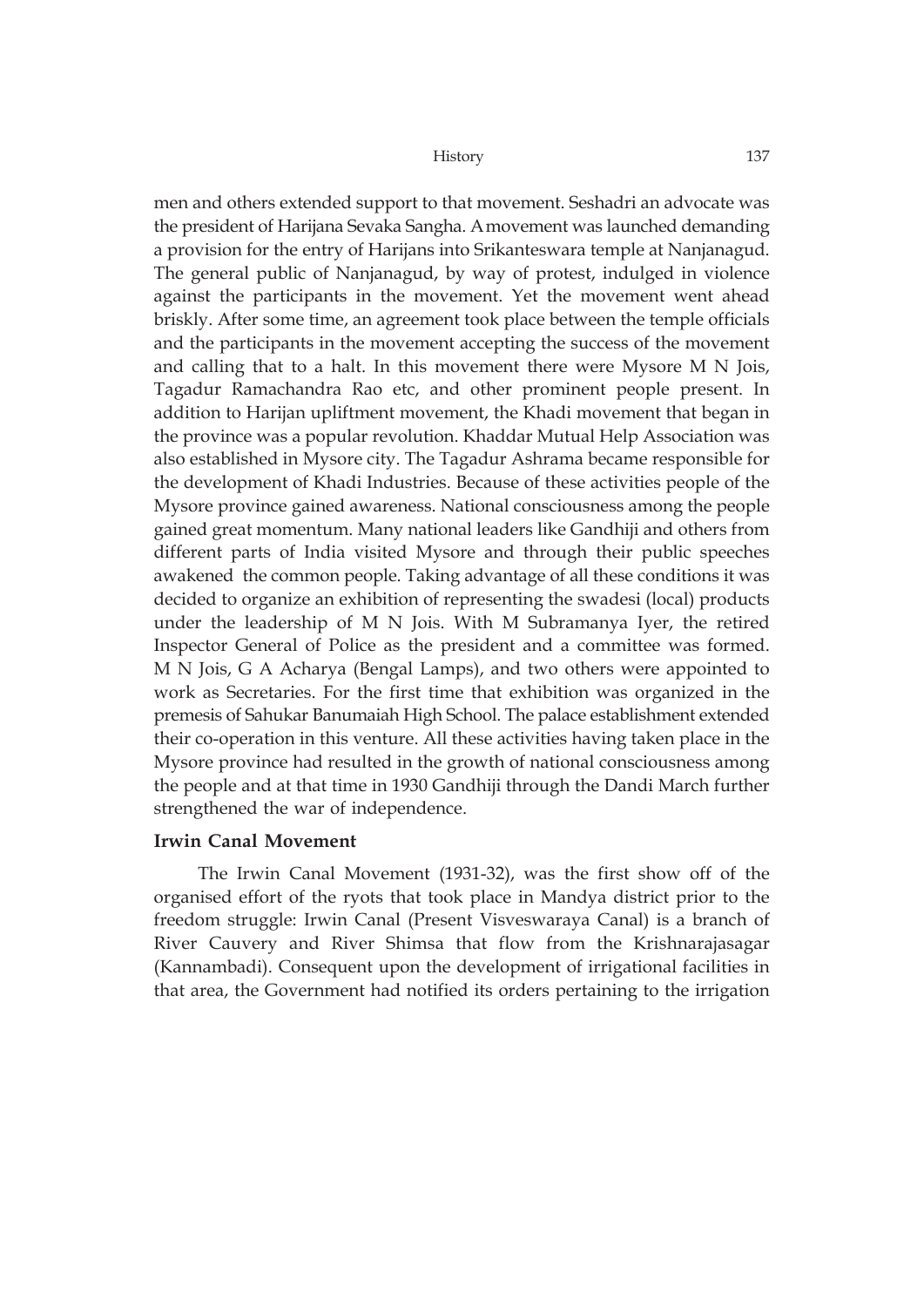men and others extended support to that movement. Seshadri an advocate was the president of Harijana Sevaka Sangha. Amovement was launched demanding a provision for the entry of Harijans into Srikanteswara temple at Nanjanagud. The general public of Nanjanagud, by way of protest, indulged in violence against the participants in the movement. Yet the movement went ahead briskly. After some time, an agreement took place between the temple officials and the participants in the movement accepting the success of the movement and calling that to a halt. In this movement there were Mysore M N Jois, Tagadur Ramachandra Rao etc, and other prominent people present. In addition to Harijan upliftment movement, the Khadi movement that began in the province was a popular revolution. Khaddar Mutual Help Association was also established in Mysore city. The Tagadur Ashrama became responsible for the development of Khadi Industries. Because of these activities people of the Mysore province gained awareness. National consciousness among the people gained great momentum. Many national leaders like Gandhiji and others from different parts of India visited Mysore and through their public speeches awakened the common people. Taking advantage of all these conditions it was decided to organize an exhibition of representing the swadesi (local) products under the leadership of M N Jois. With M Subramanya Iyer, the retired Inspector General of Police as the president and a committee was formed. M N Jois, G A Acharya (Bengal Lamps), and two others were appointed to work as Secretaries. For the first time that exhibition was organized in the premesis of Sahukar Banumaiah High School. The palace establishment extended their co-operation in this venture. All these activities having taken place in the Mysore province had resulted in the growth of national consciousness among the people and at that time in 1930 Gandhiji through the Dandi March further strengthened the war of independence.

### **Irwin Canal Movement**

The Irwin Canal Movement (1931-32), was the first show off of the organised effort of the ryots that took place in Mandya district prior to the freedom struggle: Irwin Canal (Present Visveswaraya Canal) is a branch of River Cauvery and River Shimsa that flow from the Krishnarajasagar (Kannambadi). Consequent upon the development of irrigational facilities in that area, the Government had notified its orders pertaining to the irrigation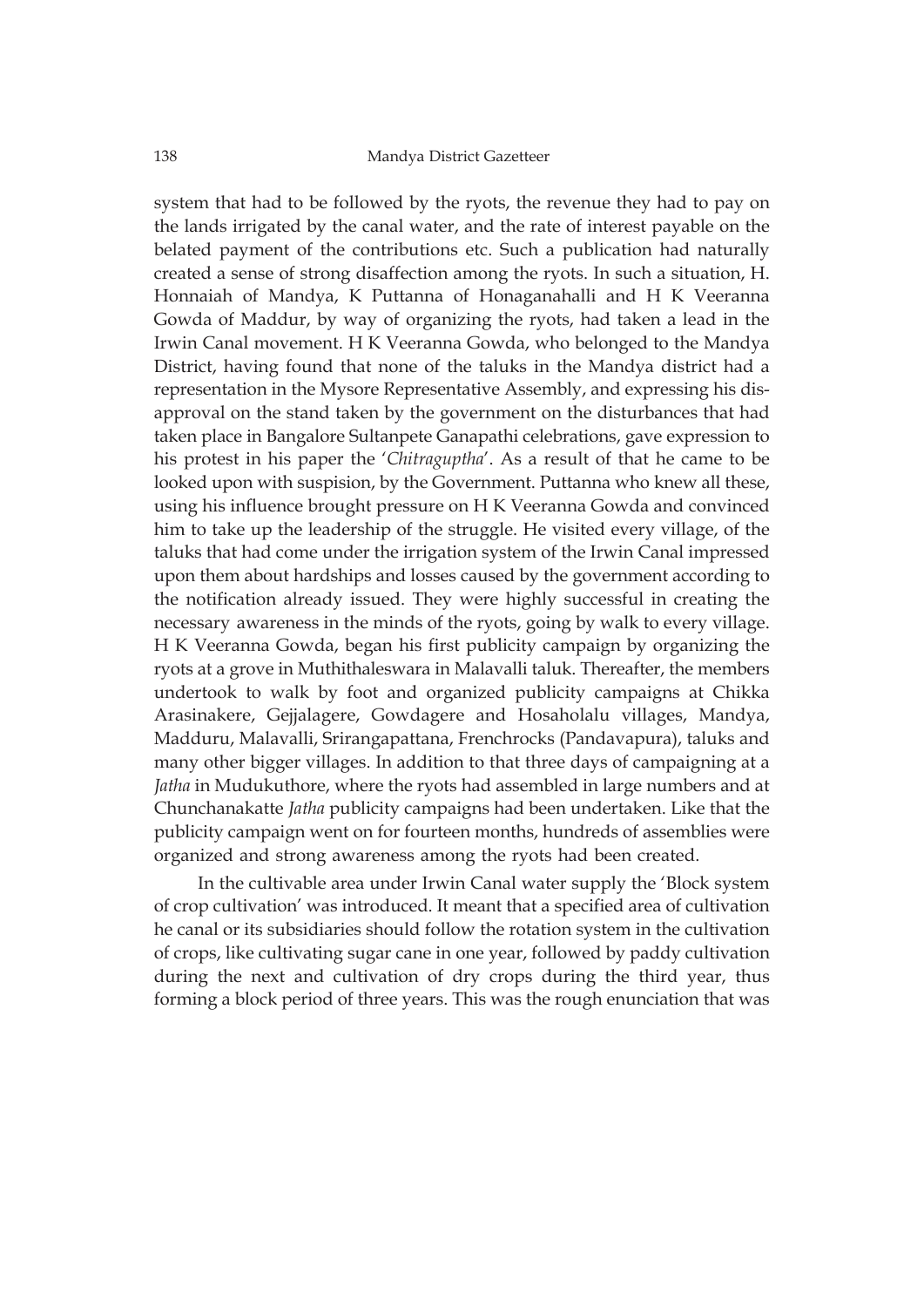system that had to be followed by the ryots, the revenue they had to pay on the lands irrigated by the canal water, and the rate of interest payable on the belated payment of the contributions etc. Such a publication had naturally created a sense of strong disaffection among the ryots. In such a situation, H. Honnaiah of Mandya, K Puttanna of Honaganahalli and H K Veeranna Gowda of Maddur, by way of organizing the ryots, had taken a lead in the Irwin Canal movement. H K Veeranna Gowda, who belonged to the Mandya District, having found that none of the taluks in the Mandya district had a representation in the Mysore Representative Assembly, and expressing his disapproval on the stand taken by the government on the disturbances that had taken place in Bangalore Sultanpete Ganapathi celebrations, gave expression to his protest in his paper the '*Chitraguptha*'. As a result of that he came to be looked upon with suspision, by the Government. Puttanna who knew all these, using his influence brought pressure on H K Veeranna Gowda and convinced him to take up the leadership of the struggle. He visited every village, of the taluks that had come under the irrigation system of the Irwin Canal impressed upon them about hardships and losses caused by the government according to the notification already issued. They were highly successful in creating the necessary awareness in the minds of the ryots, going by walk to every village. H K Veeranna Gowda, began his first publicity campaign by organizing the ryots at a grove in Muthithaleswara in Malavalli taluk. Thereafter, the members undertook to walk by foot and organized publicity campaigns at Chikka Arasinakere, Gejjalagere, Gowdagere and Hosaholalu villages, Mandya, Madduru, Malavalli, Srirangapattana, Frenchrocks (Pandavapura), taluks and many other bigger villages. In addition to that three days of campaigning at a *Jatha* in Mudukuthore, where the ryots had assembled in large numbers and at Chunchanakatte *Jatha* publicity campaigns had been undertaken. Like that the publicity campaign went on for fourteen months, hundreds of assemblies were organized and strong awareness among the ryots had been created.

In the cultivable area under Irwin Canal water supply the 'Block system of crop cultivation' was introduced. It meant that a specified area of cultivation he canal or its subsidiaries should follow the rotation system in the cultivation of crops, like cultivating sugar cane in one year, followed by paddy cultivation during the next and cultivation of dry crops during the third year, thus forming a block period of three years. This was the rough enunciation that was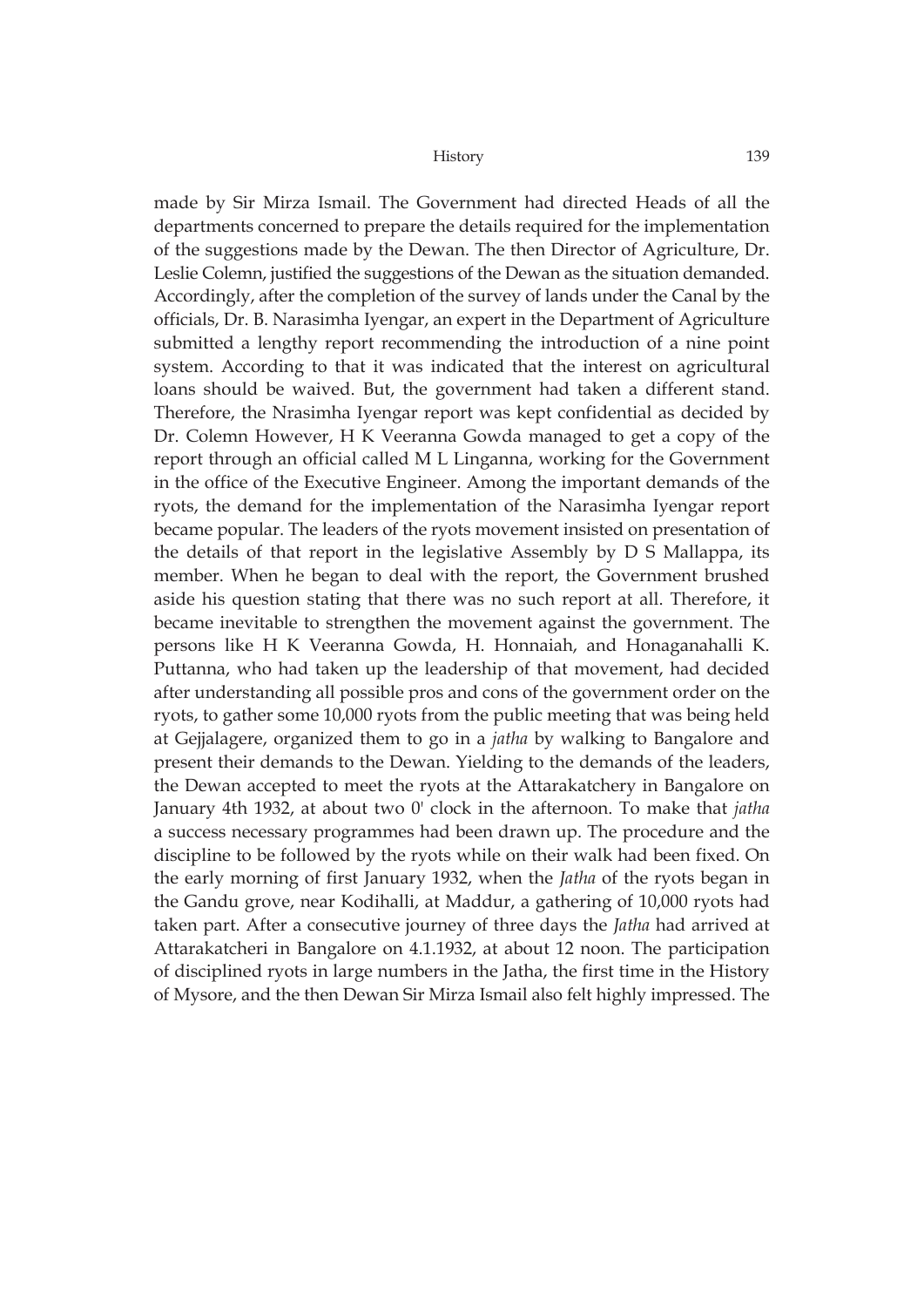made by Sir Mirza Ismail. The Government had directed Heads of all the departments concerned to prepare the details required for the implementation of the suggestions made by the Dewan. The then Director of Agriculture, Dr. Leslie Colemn, justified the suggestions of the Dewan as the situation demanded. Accordingly, after the completion of the survey of lands under the Canal by the officials, Dr. B. Narasimha Iyengar, an expert in the Department of Agriculture submitted a lengthy report recommending the introduction of a nine point system. According to that it was indicated that the interest on agricultural loans should be waived. But, the government had taken a different stand. Therefore, the Nrasimha Iyengar report was kept confidential as decided by Dr. Colemn However, H K Veeranna Gowda managed to get a copy of the report through an official called M L Linganna, working for the Government in the office of the Executive Engineer. Among the important demands of the ryots, the demand for the implementation of the Narasimha Iyengar report became popular. The leaders of the ryots movement insisted on presentation of the details of that report in the legislative Assembly by D S Mallappa, its member. When he began to deal with the report, the Government brushed aside his question stating that there was no such report at all. Therefore, it became inevitable to strengthen the movement against the government. The persons like H K Veeranna Gowda, H. Honnaiah, and Honaganahalli K. Puttanna, who had taken up the leadership of that movement, had decided after understanding all possible pros and cons of the government order on the ryots, to gather some 10,000 ryots from the public meeting that was being held at Gejjalagere, organized them to go in a *jatha* by walking to Bangalore and present their demands to the Dewan. Yielding to the demands of the leaders, the Dewan accepted to meet the ryots at the Attarakatchery in Bangalore on January 4th 1932, at about two 0' clock in the afternoon. To make that *jatha* a success necessary programmes had been drawn up. The procedure and the discipline to be followed by the ryots while on their walk had been fixed. On the early morning of first January 1932, when the *Jatha* of the ryots began in the Gandu grove, near Kodihalli, at Maddur, a gathering of 10,000 ryots had taken part. After a consecutive journey of three days the *Jatha* had arrived at Attarakatcheri in Bangalore on 4.1.1932, at about 12 noon. The participation of disciplined ryots in large numbers in the Jatha, the first time in the History of Mysore, and the then Dewan Sir Mirza Ismail also felt highly impressed. The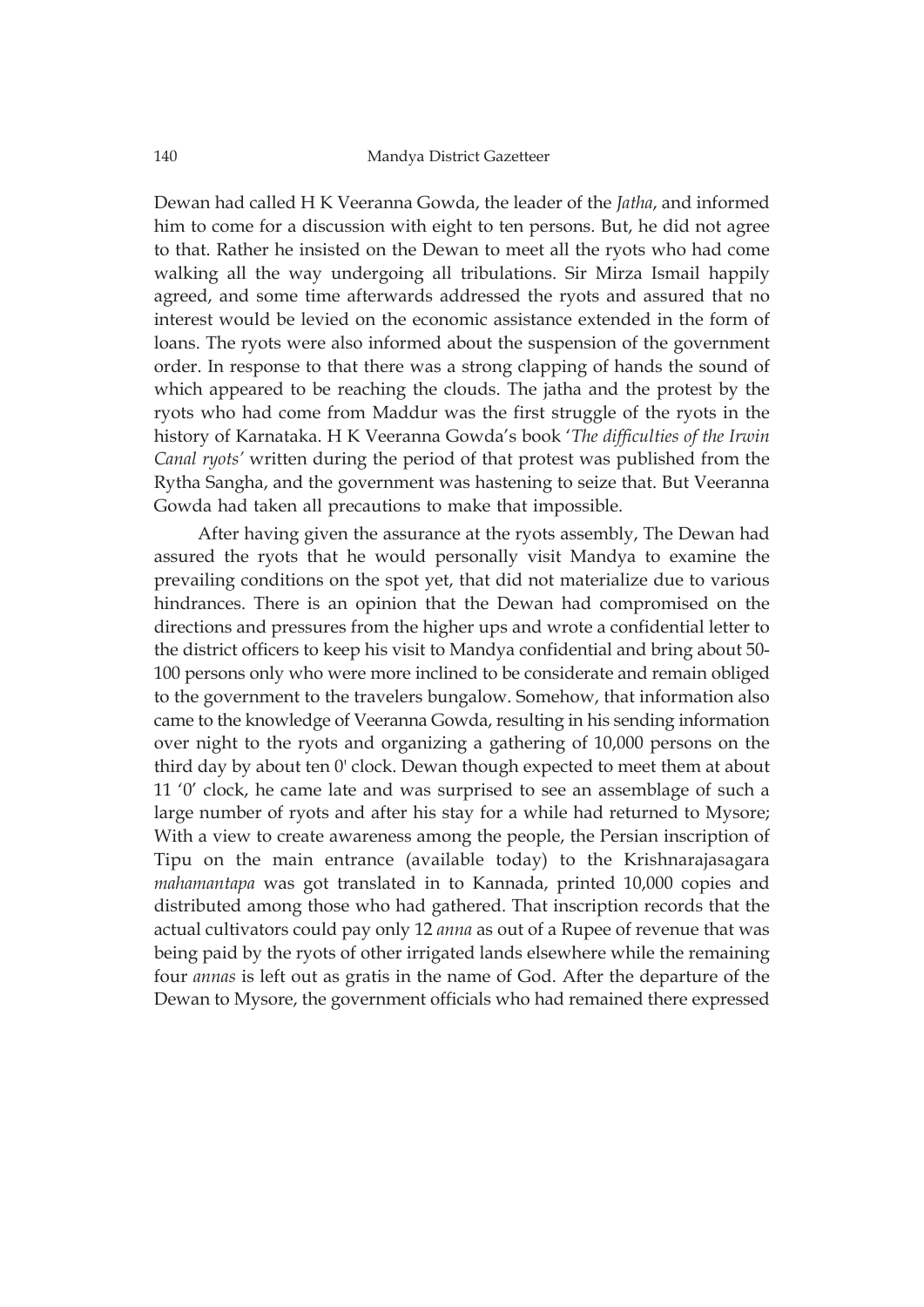Dewan had called H K Veeranna Gowda, the leader of the *Jatha*, and informed him to come for a discussion with eight to ten persons. But, he did not agree to that. Rather he insisted on the Dewan to meet all the ryots who had come walking all the way undergoing all tribulations. Sir Mirza Ismail happily agreed, and some time afterwards addressed the ryots and assured that no interest would be levied on the economic assistance extended in the form of loans. The ryots were also informed about the suspension of the government order. In response to that there was a strong clapping of hands the sound of which appeared to be reaching the clouds. The jatha and the protest by the ryots who had come from Maddur was the first struggle of the ryots in the history of Karnataka. H K Veeranna Gowda's book '*The difficulties of the Irwin Canal ryots'* written during the period of that protest was published from the Rytha Sangha, and the government was hastening to seize that. But Veeranna Gowda had taken all precautions to make that impossible.

After having given the assurance at the ryots assembly, The Dewan had assured the ryots that he would personally visit Mandya to examine the prevailing conditions on the spot yet, that did not materialize due to various hindrances. There is an opinion that the Dewan had compromised on the directions and pressures from the higher ups and wrote a confidential letter to the district officers to keep his visit to Mandya confidential and bring about 50- 100 persons only who were more inclined to be considerate and remain obliged to the government to the travelers bungalow. Somehow, that information also came to the knowledge of Veeranna Gowda, resulting in his sending information over night to the ryots and organizing a gathering of 10,000 persons on the third day by about ten 0' clock. Dewan though expected to meet them at about 11 '0' clock, he came late and was surprised to see an assemblage of such a large number of ryots and after his stay for a while had returned to Mysore; With a view to create awareness among the people, the Persian inscription of Tipu on the main entrance (available today) to the Krishnarajasagara *mahamantapa* was got translated in to Kannada, printed 10,000 copies and distributed among those who had gathered. That inscription records that the actual cultivators could pay only 12 *anna* as out of a Rupee of revenue that was being paid by the ryots of other irrigated lands elsewhere while the remaining four *annas* is left out as gratis in the name of God. After the departure of the Dewan to Mysore, the government officials who had remained there expressed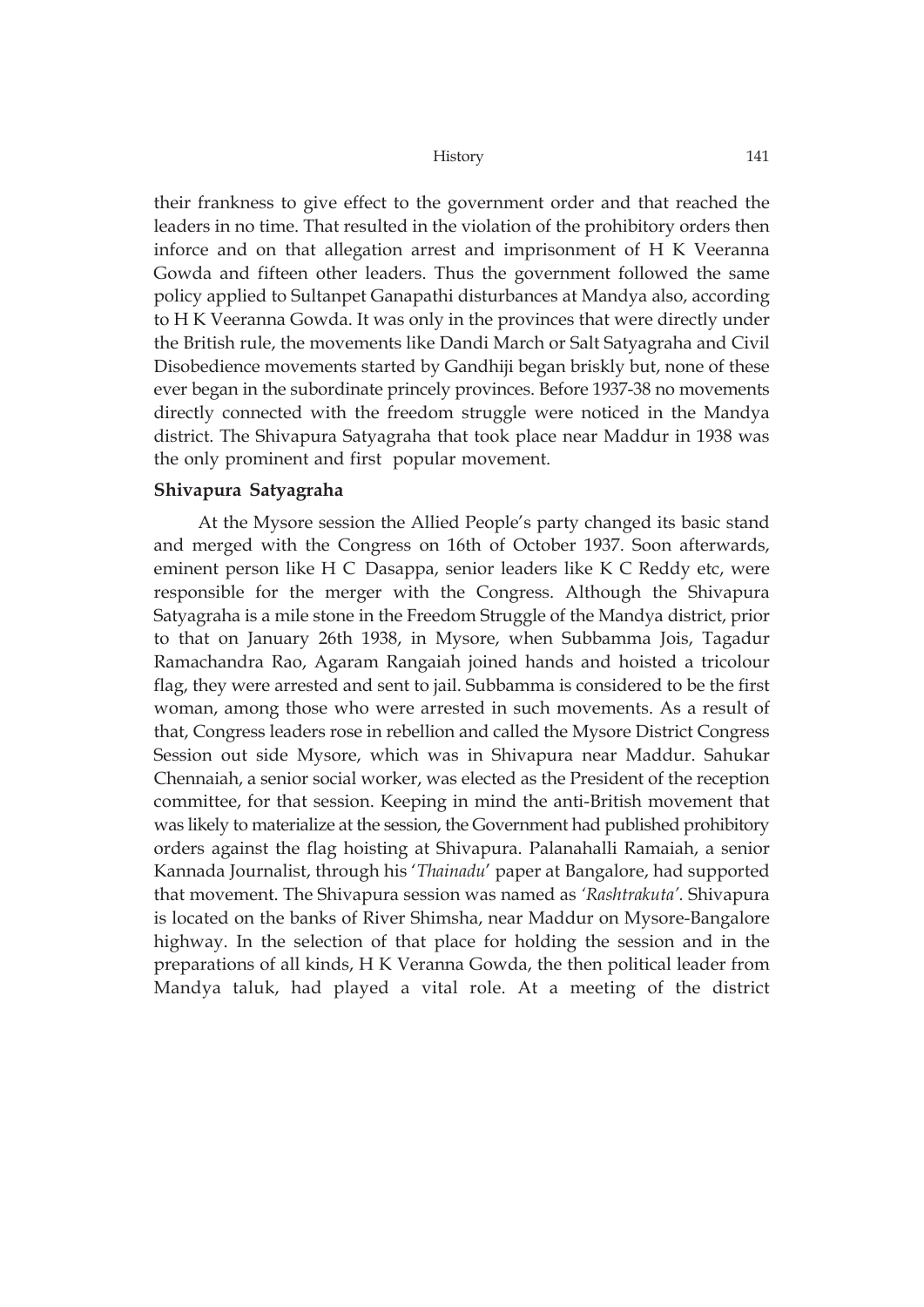their frankness to give effect to the government order and that reached the leaders in no time. That resulted in the violation of the prohibitory orders then inforce and on that allegation arrest and imprisonment of H K Veeranna Gowda and fifteen other leaders. Thus the government followed the same policy applied to Sultanpet Ganapathi disturbances at Mandya also, according to H K Veeranna Gowda. It was only in the provinces that were directly under the British rule, the movements like Dandi March or Salt Satyagraha and Civil Disobedience movements started by Gandhiji began briskly but, none of these ever began in the subordinate princely provinces. Before 1937-38 no movements directly connected with the freedom struggle were noticed in the Mandya district. The Shivapura Satyagraha that took place near Maddur in 1938 was the only prominent and first popular movement.

### **Shivapura Satyagraha**

At the Mysore session the Allied People's party changed its basic stand and merged with the Congress on 16th of October 1937. Soon afterwards, eminent person like H C Dasappa, senior leaders like K C Reddy etc, were responsible for the merger with the Congress. Although the Shivapura Satyagraha is a mile stone in the Freedom Struggle of the Mandya district, prior to that on January 26th 1938, in Mysore, when Subbamma Jois, Tagadur Ramachandra Rao, Agaram Rangaiah joined hands and hoisted a tricolour flag, they were arrested and sent to jail. Subbamma is considered to be the first woman, among those who were arrested in such movements. As a result of that, Congress leaders rose in rebellion and called the Mysore District Congress Session out side Mysore, which was in Shivapura near Maddur. Sahukar Chennaiah, a senior social worker, was elected as the President of the reception committee, for that session. Keeping in mind the anti-British movement that was likely to materialize at the session, the Government had published prohibitory orders against the flag hoisting at Shivapura. Palanahalli Ramaiah, a senior Kannada Journalist, through his '*Thainadu*' paper at Bangalore, had supported that movement. The Shivapura session was named as *'Rashtrakuta'.* Shivapura is located on the banks of River Shimsha, near Maddur on Mysore-Bangalore highway. In the selection of that place for holding the session and in the preparations of all kinds, H K Veranna Gowda, the then political leader from Mandya taluk, had played a vital role. At a meeting of the district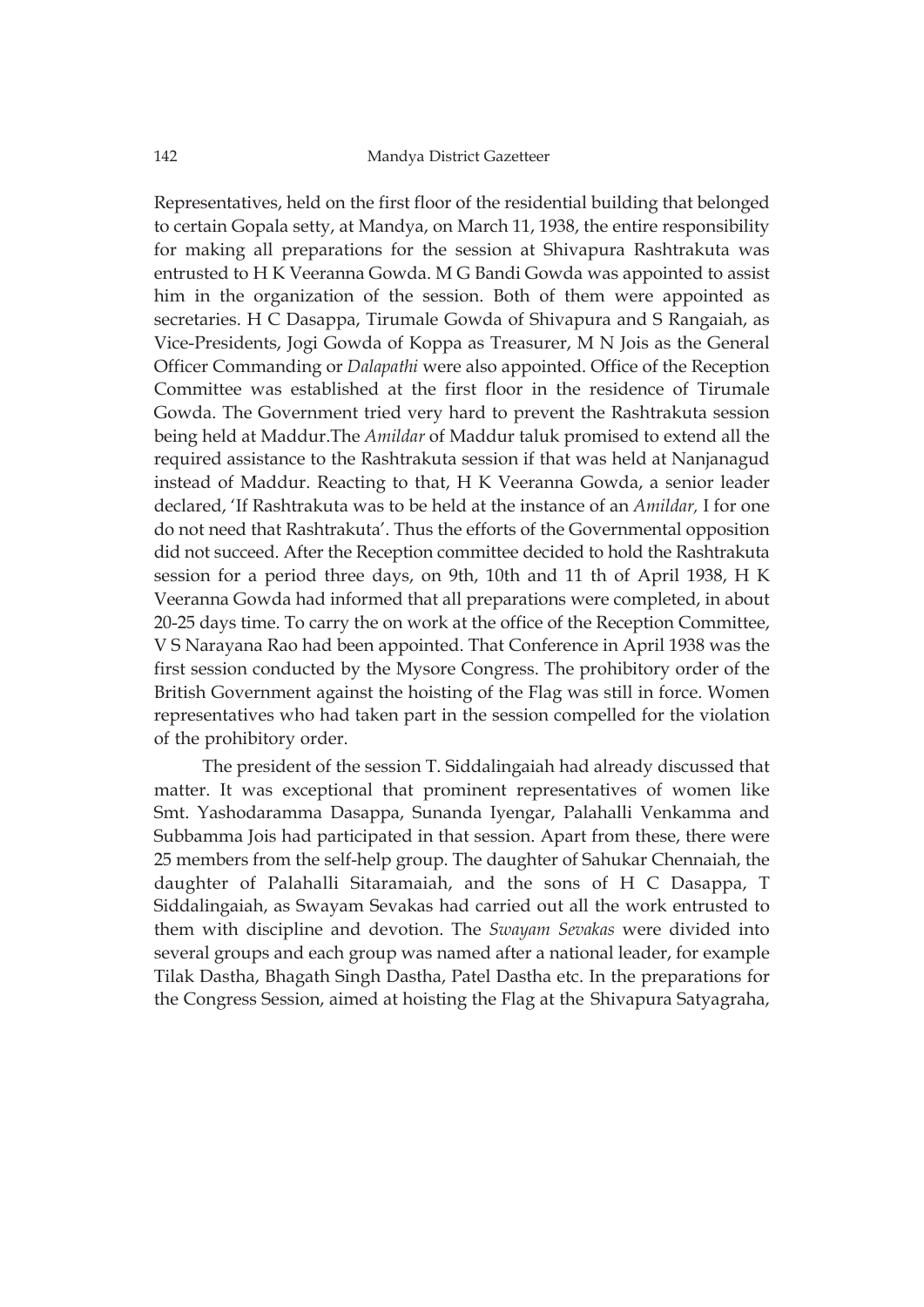Representatives, held on the first floor of the residential building that belonged to certain Gopala setty, at Mandya, on March 11, 1938, the entire responsibility for making all preparations for the session at Shivapura Rashtrakuta was entrusted to H K Veeranna Gowda. M G Bandi Gowda was appointed to assist him in the organization of the session. Both of them were appointed as secretaries. H C Dasappa, Tirumale Gowda of Shivapura and S Rangaiah, as Vice-Presidents, Jogi Gowda of Koppa as Treasurer, M N Jois as the General Officer Commanding or *Dalapathi* were also appointed. Office of the Reception Committee was established at the first floor in the residence of Tirumale Gowda. The Government tried very hard to prevent the Rashtrakuta session being held at Maddur.The *Amildar* of Maddur taluk promised to extend all the required assistance to the Rashtrakuta session if that was held at Nanjanagud instead of Maddur. Reacting to that, H K Veeranna Gowda, a senior leader declared, 'If Rashtrakuta was to be held at the instance of an *Amildar,* I for one do not need that Rashtrakuta'. Thus the efforts of the Governmental opposition did not succeed. After the Reception committee decided to hold the Rashtrakuta session for a period three days, on 9th, 10th and 11 th of April 1938, H K Veeranna Gowda had informed that all preparations were completed, in about 20-25 days time. To carry the on work at the office of the Reception Committee, V S Narayana Rao had been appointed. That Conference in April 1938 was the first session conducted by the Mysore Congress. The prohibitory order of the British Government against the hoisting of the Flag was still in force. Women representatives who had taken part in the session compelled for the violation of the prohibitory order.

 The president of the session T. Siddalingaiah had already discussed that matter. It was exceptional that prominent representatives of women like Smt. Yashodaramma Dasappa, Sunanda Iyengar, Palahalli Venkamma and Subbamma Jois had participated in that session. Apart from these, there were 25 members from the self-help group. The daughter of Sahukar Chennaiah, the daughter of Palahalli Sitaramaiah, and the sons of H C Dasappa, T Siddalingaiah, as Swayam Sevakas had carried out all the work entrusted to them with discipline and devotion. The *Swayam Sevakas* were divided into several groups and each group was named after a national leader, for example Tilak Dastha, Bhagath Singh Dastha, Patel Dastha etc. In the preparations for the Congress Session, aimed at hoisting the Flag at the Shivapura Satyagraha,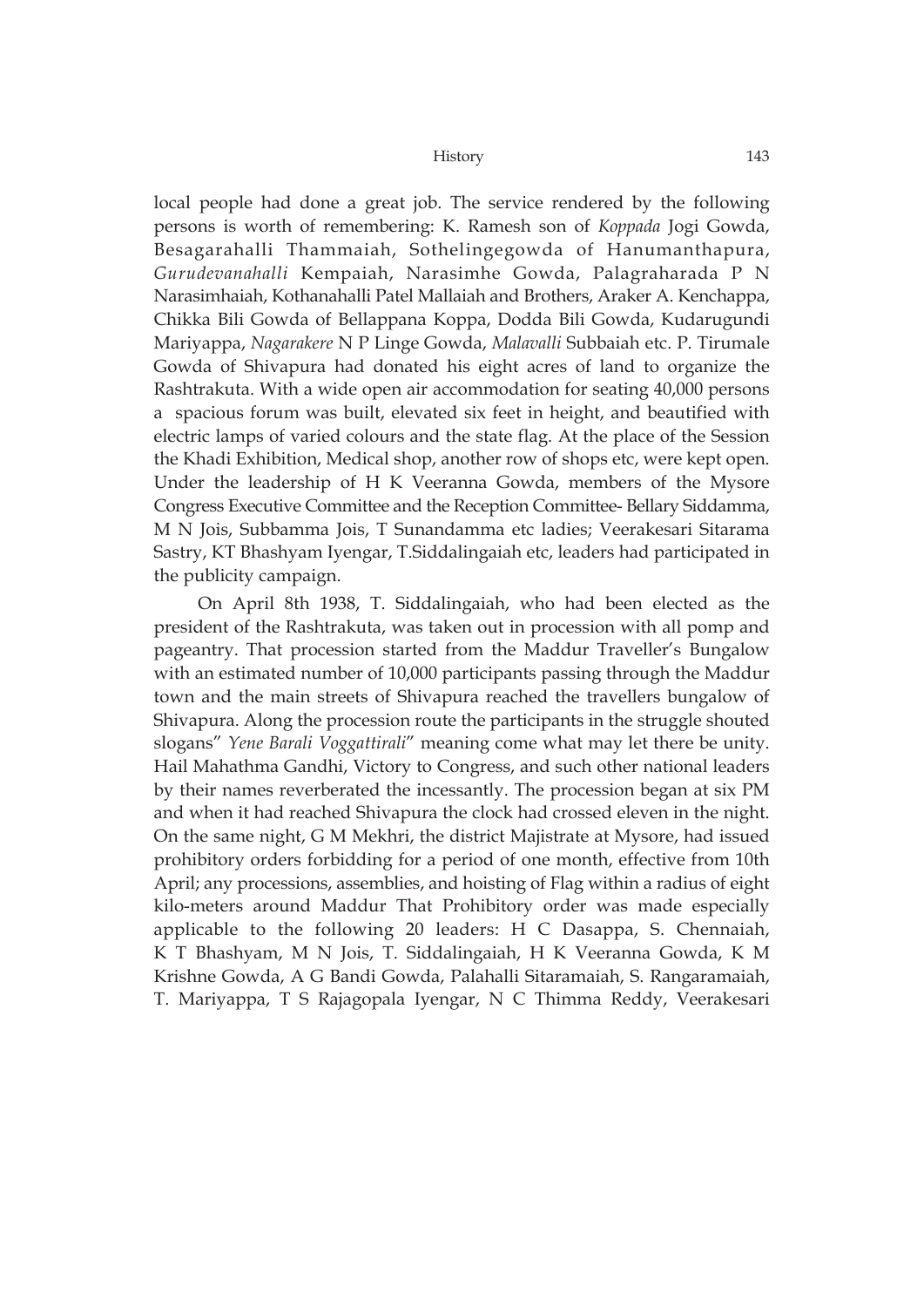local people had done a great job. The service rendered by the following persons is worth of remembering: K. Ramesh son of *Koppada* Jogi Gowda, Besagarahalli Thammaiah, Sothelingegowda of Hanumanthapura, *Gurudevanahalli* Kempaiah, Narasimhe Gowda, Palagraharada P N Narasimhaiah, Kothanahalli Patel Mallaiah and Brothers, Araker A. Kenchappa, Chikka Bili Gowda of Bellappana Koppa, Dodda Bili Gowda, Kudarugundi Mariyappa, *Nagarakere* N P Linge Gowda, *Malavalli* Subbaiah etc. P. Tirumale Gowda of Shivapura had donated his eight acres of land to organize the Rashtrakuta. With a wide open air accommodation for seating 40,000 persons a spacious forum was built, elevated six feet in height, and beautified with electric lamps of varied colours and the state flag. At the place of the Session the Khadi Exhibition, Medical shop, another row of shops etc, were kept open. Under the leadership of H K Veeranna Gowda, members of the Mysore Congress Executive Committee and the Reception Committee- Bellary Siddamma, M N Jois, Subbamma Jois, T Sunandamma etc ladies; Veerakesari Sitarama Sastry, KT Bhashyam Iyengar, T.Siddalingaiah etc, leaders had participated in the publicity campaign.

On April 8th 1938, T. Siddalingaiah, who had been elected as the president of the Rashtrakuta, was taken out in procession with all pomp and pageantry. That procession started from the Maddur Traveller's Bungalow with an estimated number of 10,000 participants passing through the Maddur town and the main streets of Shivapura reached the travellers bungalow of Shivapura. Along the procession route the participants in the struggle shouted slogans" *Yene Barali Voggattirali*" meaning come what may let there be unity. Hail Mahathma Gandhi, Victory to Congress, and such other national leaders by their names reverberated the incessantly. The procession began at six PM and when it had reached Shivapura the clock had crossed eleven in the night. On the same night, G M Mekhri, the district Majistrate at Mysore, had issued prohibitory orders forbidding for a period of one month, effective from 10th April; any processions, assemblies, and hoisting of Flag within a radius of eight kilo-meters around Maddur That Prohibitory order was made especially applicable to the following 20 leaders: H C Dasappa, S. Chennaiah, K T Bhashyam, M N Jois, T. Siddalingaiah, H K Veeranna Gowda, K M Krishne Gowda, A G Bandi Gowda, Palahalli Sitaramaiah, S. Rangaramaiah, T. Mariyappa, T S Rajagopala Iyengar, N C Thimma Reddy, Veerakesari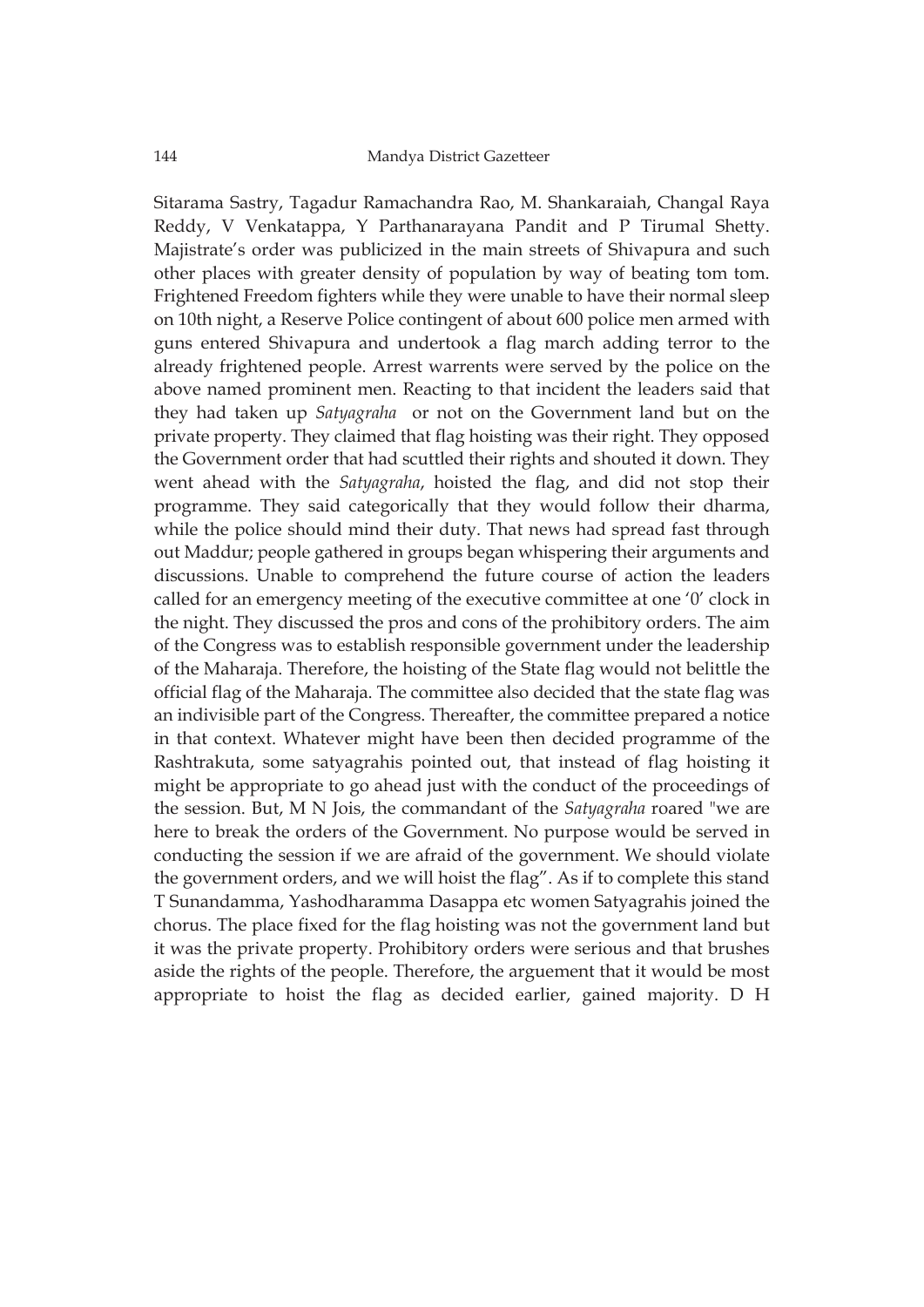Sitarama Sastry, Tagadur Ramachandra Rao, M. Shankaraiah, Changal Raya Reddy, V Venkatappa, Y Parthanarayana Pandit and P Tirumal Shetty. Majistrate's order was publicized in the main streets of Shivapura and such other places with greater density of population by way of beating tom tom. Frightened Freedom fighters while they were unable to have their normal sleep on 10th night, a Reserve Police contingent of about 600 police men armed with guns entered Shivapura and undertook a flag march adding terror to the already frightened people. Arrest warrents were served by the police on the above named prominent men. Reacting to that incident the leaders said that they had taken up *Satyagraha* or not on the Government land but on the private property. They claimed that flag hoisting was their right. They opposed the Government order that had scuttled their rights and shouted it down. They went ahead with the *Satyagraha*, hoisted the flag, and did not stop their programme. They said categorically that they would follow their dharma, while the police should mind their duty. That news had spread fast through out Maddur; people gathered in groups began whispering their arguments and discussions. Unable to comprehend the future course of action the leaders called for an emergency meeting of the executive committee at one '0' clock in the night. They discussed the pros and cons of the prohibitory orders. The aim of the Congress was to establish responsible government under the leadership of the Maharaja. Therefore, the hoisting of the State flag would not belittle the official flag of the Maharaja. The committee also decided that the state flag was an indivisible part of the Congress. Thereafter, the committee prepared a notice in that context. Whatever might have been then decided programme of the Rashtrakuta, some satyagrahis pointed out, that instead of flag hoisting it might be appropriate to go ahead just with the conduct of the proceedings of the session. But, M N Jois, the commandant of the *Satyagraha* roared "we are here to break the orders of the Government. No purpose would be served in conducting the session if we are afraid of the government. We should violate the government orders, and we will hoist the flag". As if to complete this stand T Sunandamma, Yashodharamma Dasappa etc women Satyagrahis joined the chorus. The place fixed for the flag hoisting was not the government land but it was the private property. Prohibitory orders were serious and that brushes aside the rights of the people. Therefore, the arguement that it would be most appropriate to hoist the flag as decided earlier, gained majority. D H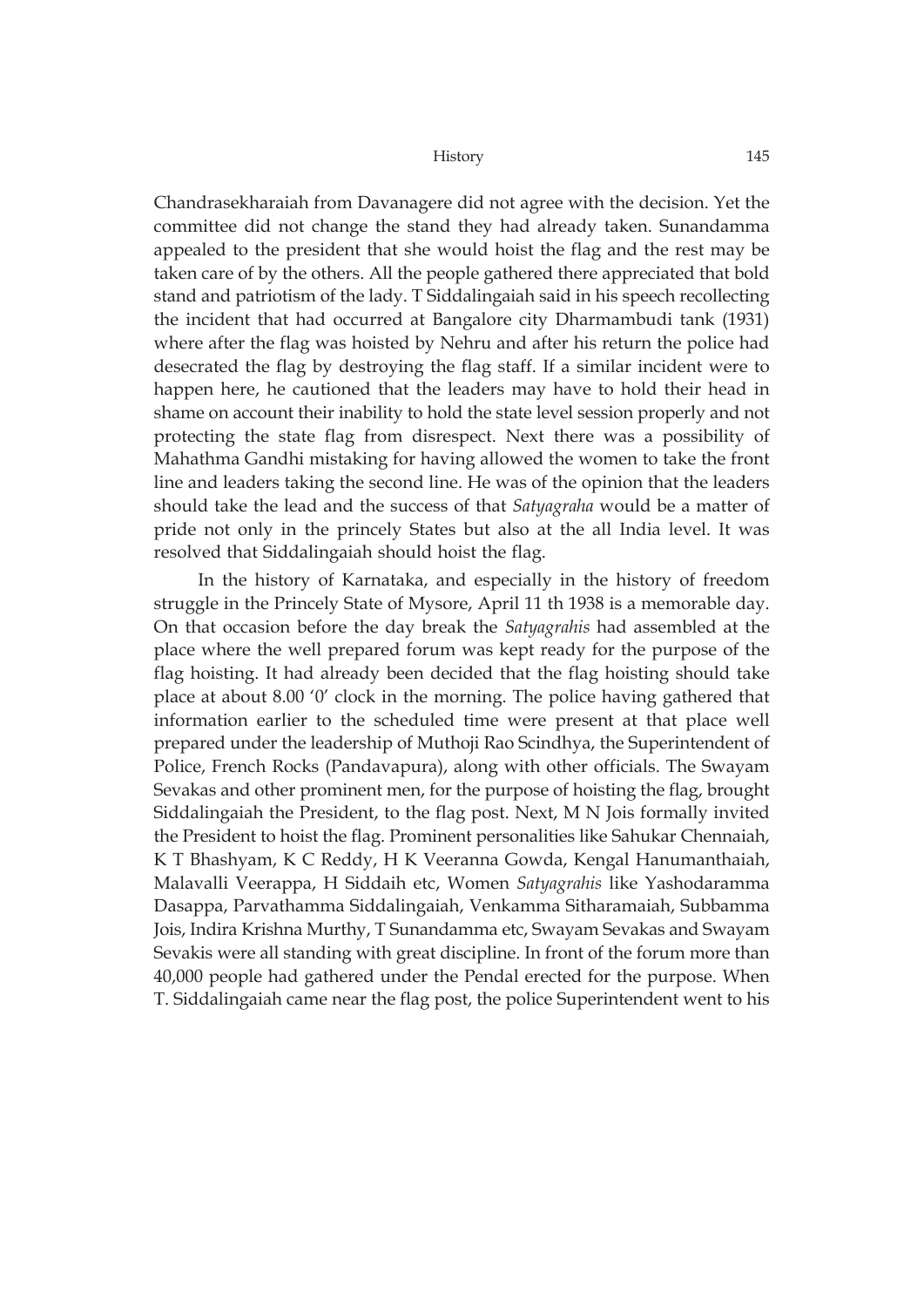Chandrasekharaiah from Davanagere did not agree with the decision. Yet the committee did not change the stand they had already taken. Sunandamma appealed to the president that she would hoist the flag and the rest may be taken care of by the others. All the people gathered there appreciated that bold stand and patriotism of the lady. T Siddalingaiah said in his speech recollecting the incident that had occurred at Bangalore city Dharmambudi tank (1931) where after the flag was hoisted by Nehru and after his return the police had desecrated the flag by destroying the flag staff. If a similar incident were to happen here, he cautioned that the leaders may have to hold their head in shame on account their inability to hold the state level session properly and not protecting the state flag from disrespect. Next there was a possibility of Mahathma Gandhi mistaking for having allowed the women to take the front line and leaders taking the second line. He was of the opinion that the leaders should take the lead and the success of that *Satyagraha* would be a matter of pride not only in the princely States but also at the all India level. It was resolved that Siddalingaiah should hoist the flag.

In the history of Karnataka, and especially in the history of freedom struggle in the Princely State of Mysore, April 11 th 1938 is a memorable day. On that occasion before the day break the *Satyagrahis* had assembled at the place where the well prepared forum was kept ready for the purpose of the flag hoisting. It had already been decided that the flag hoisting should take place at about 8.00 '0' clock in the morning. The police having gathered that information earlier to the scheduled time were present at that place well prepared under the leadership of Muthoji Rao Scindhya, the Superintendent of Police, French Rocks (Pandavapura), along with other officials. The Swayam Sevakas and other prominent men, for the purpose of hoisting the flag, brought Siddalingaiah the President, to the flag post. Next, M N Jois formally invited the President to hoist the flag. Prominent personalities like Sahukar Chennaiah, K T Bhashyam, K C Reddy, H K Veeranna Gowda, Kengal Hanumanthaiah, Malavalli Veerappa, H Siddaih etc, Women *Satyagrahis* like Yashodaramma Dasappa, Parvathamma Siddalingaiah, Venkamma Sitharamaiah, Subbamma Jois, Indira Krishna Murthy, T Sunandamma etc, Swayam Sevakas and Swayam Sevakis were all standing with great discipline. In front of the forum more than 40,000 people had gathered under the Pendal erected for the purpose. When T. Siddalingaiah came near the flag post, the police Superintendent went to his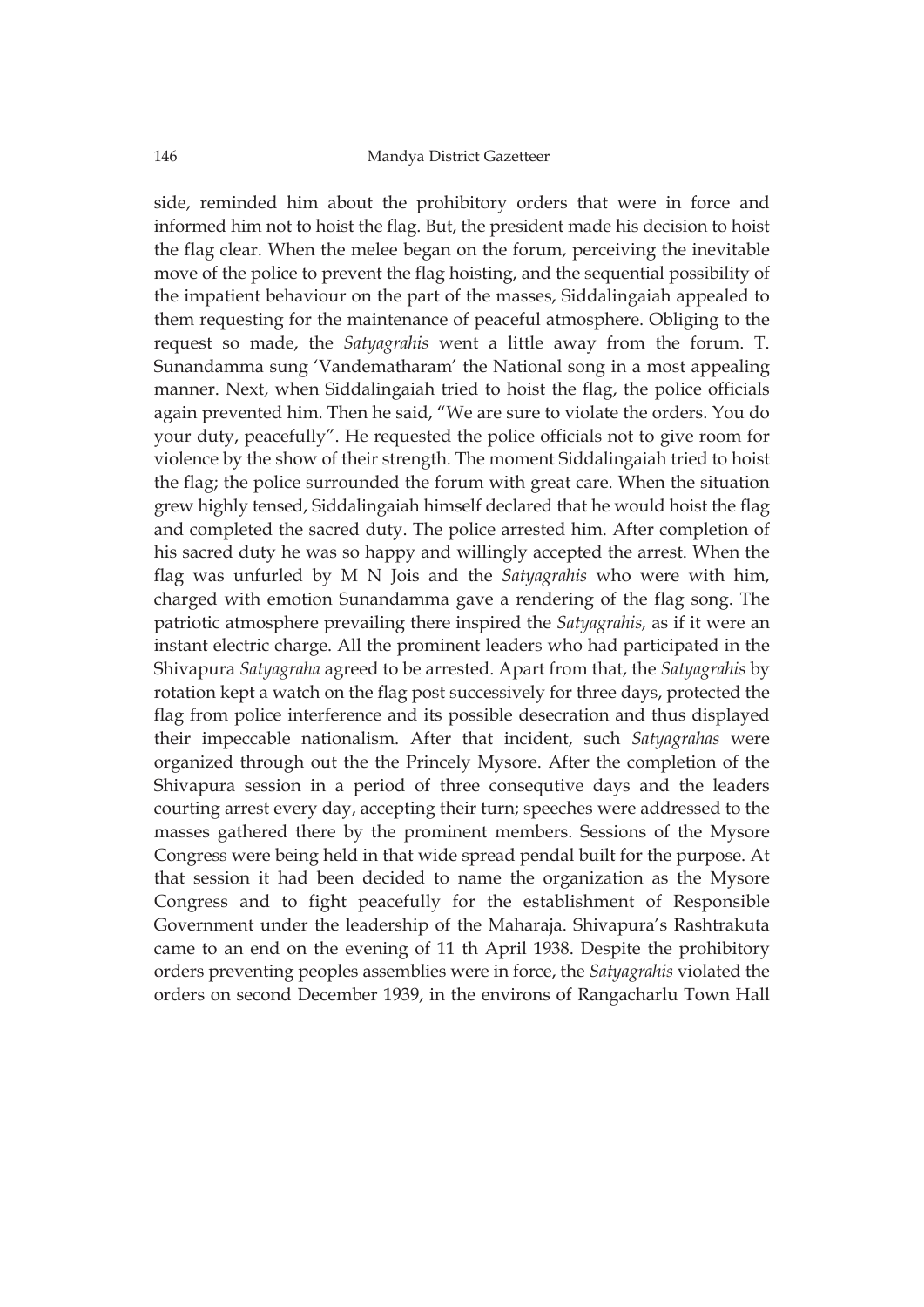side, reminded him about the prohibitory orders that were in force and informed him not to hoist the flag. But, the president made his decision to hoist the flag clear. When the melee began on the forum, perceiving the inevitable move of the police to prevent the flag hoisting, and the sequential possibility of the impatient behaviour on the part of the masses, Siddalingaiah appealed to them requesting for the maintenance of peaceful atmosphere. Obliging to the request so made, the *Satyagrahis* went a little away from the forum. T. Sunandamma sung 'Vandematharam' the National song in a most appealing manner. Next, when Siddalingaiah tried to hoist the flag, the police officials again prevented him. Then he said, "We are sure to violate the orders. You do your duty, peacefully". He requested the police officials not to give room for violence by the show of their strength. The moment Siddalingaiah tried to hoist the flag; the police surrounded the forum with great care. When the situation grew highly tensed, Siddalingaiah himself declared that he would hoist the flag and completed the sacred duty. The police arrested him. After completion of his sacred duty he was so happy and willingly accepted the arrest. When the flag was unfurled by M N Jois and the *Satyagrahis* who were with him, charged with emotion Sunandamma gave a rendering of the flag song. The patriotic atmosphere prevailing there inspired the *Satyagrahis,* as if it were an instant electric charge. All the prominent leaders who had participated in the Shivapura *Satyagraha* agreed to be arrested. Apart from that, the *Satyagrahis* by rotation kept a watch on the flag post successively for three days, protected the flag from police interference and its possible desecration and thus displayed their impeccable nationalism. After that incident, such *Satyagrahas* were organized through out the the Princely Mysore. After the completion of the Shivapura session in a period of three consequtive days and the leaders courting arrest every day, accepting their turn; speeches were addressed to the masses gathered there by the prominent members. Sessions of the Mysore Congress were being held in that wide spread pendal built for the purpose. At that session it had been decided to name the organization as the Mysore Congress and to fight peacefully for the establishment of Responsible Government under the leadership of the Maharaja. Shivapura's Rashtrakuta came to an end on the evening of 11 th April 1938. Despite the prohibitory orders preventing peoples assemblies were in force, the *Satyagrahis* violated the orders on second December 1939, in the environs of Rangacharlu Town Hall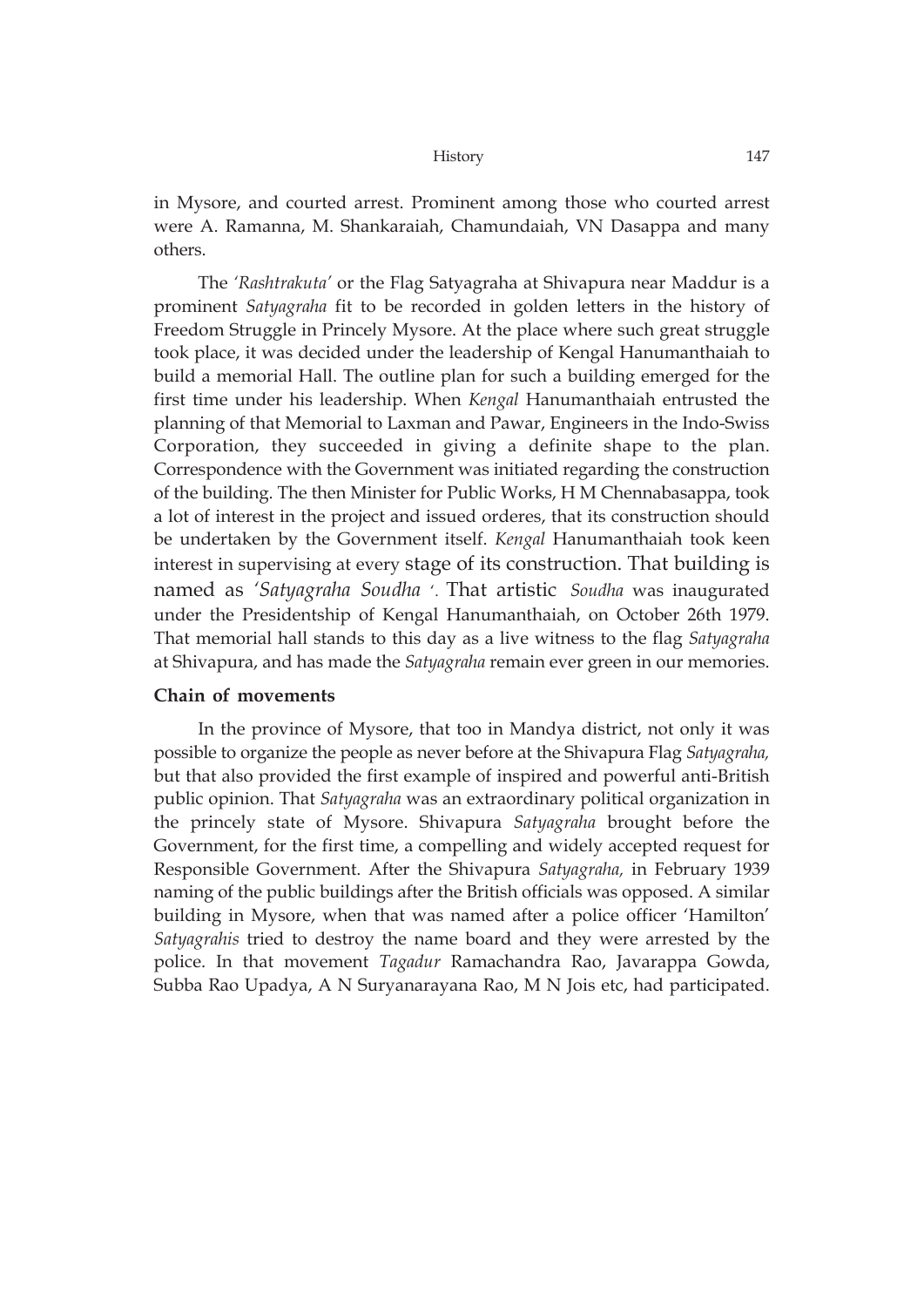in Mysore, and courted arrest. Prominent among those who courted arrest were A. Ramanna, M. Shankaraiah, Chamundaiah, VN Dasappa and many others.

The *'Rashtrakuta'* or the Flag Satyagraha at Shivapura near Maddur is a prominent *Satyagraha* fit to be recorded in golden letters in the history of Freedom Struggle in Princely Mysore. At the place where such great struggle took place, it was decided under the leadership of Kengal Hanumanthaiah to build a memorial Hall. The outline plan for such a building emerged for the first time under his leadership. When *Kengal* Hanumanthaiah entrusted the planning of that Memorial to Laxman and Pawar, Engineers in the Indo-Swiss Corporation, they succeeded in giving a definite shape to the plan. Correspondence with the Government was initiated regarding the construction of the building. The then Minister for Public Works, H M Chennabasappa, took a lot of interest in the project and issued orderes, that its construction should be undertaken by the Government itself. *Kengal* Hanumanthaiah took keen interest in supervising at every stage of its construction. That building is named as *'Satyagraha Soudha* '. That artistic *Soudha* was inaugurated under the Presidentship of Kengal Hanumanthaiah, on October 26th 1979. That memorial hall stands to this day as a live witness to the flag *Satyagraha* at Shivapura, and has made the *Satyagraha* remain ever green in our memories.

## **Chain of movements**

In the province of Mysore, that too in Mandya district, not only it was possible to organize the people as never before at the Shivapura Flag *Satyagraha,* but that also provided the first example of inspired and powerful anti-British public opinion. That *Satyagraha* was an extraordinary political organization in the princely state of Mysore. Shivapura *Satyagraha* brought before the Government, for the first time, a compelling and widely accepted request for Responsible Government. After the Shivapura *Satyagraha,* in February 1939 naming of the public buildings after the British officials was opposed. A similar building in Mysore, when that was named after a police officer 'Hamilton' *Satyagrahis* tried to destroy the name board and they were arrested by the police. In that movement *Tagadur* Ramachandra Rao, Javarappa Gowda, Subba Rao Upadya, A N Suryanarayana Rao, M N Jois etc, had participated.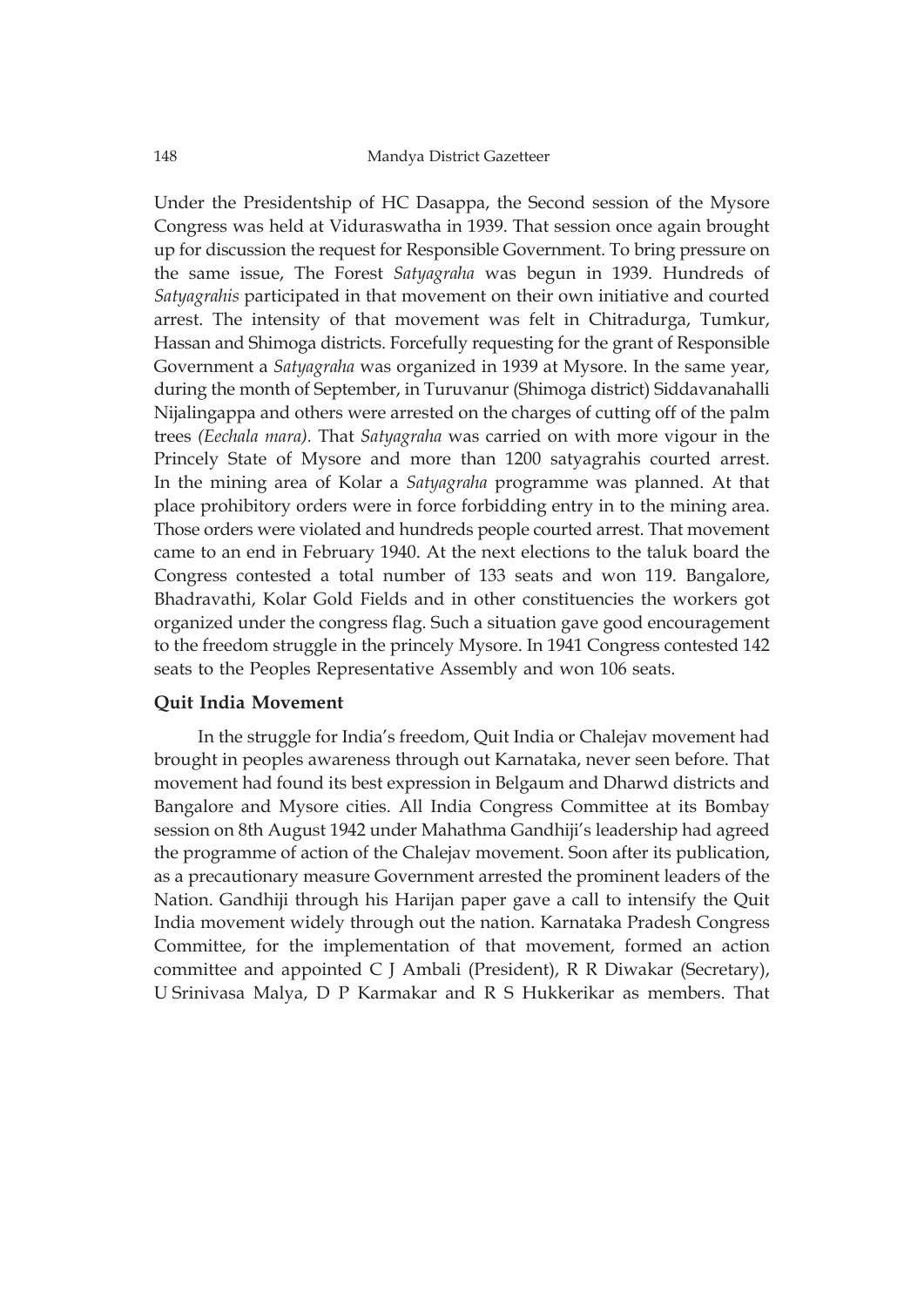Under the Presidentship of HC Dasappa, the Second session of the Mysore Congress was held at Viduraswatha in 1939. That session once again brought up for discussion the request for Responsible Government. To bring pressure on the same issue, The Forest *Satyagraha* was begun in 1939. Hundreds of *Satyagrahis* participated in that movement on their own initiative and courted arrest. The intensity of that movement was felt in Chitradurga, Tumkur, Hassan and Shimoga districts. Forcefully requesting for the grant of Responsible Government a *Satyagraha* was organized in 1939 at Mysore. In the same year, during the month of September, in Turuvanur (Shimoga district) Siddavanahalli Nijalingappa and others were arrested on the charges of cutting off of the palm trees *(Eechala mara).* That *Satyagraha* was carried on with more vigour in the Princely State of Mysore and more than 1200 satyagrahis courted arrest. In the mining area of Kolar a *Satyagraha* programme was planned. At that place prohibitory orders were in force forbidding entry in to the mining area. Those orders were violated and hundreds people courted arrest. That movement came to an end in February 1940. At the next elections to the taluk board the Congress contested a total number of 133 seats and won 119. Bangalore, Bhadravathi, Kolar Gold Fields and in other constituencies the workers got organized under the congress flag. Such a situation gave good encouragement to the freedom struggle in the princely Mysore. In 1941 Congress contested 142 seats to the Peoples Representative Assembly and won 106 seats.

## **Quit India Movement**

In the struggle for India's freedom, Quit India or Chalejav movement had brought in peoples awareness through out Karnataka, never seen before. That movement had found its best expression in Belgaum and Dharwd districts and Bangalore and Mysore cities. All India Congress Committee at its Bombay session on 8th August 1942 under Mahathma Gandhiji's leadership had agreed the programme of action of the Chalejav movement. Soon after its publication, as a precautionary measure Government arrested the prominent leaders of the Nation. Gandhiji through his Harijan paper gave a call to intensify the Quit India movement widely through out the nation. Karnataka Pradesh Congress Committee, for the implementation of that movement, formed an action committee and appointed C J Ambali (President), R R Diwakar (Secretary), U Srinivasa Malya, D P Karmakar and R S Hukkerikar as members. That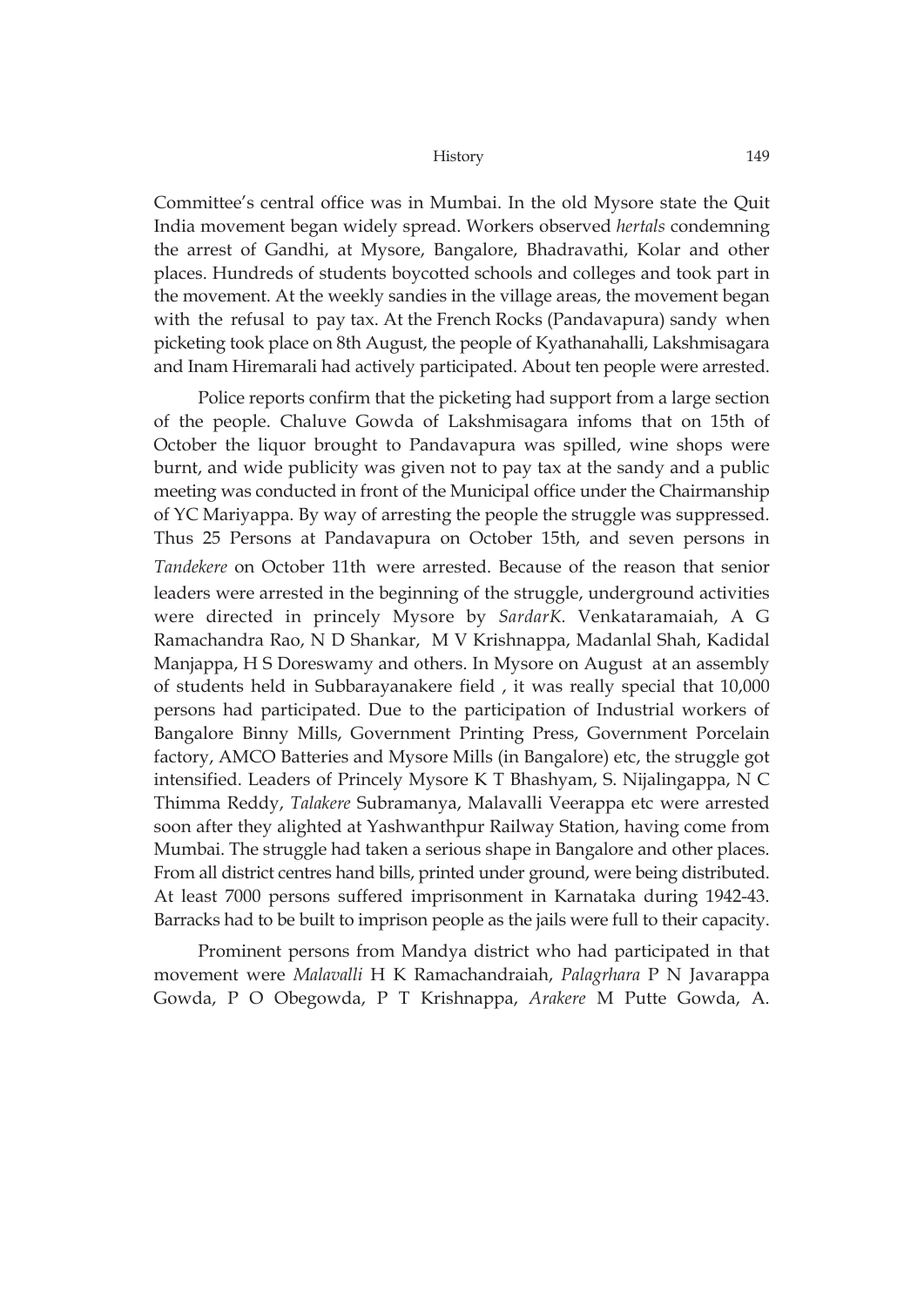Committee's central office was in Mumbai. In the old Mysore state the Quit India movement began widely spread. Workers observed *hertals* condemning the arrest of Gandhi, at Mysore, Bangalore, Bhadravathi, Kolar and other places. Hundreds of students boycotted schools and colleges and took part in the movement. At the weekly sandies in the village areas, the movement began with the refusal to pay tax. At the French Rocks (Pandavapura) sandy when picketing took place on 8th August, the people of Kyathanahalli, Lakshmisagara and Inam Hiremarali had actively participated. About ten people were arrested.

Police reports confirm that the picketing had support from a large section of the people. Chaluve Gowda of Lakshmisagara infoms that on 15th of October the liquor brought to Pandavapura was spilled, wine shops were burnt, and wide publicity was given not to pay tax at the sandy and a public meeting was conducted in front of the Municipal office under the Chairmanship of YC Mariyappa. By way of arresting the people the struggle was suppressed. Thus 25 Persons at Pandavapura on October 15th, and seven persons in *Tandekere* on October 11th were arrested. Because of the reason that senior leaders were arrested in the beginning of the struggle, underground activities were directed in princely Mysore by *SardarK.* Venkataramaiah, A G Ramachandra Rao, N D Shankar, M V Krishnappa, Madanlal Shah, Kadidal Manjappa, H S Doreswamy and others. In Mysore on August at an assembly of students held in Subbarayanakere field , it was really special that 10,000 persons had participated. Due to the participation of Industrial workers of Bangalore Binny Mills, Government Printing Press, Government Porcelain factory, AMCO Batteries and Mysore Mills (in Bangalore) etc, the struggle got intensified. Leaders of Princely Mysore K T Bhashyam, S. Nijalingappa, N C Thimma Reddy, *Talakere* Subramanya, Malavalli Veerappa etc were arrested soon after they alighted at Yashwanthpur Railway Station, having come from Mumbai. The struggle had taken a serious shape in Bangalore and other places. From all district centres hand bills, printed under ground, were being distributed. At least 7000 persons suffered imprisonment in Karnataka during 1942-43. Barracks had to be built to imprison people as the jails were full to their capacity.

Prominent persons from Mandya district who had participated in that movement were *Malavalli* H K Ramachandraiah, *Palagrhara* P N Javarappa Gowda, P O Obegowda, P T Krishnappa, *Arakere* M Putte Gowda, A.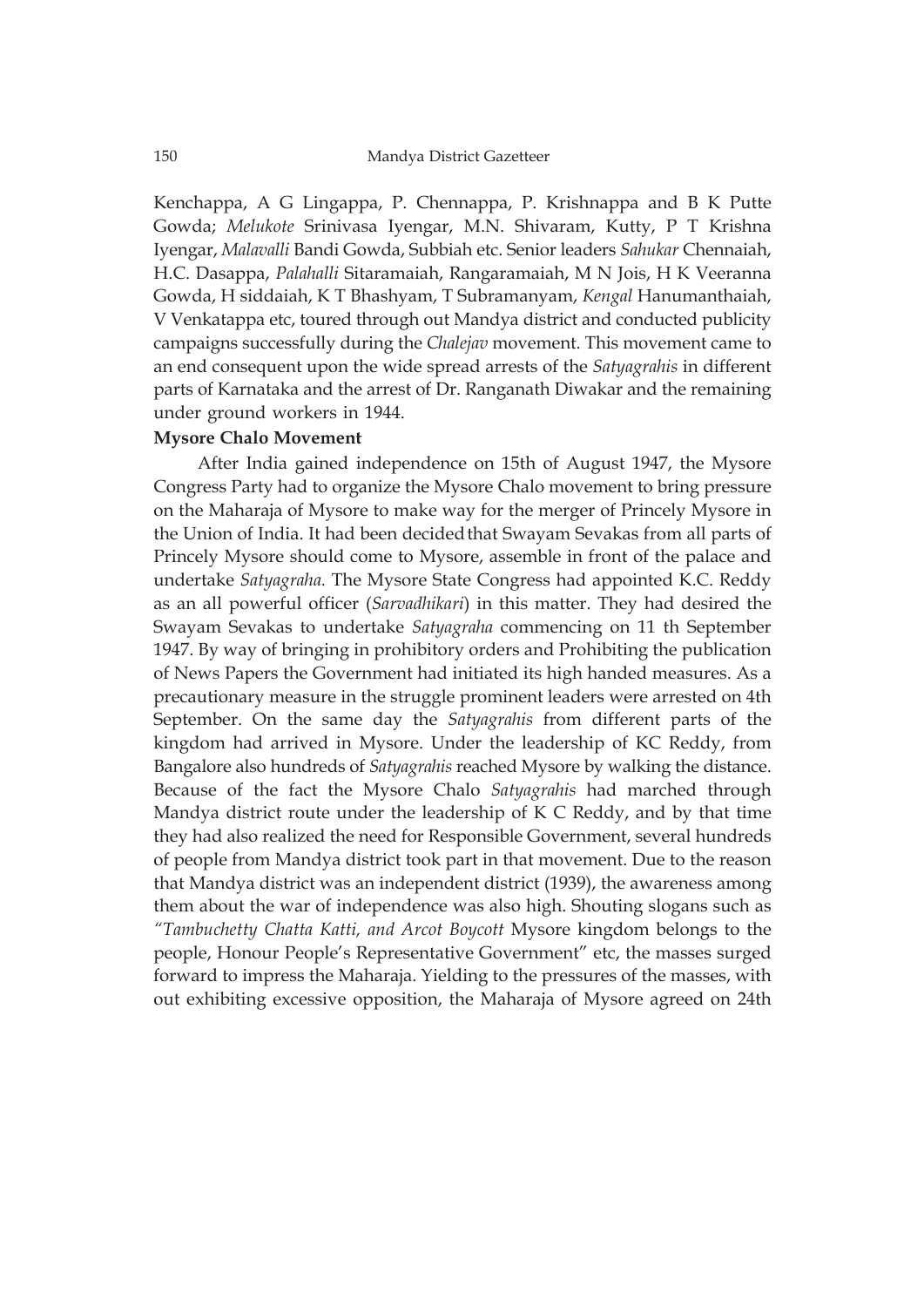Kenchappa, A G Lingappa, P. Chennappa, P. Krishnappa and B K Putte Gowda; *Melukote* Srinivasa Iyengar, M.N. Shivaram, Kutty, P T Krishna Iyengar, *Malavalli* Bandi Gowda, Subbiah etc. Senior leaders *Sahukar* Chennaiah, H.C. Dasappa, *Palahalli* Sitaramaiah, Rangaramaiah, M N Jois, H K Veeranna Gowda, H siddaiah, K T Bhashyam, T Subramanyam, *Kengal* Hanumanthaiah, V Venkatappa etc, toured through out Mandya district and conducted publicity campaigns successfully during the *Chalejav* movement. This movement came to an end consequent upon the wide spread arrests of the *Satyagrahis* in different parts of Karnataka and the arrest of Dr. Ranganath Diwakar and the remaining under ground workers in 1944.

## **Mysore Chalo Movement**

After India gained independence on 15th of August 1947, the Mysore Congress Party had to organize the Mysore Chalo movement to bring pressure on the Maharaja of Mysore to make way for the merger of Princely Mysore in the Union of India. It had been decidedthat Swayam Sevakas from all parts of Princely Mysore should come to Mysore, assemble in front of the palace and undertake *Satyagraha.* The Mysore State Congress had appointed K.C. Reddy as an all powerful officer (*Sarvadhikari*) in this matter. They had desired the Swayam Sevakas to undertake *Satyagraha* commencing on 11 th September 1947. By way of bringing in prohibitory orders and Prohibiting the publication of News Papers the Government had initiated its high handed measures. As a precautionary measure in the struggle prominent leaders were arrested on 4th September. On the same day the *Satyagrahis* from different parts of the kingdom had arrived in Mysore. Under the leadership of KC Reddy, from Bangalore also hundreds of *Satyagrahis* reached Mysore by walking the distance. Because of the fact the Mysore Chalo *Satyagrahis* had marched through Mandya district route under the leadership of K C Reddy, and by that time they had also realized the need for Responsible Government, several hundreds of people from Mandya district took part in that movement. Due to the reason that Mandya district was an independent district (1939), the awareness among them about the war of independence was also high. Shouting slogans such as *"Tambuchetty Chatta Katti, and Arcot Boycott* Mysore kingdom belongs to the people, Honour People's Representative Government" etc, the masses surged forward to impress the Maharaja. Yielding to the pressures of the masses, with out exhibiting excessive opposition, the Maharaja of Mysore agreed on 24th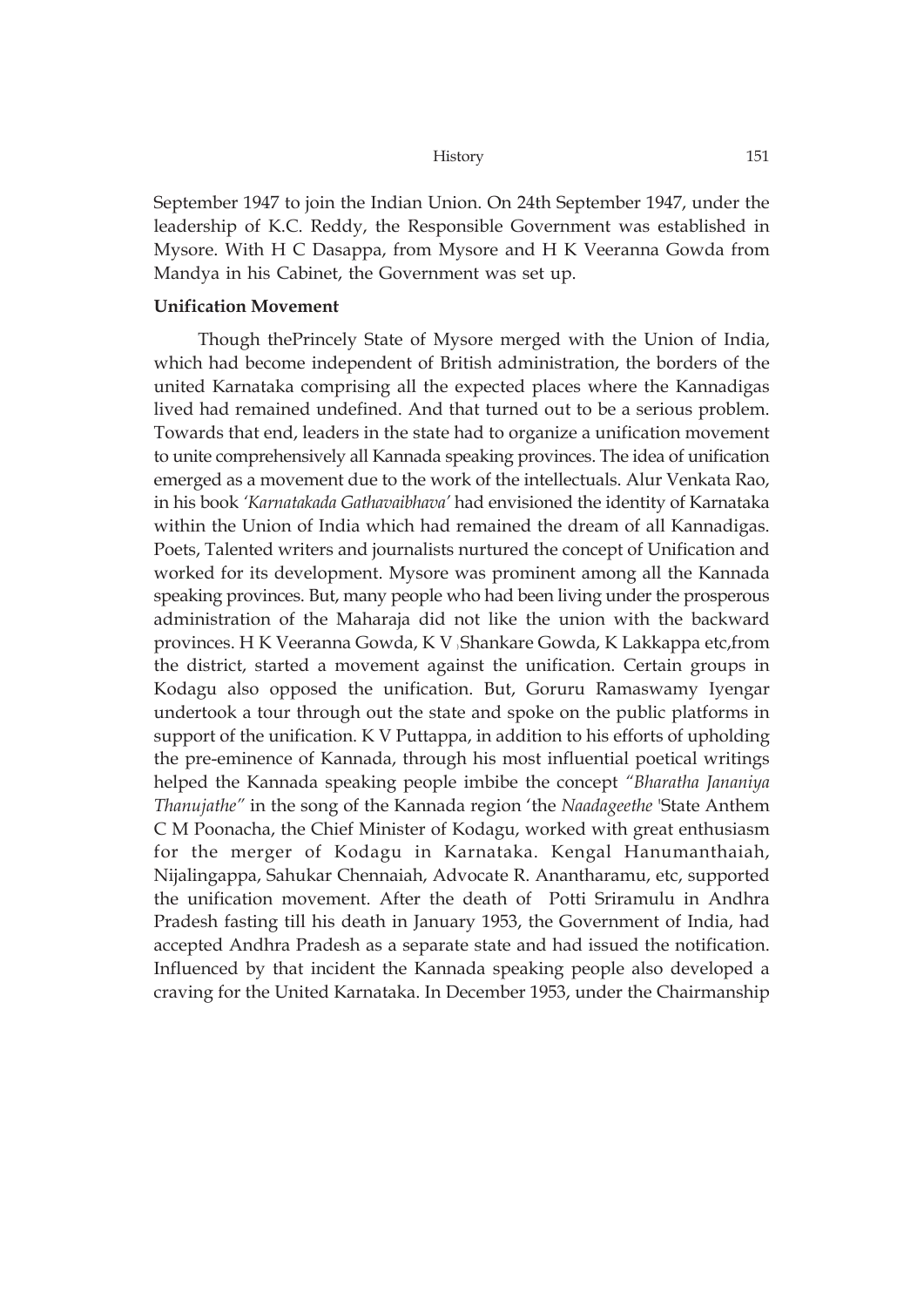September 1947 to join the Indian Union. On 24th September 1947, under the leadership of K.C. Reddy, the Responsible Government was established in Mysore. With H C Dasappa, from Mysore and H K Veeranna Gowda from Mandya in his Cabinet, the Government was set up.

## **Unification Movement**

Though thePrincely State of Mysore merged with the Union of India, which had become independent of British administration, the borders of the united Karnataka comprising all the expected places where the Kannadigas lived had remained undefined. And that turned out to be a serious problem. Towards that end, leaders in the state had to organize a unification movement to unite comprehensively all Kannada speaking provinces. The idea of unification emerged as a movement due to the work of the intellectuals. Alur Venkata Rao, in his book *'Karnatakada Gathavaibhava'* had envisioned the identity of Karnataka within the Union of India which had remained the dream of all Kannadigas. Poets, Talented writers and journalists nurtured the concept of Unification and worked for its development. Mysore was prominent among all the Kannada speaking provinces. But, many people who had been living under the prosperous administration of the Maharaja did not like the union with the backward provinces. H K Veeranna Gowda, K V ) Shankare Gowda, K Lakkappa etc,from the district, started a movement against the unification. Certain groups in Kodagu also opposed the unification. But, Goruru Ramaswamy Iyengar undertook a tour through out the state and spoke on the public platforms in support of the unification. K V Puttappa, in addition to his efforts of upholding the pre-eminence of Kannada, through his most influential poetical writings helped the Kannada speaking people imbibe the concept *"Bharatha Jananiya Thanujathe"* in the song of the Kannada region 'the *Naadageethe* 'State Anthem C M Poonacha, the Chief Minister of Kodagu, worked with great enthusiasm for the merger of Kodagu in Karnataka. Kengal Hanumanthaiah, Nijalingappa, Sahukar Chennaiah, Advocate R. Anantharamu, etc, supported the unification movement. After the death of Potti Sriramulu in Andhra Pradesh fasting till his death in January 1953, the Government of India, had accepted Andhra Pradesh as a separate state and had issued the notification. Influenced by that incident the Kannada speaking people also developed a craving for the United Karnataka. In December 1953, under the Chairmanship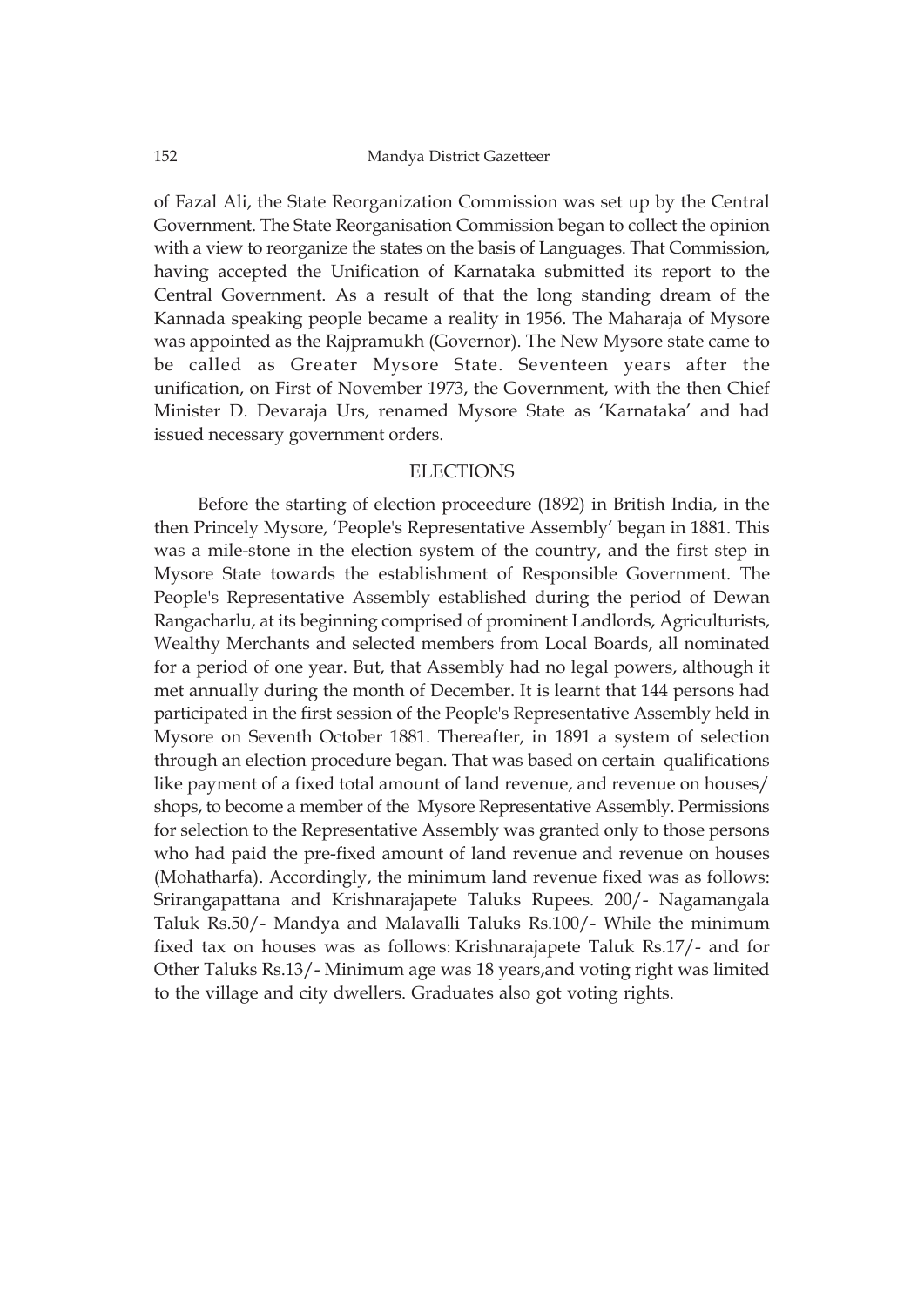of Fazal Ali, the State Reorganization Commission was set up by the Central Government. The State Reorganisation Commission began to collect the opinion with a view to reorganize the states on the basis of Languages. That Commission, having accepted the Unification of Karnataka submitted its report to the Central Government. As a result of that the long standing dream of the Kannada speaking people became a reality in 1956. The Maharaja of Mysore was appointed as the Rajpramukh (Governor). The New Mysore state came to be called as Greater Mysore State. Seventeen years after the unification, on First of November 1973, the Government, with the then Chief Minister D. Devaraja Urs, renamed Mysore State as 'Karnataka' and had issued necessary government orders.

## ELECTIONS

Before the starting of election proceedure (1892) in British India, in the then Princely Mysore, 'People's Representative Assembly' began in 1881. This was a mile-stone in the election system of the country, and the first step in Mysore State towards the establishment of Responsible Government. The People's Representative Assembly established during the period of Dewan Rangacharlu, at its beginning comprised of prominent Landlords, Agriculturists, Wealthy Merchants and selected members from Local Boards, all nominated for a period of one year. But, that Assembly had no legal powers, although it met annually during the month of December. It is learnt that 144 persons had participated in the first session of the People's Representative Assembly held in Mysore on Seventh October 1881. Thereafter, in 1891 a system of selection through an election procedure began. That was based on certain qualifications like payment of a fixed total amount of land revenue, and revenue on houses/ shops, to become a member of the Mysore Representative Assembly. Permissions for selection to the Representative Assembly was granted only to those persons who had paid the pre-fixed amount of land revenue and revenue on houses (Mohatharfa). Accordingly, the minimum land revenue fixed was as follows: Srirangapattana and Krishnarajapete Taluks Rupees. 200/- Nagamangala Taluk Rs.50/- Mandya and Malavalli Taluks Rs.100/- While the minimum fixed tax on houses was as follows: Krishnarajapete Taluk Rs.17/- and for Other Taluks Rs.13/- Minimum age was 18 years,and voting right was limited to the village and city dwellers. Graduates also got voting rights.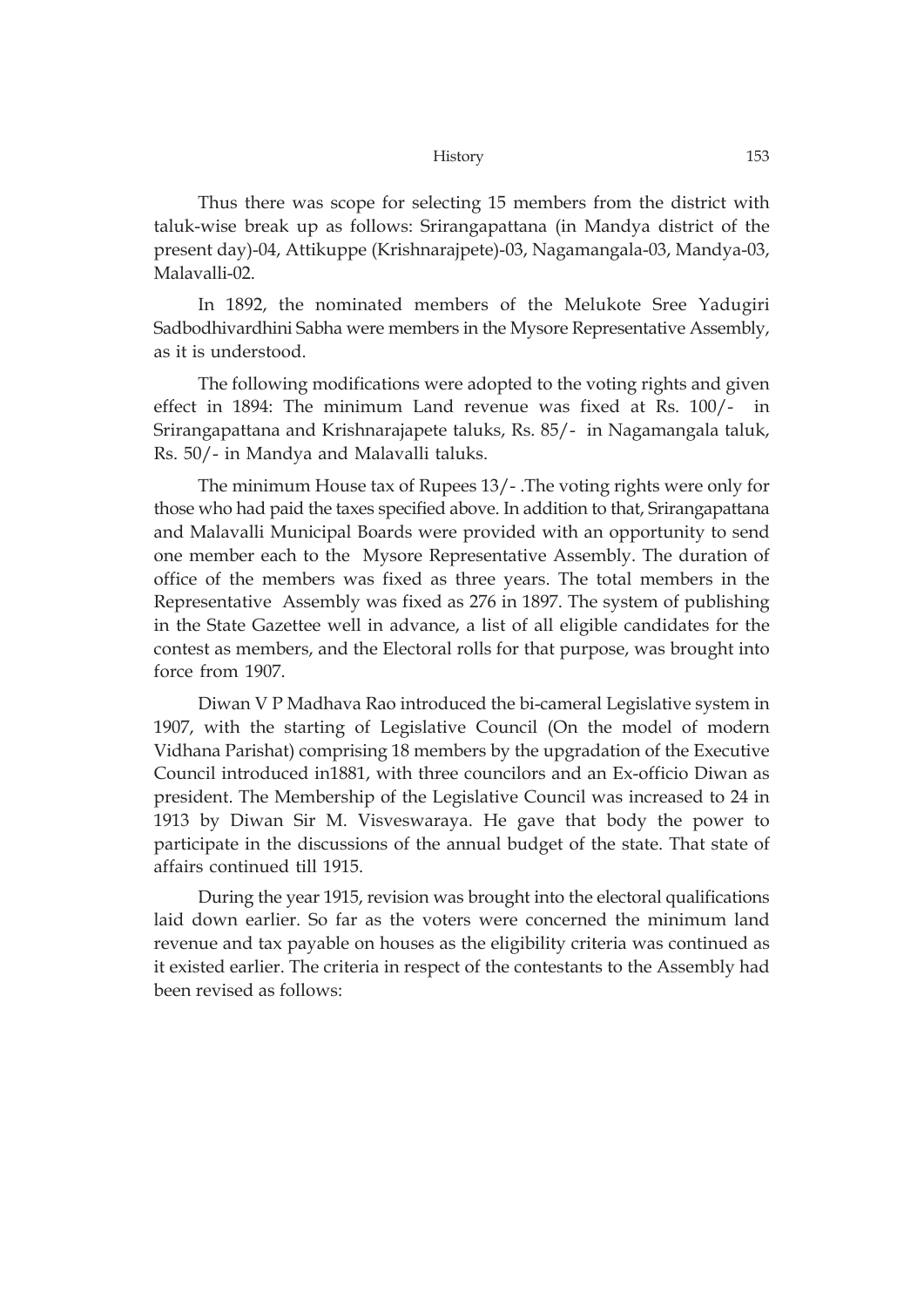Thus there was scope for selecting 15 members from the district with taluk-wise break up as follows: Srirangapattana (in Mandya district of the present day)-04, Attikuppe (Krishnarajpete)-03, Nagamangala-03, Mandya-03, Malavalli-02.

In 1892, the nominated members of the Melukote Sree Yadugiri Sadbodhivardhini Sabha were members in the Mysore Representative Assembly, as it is understood.

The following modifications were adopted to the voting rights and given effect in 1894: The minimum Land revenue was fixed at Rs. 100/- in Srirangapattana and Krishnarajapete taluks, Rs. 85/- in Nagamangala taluk, Rs. 50/- in Mandya and Malavalli taluks.

The minimum House tax of Rupees 13/- .The voting rights were only for those who had paid the taxes specified above. In addition to that, Srirangapattana and Malavalli Municipal Boards were provided with an opportunity to send one member each to the Mysore Representative Assembly. The duration of office of the members was fixed as three years. The total members in the Representative Assembly was fixed as 276 in 1897. The system of publishing in the State Gazettee well in advance, a list of all eligible candidates for the contest as members, and the Electoral rolls for that purpose, was brought into force from 1907.

Diwan V P Madhava Rao introduced the bi-cameral Legislative system in 1907, with the starting of Legislative Council (On the model of modern Vidhana Parishat) comprising 18 members by the upgradation of the Executive Council introduced in1881, with three councilors and an Ex-officio Diwan as president. The Membership of the Legislative Council was increased to 24 in 1913 by Diwan Sir M. Visveswaraya. He gave that body the power to participate in the discussions of the annual budget of the state. That state of affairs continued till 1915.

During the year 1915, revision was brought into the electoral qualifications laid down earlier. So far as the voters were concerned the minimum land revenue and tax payable on houses as the eligibility criteria was continued as it existed earlier. The criteria in respect of the contestants to the Assembly had been revised as follows: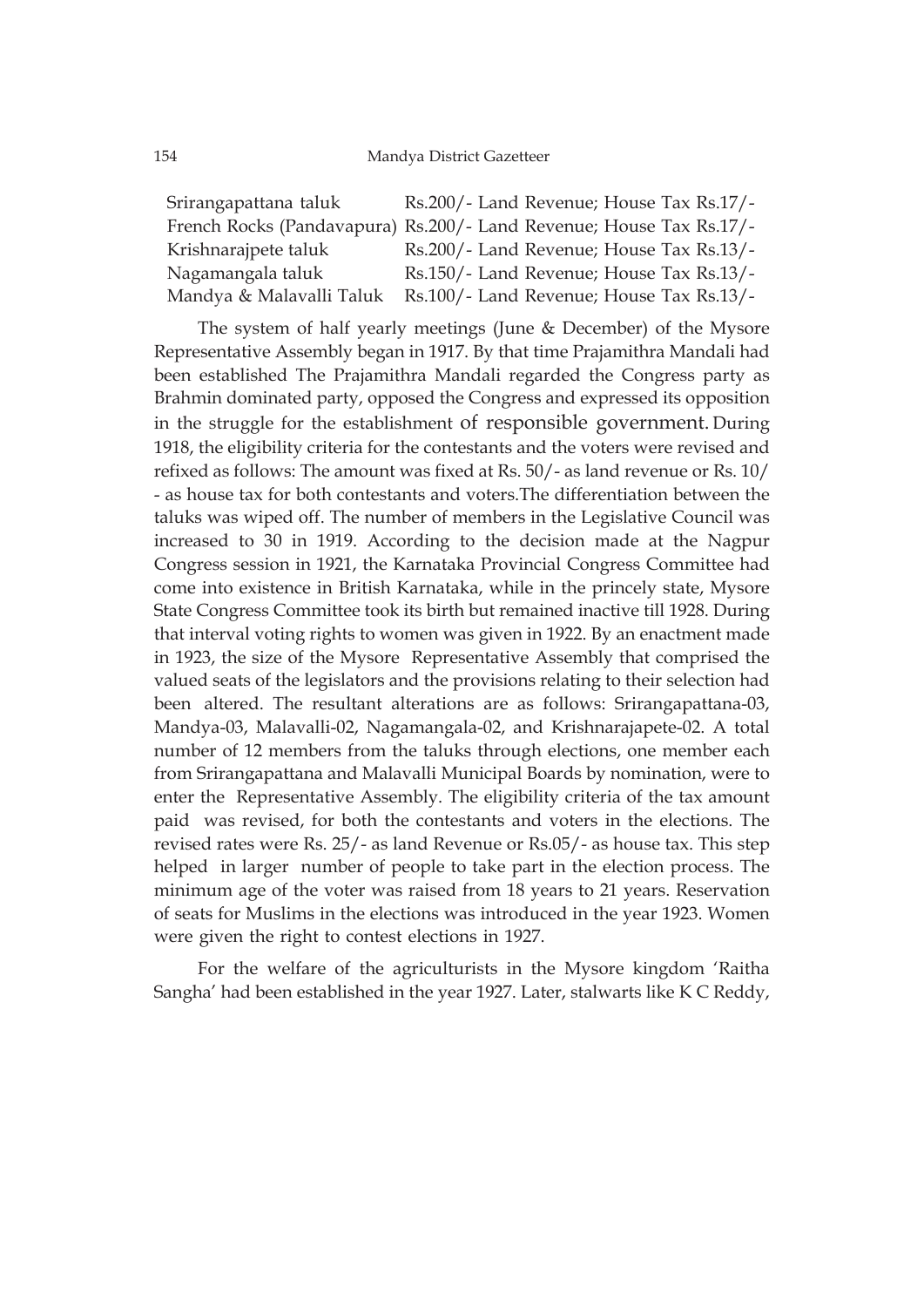| Srirangapattana taluk    | Rs.200/- Land Revenue; House Tax Rs.17/-                            |
|--------------------------|---------------------------------------------------------------------|
|                          | French Rocks (Pandavapura) Rs.200/- Land Revenue; House Tax Rs.17/- |
| Krishnarajpete taluk     | Rs.200/- Land Revenue; House Tax Rs.13/-                            |
| Nagamangala taluk        | Rs.150/- Land Revenue; House Tax Rs.13/-                            |
| Mandya & Malavalli Taluk | Rs.100/- Land Revenue; House Tax Rs.13/-                            |

The system of half yearly meetings (June & December) of the Mysore Representative Assembly began in 1917. By that time Prajamithra Mandali had been established The Prajamithra Mandali regarded the Congress party as Brahmin dominated party, opposed the Congress and expressed its opposition in the struggle for the establishment of responsible government. During 1918, the eligibility criteria for the contestants and the voters were revised and refixed as follows: The amount was fixed at Rs. 50/- as land revenue or Rs. 10/ - as house tax for both contestants and voters.The differentiation between the taluks was wiped off. The number of members in the Legislative Council was increased to 30 in 1919. According to the decision made at the Nagpur Congress session in 1921, the Karnataka Provincial Congress Committee had come into existence in British Karnataka, while in the princely state, Mysore State Congress Committee took its birth but remained inactive till 1928. During that interval voting rights to women was given in 1922. By an enactment made in 1923, the size of the Mysore Representative Assembly that comprised the valued seats of the legislators and the provisions relating to their selection had been altered. The resultant alterations are as follows: Srirangapattana-03, Mandya-03, Malavalli-02, Nagamangala-02, and Krishnarajapete-02. A total number of 12 members from the taluks through elections, one member each from Srirangapattana and Malavalli Municipal Boards by nomination, were to enter the Representative Assembly. The eligibility criteria of the tax amount paid was revised, for both the contestants and voters in the elections. The revised rates were Rs. 25/- as land Revenue or Rs.05/- as house tax. This step helped in larger number of people to take part in the election process. The minimum age of the voter was raised from 18 years to 21 years. Reservation of seats for Muslims in the elections was introduced in the year 1923. Women were given the right to contest elections in 1927.

For the welfare of the agriculturists in the Mysore kingdom 'Raitha Sangha' had been established in the year 1927. Later, stalwarts like K C Reddy,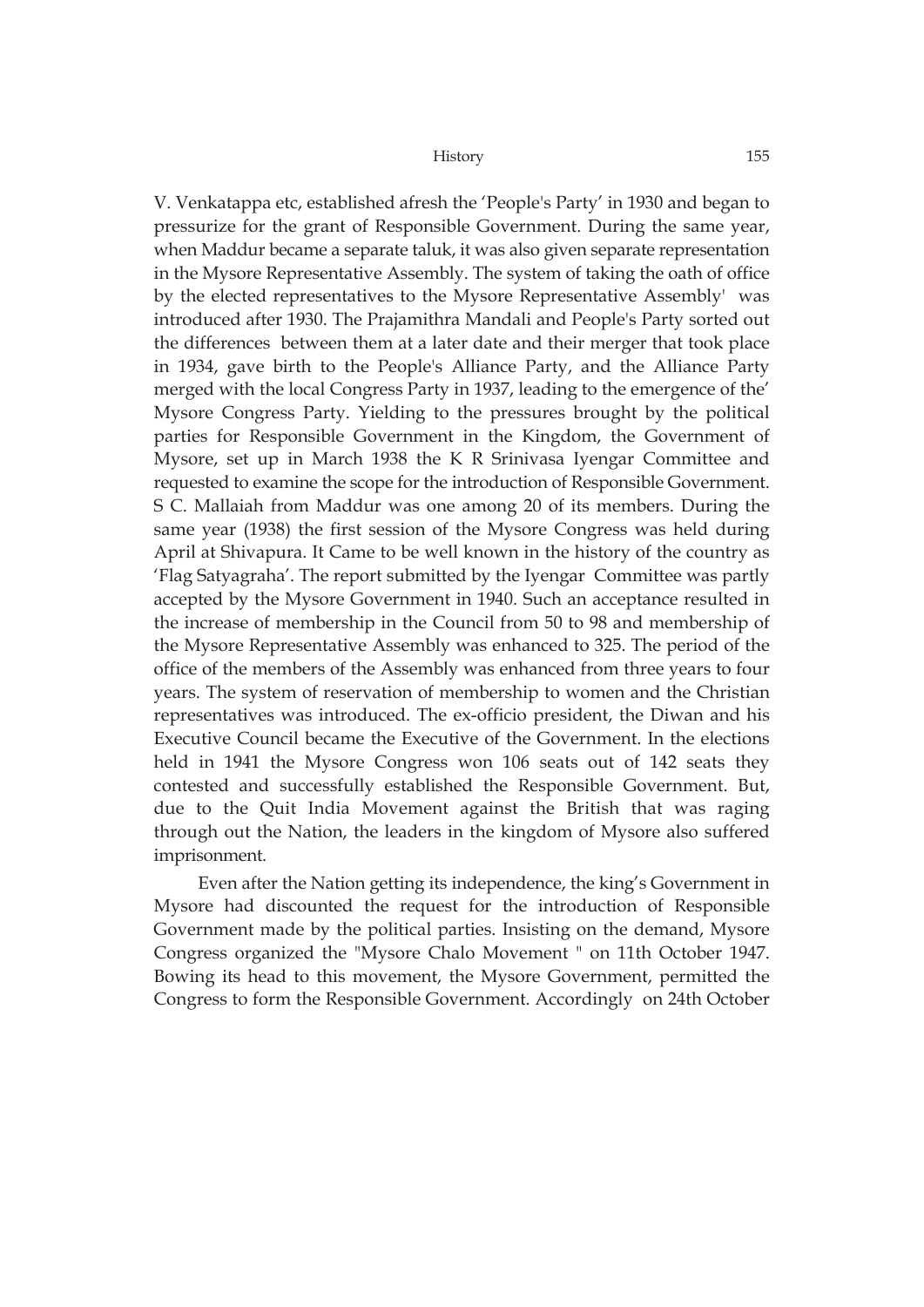V. Venkatappa etc, established afresh the 'People's Party' in 1930 and began to pressurize for the grant of Responsible Government. During the same year, when Maddur became a separate taluk, it was also given separate representation in the Mysore Representative Assembly. The system of taking the oath of office by the elected representatives to the Mysore Representative Assembly' was introduced after 1930. The Prajamithra Mandali and People's Party sorted out the differences between them at a later date and their merger that took place in 1934, gave birth to the People's Alliance Party, and the Alliance Party merged with the local Congress Party in 1937, leading to the emergence of the' Mysore Congress Party. Yielding to the pressures brought by the political parties for Responsible Government in the Kingdom, the Government of Mysore, set up in March 1938 the K R Srinivasa Iyengar Committee and requested to examine the scope for the introduction of Responsible Government. S C. Mallaiah from Maddur was one among 20 of its members. During the same year (1938) the first session of the Mysore Congress was held during April at Shivapura. It Came to be well known in the history of the country as 'Flag Satyagraha'. The report submitted by the Iyengar Committee was partly accepted by the Mysore Government in 1940. Such an acceptance resulted in the increase of membership in the Council from 50 to 98 and membership of the Mysore Representative Assembly was enhanced to 325. The period of the office of the members of the Assembly was enhanced from three years to four years. The system of reservation of membership to women and the Christian representatives was introduced. The ex-officio president, the Diwan and his Executive Council became the Executive of the Government. In the elections held in 1941 the Mysore Congress won 106 seats out of 142 seats they contested and successfully established the Responsible Government. But, due to the Quit India Movement against the British that was raging through out the Nation, the leaders in the kingdom of Mysore also suffered imprisonment.

Even after the Nation getting its independence, the king's Government in Mysore had discounted the request for the introduction of Responsible Government made by the political parties. Insisting on the demand, Mysore Congress organized the "Mysore Chalo Movement " on 11th October 1947. Bowing its head to this movement, the Mysore Government, permitted the Congress to form the Responsible Government. Accordingly on 24th October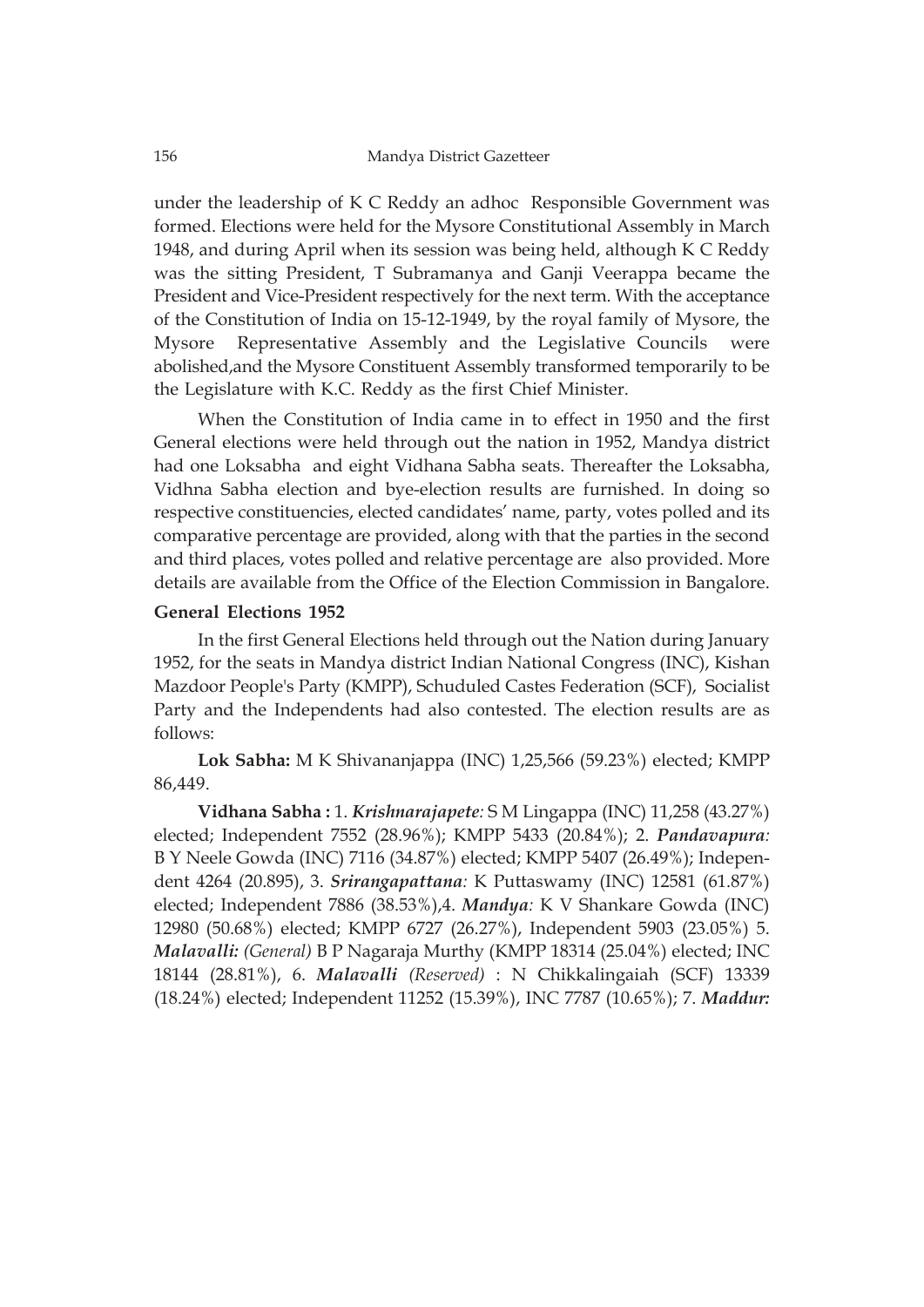under the leadership of K C Reddy an adhoc Responsible Government was formed. Elections were held for the Mysore Constitutional Assembly in March 1948, and during April when its session was being held, although K C Reddy was the sitting President, T Subramanya and Ganji Veerappa became the President and Vice-President respectively for the next term. With the acceptance of the Constitution of India on 15-12-1949, by the royal family of Mysore, the Mysore Representative Assembly and the Legislative Councils were abolished,and the Mysore Constituent Assembly transformed temporarily to be the Legislature with K.C. Reddy as the first Chief Minister.

When the Constitution of India came in to effect in 1950 and the first General elections were held through out the nation in 1952, Mandya district had one Loksabha and eight Vidhana Sabha seats. Thereafter the Loksabha, Vidhna Sabha election and bye-election results are furnished. In doing so respective constituencies, elected candidates' name, party, votes polled and its comparative percentage are provided, along with that the parties in the second and third places, votes polled and relative percentage are also provided. More details are available from the Office of the Election Commission in Bangalore.

## **General Elections 1952**

In the first General Elections held through out the Nation during January 1952, for the seats in Mandya district Indian National Congress (INC), Kishan Mazdoor People's Party (KMPP), Schuduled Castes Federation (SCF), Socialist Party and the Independents had also contested. The election results are as follows:

**Lok Sabha:** M K Shivananjappa (INC) 1,25,566 (59.23%) elected; KMPP 86,449.

**Vidhana Sabha :** 1. *Krishnarajapete:* S M Lingappa (INC) 11,258 (43.27%) elected; Independent 7552 (28.96%); KMPP 5433 (20.84%); 2. *Pandavapura:* B Y Neele Gowda (INC) 7116 (34.87%) elected; KMPP 5407 (26.49%); Independent 4264 (20.895), 3. *Srirangapattana:* K Puttaswamy (INC) 12581 (61.87%) elected; Independent 7886 (38.53%),4. *Mandya:* K V Shankare Gowda (INC) 12980 (50.68%) elected; KMPP 6727 (26.27%), Independent 5903 (23.05%) 5. *Malavalli: (General)* B P Nagaraja Murthy (KMPP 18314 (25.04%) elected; INC 18144 (28.81%), 6. *Malavalli (Reserved)* : N Chikkalingaiah (SCF) 13339 (18.24%) elected; Independent 11252 (15.39%), INC 7787 (10.65%); 7. *Maddur:*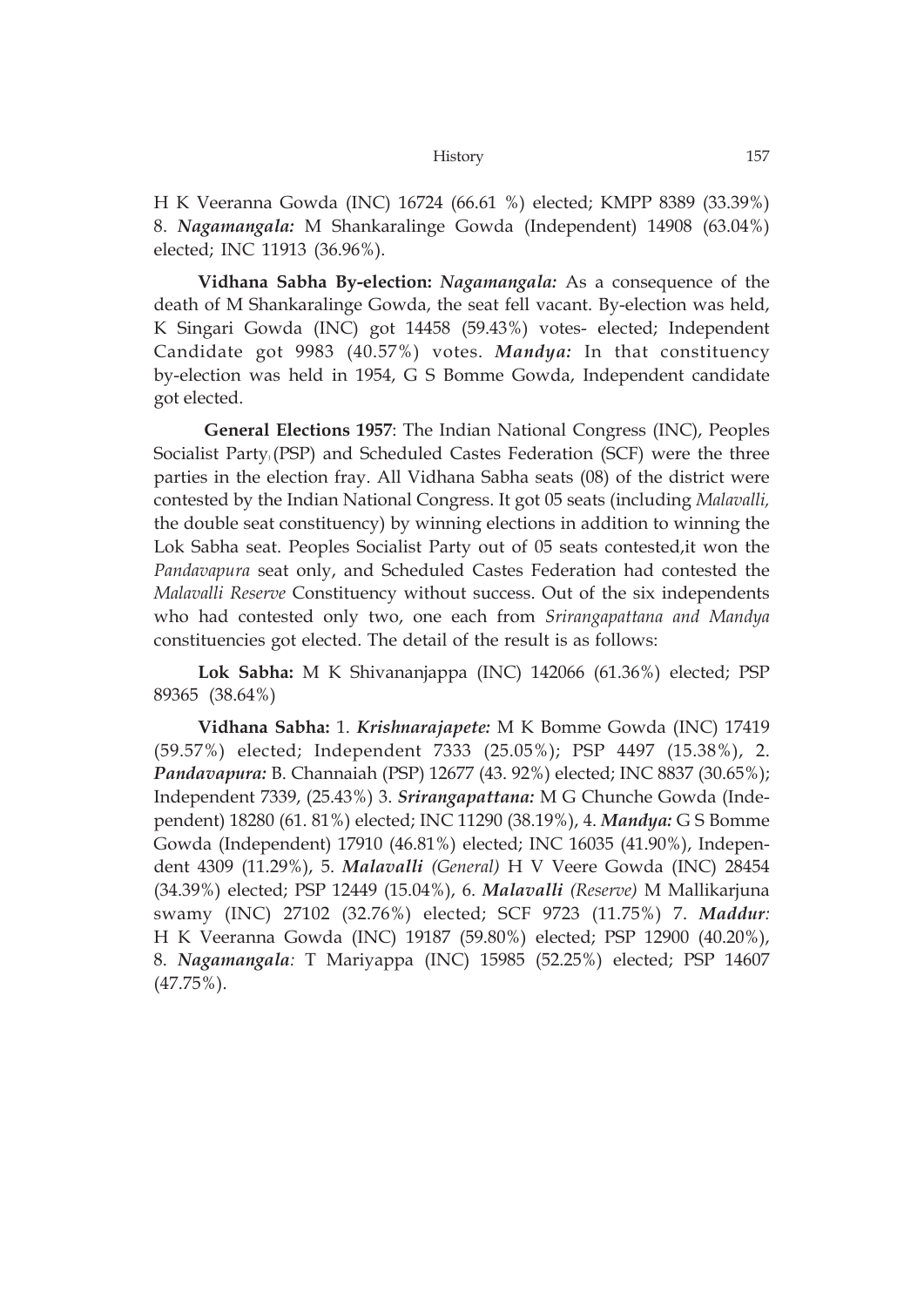H K Veeranna Gowda (INC) 16724 (66.61 %) elected; KMPP 8389 (33.39%) 8. *Nagamangala:* M Shankaralinge Gowda (Independent) 14908 (63.04%) elected; INC 11913 (36.96%).

**Vidhana Sabha By-election:** *Nagamangala:* As a consequence of the death of M Shankaralinge Gowda, the seat fell vacant. By-election was held, K Singari Gowda (INC) got 14458 (59.43%) votes- elected; Independent Candidate got 9983 (40.57%) votes. *Mandya:* In that constituency by-election was held in 1954, G S Bomme Gowda, Independent candidate got elected.

**General Elections 1957**: The Indian National Congress (INC), Peoples Socialist Party) (PSP) and Scheduled Castes Federation (SCF) were the three parties in the election fray. All Vidhana Sabha seats (08) of the district were contested by the Indian National Congress. It got 05 seats (including *Malavalli,* the double seat constituency) by winning elections in addition to winning the Lok Sabha seat. Peoples Socialist Party out of 05 seats contested,it won the *Pandavapura* seat only, and Scheduled Castes Federation had contested the *Malavalli Reserve* Constituency without success. Out of the six independents who had contested only two, one each from *Srirangapattana and Mandya* constituencies got elected. The detail of the result is as follows:

**Lok Sabha:** M K Shivananjappa (INC) 142066 (61.36%) elected; PSP 89365 (38.64%)

**Vidhana Sabha:** 1. *Krishnarajapete:* M K Bomme Gowda (INC) 17419 (59.57%) elected; Independent 7333 (25.05%); PSP 4497 (15.38%), 2. *Pandavapura:* B. Channaiah (PSP) 12677 (43. 92%) elected; INC 8837 (30.65%); Independent 7339, (25.43%) 3. *Srirangapattana:* M G Chunche Gowda (Independent) 18280 (61. 81%) elected; INC 11290 (38.19%), 4. *Mandya:* G S Bomme Gowda (Independent) 17910 (46.81%) elected; INC 16035 (41.90%), Independent 4309 (11.29%), 5. *Malavalli (General)* H V Veere Gowda (INC) 28454 (34.39%) elected; PSP 12449 (15.04%), 6. *Malavalli (Reserve)* M Mallikarjuna swamy (INC) 27102 (32.76%) elected; SCF 9723 (11.75%) 7. *Maddur:* H K Veeranna Gowda (INC) 19187 (59.80%) elected; PSP 12900 (40.20%), 8. *Nagamangala:* T Mariyappa (INC) 15985 (52.25%) elected; PSP 14607 (47.75%).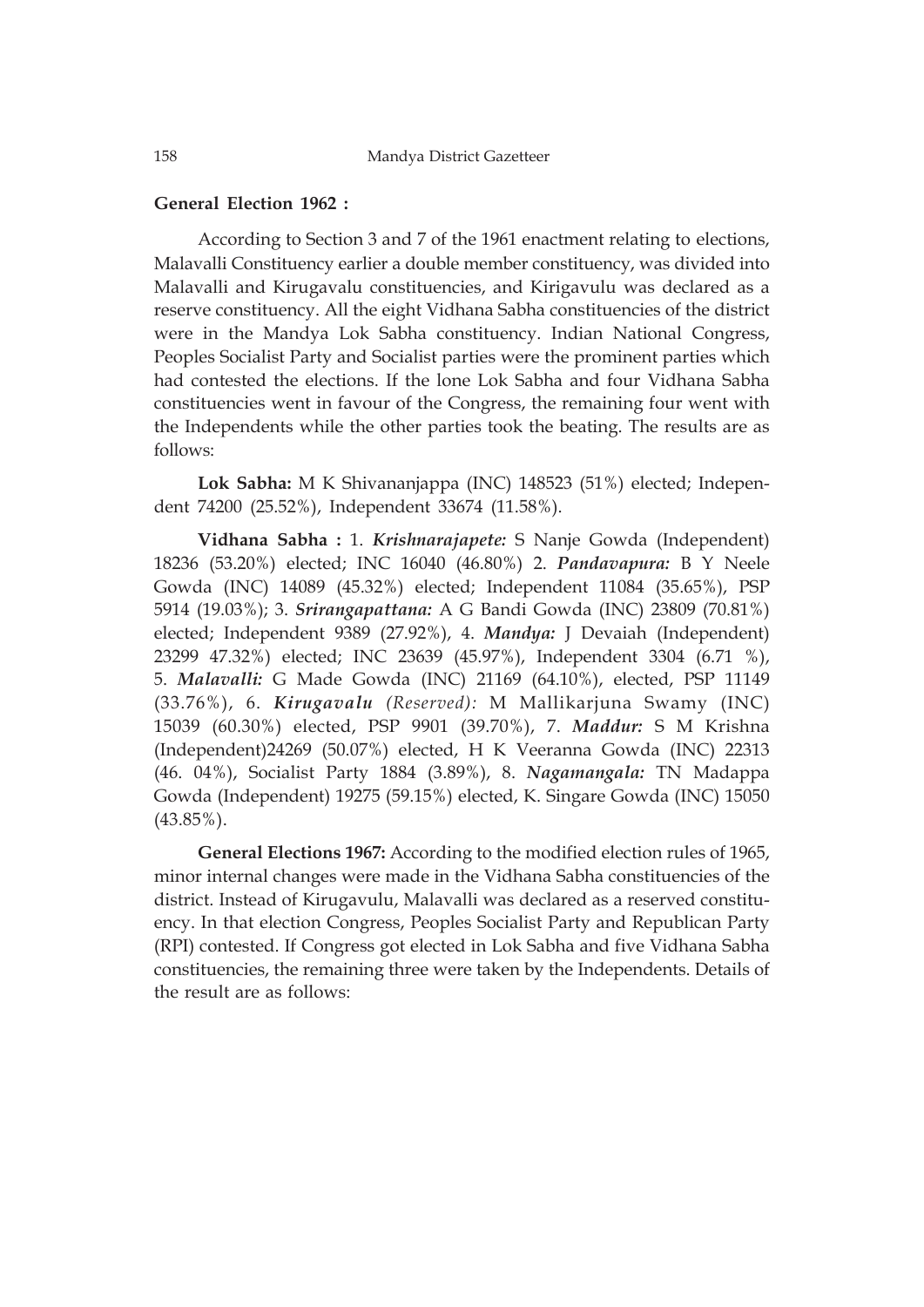# **General Election 1962 :**

According to Section 3 and 7 of the 1961 enactment relating to elections, Malavalli Constituency earlier a double member constituency, was divided into Malavalli and Kirugavalu constituencies, and Kirigavulu was declared as a reserve constituency. All the eight Vidhana Sabha constituencies of the district were in the Mandya Lok Sabha constituency. Indian National Congress, Peoples Socialist Party and Socialist parties were the prominent parties which had contested the elections. If the lone Lok Sabha and four Vidhana Sabha constituencies went in favour of the Congress, the remaining four went with the Independents while the other parties took the beating. The results are as follows:

**Lok Sabha:** M K Shivananjappa (INC) 148523 (51%) elected; Independent 74200 (25.52%), Independent 33674 (11.58%).

**Vidhana Sabha :** 1. *Krishnarajapete:* S Nanje Gowda (Independent) 18236 (53.20%) elected; INC 16040 (46.80%) 2. *Pandavapura:* B Y Neele Gowda (INC) 14089 (45.32%) elected; Independent 11084 (35.65%), PSP 5914 (19.03%); 3. *Srirangapattana:* A G Bandi Gowda (INC) 23809 (70.81%) elected; Independent 9389 (27.92%), 4. *Mandya:* J Devaiah (Independent) 23299 47.32%) elected; INC 23639 (45.97%), Independent 3304 (6.71 %), 5. *Malavalli:* G Made Gowda (INC) 21169 (64.10%), elected, PSP 11149 (33.76%), 6. *Kirugavalu (Reserved):* M Mallikarjuna Swamy (INC) 15039 (60.30%) elected, PSP 9901 (39.70%), 7. *Maddur:* S M Krishna (Independent)24269 (50.07%) elected, H K Veeranna Gowda (INC) 22313 (46. 04%), Socialist Party 1884 (3.89%), 8. *Nagamangala:* TN Madappa Gowda (Independent) 19275 (59.15%) elected, K. Singare Gowda (INC) 15050 (43.85%).

**General Elections 1967:** According to the modified election rules of 1965, minor internal changes were made in the Vidhana Sabha constituencies of the district. Instead of Kirugavulu, Malavalli was declared as a reserved constituency. In that election Congress, Peoples Socialist Party and Republican Party (RPI) contested. If Congress got elected in Lok Sabha and five Vidhana Sabha constituencies, the remaining three were taken by the Independents. Details of the result are as follows: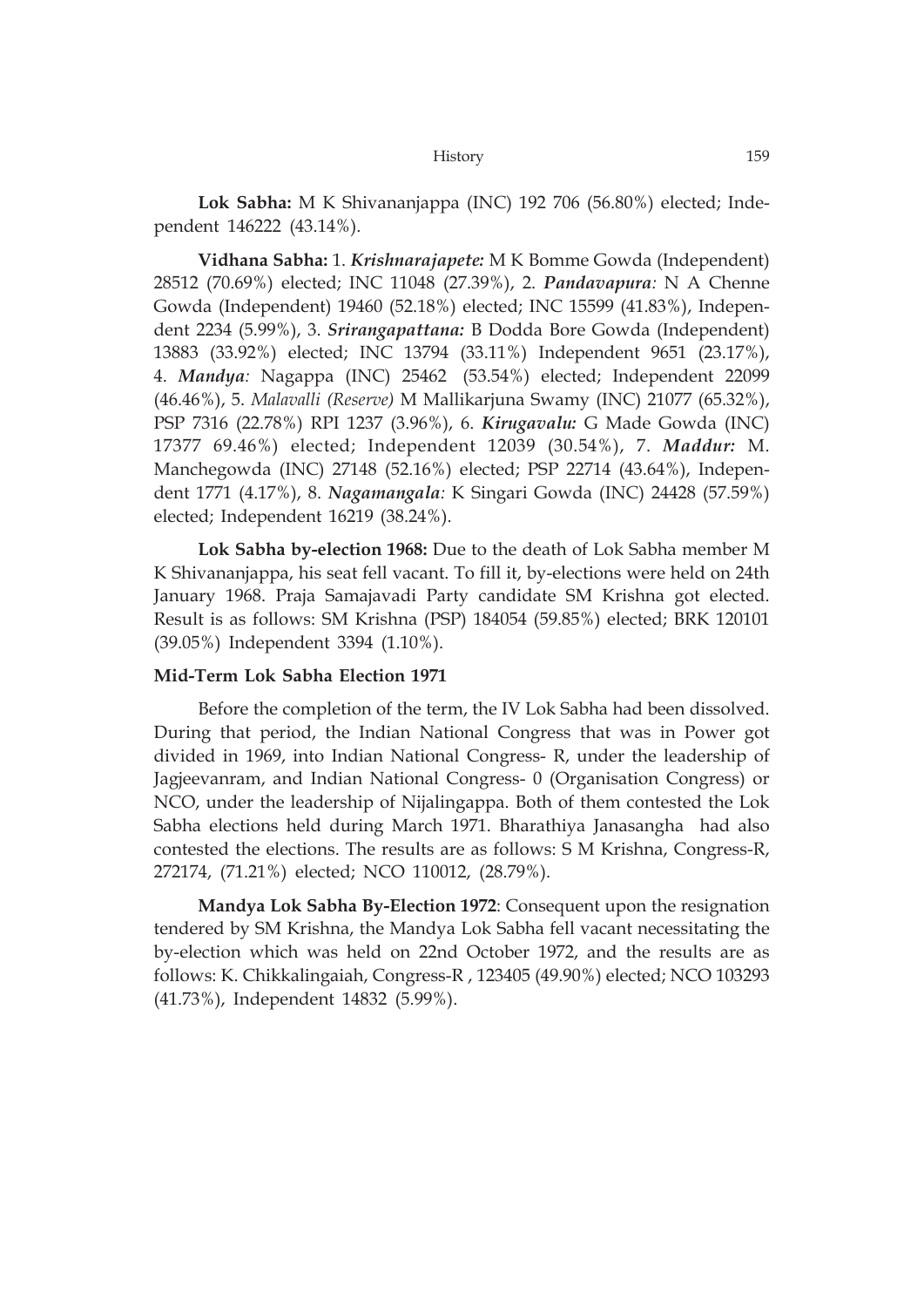**Lok Sabha:** M K Shivananjappa (INC) 192 706 (56.80%) elected; Independent 146222 (43.14%).

**Vidhana Sabha:** 1. *Krishnarajapete:* M K Bomme Gowda (Independent) 28512 (70.69%) elected; INC 11048 (27.39%), 2. *Pandavapura:* N A Chenne Gowda (Independent) 19460 (52.18%) elected; INC 15599 (41.83%), Independent 2234 (5.99%), 3. *Srirangapattana:* B Dodda Bore Gowda (Independent) 13883 (33.92%) elected; INC 13794 (33.11%) Independent 9651 (23.17%), 4. *Mandya:* Nagappa (INC) 25462 (53.54%) elected; Independent 22099 (46.46%), 5. *Malavalli (Reserve)* M Mallikarjuna Swamy (INC) 21077 (65.32%), PSP 7316 (22.78%) RPI 1237 (3.96%), 6. *Kirugavalu:* G Made Gowda (INC) 17377 69.46%) elected; Independent 12039 (30.54%), 7. *Maddur:* M. Manchegowda (INC) 27148 (52.16%) elected; PSP 22714 (43.64%), Independent 1771 (4.17%), 8. *Nagamangala:* K Singari Gowda (INC) 24428 (57.59%) elected; Independent 16219 (38.24%).

**Lok Sabha by-election 1968:** Due to the death of Lok Sabha member M K Shivananjappa, his seat fell vacant. To fill it, by-elections were held on 24th January 1968. Praja Samajavadi Party candidate SM Krishna got elected. Result is as follows: SM Krishna (PSP) 184054 (59.85%) elected; BRK 120101 (39.05%) Independent 3394 (1.10%).

## **Mid-Term Lok Sabha Election 1971**

Before the completion of the term, the IV Lok Sabha had been dissolved. During that period, the Indian National Congress that was in Power got divided in 1969, into Indian National Congress- R, under the leadership of Jagjeevanram, and Indian National Congress- 0 (Organisation Congress) or NCO, under the leadership of Nijalingappa. Both of them contested the Lok Sabha elections held during March 1971. Bharathiya Janasangha had also contested the elections. The results are as follows: S M Krishna, Congress-R, 272174, (71.21%) elected; NCO 110012, (28.79%).

**Mandya Lok Sabha By-Election 1972**: Consequent upon the resignation tendered by SM Krishna, the Mandya Lok Sabha fell vacant necessitating the by-election which was held on 22nd October 1972, and the results are as follows: K. Chikkalingaiah, Congress-R , 123405 (49.90%) elected; NCO 103293 (41.73%), Independent 14832 (5.99%).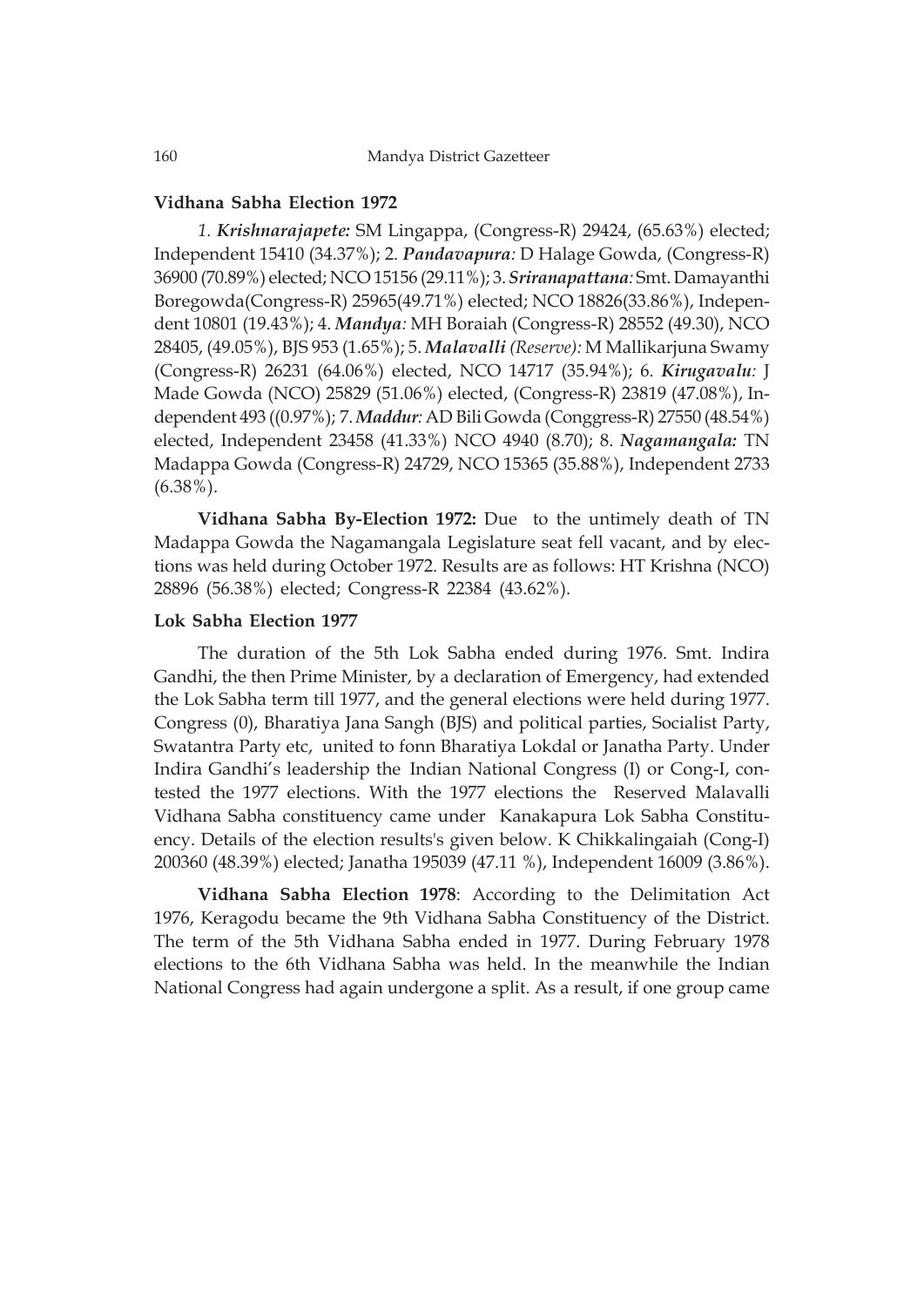## **Vidhana Sabha Election 1972**

*1. Krishnarajapete:* SM Lingappa, (Congress-R) 29424, (65.63%) elected; Independent 15410 (34.37%); 2. *Pandavapura:* D Halage Gowda, (Congress-R) 36900 (70.89%) elected; NCO 15156 (29.11%); 3. *Sriranapattana:* Smt. Damayanthi Boregowda(Congress-R) 25965(49.71%) elected; NCO 18826(33.86%), Independent 10801 (19.43%); 4. *Mandya:* MH Boraiah (Congress-R) 28552 (49.30), NCO 28405, (49.05%), BJS 953 (1.65%); 5. *Malavalli (Reserve):* M Mallikarjuna Swamy (Congress-R) 26231 (64.06%) elected, NCO 14717 (35.94%); 6. *Kirugavalu:* J Made Gowda (NCO) 25829 (51.06%) elected, (Congress-R) 23819 (47.08%), Independent 493 ((0.97%); 7. *Maddur:* AD Bili Gowda (Conggress-R) 27550 (48.54%) elected, Independent 23458 (41.33%) NCO 4940 (8.70); 8. *Nagamangala:* TN Madappa Gowda (Congress-R) 24729, NCO 15365 (35.88%), Independent 2733 (6.38%).

**Vidhana Sabha By-Election 1972:** Due to the untimely death of TN Madappa Gowda the Nagamangala Legislature seat fell vacant, and by elections was held during October 1972. Results are as follows: HT Krishna (NCO) 28896 (56.38%) elected; Congress-R 22384 (43.62%).

## **Lok Sabha Election 1977**

The duration of the 5th Lok Sabha ended during 1976. Smt. Indira Gandhi, the then Prime Minister, by a declaration of Emergency, had extended the Lok Sabha term till 1977, and the general elections were held during 1977. Congress (0), Bharatiya Jana Sangh (BJS) and political parties, Socialist Party, Swatantra Party etc, united to fonn Bharatiya Lokdal or Janatha Party. Under Indira Gandhi's leadership the Indian National Congress (I) or Cong-I, contested the 1977 elections. With the 1977 elections the Reserved Malavalli Vidhana Sabha constituency came under Kanakapura Lok Sabha Constituency. Details of the election results's given below. K Chikkalingaiah (Cong-I) 200360 (48.39%) elected; Janatha 195039 (47.11 %), Independent 16009 (3.86%).

**Vidhana Sabha Election 1978**: According to the Delimitation Act 1976, Keragodu became the 9th Vidhana Sabha Constituency of the District. The term of the 5th Vidhana Sabha ended in 1977. During February 1978 elections to the 6th Vidhana Sabha was held. In the meanwhile the Indian National Congress had again undergone a split. As a result, if one group came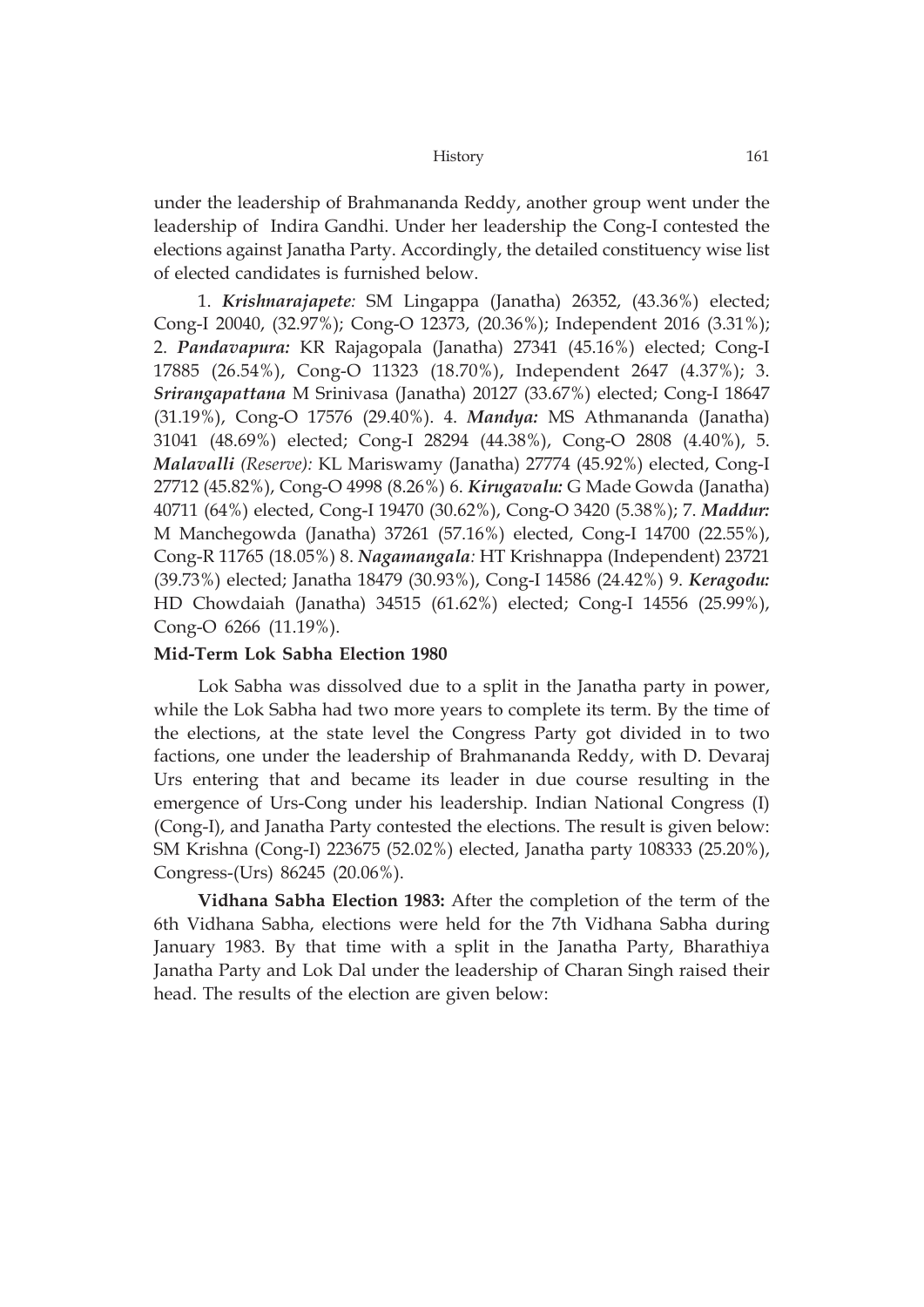under the leadership of Brahmananda Reddy, another group went under the leadership of Indira Gandhi. Under her leadership the Cong-I contested the elections against Janatha Party. Accordingly, the detailed constituency wise list of elected candidates is furnished below.

1. *Krishnarajapete:* SM Lingappa (Janatha) 26352, (43.36%) elected; Cong-I 20040, (32.97%); Cong-O 12373, (20.36%); Independent 2016 (3.31%); 2. *Pandavapura:* KR Rajagopala (Janatha) 27341 (45.16%) elected; Cong-I 17885 (26.54%), Cong-O 11323 (18.70%), Independent 2647 (4.37%); 3. *Srirangapattana* M Srinivasa (Janatha) 20127 (33.67%) elected; Cong-I 18647 (31.19%), Cong-O 17576 (29.40%). 4. *Mandya:* MS Athmananda (Janatha) 31041 (48.69%) elected; Cong-I 28294 (44.38%), Cong-O 2808 (4.40%), 5. *Malavalli (Reserve):* KL Mariswamy (Janatha) 27774 (45.92%) elected, Cong-I 27712 (45.82%), Cong-O 4998 (8.26%) 6. *Kirugavalu:* G Made Gowda (Janatha) 40711 (64%) elected, Cong-I 19470 (30.62%), Cong-O 3420 (5.38%); 7. *Maddur:* M Manchegowda (Janatha) 37261 (57.16%) elected, Cong-I 14700 (22.55%), Cong-R 11765 (18.05%) 8. *Nagamangala:* HT Krishnappa (Independent) 23721 (39.73%) elected; Janatha 18479 (30.93%), Cong-I 14586 (24.42%) 9. *Keragodu:* HD Chowdaiah (Janatha) 34515 (61.62%) elected; Cong-I 14556 (25.99%), Cong-O 6266 (11.19%).

# **Mid-Term Lok Sabha Election 1980**

Lok Sabha was dissolved due to a split in the Janatha party in power, while the Lok Sabha had two more years to complete its term. By the time of the elections, at the state level the Congress Party got divided in to two factions, one under the leadership of Brahmananda Reddy, with D. Devaraj Urs entering that and became its leader in due course resulting in the emergence of Urs-Cong under his leadership. Indian National Congress (I) (Cong-I), and Janatha Party contested the elections. The result is given below: SM Krishna (Cong-I) 223675 (52.02%) elected, Janatha party 108333 (25.20%), Congress-(Urs) 86245 (20.06%).

**Vidhana Sabha Election 1983:** After the completion of the term of the 6th Vidhana Sabha, elections were held for the 7th Vidhana Sabha during January 1983. By that time with a split in the Janatha Party, Bharathiya Janatha Party and Lok Dal under the leadership of Charan Singh raised their head. The results of the election are given below: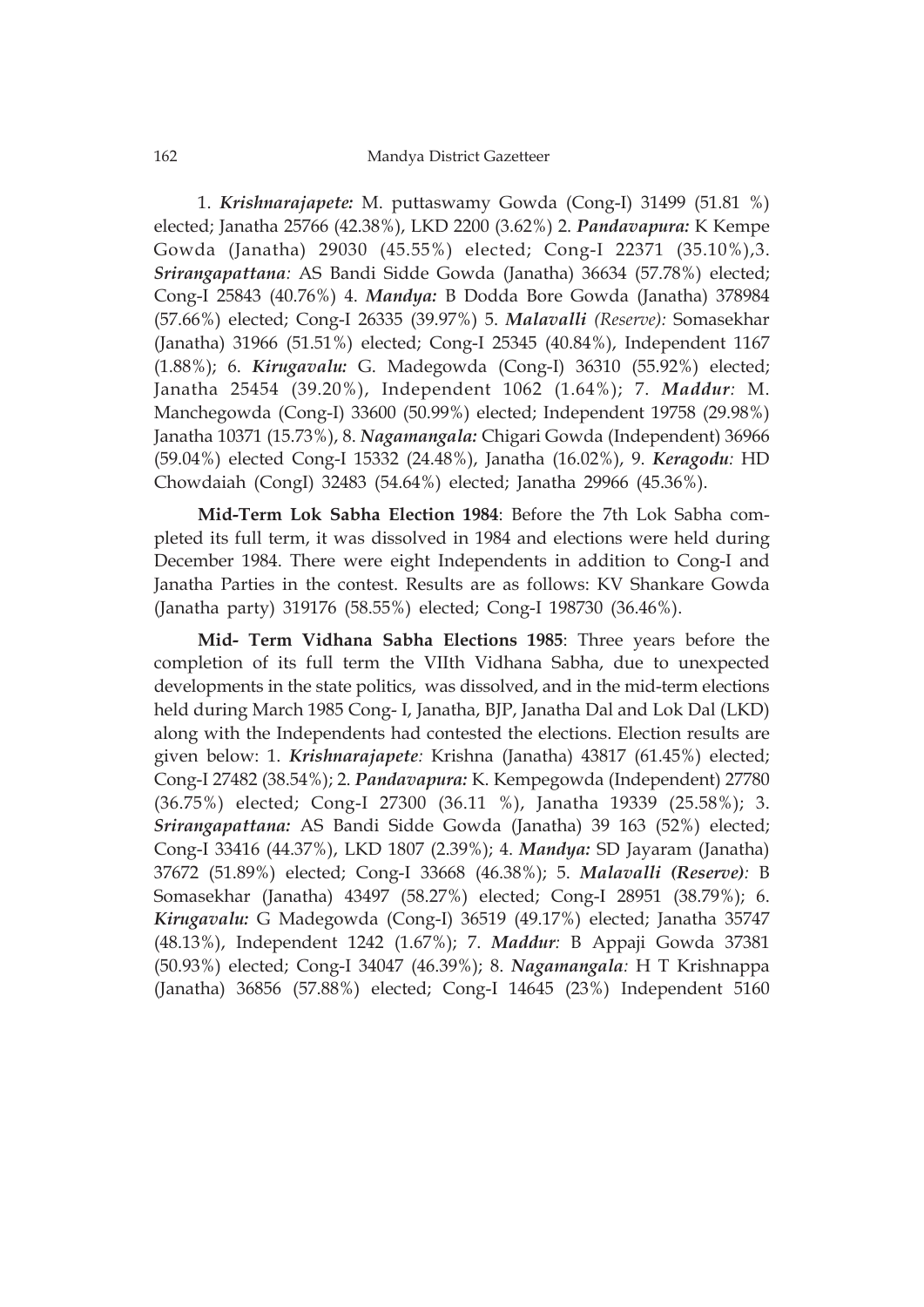1. *Krishnarajapete:* M. puttaswamy Gowda (Cong-I) 31499 (51.81 %) elected; Janatha 25766 (42.38%), LKD 2200 (3.62%) 2. *Pandavapura:* K Kempe Gowda (Janatha) 29030 (45.55%) elected; Cong-I 22371 (35.10%),3. *Srirangapattana:* AS Bandi Sidde Gowda (Janatha) 36634 (57.78%) elected; Cong-I 25843 (40.76%) 4. *Mandya:* B Dodda Bore Gowda (Janatha) 378984 (57.66%) elected; Cong-I 26335 (39.97%) 5. *Malavalli (Reserve):* Somasekhar (Janatha) 31966 (51.51%) elected; Cong-I 25345 (40.84%), Independent 1167 (1.88%); 6. *Kirugavalu:* G. Madegowda (Cong-I) 36310 (55.92%) elected; Janatha 25454 (39.20%), Independent 1062 (1.64%); 7. *Maddur:* M. Manchegowda (Cong-I) 33600 (50.99%) elected; Independent 19758 (29.98%) Janatha 10371 (15.73%), 8. *Nagamangala:* Chigari Gowda (Independent) 36966 (59.04%) elected Cong-I 15332 (24.48%), Janatha (16.02%), 9. *Keragodu:* HD Chowdaiah (CongI) 32483 (54.64%) elected; Janatha 29966 (45.36%).

**Mid-Term Lok Sabha Election 1984**: Before the 7th Lok Sabha completed its full term, it was dissolved in 1984 and elections were held during December 1984. There were eight Independents in addition to Cong-I and Janatha Parties in the contest. Results are as follows: KV Shankare Gowda (Janatha party) 319176 (58.55%) elected; Cong-I 198730 (36.46%).

**Mid- Term Vidhana Sabha Elections 1985**: Three years before the completion of its full term the VIIth Vidhana Sabha, due to unexpected developments in the state politics, was dissolved, and in the mid-term elections held during March 1985 Cong- I, Janatha, BJP, Janatha Dal and Lok Dal (LKD) along with the Independents had contested the elections. Election results are given below: 1. *Krishnarajapete:* Krishna (Janatha) 43817 (61.45%) elected; Cong-I 27482 (38.54%); 2. *Pandavapura:* K. Kempegowda (Independent) 27780 (36.75%) elected; Cong-I 27300 (36.11 %), Janatha 19339 (25.58%); 3. *Srirangapattana:* AS Bandi Sidde Gowda (Janatha) 39 163 (52%) elected; Cong-I 33416 (44.37%), LKD 1807 (2.39%); 4. *Mandya:* SD Jayaram (Janatha) 37672 (51.89%) elected; Cong-I 33668 (46.38%); 5. *Malavalli (Reserve):* B Somasekhar (Janatha) 43497 (58.27%) elected; Cong-I 28951 (38.79%); 6. *Kirugavalu:* G Madegowda (Cong-I) 36519 (49.17%) elected; Janatha 35747 (48.13%), Independent 1242 (1.67%); 7. *Maddur:* B Appaji Gowda 37381 (50.93%) elected; Cong-I 34047 (46.39%); 8. *Nagamangala:* H T Krishnappa (Janatha) 36856 (57.88%) elected; Cong-I 14645 (23%) Independent 5160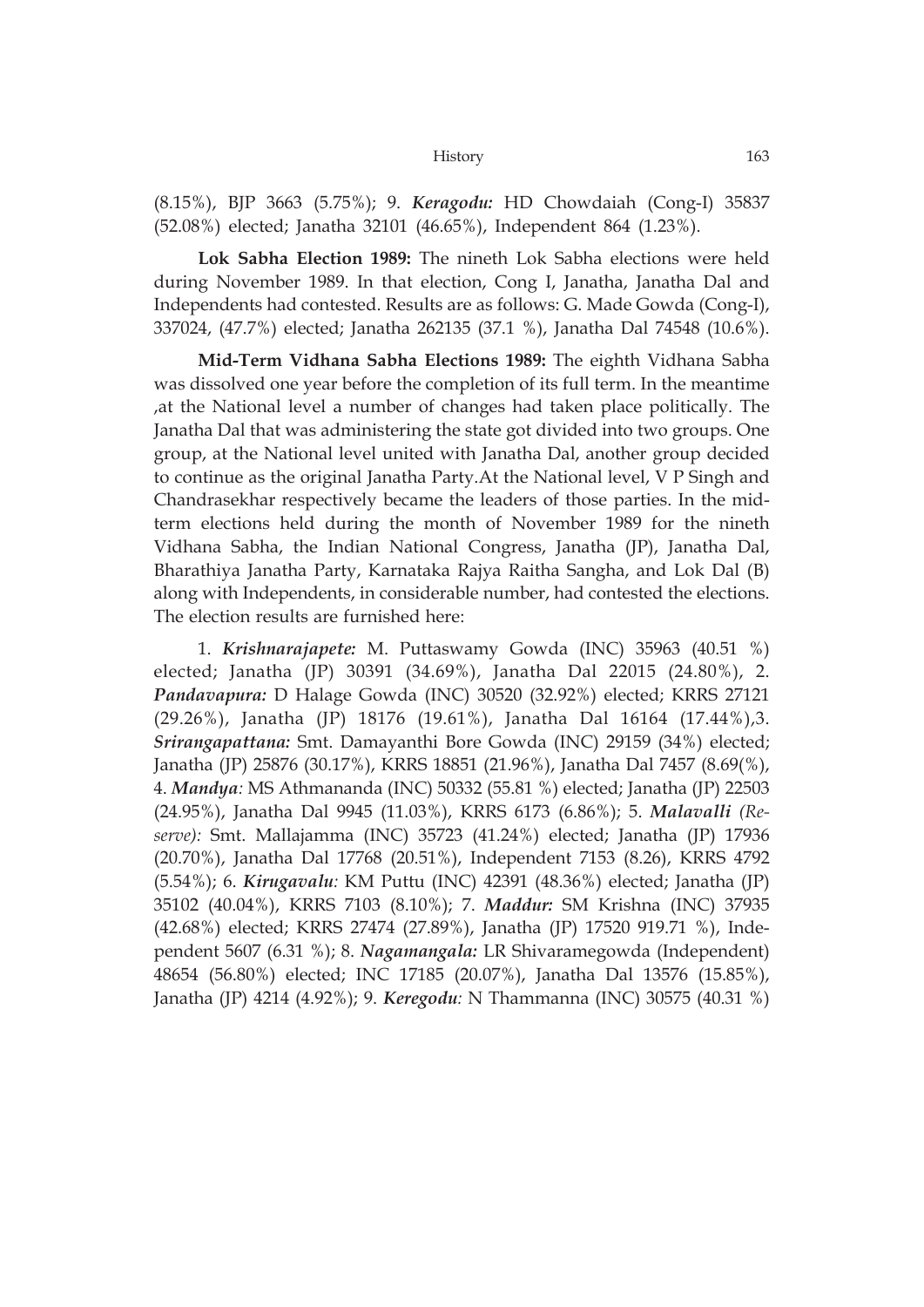(8.15%), BJP 3663 (5.75%); 9. *Keragodu:* HD Chowdaiah (Cong-I) 35837 (52.08%) elected; Janatha 32101 (46.65%), Independent 864 (1.23%).

**Lok Sabha Election 1989:** The nineth Lok Sabha elections were held during November 1989. In that election, Cong I, Janatha, Janatha Dal and Independents had contested. Results are as follows: G. Made Gowda (Cong-I), 337024, (47.7%) elected; Janatha 262135 (37.1 %), Janatha Dal 74548 (10.6%).

**Mid-Term Vidhana Sabha Elections 1989:** The eighth Vidhana Sabha was dissolved one year before the completion of its full term. In the meantime ,at the National level a number of changes had taken place politically. The Janatha Dal that was administering the state got divided into two groups. One group, at the National level united with Janatha Dal, another group decided to continue as the original Janatha Party.At the National level, V P Singh and Chandrasekhar respectively became the leaders of those parties. In the midterm elections held during the month of November 1989 for the nineth Vidhana Sabha, the Indian National Congress, Janatha (JP), Janatha Dal, Bharathiya Janatha Party, Karnataka Rajya Raitha Sangha, and Lok Dal (B) along with Independents, in considerable number, had contested the elections. The election results are furnished here:

1. *Krishnarajapete:* M. Puttaswamy Gowda (INC) 35963 (40.51 %) elected; Janatha (JP) 30391 (34.69%), Janatha Dal 22015 (24.80%), 2. *Pandavapura:* D Halage Gowda (INC) 30520 (32.92%) elected; KRRS 27121 (29.26%), Janatha (JP) 18176 (19.61%), Janatha Dal 16164 (17.44%),3. *Srirangapattana:* Smt. Damayanthi Bore Gowda (INC) 29159 (34%) elected; Janatha (JP) 25876 (30.17%), KRRS 18851 (21.96%), Janatha Dal 7457 (8.69(%), 4. *Mandya:* MS Athmananda (INC) 50332 (55.81 %) elected; Janatha (JP) 22503 (24.95%), Janatha Dal 9945 (11.03%), KRRS 6173 (6.86%); 5. *Malavalli (Reserve):* Smt. Mallajamma (INC) 35723 (41.24%) elected; Janatha (JP) 17936 (20.70%), Janatha Dal 17768 (20.51%), Independent 7153 (8.26), KRRS 4792 (5.54%); 6. *Kirugavalu:* KM Puttu (INC) 42391 (48.36%) elected; Janatha (JP) 35102 (40.04%), KRRS 7103 (8.10%); 7. *Maddur:* SM Krishna (INC) 37935 (42.68%) elected; KRRS 27474 (27.89%), Janatha (JP) 17520 919.71 %), Independent 5607 (6.31 %); 8. *Nagamangala:* LR Shivaramegowda (Independent) 48654 (56.80%) elected; INC 17185 (20.07%), Janatha Dal 13576 (15.85%), Janatha (JP) 4214 (4.92%); 9. *Keregodu:* N Thammanna (INC) 30575 (40.31 %)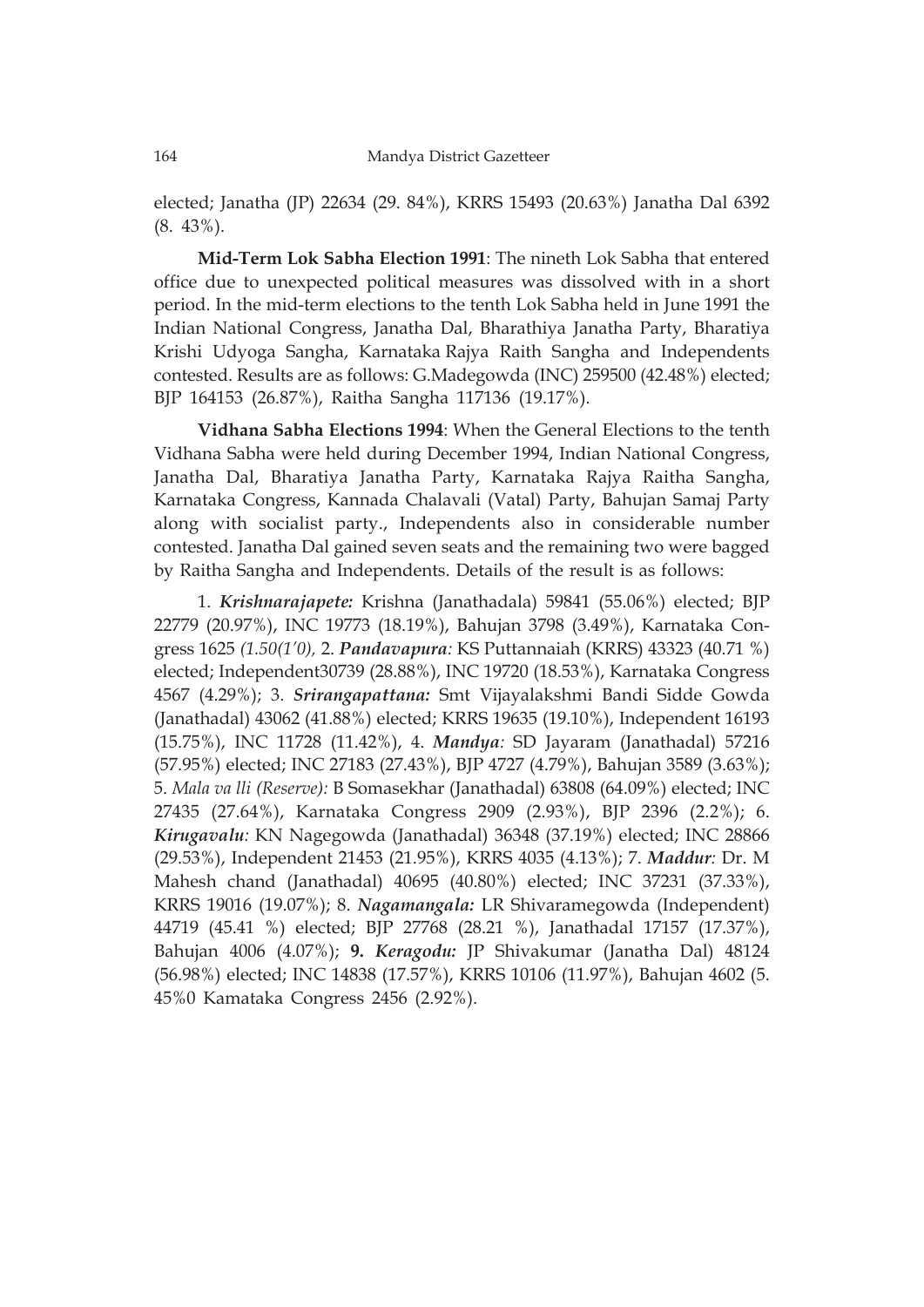elected; Janatha (JP) 22634 (29. 84%), KRRS 15493 (20.63%) Janatha Dal 6392 (8. 43%).

**Mid-Term Lok Sabha Election 1991**: The nineth Lok Sabha that entered office due to unexpected political measures was dissolved with in a short period. In the mid-term elections to the tenth Lok Sabha held in June 1991 the Indian National Congress, Janatha Dal, Bharathiya Janatha Party, Bharatiya Krishi Udyoga Sangha, Karnataka Rajya Raith Sangha and Independents contested. Results are as follows: G.Madegowda (INC) 259500 (42.48%) elected; BJP 164153 (26.87%), Raitha Sangha 117136 (19.17%).

**Vidhana Sabha Elections 1994**: When the General Elections to the tenth Vidhana Sabha were held during December 1994, Indian National Congress, Janatha Dal, Bharatiya Janatha Party, Karnataka Rajya Raitha Sangha, Karnataka Congress, Kannada Chalavali (Vatal) Party, Bahujan Samaj Party along with socialist party., Independents also in considerable number contested. Janatha Dal gained seven seats and the remaining two were bagged by Raitha Sangha and Independents. Details of the result is as follows:

1. *Krishnarajapete:* Krishna (Janathadala) 59841 (55.06%) elected; BJP 22779 (20.97%), INC 19773 (18.19%), Bahujan 3798 (3.49%), Karnataka Congress 1625 *(1.50(1'0),* 2. *Pandavapura:* KS Puttannaiah (KRRS) 43323 (40.71 %) elected; Independent30739 (28.88%), INC 19720 (18.53%), Karnataka Congress 4567 (4.29%); 3. *Srirangapattana:* Smt Vijayalakshmi Bandi Sidde Gowda (Janathadal) 43062 (41.88%) elected; KRRS 19635 (19.10%), Independent 16193 (15.75%), INC 11728 (11.42%), 4. *Mandya:* SD Jayaram (Janathadal) 57216 (57.95%) elected; INC 27183 (27.43%), BJP 4727 (4.79%), Bahujan 3589 (3.63%); 5. *Mala va lli (Reserve):* B Somasekhar (Janathadal) 63808 (64.09%) elected; INC 27435 (27.64%), Karnataka Congress 2909 (2.93%), BJP 2396 (2.2%); 6. *Kirugavalu:* KN Nagegowda (Janathadal) 36348 (37.19%) elected; INC 28866 (29.53%), Independent 21453 (21.95%), KRRS 4035 (4.13%); 7. *Maddur:* Dr. M Mahesh chand (Janathadal) 40695 (40.80%) elected; INC 37231 (37.33%), KRRS 19016 (19.07%); 8. *Nagamangala:* LR Shivaramegowda (Independent) 44719 (45.41 %) elected; BJP 27768 (28.21 %), Janathadal 17157 (17.37%), Bahujan 4006 (4.07%); **9.** *Keragodu:* JP Shivakumar (Janatha Dal) 48124 (56.98%) elected; INC 14838 (17.57%), KRRS 10106 (11.97%), Bahujan 4602 (5. 45%0 Kamataka Congress 2456 (2.92%).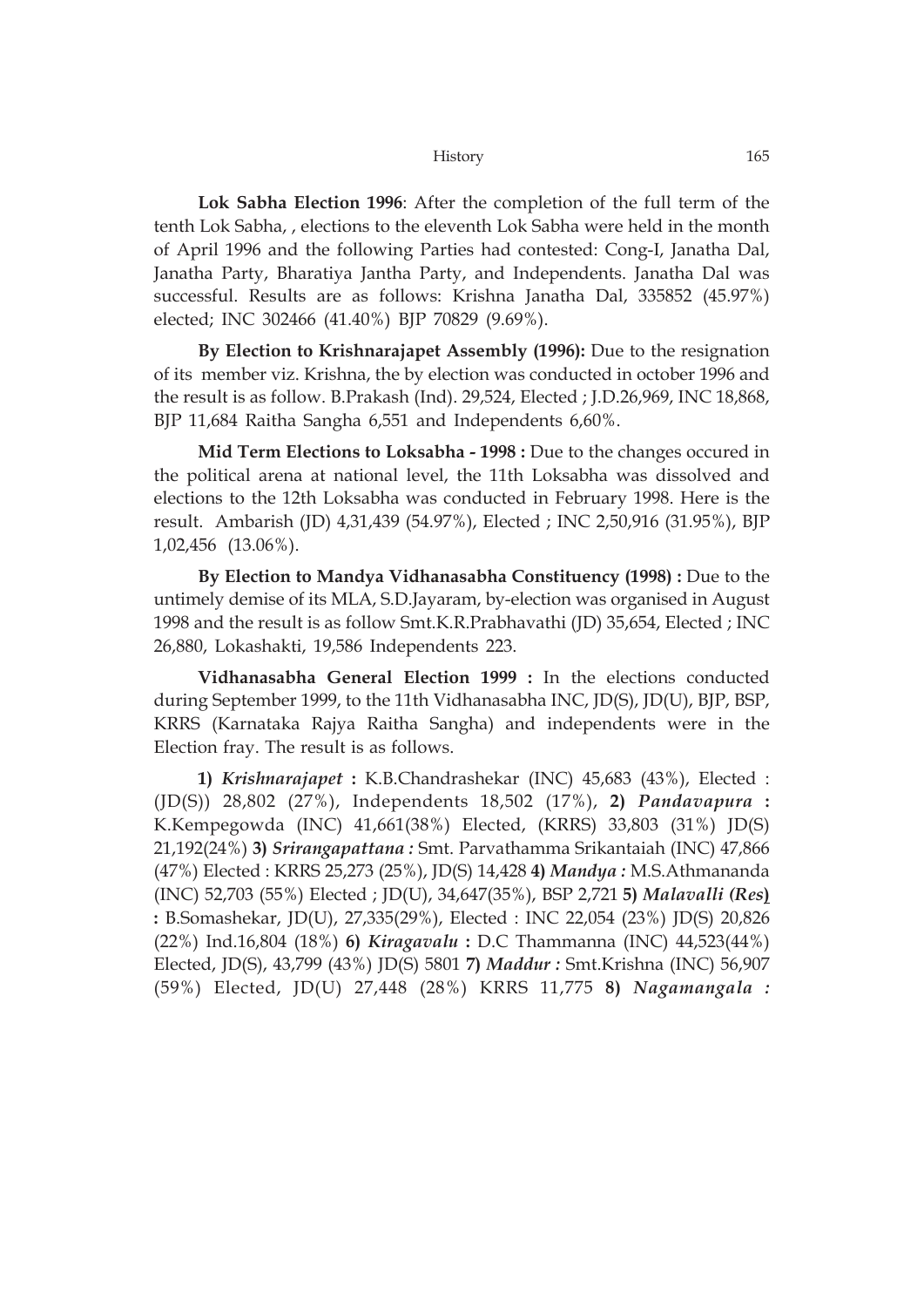**Lok Sabha Election 1996**: After the completion of the full term of the tenth Lok Sabha, , elections to the eleventh Lok Sabha were held in the month of April 1996 and the following Parties had contested: Cong-I, Janatha Dal, Janatha Party, Bharatiya Jantha Party, and Independents. Janatha Dal was successful. Results are as follows: Krishna Janatha Dal, 335852 (45.97%) elected; INC 302466 (41.40%) BJP 70829 (9.69%).

**By Election to Krishnarajapet Assembly (1996):** Due to the resignation of its member viz. Krishna, the by election was conducted in october 1996 and the result is as follow. B.Prakash (Ind). 29,524, Elected ; J.D.26,969, INC 18,868, BJP 11,684 Raitha Sangha 6,551 and Independents 6,60%.

**Mid Term Elections to Loksabha - 1998 :** Due to the changes occured in the political arena at national level, the 11th Loksabha was dissolved and elections to the 12th Loksabha was conducted in February 1998. Here is the result. Ambarish (JD) 4,31,439 (54.97%), Elected ; INC 2,50,916 (31.95%), BJP 1,02,456 (13.06%).

**By Election to Mandya Vidhanasabha Constituency (1998) :** Due to the untimely demise of its MLA, S.D.Jayaram, by-election was organised in August 1998 and the result is as follow Smt.K.R.Prabhavathi (JD) 35,654, Elected ; INC 26,880, Lokashakti, 19,586 Independents 223.

**Vidhanasabha General Election 1999 :** In the elections conducted during September 1999, to the 11th Vidhanasabha INC, JD(S), JD(U), BJP, BSP, KRRS (Karnataka Rajya Raitha Sangha) and independents were in the Election fray. The result is as follows.

**1)** *Krishnarajapet* **:** K.B.Chandrashekar (INC) 45,683 (43%), Elected : (JD(S)) 28,802 (27%), Independents 18,502 (17%), **2)** *Pandavapura* **:** K.Kempegowda (INC) 41,661(38%) Elected, (KRRS) 33,803 (31%) JD(S) 21,192(24%) **3)** *Srirangapattana :* Smt. Parvathamma Srikantaiah (INC) 47,866 (47%) Elected : KRRS 25,273 (25%), JD(S) 14,428 **4)** *Mandya :* M.S.Athmananda (INC) 52,703 (55%) Elected ; JD(U), 34,647(35%), BSP 2,721 **5)** *Malavalli (Res***) :** B.Somashekar, JD(U), 27,335(29%), Elected : INC 22,054 (23%) JD(S) 20,826 (22%) Ind.16,804 (18%) **6)** *Kiragavalu* **:** D.C Thammanna (INC) 44,523(44%) Elected, JD(S), 43,799 (43%) JD(S) 5801 **7)** *Maddur :* Smt.Krishna (INC) 56,907 (59%) Elected, JD(U) 27,448 (28%) KRRS 11,775 **8)** *Nagamangala :*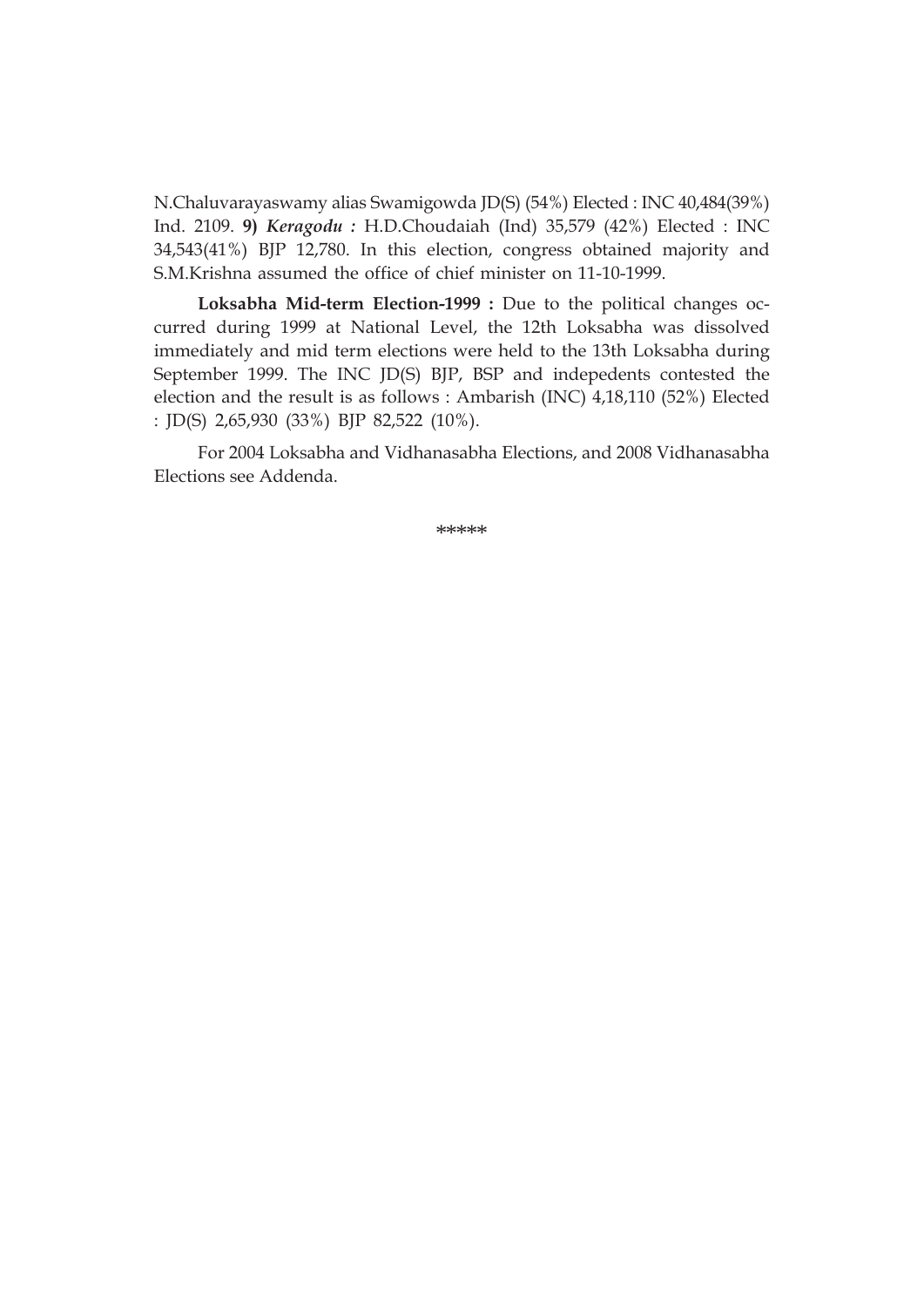N.Chaluvarayaswamy alias Swamigowda JD(S) (54%) Elected : INC 40,484(39%) Ind. 2109. **9)** *Keragodu :* H.D.Choudaiah (Ind) 35,579 (42%) Elected : INC 34,543(41%) BJP 12,780. In this election, congress obtained majority and S.M.Krishna assumed the office of chief minister on 11-10-1999.

**Loksabha Mid-term Election-1999 :** Due to the political changes occurred during 1999 at National Level, the 12th Loksabha was dissolved immediately and mid term elections were held to the 13th Loksabha during September 1999. The INC JD(S) BJP, BSP and indepedents contested the election and the result is as follows : Ambarish (INC) 4,18,110 (52%) Elected : JD(S) 2,65,930 (33%) BJP 82,522 (10%).

For 2004 Loksabha and Vidhanasabha Elections, and 2008 Vidhanasabha Elections see Addenda.

\*\*\*\*\*